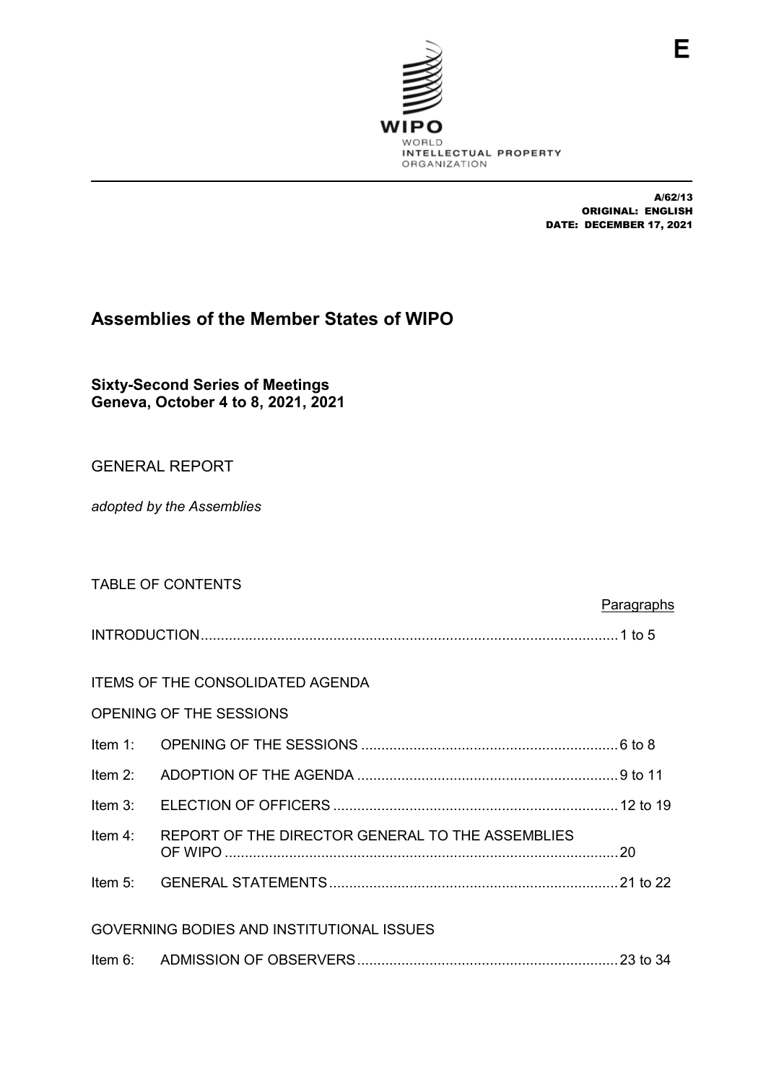

A/62/13 ORIGINAL: ENGLISH DATE: DECEMBER 17, 2021

# **Assemblies of the Member States of WIPO**

**Sixty-Second Series of Meetings Geneva, October 4 to 8, 2021, 2021**

# GENERAL REPORT

*adopted by the Assemblies*

|                                           | <b>TABLE OF CONTENTS</b>                                 |                   |  |  |
|-------------------------------------------|----------------------------------------------------------|-------------------|--|--|
|                                           |                                                          | <b>Paragraphs</b> |  |  |
|                                           |                                                          |                   |  |  |
|                                           | <b>ITEMS OF THE CONSOLIDATED AGENDA</b>                  |                   |  |  |
|                                           | <b>OPENING OF THE SESSIONS</b>                           |                   |  |  |
| Item $1$ :                                |                                                          |                   |  |  |
| Item $2$ :                                |                                                          |                   |  |  |
|                                           |                                                          |                   |  |  |
|                                           | Item 4: REPORT OF THE DIRECTOR GENERAL TO THE ASSEMBLIES |                   |  |  |
|                                           |                                                          |                   |  |  |
| GOVERNING BODIES AND INSTITUTIONAL ISSUES |                                                          |                   |  |  |
|                                           |                                                          |                   |  |  |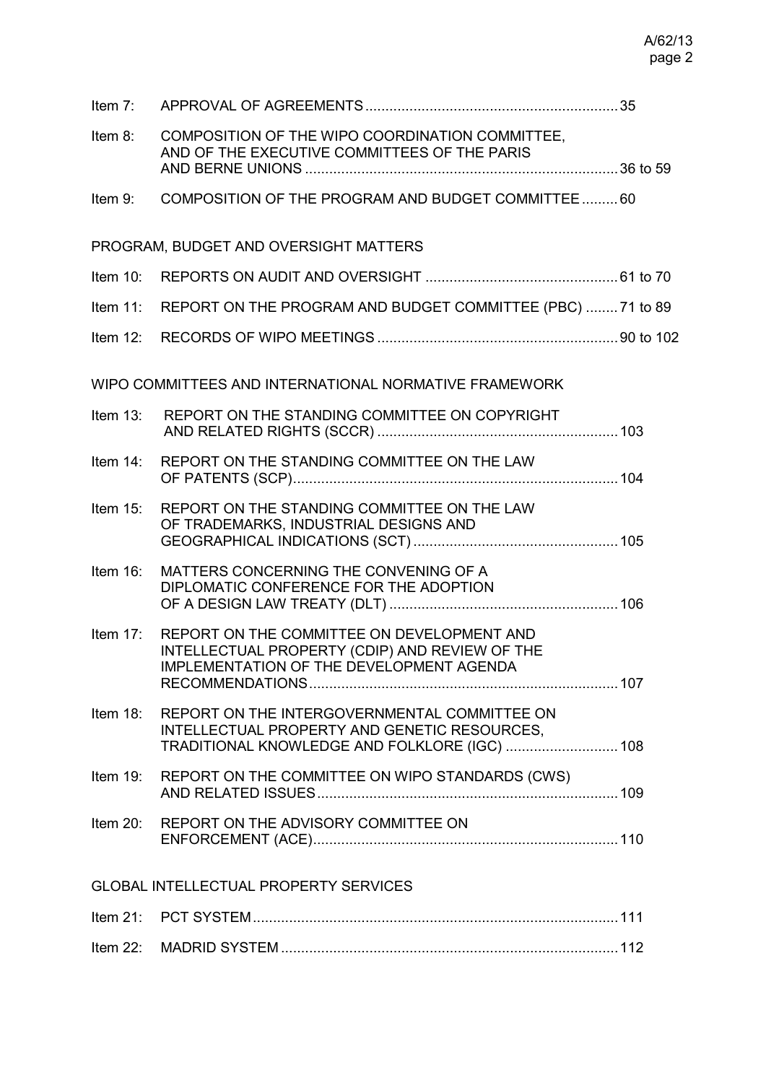| Item $7:$   |                                                                                                                                               |  |
|-------------|-----------------------------------------------------------------------------------------------------------------------------------------------|--|
| Item 8:     | COMPOSITION OF THE WIPO COORDINATION COMMITTEE,<br>AND OF THE EXECUTIVE COMMITTEES OF THE PARIS                                               |  |
| Item 9:     | COMPOSITION OF THE PROGRAM AND BUDGET COMMITTEE 60                                                                                            |  |
|             | PROGRAM, BUDGET AND OVERSIGHT MATTERS                                                                                                         |  |
| Item $10$ : |                                                                                                                                               |  |
| Item $11$ : | REPORT ON THE PROGRAM AND BUDGET COMMITTEE (PBC)  71 to 89                                                                                    |  |
| Item $12$ : |                                                                                                                                               |  |
|             | WIPO COMMITTEES AND INTERNATIONAL NORMATIVE FRAMEWORK                                                                                         |  |
| Item $13$ : | REPORT ON THE STANDING COMMITTEE ON COPYRIGHT                                                                                                 |  |
| Item $14$ : | REPORT ON THE STANDING COMMITTEE ON THE LAW                                                                                                   |  |
| Item $15$ : | REPORT ON THE STANDING COMMITTEE ON THE LAW<br>OF TRADEMARKS, INDUSTRIAL DESIGNS AND                                                          |  |
| Item 16:    | MATTERS CONCERNING THE CONVENING OF A<br>DIPLOMATIC CONFERENCE FOR THE ADOPTION                                                               |  |
| Item $17$ : | REPORT ON THE COMMITTEE ON DEVELOPMENT AND<br>INTELLECTUAL PROPERTY (CDIP) AND REVIEW OF THE<br>IMPLEMENTATION OF THE DEVELOPMENT AGENDA      |  |
| Item $18$ : | REPORT ON THE INTERGOVERNMENTAL COMMITTEE ON<br>INTELLECTUAL PROPERTY AND GENETIC RESOURCES,<br>TRADITIONAL KNOWLEDGE AND FOLKLORE (IGC)  108 |  |
| Item $19$ : | REPORT ON THE COMMITTEE ON WIPO STANDARDS (CWS)                                                                                               |  |
| Item $20$ : | REPORT ON THE ADVISORY COMMITTEE ON                                                                                                           |  |
|             | <b>GLOBAL INTELLECTUAL PROPERTY SERVICES</b>                                                                                                  |  |
| Item $21$ : |                                                                                                                                               |  |
| Item 22:    |                                                                                                                                               |  |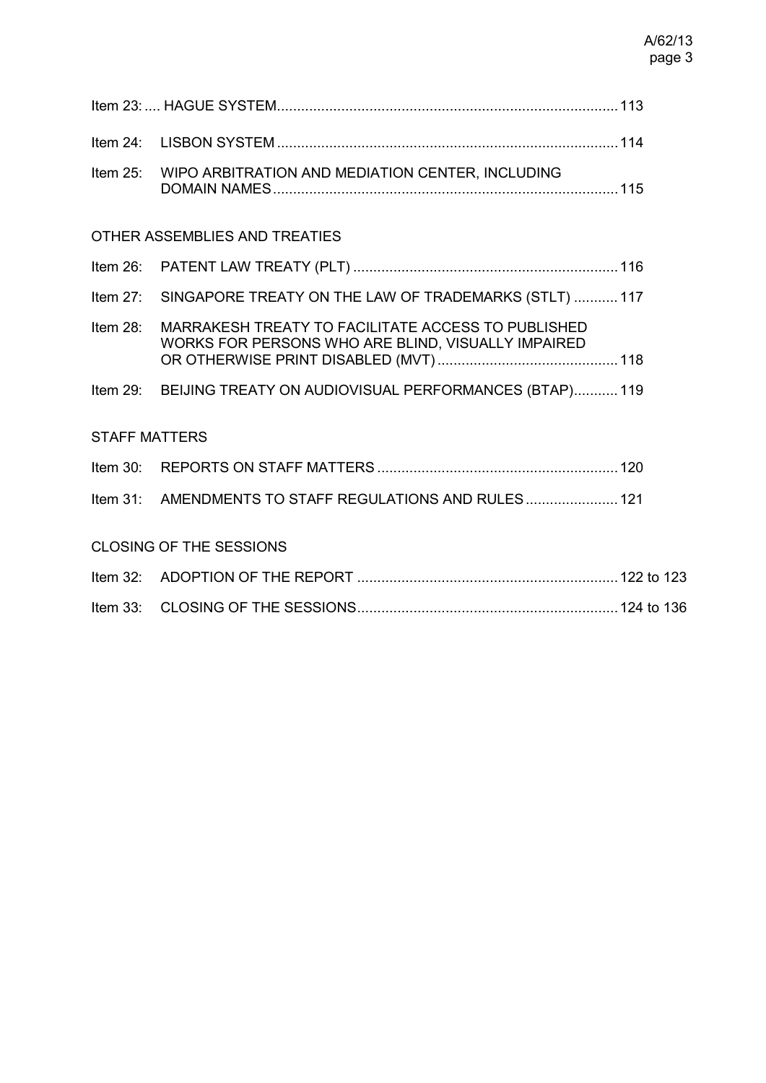| Item $25$ :                    | WIPO ARBITRATION AND MEDIATION CENTER, INCLUDING                                                         |  |  |  |  |
|--------------------------------|----------------------------------------------------------------------------------------------------------|--|--|--|--|
| OTHER ASSEMBLIES AND TREATIES  |                                                                                                          |  |  |  |  |
| Item 26:                       |                                                                                                          |  |  |  |  |
| Item $27$ :                    | SINGAPORE TREATY ON THE LAW OF TRADEMARKS (STLT)  117                                                    |  |  |  |  |
| Item $28$ :                    | MARRAKESH TREATY TO FACILITATE ACCESS TO PUBLISHED<br>WORKS FOR PERSONS WHO ARE BLIND, VISUALLY IMPAIRED |  |  |  |  |
|                                | Item 29: BEIJING TREATY ON AUDIOVISUAL PERFORMANCES (BTAP) 119                                           |  |  |  |  |
| <b>STAFF MATTERS</b>           |                                                                                                          |  |  |  |  |
|                                |                                                                                                          |  |  |  |  |
|                                | Item 31: AMENDMENTS TO STAFF REGULATIONS AND RULES 121                                                   |  |  |  |  |
| <b>CLOSING OF THE SESSIONS</b> |                                                                                                          |  |  |  |  |
|                                |                                                                                                          |  |  |  |  |
|                                |                                                                                                          |  |  |  |  |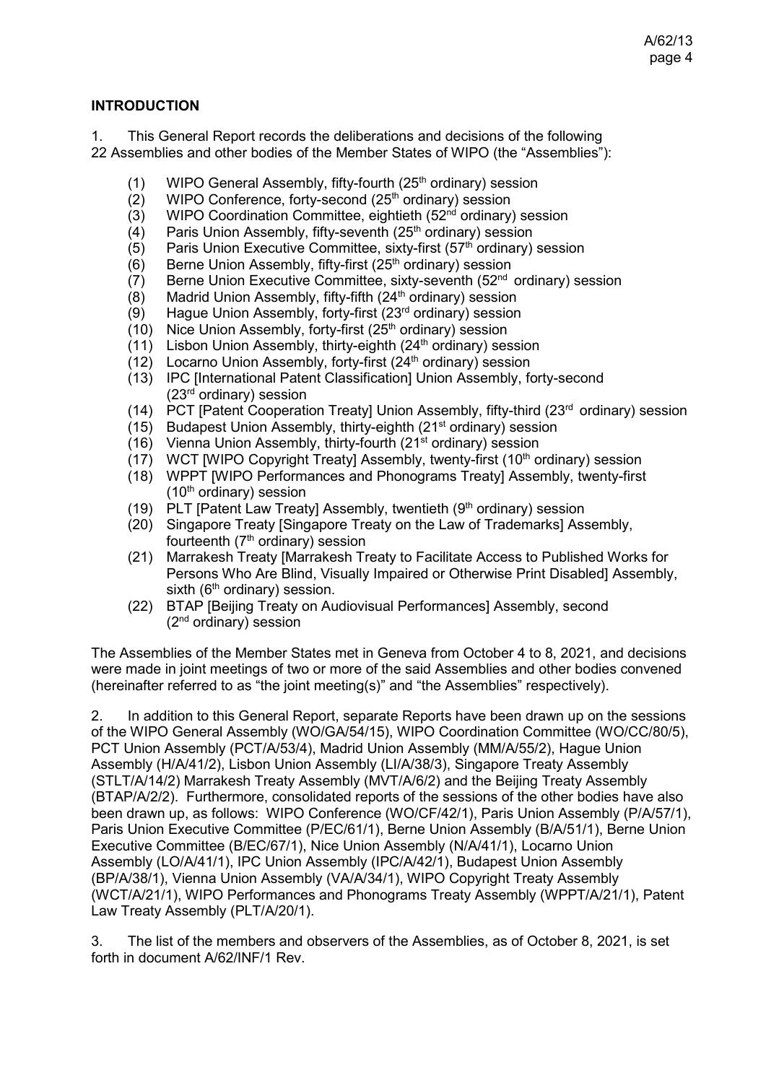### **INTRODUCTION**

1. This General Report records the deliberations and decisions of the following

- 22 Assemblies and other bodies of the Member States of WIPO (the "Assemblies"):
	- (1) WIPO General Assembly, fifty-fourth (25<sup>th</sup> ordinary) session (2) WIPO Conference, forty-second (25<sup>th</sup> ordinary) session
	- (2) WIPO Conference, forty-second  $(25<sup>th</sup>$  ordinary) session (3) WIPO Coordination Committee, eightieth (52<sup>nd</sup> ordinary)
	- (3) WIPO Coordination Committee, eightieth (52<sup>nd</sup> ordinary) session (4) Paris Union Assembly, fifty-seventh (25<sup>th</sup> ordinary) session
	- (4) Paris Union Assembly, fifty-seventh (25<sup>th</sup> ordinary) session (5) Paris Union Executive Committee, sixty-first (57<sup>th</sup> ordinary)
	- (5) Paris Union Executive Committee, sixty-first (57<sup>th</sup> ordinary) session (6) Berne Union Assembly, fifty-first (25<sup>th</sup> ordinary) session
	- Berne Union Assembly, fifty-first (25<sup>th</sup> ordinary) session
	- (7) Berne Union Executive Committee, sixty-seventh  $(52<sup>nd</sup>$  ordinary) session
	- (8) Madrid Union Assembly, fifty-fifth ( $24<sup>th</sup>$  ordinary) session
	- (9) Hague Union Assembly, forty-first  $(23<sup>rd</sup>$  ordinary) session
	- (10) Nice Union Assembly, forty-first  $(25<sup>th</sup>$  ordinary) session
	- $(11)$  Lisbon Union Assembly, thirty-eighth (24<sup>th</sup> ordinary) session
	- $(12)$  Locarno Union Assembly, forty-first  $(24<sup>th</sup>$  ordinary) session
	- (13) IPC [International Patent Classification] Union Assembly, forty-second  $(23<sup>rd</sup>$  ordinary) session
	- (14) PCT [Patent Cooperation Treaty] Union Assembly, fifty-third  $(23<sup>rd</sup>$  ordinary) session
	- (15) Budapest Union Assembly, thirty-eighth (21 $st$  ordinary) session
	- (16) Vienna Union Assembly, thirty-fourth (21 $\mathrm{st}$  ordinary) session
	- (17) WCT [WIPO Copyright Treaty] Assembly, twenty-first (10<sup>th</sup> ordinary) session
	- (18) WPPT [WIPO Performances and Phonograms Treaty] Assembly, twenty-first  $(10<sup>th</sup>$  ordinary) session
	- (19) PLT [Patent Law Treaty] Assembly, twentieth  $(9<sup>th</sup> \text{ ordinary})$  session
	- (20) Singapore Treaty [Singapore Treaty on the Law of Trademarks] Assembly, fourteenth  $(7<sup>th</sup>$  ordinary) session
	- (21) Marrakesh Treaty [Marrakesh Treaty to Facilitate Access to Published Works for Persons Who Are Blind, Visually Impaired or Otherwise Print Disabled] Assembly, sixth  $(6<sup>th</sup>$  ordinary) session.
	- (22) BTAP [Beijing Treaty on Audiovisual Performances] Assembly, second (2nd ordinary) session

The Assemblies of the Member States met in Geneva from October 4 to 8, 2021, and decisions were made in joint meetings of two or more of the said Assemblies and other bodies convened (hereinafter referred to as "the joint meeting(s)" and "the Assemblies" respectively).

2. In addition to this General Report, separate Reports have been drawn up on the sessions of the WIPO General Assembly (WO/GA/54/15), WIPO Coordination Committee (WO/CC/80/5), PCT Union Assembly (PCT/A/53/4), Madrid Union Assembly (MM/A/55/2), Hague Union Assembly (H/A/41/2), Lisbon Union Assembly (LI/A/38/3), Singapore Treaty Assembly (STLT/A/14/2) Marrakesh Treaty Assembly (MVT/A/6/2) and the Beijing Treaty Assembly (BTAP/A/2/2). Furthermore, consolidated reports of the sessions of the other bodies have also been drawn up, as follows: WIPO Conference (WO/CF/42/1), Paris Union Assembly (P/A/57/1), Paris Union Executive Committee (P/EC/61/1), Berne Union Assembly (B/A/51/1), Berne Union Executive Committee (B/EC/67/1), Nice Union Assembly (N/A/41/1), Locarno Union Assembly (LO/A/41/1), IPC Union Assembly (IPC/A/42/1), Budapest Union Assembly (BP/A/38/1), Vienna Union Assembly (VA/A/34/1), WIPO Copyright Treaty Assembly (WCT/A/21/1), WIPO Performances and Phonograms Treaty Assembly (WPPT/A/21/1), Patent Law Treaty Assembly (PLT/A/20/1).

3. The list of the members and observers of the Assemblies, as of October 8, 2021, is set forth in document A/62/INF/1 Rev.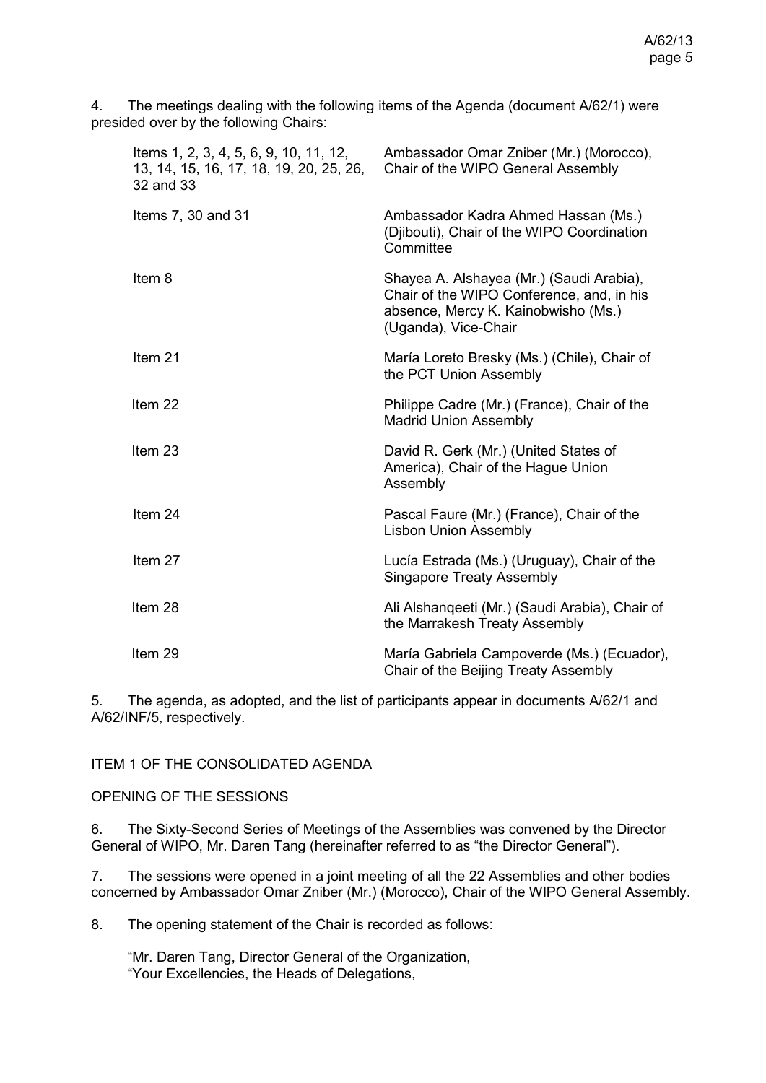4. The meetings dealing with the following items of the Agenda (document [A/62/1\)](https://www.wipo.int/about-wipo/en/assemblies/2021/a_62/doc_details.jsp?doc_id=552473) were presided over by the following Chairs:

| Items 1, 2, 3, 4, 5, 6, 9, 10, 11, 12,<br>13, 14, 15, 16, 17, 18, 19, 20, 25, 26,<br>32 and 33 | Ambassador Omar Zniber (Mr.) (Morocco),<br>Chair of the WIPO General Assembly                                                                        |
|------------------------------------------------------------------------------------------------|------------------------------------------------------------------------------------------------------------------------------------------------------|
| Items 7, 30 and 31                                                                             | Ambassador Kadra Ahmed Hassan (Ms.)<br>(Djibouti), Chair of the WIPO Coordination<br>Committee                                                       |
| Item 8                                                                                         | Shayea A. Alshayea (Mr.) (Saudi Arabia),<br>Chair of the WIPO Conference, and, in his<br>absence, Mercy K. Kainobwisho (Ms.)<br>(Uganda), Vice-Chair |
| Item 21                                                                                        | María Loreto Bresky (Ms.) (Chile), Chair of<br>the PCT Union Assembly                                                                                |
| Item 22                                                                                        | Philippe Cadre (Mr.) (France), Chair of the<br><b>Madrid Union Assembly</b>                                                                          |
| Item <sub>23</sub>                                                                             | David R. Gerk (Mr.) (United States of<br>America), Chair of the Hague Union<br>Assembly                                                              |
| Item 24                                                                                        | Pascal Faure (Mr.) (France), Chair of the<br><b>Lisbon Union Assembly</b>                                                                            |
| Item 27                                                                                        | Lucía Estrada (Ms.) (Uruguay), Chair of the<br><b>Singapore Treaty Assembly</b>                                                                      |
| Item 28                                                                                        | Ali Alshanqeeti (Mr.) (Saudi Arabia), Chair of<br>the Marrakesh Treaty Assembly                                                                      |
| Item 29                                                                                        | María Gabriela Campoverde (Ms.) (Ecuador),<br>Chair of the Beijing Treaty Assembly                                                                   |

5. The agenda, as adopted, and the list of participants appear in documents A/62/1 and A/62/INF/5, respectively.

ITEM 1 OF THE CONSOLIDATED AGENDA

OPENING OF THE SESSIONS

6. The Sixty-Second Series of Meetings of the Assemblies was convened by the Director General of WIPO, Mr. Daren Tang (hereinafter referred to as "the Director General").

7. The sessions were opened in a joint meeting of all the 22 Assemblies and other bodies concerned by Ambassador Omar Zniber (Mr.) (Morocco), Chair of the WIPO General Assembly.

8. The opening statement of the Chair is recorded as follows:

"Mr. Daren Tang, Director General of the Organization, "Your Excellencies, the Heads of Delegations,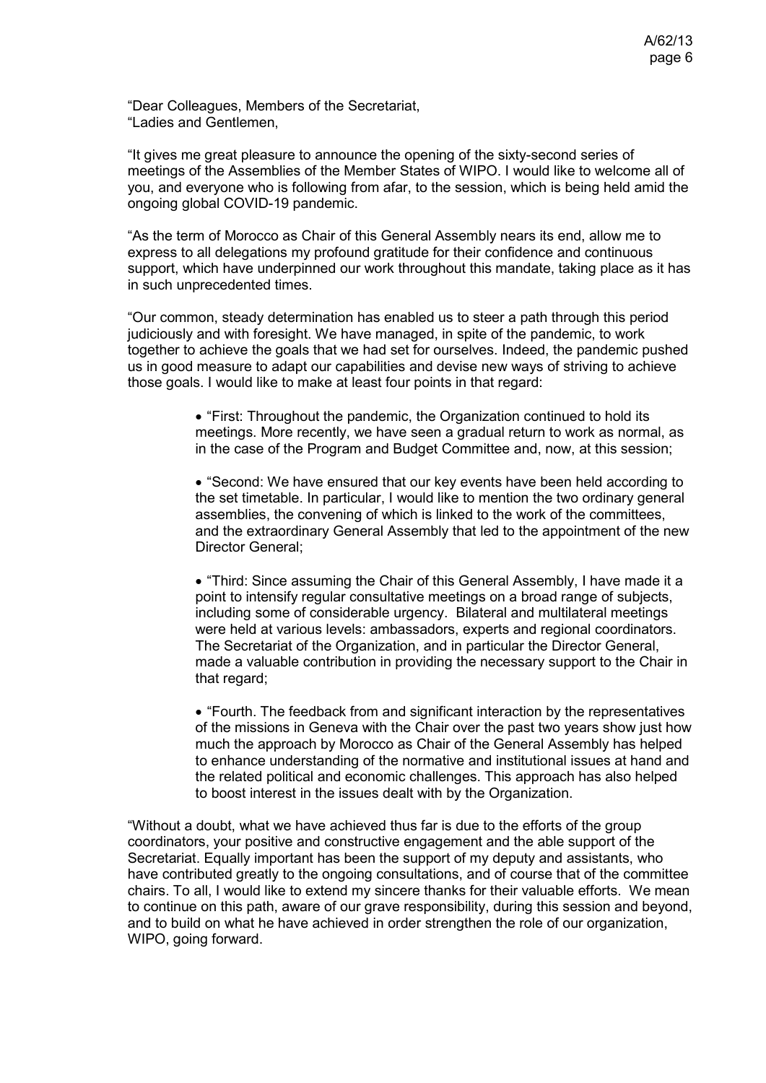"Dear Colleagues, Members of the Secretariat, "Ladies and Gentlemen,

"It gives me great pleasure to announce the opening of the sixty-second series of meetings of the Assemblies of the Member States of WIPO. I would like to welcome all of you, and everyone who is following from afar, to the session, which is being held amid the ongoing global COVID-19 pandemic.

"As the term of Morocco as Chair of this General Assembly nears its end, allow me to express to all delegations my profound gratitude for their confidence and continuous support, which have underpinned our work throughout this mandate, taking place as it has in such unprecedented times.

"Our common, steady determination has enabled us to steer a path through this period judiciously and with foresight. We have managed, in spite of the pandemic, to work together to achieve the goals that we had set for ourselves. Indeed, the pandemic pushed us in good measure to adapt our capabilities and devise new ways of striving to achieve those goals. I would like to make at least four points in that regard:

> • "First: Throughout the pandemic, the Organization continued to hold its meetings. More recently, we have seen a gradual return to work as normal, as in the case of the Program and Budget Committee and, now, at this session;

• "Second: We have ensured that our key events have been held according to the set timetable. In particular, I would like to mention the two ordinary general assemblies, the convening of which is linked to the work of the committees, and the extraordinary General Assembly that led to the appointment of the new Director General;

• "Third: Since assuming the Chair of this General Assembly, I have made it a point to intensify regular consultative meetings on a broad range of subjects, including some of considerable urgency. Bilateral and multilateral meetings were held at various levels: ambassadors, experts and regional coordinators. The Secretariat of the Organization, and in particular the Director General, made a valuable contribution in providing the necessary support to the Chair in that regard;

• "Fourth. The feedback from and significant interaction by the representatives of the missions in Geneva with the Chair over the past two years show just how much the approach by Morocco as Chair of the General Assembly has helped to enhance understanding of the normative and institutional issues at hand and the related political and economic challenges. This approach has also helped to boost interest in the issues dealt with by the Organization.

"Without a doubt, what we have achieved thus far is due to the efforts of the group coordinators, your positive and constructive engagement and the able support of the Secretariat. Equally important has been the support of my deputy and assistants, who have contributed greatly to the ongoing consultations, and of course that of the committee chairs. To all, I would like to extend my sincere thanks for their valuable efforts. We mean to continue on this path, aware of our grave responsibility, during this session and beyond, and to build on what he have achieved in order strengthen the role of our organization, WIPO, going forward.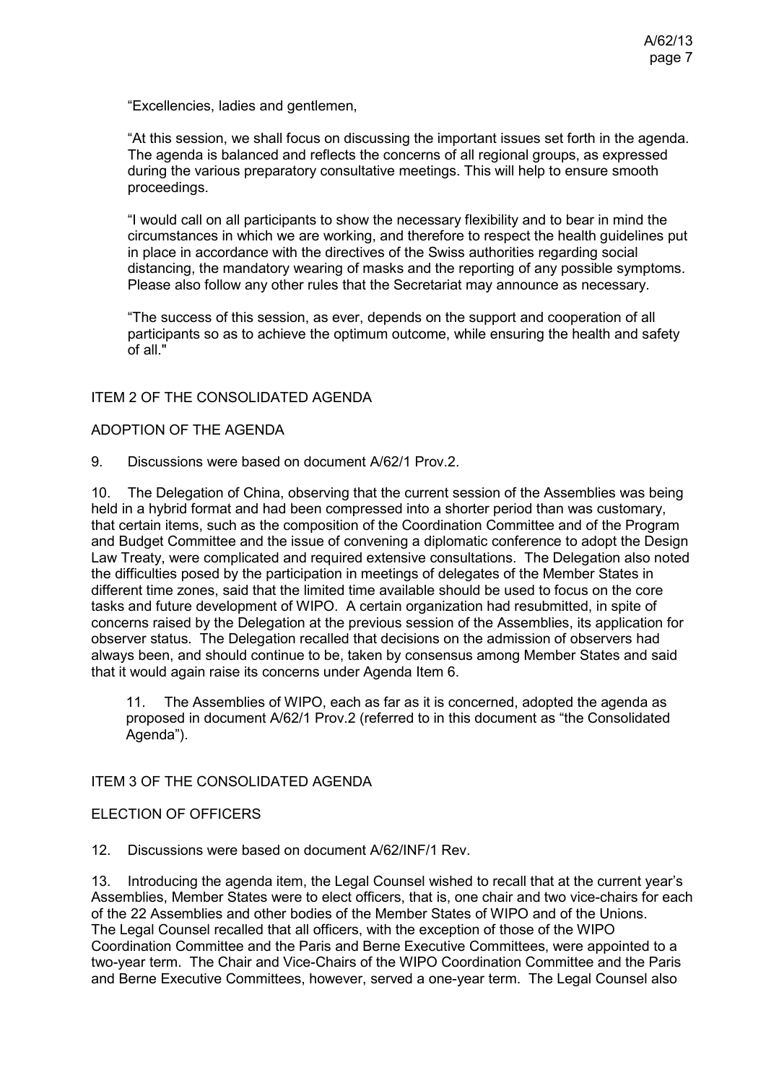"Excellencies, ladies and gentlemen,

"At this session, we shall focus on discussing the important issues set forth in the agenda. The agenda is balanced and reflects the concerns of all regional groups, as expressed during the various preparatory consultative meetings. This will help to ensure smooth proceedings.

"I would call on all participants to show the necessary flexibility and to bear in mind the circumstances in which we are working, and therefore to respect the health guidelines put in place in accordance with the directives of the Swiss authorities regarding social distancing, the mandatory wearing of masks and the reporting of any possible symptoms. Please also follow any other rules that the Secretariat may announce as necessary.

"The success of this session, as ever, depends on the support and cooperation of all participants so as to achieve the optimum outcome, while ensuring the health and safety of all."

### ITEM 2 OF THE CONSOLIDATED AGENDA

### ADOPTION OF THE AGENDA

9. Discussions were based on document A/62/1 Prov.2.

10. The Delegation of China, observing that the current session of the Assemblies was being held in a hybrid format and had been compressed into a shorter period than was customary, that certain items, such as the composition of the Coordination Committee and of the Program and Budget Committee and the issue of convening a diplomatic conference to adopt the Design Law Treaty, were complicated and required extensive consultations. The Delegation also noted the difficulties posed by the participation in meetings of delegates of the Member States in different time zones, said that the limited time available should be used to focus on the core tasks and future development of WIPO. A certain organization had resubmitted, in spite of concerns raised by the Delegation at the previous session of the Assemblies, its application for observer status. The Delegation recalled that decisions on the admission of observers had always been, and should continue to be, taken by consensus among Member States and said that it would again raise its concerns under Agenda Item 6.

11. The Assemblies of WIPO, each as far as it is concerned, adopted the agenda as proposed in document A/62/1 Prov.2 (referred to in this document as "the Consolidated Agenda").

### ITEM 3 OF THE CONSOLIDATED AGENDA

#### ELECTION OF OFFICERS

12. Discussions were based on document [A/62/INF/1 Rev.](https://www.wipo.int/about-wipo/en/assemblies/2021/a_62/doc_details.jsp?doc_id=550920)

13. Introducing the agenda item, the Legal Counsel wished to recall that at the current year's Assemblies, Member States were to elect officers, that is, one chair and two vice-chairs for each of the 22 Assemblies and other bodies of the Member States of WIPO and of the Unions. The Legal Counsel recalled that all officers, with the exception of those of the WIPO Coordination Committee and the Paris and Berne Executive Committees, were appointed to a two-year term. The Chair and Vice-Chairs of the WIPO Coordination Committee and the Paris and Berne Executive Committees, however, served a one-year term. The Legal Counsel also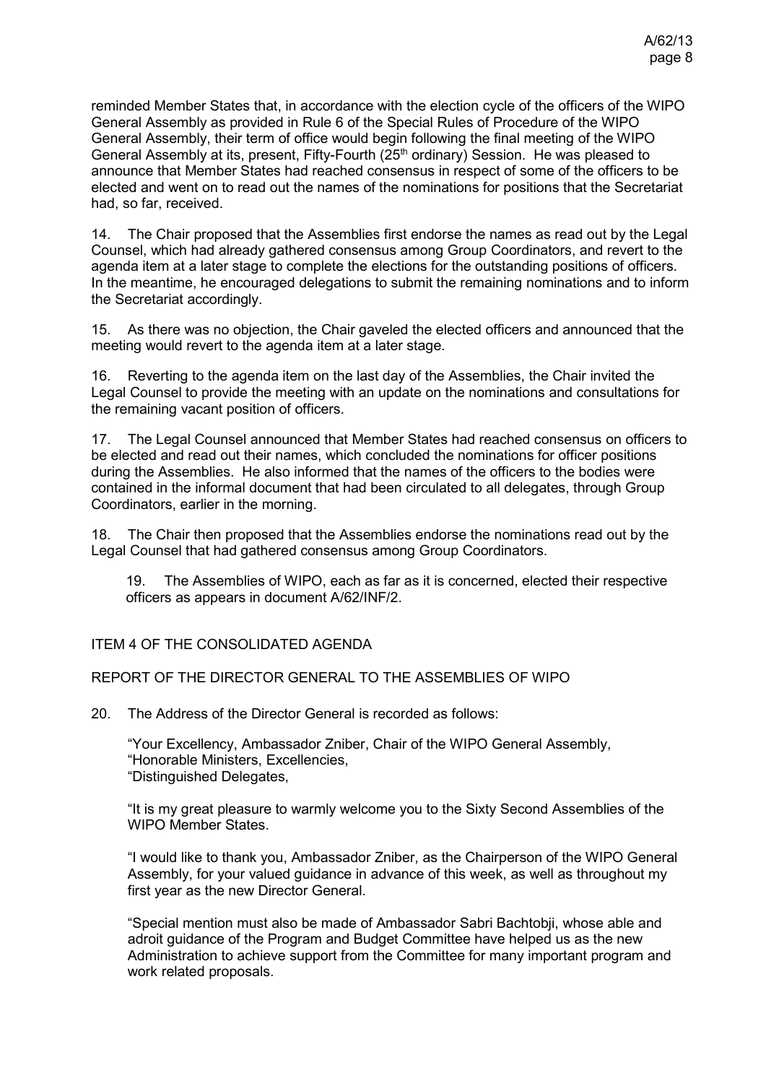reminded Member States that, in accordance with the election cycle of the officers of the WIPO General Assembly as provided in Rule 6 of the Special Rules of Procedure of the WIPO General Assembly, their term of office would begin following the final meeting of the WIPO General Assembly at its, present, Fifty-Fourth (25th ordinary) Session. He was pleased to announce that Member States had reached consensus in respect of some of the officers to be elected and went on to read out the names of the nominations for positions that the Secretariat had, so far, received.

14. The Chair proposed that the Assemblies first endorse the names as read out by the Legal Counsel, which had already gathered consensus among Group Coordinators, and revert to the agenda item at a later stage to complete the elections for the outstanding positions of officers. In the meantime, he encouraged delegations to submit the remaining nominations and to inform the Secretariat accordingly.

15. As there was no objection, the Chair gaveled the elected officers and announced that the meeting would revert to the agenda item at a later stage.

16. Reverting to the agenda item on the last day of the Assemblies, the Chair invited the Legal Counsel to provide the meeting with an update on the nominations and consultations for the remaining vacant position of officers.

17. The Legal Counsel announced that Member States had reached consensus on officers to be elected and read out their names, which concluded the nominations for officer positions during the Assemblies. He also informed that the names of the officers to the bodies were contained in the informal document that had been circulated to all delegates, through Group Coordinators, earlier in the morning.

18. The Chair then proposed that the Assemblies endorse the nominations read out by the Legal Counsel that had gathered consensus among Group Coordinators.

19. The Assemblies of WIPO, each as far as it is concerned, elected their respective officers as appears in document [A/62/INF/2.](https://www.wipo.int/about-wipo/en/assemblies/2021/a_62/doc_details.jsp?doc_id=552831)

### ITEM 4 OF THE CONSOLIDATED AGENDA

### REPORT OF THE DIRECTOR GENERAL TO THE ASSEMBLIES OF WIPO

20. The Address of the Director General is recorded as follows:

"Your Excellency, Ambassador Zniber, Chair of the WIPO General Assembly, "Honorable Ministers, Excellencies, "Distinguished Delegates,

"It is my great pleasure to warmly welcome you to the Sixty Second Assemblies of the WIPO Member States.

"I would like to thank you, Ambassador Zniber, as the Chairperson of the WIPO General Assembly, for your valued guidance in advance of this week, as well as throughout my first year as the new Director General.

"Special mention must also be made of Ambassador Sabri Bachtobji, whose able and adroit guidance of the Program and Budget Committee have helped us as the new Administration to achieve support from the Committee for many important program and work related proposals.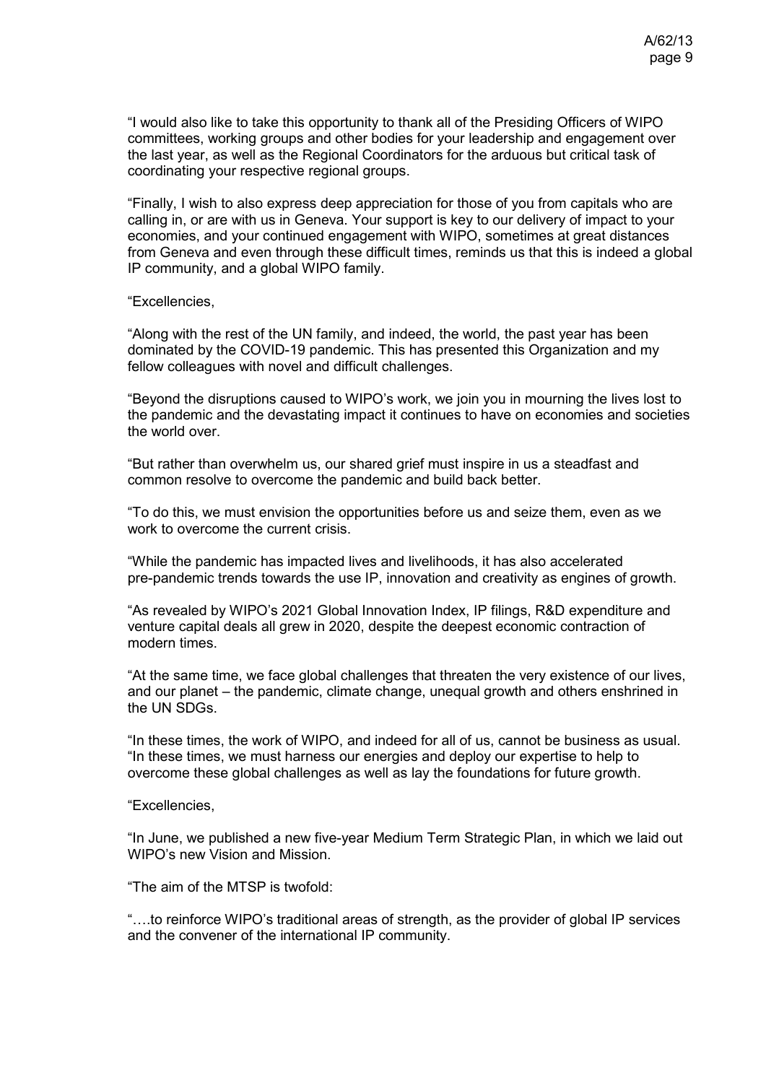"I would also like to take this opportunity to thank all of the Presiding Officers of WIPO committees, working groups and other bodies for your leadership and engagement over the last year, as well as the Regional Coordinators for the arduous but critical task of coordinating your respective regional groups.

"Finally, I wish to also express deep appreciation for those of you from capitals who are calling in, or are with us in Geneva. Your support is key to our delivery of impact to your economies, and your continued engagement with WIPO, sometimes at great distances from Geneva and even through these difficult times, reminds us that this is indeed a global IP community, and a global WIPO family.

#### "Excellencies,

"Along with the rest of the UN family, and indeed, the world, the past year has been dominated by the COVID-19 pandemic. This has presented this Organization and my fellow colleagues with novel and difficult challenges.

"Beyond the disruptions caused to WIPO's work, we join you in mourning the lives lost to the pandemic and the devastating impact it continues to have on economies and societies the world over.

"But rather than overwhelm us, our shared grief must inspire in us a steadfast and common resolve to overcome the pandemic and build back better.

"To do this, we must envision the opportunities before us and seize them, even as we work to overcome the current crisis.

"While the pandemic has impacted lives and livelihoods, it has also accelerated pre-pandemic trends towards the use IP, innovation and creativity as engines of growth.

"As revealed by WIPO's 2021 Global Innovation Index, IP filings, R&D expenditure and venture capital deals all grew in 2020, despite the deepest economic contraction of modern times.

"At the same time, we face global challenges that threaten the very existence of our lives, and our planet – the pandemic, climate change, unequal growth and others enshrined in the UN SDGs.

"In these times, the work of WIPO, and indeed for all of us, cannot be business as usual. "In these times, we must harness our energies and deploy our expertise to help to overcome these global challenges as well as lay the foundations for future growth.

#### "Excellencies,

"In June, we published a new five-year Medium Term Strategic Plan, in which we laid out WIPO's new Vision and Mission.

"The aim of the MTSP is twofold:

"….to reinforce WIPO's traditional areas of strength, as the provider of global IP services and the convener of the international IP community.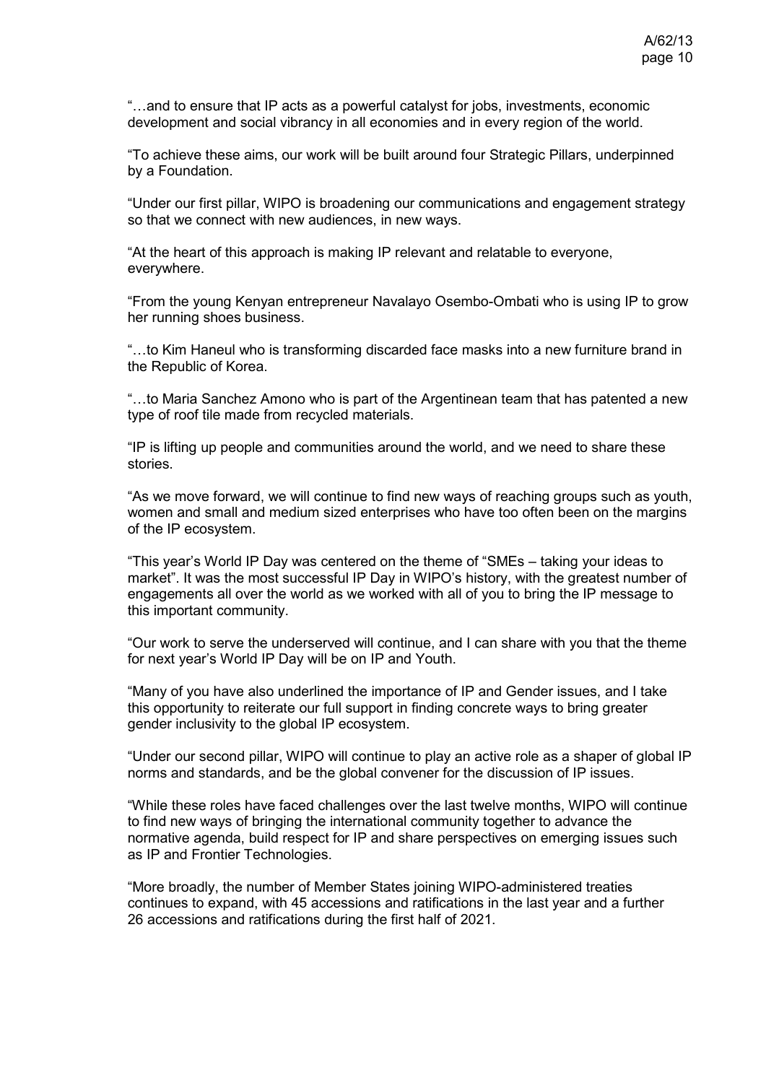"…and to ensure that IP acts as a powerful catalyst for jobs, investments, economic development and social vibrancy in all economies and in every region of the world.

"To achieve these aims, our work will be built around four Strategic Pillars, underpinned by a Foundation.

"Under our first pillar, WIPO is broadening our communications and engagement strategy so that we connect with new audiences, in new ways.

"At the heart of this approach is making IP relevant and relatable to everyone, everywhere.

"From the young Kenyan entrepreneur Navalayo Osembo-Ombati who is using IP to grow her running shoes business.

"…to Kim Haneul who is transforming discarded face masks into a new furniture brand in the Republic of Korea.

"…to Maria Sanchez Amono who is part of the Argentinean team that has patented a new type of roof tile made from recycled materials.

"IP is lifting up people and communities around the world, and we need to share these stories.

"As we move forward, we will continue to find new ways of reaching groups such as youth, women and small and medium sized enterprises who have too often been on the margins of the IP ecosystem.

"This year's World IP Day was centered on the theme of "SMEs – taking your ideas to market". It was the most successful IP Day in WIPO's history, with the greatest number of engagements all over the world as we worked with all of you to bring the IP message to this important community.

"Our work to serve the underserved will continue, and I can share with you that the theme for next year's World IP Day will be on IP and Youth.

"Many of you have also underlined the importance of IP and Gender issues, and I take this opportunity to reiterate our full support in finding concrete ways to bring greater gender inclusivity to the global IP ecosystem.

"Under our second pillar, WIPO will continue to play an active role as a shaper of global IP norms and standards, and be the global convener for the discussion of IP issues.

"While these roles have faced challenges over the last twelve months, WIPO will continue to find new ways of bringing the international community together to advance the normative agenda, build respect for IP and share perspectives on emerging issues such as IP and Frontier Technologies.

"More broadly, the number of Member States joining WIPO-administered treaties continues to expand, with 45 accessions and ratifications in the last year and a further 26 accessions and ratifications during the first half of 2021.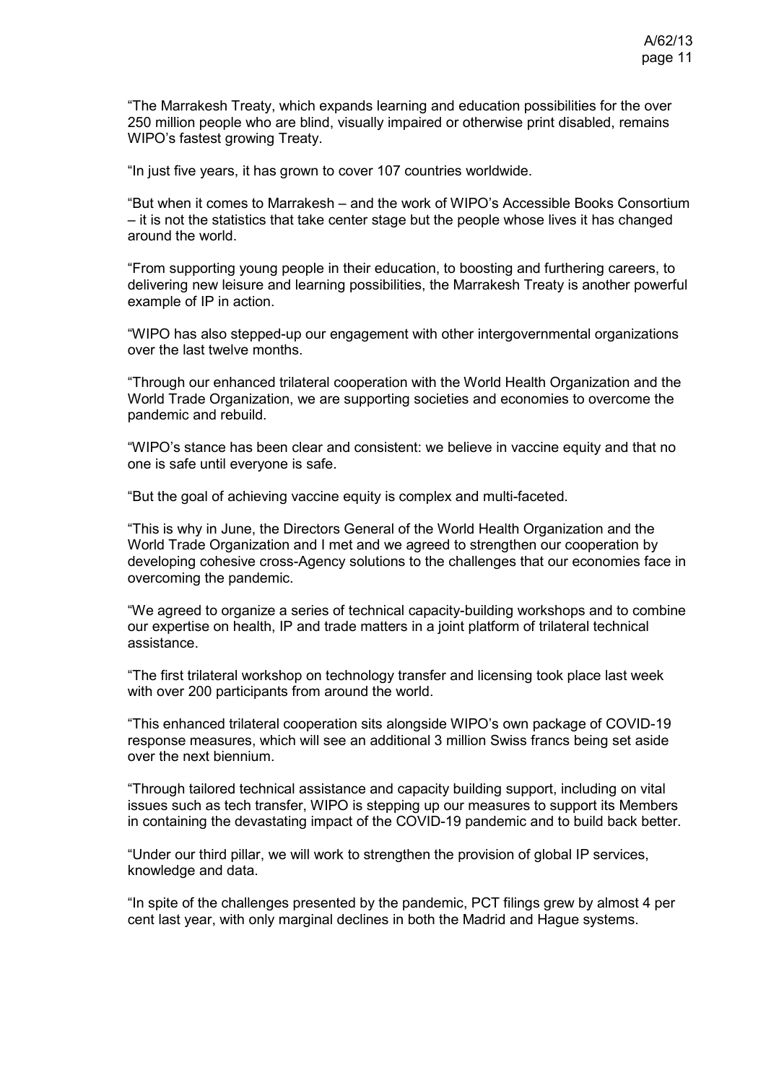"The Marrakesh Treaty, which expands learning and education possibilities for the over 250 million people who are blind, visually impaired or otherwise print disabled, remains WIPO's fastest growing Treaty.

"In just five years, it has grown to cover 107 countries worldwide.

"But when it comes to Marrakesh – and the work of WIPO's Accessible Books Consortium – it is not the statistics that take center stage but the people whose lives it has changed around the world.

"From supporting young people in their education, to boosting and furthering careers, to delivering new leisure and learning possibilities, the Marrakesh Treaty is another powerful example of IP in action.

"WIPO has also stepped-up our engagement with other intergovernmental organizations over the last twelve months.

"Through our enhanced trilateral cooperation with the World Health Organization and the World Trade Organization, we are supporting societies and economies to overcome the pandemic and rebuild.

"WIPO's stance has been clear and consistent: we believe in vaccine equity and that no one is safe until everyone is safe.

"But the goal of achieving vaccine equity is complex and multi-faceted.

"This is why in June, the Directors General of the World Health Organization and the World Trade Organization and I met and we agreed to strengthen our cooperation by developing cohesive cross-Agency solutions to the challenges that our economies face in overcoming the pandemic.

"We agreed to organize a series of technical capacity-building workshops and to combine our expertise on health, IP and trade matters in a joint platform of trilateral technical assistance.

"The first trilateral workshop on technology transfer and licensing took place last week with over 200 participants from around the world.

"This enhanced trilateral cooperation sits alongside WIPO's own package of COVID-19 response measures, which will see an additional 3 million Swiss francs being set aside over the next biennium.

"Through tailored technical assistance and capacity building support, including on vital issues such as tech transfer, WIPO is stepping up our measures to support its Members in containing the devastating impact of the COVID-19 pandemic and to build back better.

"Under our third pillar, we will work to strengthen the provision of global IP services, knowledge and data.

"In spite of the challenges presented by the pandemic, PCT filings grew by almost 4 per cent last year, with only marginal declines in both the Madrid and Hague systems.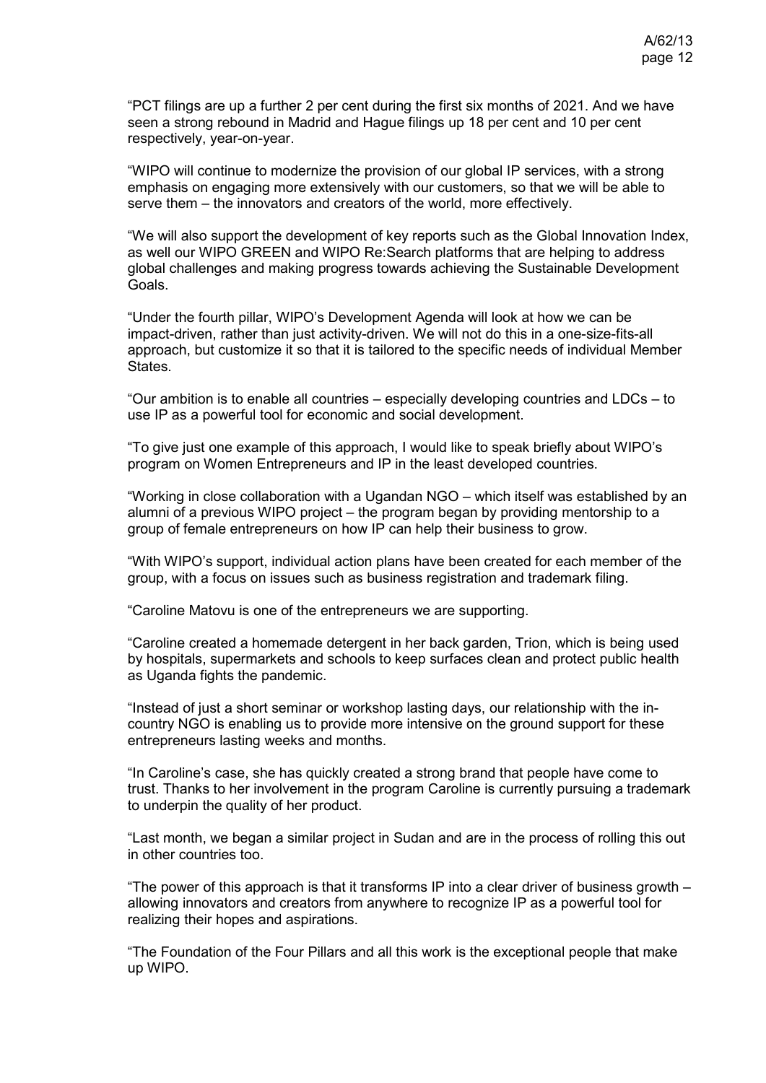"PCT filings are up a further 2 per cent during the first six months of 2021. And we have seen a strong rebound in Madrid and Hague filings up 18 per cent and 10 per cent respectively, year-on-year.

"WIPO will continue to modernize the provision of our global IP services, with a strong emphasis on engaging more extensively with our customers, so that we will be able to serve them – the innovators and creators of the world, more effectively.

"We will also support the development of key reports such as the Global Innovation Index, as well our WIPO GREEN and WIPO Re:Search platforms that are helping to address global challenges and making progress towards achieving the Sustainable Development Goals.

"Under the fourth pillar, WIPO's Development Agenda will look at how we can be impact-driven, rather than just activity-driven. We will not do this in a one-size-fits-all approach, but customize it so that it is tailored to the specific needs of individual Member States.

"Our ambition is to enable all countries – especially developing countries and LDCs – to use IP as a powerful tool for economic and social development.

"To give just one example of this approach, I would like to speak briefly about WIPO's program on Women Entrepreneurs and IP in the least developed countries.

"Working in close collaboration with a Ugandan NGO – which itself was established by an alumni of a previous WIPO project – the program began by providing mentorship to a group of female entrepreneurs on how IP can help their business to grow.

"With WIPO's support, individual action plans have been created for each member of the group, with a focus on issues such as business registration and trademark filing.

"Caroline Matovu is one of the entrepreneurs we are supporting.

"Caroline created a homemade detergent in her back garden, Trion, which is being used by hospitals, supermarkets and schools to keep surfaces clean and protect public health as Uganda fights the pandemic.

"Instead of just a short seminar or workshop lasting days, our relationship with the incountry NGO is enabling us to provide more intensive on the ground support for these entrepreneurs lasting weeks and months.

"In Caroline's case, she has quickly created a strong brand that people have come to trust. Thanks to her involvement in the program Caroline is currently pursuing a trademark to underpin the quality of her product.

"Last month, we began a similar project in Sudan and are in the process of rolling this out in other countries too.

"The power of this approach is that it transforms IP into a clear driver of business growth – allowing innovators and creators from anywhere to recognize IP as a powerful tool for realizing their hopes and aspirations.

"The Foundation of the Four Pillars and all this work is the exceptional people that make up WIPO.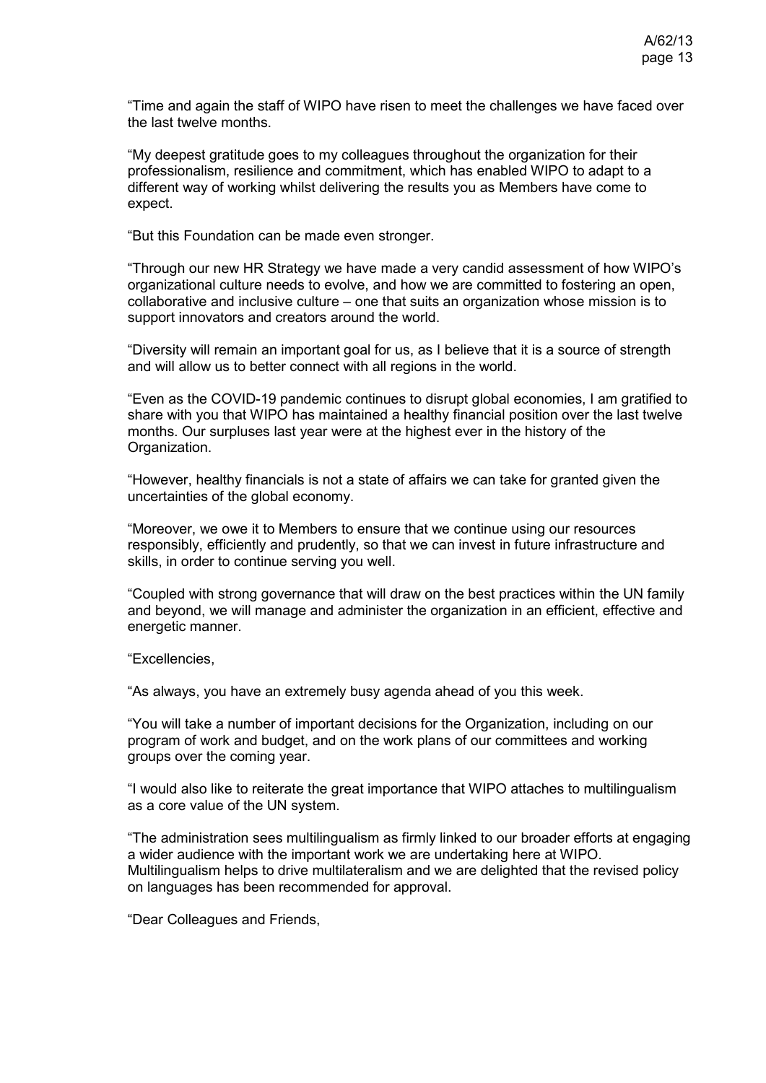"Time and again the staff of WIPO have risen to meet the challenges we have faced over the last twelve months.

"My deepest gratitude goes to my colleagues throughout the organization for their professionalism, resilience and commitment, which has enabled WIPO to adapt to a different way of working whilst delivering the results you as Members have come to expect.

"But this Foundation can be made even stronger.

"Through our new HR Strategy we have made a very candid assessment of how WIPO's organizational culture needs to evolve, and how we are committed to fostering an open, collaborative and inclusive culture – one that suits an organization whose mission is to support innovators and creators around the world.

"Diversity will remain an important goal for us, as I believe that it is a source of strength and will allow us to better connect with all regions in the world.

"Even as the COVID-19 pandemic continues to disrupt global economies, I am gratified to share with you that WIPO has maintained a healthy financial position over the last twelve months. Our surpluses last year were at the highest ever in the history of the Organization.

"However, healthy financials is not a state of affairs we can take for granted given the uncertainties of the global economy.

"Moreover, we owe it to Members to ensure that we continue using our resources responsibly, efficiently and prudently, so that we can invest in future infrastructure and skills, in order to continue serving you well.

"Coupled with strong governance that will draw on the best practices within the UN family and beyond, we will manage and administer the organization in an efficient, effective and energetic manner.

"Excellencies,

"As always, you have an extremely busy agenda ahead of you this week.

"You will take a number of important decisions for the Organization, including on our program of work and budget, and on the work plans of our committees and working groups over the coming year.

"I would also like to reiterate the great importance that WIPO attaches to multilingualism as a core value of the UN system.

"The administration sees multilingualism as firmly linked to our broader efforts at engaging a wider audience with the important work we are undertaking here at WIPO. Multilingualism helps to drive multilateralism and we are delighted that the revised policy on languages has been recommended for approval.

"Dear Colleagues and Friends,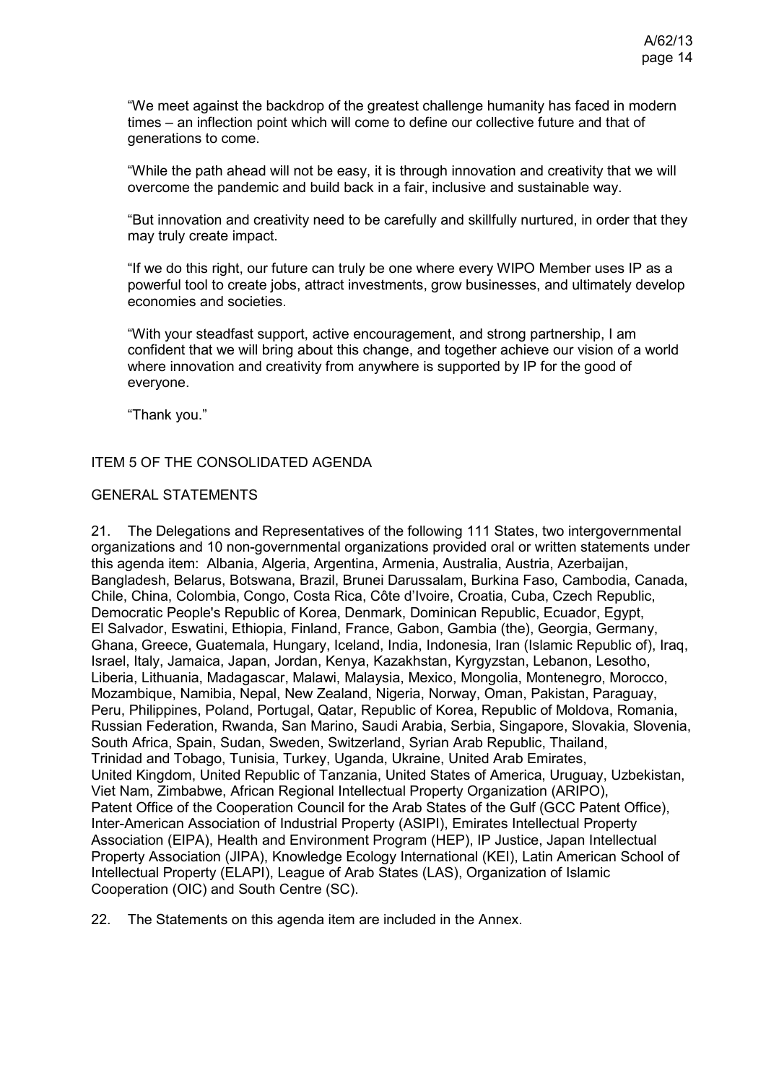"We meet against the backdrop of the greatest challenge humanity has faced in modern times – an inflection point which will come to define our collective future and that of generations to come.

"While the path ahead will not be easy, it is through innovation and creativity that we will overcome the pandemic and build back in a fair, inclusive and sustainable way.

"But innovation and creativity need to be carefully and skillfully nurtured, in order that they may truly create impact.

"If we do this right, our future can truly be one where every WIPO Member uses IP as a powerful tool to create jobs, attract investments, grow businesses, and ultimately develop economies and societies.

"With your steadfast support, active encouragement, and strong partnership, I am confident that we will bring about this change, and together achieve our vision of a world where innovation and creativity from anywhere is supported by IP for the good of everyone.

"Thank you."

### ITEM 5 OF THE CONSOLIDATED AGENDA

#### GENERAL STATEMENTS

21. The Delegations and Representatives of the following 111 States, two intergovernmental organizations and 10 non-governmental organizations provided oral or written statements under this agenda item: Albania, Algeria, Argentina, Armenia, Australia, Austria, Azerbaijan, Bangladesh, Belarus, Botswana, Brazil, Brunei Darussalam, Burkina Faso, Cambodia, Canada, Chile, China, Colombia, Congo, Costa Rica, Côte d'Ivoire, Croatia, Cuba, Czech Republic, Democratic People's Republic of Korea, Denmark, Dominican Republic, Ecuador, Egypt, El Salvador, Eswatini, Ethiopia, Finland, France, Gabon, Gambia (the), Georgia, Germany, Ghana, Greece, Guatemala, Hungary, Iceland, India, Indonesia, Iran (Islamic Republic of), Iraq, Israel, Italy, Jamaica, Japan, Jordan, Kenya, Kazakhstan, Kyrgyzstan, Lebanon, Lesotho, Liberia, Lithuania, Madagascar, Malawi, Malaysia, Mexico, Mongolia, Montenegro, Morocco, Mozambique, Namibia, Nepal, New Zealand, Nigeria, Norway, Oman, Pakistan, Paraguay, Peru, Philippines, Poland, Portugal, Qatar, Republic of Korea, Republic of Moldova, Romania, Russian Federation, Rwanda, San Marino, Saudi Arabia, Serbia, Singapore, Slovakia, Slovenia, South Africa, Spain, Sudan, Sweden, Switzerland, Syrian Arab Republic, Thailand, Trinidad and Tobago, Tunisia, Turkey, Uganda, Ukraine, United Arab Emirates, United Kingdom, United Republic of Tanzania, United States of America, Uruguay, Uzbekistan, Viet Nam, Zimbabwe, African Regional Intellectual Property Organization (ARIPO), Patent Office of the Cooperation Council for the Arab States of the Gulf (GCC Patent Office), Inter-American Association of Industrial Property (ASIPI), Emirates Intellectual Property Association (EIPA), Health and Environment Program (HEP), IP Justice, Japan Intellectual Property Association (JIPA), Knowledge Ecology International (KEI), Latin American School of Intellectual Property (ELAPI), League of Arab States (LAS), Organization of Islamic Cooperation (OIC) and South Centre (SC).

22. The Statements on this agenda item are included in the Annex.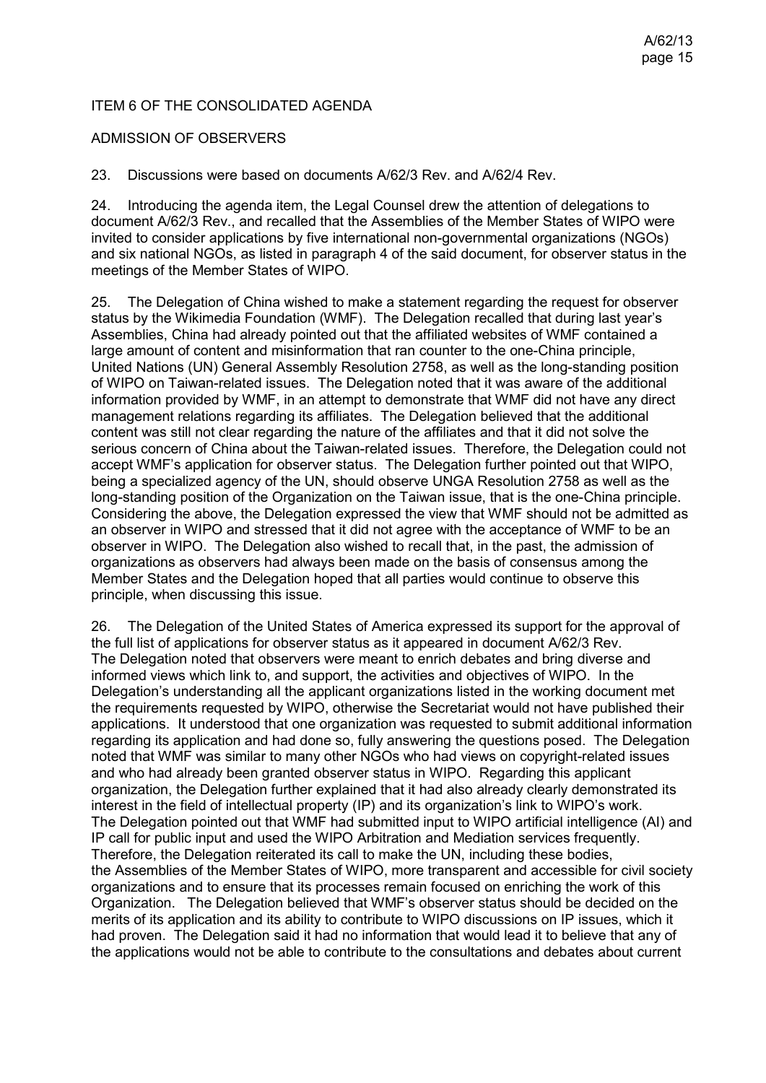# ITEM 6 OF THE CONSOLIDATED AGENDA

### ADMISSION OF OBSERVERS

23. Discussions were based on documents [A/62/3](https://www.wipo.int/about-wipo/en/assemblies/2021/a_62/doc_details.jsp?doc_id=550676) Rev. and [A/62/4](https://www.wipo.int/about-wipo/en/assemblies/2021/a_62/doc_details.jsp?doc_id=551260) Rev.

24. Introducing the agenda item, the Legal Counsel drew the attention of delegations to document A/62/3 Rev., and recalled that the Assemblies of the Member States of WIPO were invited to consider applications by five international non-governmental organizations (NGOs) and six national NGOs, as listed in paragraph 4 of the said document, for observer status in the meetings of the Member States of WIPO.

25. The Delegation of China wished to make a statement regarding the request for observer status by the Wikimedia Foundation (WMF). The Delegation recalled that during last year's Assemblies, China had already pointed out that the affiliated websites of WMF contained a large amount of content and misinformation that ran counter to the one-China principle, United Nations (UN) General Assembly Resolution 2758, as well as the long-standing position of WIPO on Taiwan-related issues. The Delegation noted that it was aware of the additional information provided by WMF, in an attempt to demonstrate that WMF did not have any direct management relations regarding its affiliates. The Delegation believed that the additional content was still not clear regarding the nature of the affiliates and that it did not solve the serious concern of China about the Taiwan-related issues. Therefore, the Delegation could not accept WMF's application for observer status. The Delegation further pointed out that WIPO, being a specialized agency of the UN, should observe UNGA Resolution 2758 as well as the long-standing position of the Organization on the Taiwan issue, that is the one-China principle. Considering the above, the Delegation expressed the view that WMF should not be admitted as an observer in WIPO and stressed that it did not agree with the acceptance of WMF to be an observer in WIPO. The Delegation also wished to recall that, in the past, the admission of organizations as observers had always been made on the basis of consensus among the Member States and the Delegation hoped that all parties would continue to observe this principle, when discussing this issue.

26. The Delegation of the United States of America expressed its support for the approval of the full list of applications for observer status as it appeared in document A/62/3 Rev. The Delegation noted that observers were meant to enrich debates and bring diverse and informed views which link to, and support, the activities and objectives of WIPO. In the Delegation's understanding all the applicant organizations listed in the working document met the requirements requested by WIPO, otherwise the Secretariat would not have published their applications. It understood that one organization was requested to submit additional information regarding its application and had done so, fully answering the questions posed. The Delegation noted that WMF was similar to many other NGOs who had views on copyright-related issues and who had already been granted observer status in WIPO. Regarding this applicant organization, the Delegation further explained that it had also already clearly demonstrated its interest in the field of intellectual property (IP) and its organization's link to WIPO's work. The Delegation pointed out that WMF had submitted input to WIPO artificial intelligence (AI) and IP call for public input and used the WIPO Arbitration and Mediation services frequently. Therefore, the Delegation reiterated its call to make the UN, including these bodies, the Assemblies of the Member States of WIPO, more transparent and accessible for civil society organizations and to ensure that its processes remain focused on enriching the work of this Organization. The Delegation believed that WMF's observer status should be decided on the merits of its application and its ability to contribute to WIPO discussions on IP issues, which it had proven. The Delegation said it had no information that would lead it to believe that any of the applications would not be able to contribute to the consultations and debates about current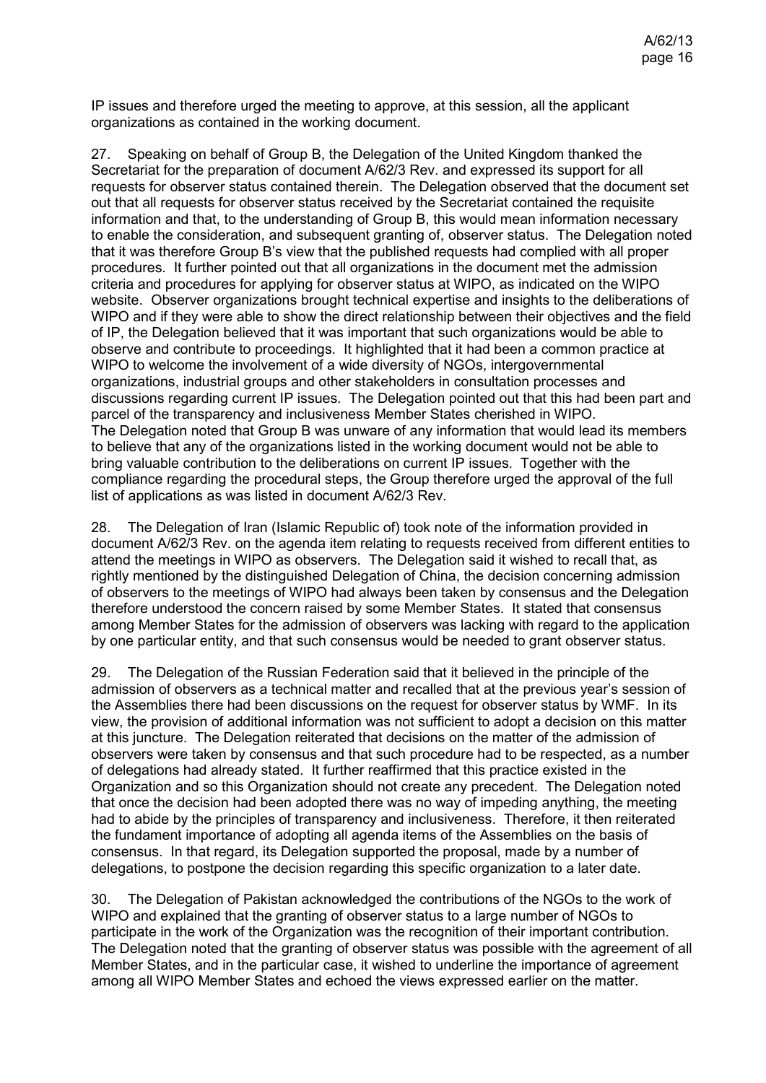IP issues and therefore urged the meeting to approve, at this session, all the applicant organizations as contained in the working document.

27. Speaking on behalf of Group B, the Delegation of the United Kingdom thanked the Secretariat for the preparation of document A/62/3 Rev. and expressed its support for all requests for observer status contained therein. The Delegation observed that the document set out that all requests for observer status received by the Secretariat contained the requisite information and that, to the understanding of Group B, this would mean information necessary to enable the consideration, and subsequent granting of, observer status. The Delegation noted that it was therefore Group B's view that the published requests had complied with all proper procedures. It further pointed out that all organizations in the document met the admission criteria and procedures for applying for observer status at WIPO, as indicated on the WIPO website. Observer organizations brought technical expertise and insights to the deliberations of WIPO and if they were able to show the direct relationship between their objectives and the field of IP, the Delegation believed that it was important that such organizations would be able to observe and contribute to proceedings. It highlighted that it had been a common practice at WIPO to welcome the involvement of a wide diversity of NGOs, intergovernmental organizations, industrial groups and other stakeholders in consultation processes and discussions regarding current IP issues. The Delegation pointed out that this had been part and parcel of the transparency and inclusiveness Member States cherished in WIPO. The Delegation noted that Group B was unware of any information that would lead its members to believe that any of the organizations listed in the working document would not be able to bring valuable contribution to the deliberations on current IP issues. Together with the compliance regarding the procedural steps, the Group therefore urged the approval of the full list of applications as was listed in document A/62/3 Rev.

28. The Delegation of Iran (Islamic Republic of) took note of the information provided in document A/62/3 Rev. on the agenda item relating to requests received from different entities to attend the meetings in WIPO as observers. The Delegation said it wished to recall that, as rightly mentioned by the distinguished Delegation of China, the decision concerning admission of observers to the meetings of WIPO had always been taken by consensus and the Delegation therefore understood the concern raised by some Member States. It stated that consensus among Member States for the admission of observers was lacking with regard to the application by one particular entity, and that such consensus would be needed to grant observer status.

29. The Delegation of the Russian Federation said that it believed in the principle of the admission of observers as a technical matter and recalled that at the previous year's session of the Assemblies there had been discussions on the request for observer status by WMF. In its view, the provision of additional information was not sufficient to adopt a decision on this matter at this juncture. The Delegation reiterated that decisions on the matter of the admission of observers were taken by consensus and that such procedure had to be respected, as a number of delegations had already stated. It further reaffirmed that this practice existed in the Organization and so this Organization should not create any precedent. The Delegation noted that once the decision had been adopted there was no way of impeding anything, the meeting had to abide by the principles of transparency and inclusiveness. Therefore, it then reiterated the fundament importance of adopting all agenda items of the Assemblies on the basis of consensus. In that regard, its Delegation supported the proposal, made by a number of delegations, to postpone the decision regarding this specific organization to a later date.

30. The Delegation of Pakistan acknowledged the contributions of the NGOs to the work of WIPO and explained that the granting of observer status to a large number of NGOs to participate in the work of the Organization was the recognition of their important contribution. The Delegation noted that the granting of observer status was possible with the agreement of all Member States, and in the particular case, it wished to underline the importance of agreement among all WIPO Member States and echoed the views expressed earlier on the matter.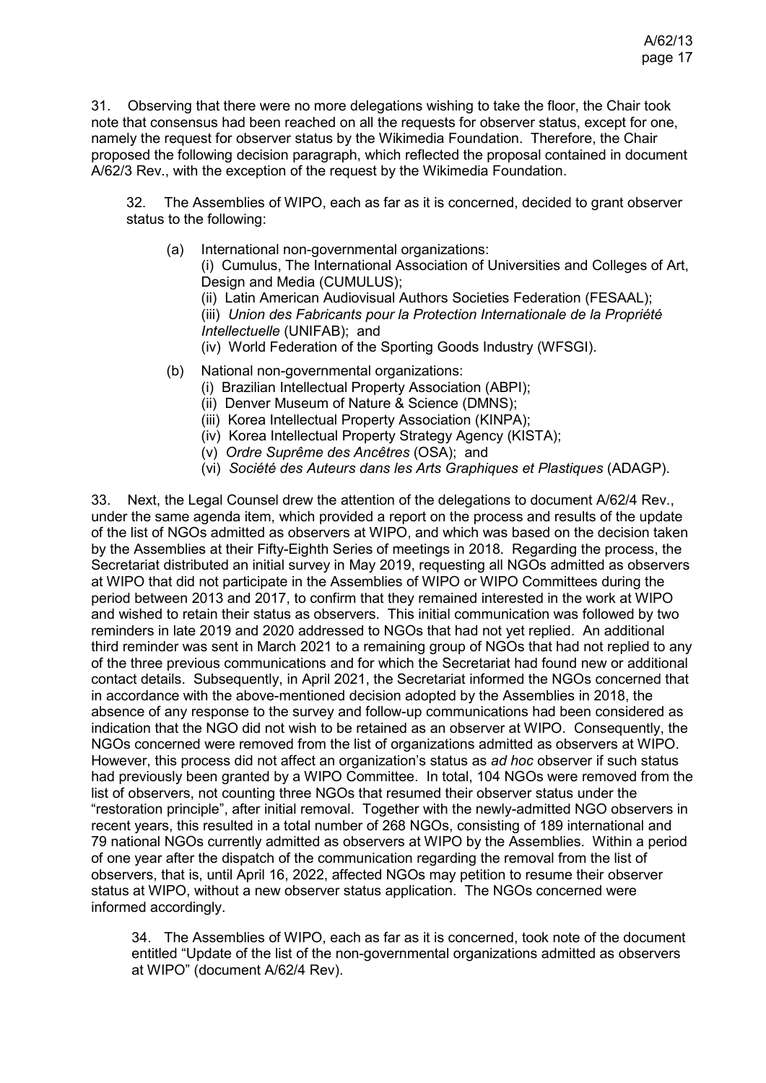31. Observing that there were no more delegations wishing to take the floor, the Chair took note that consensus had been reached on all the requests for observer status, except for one, namely the request for observer status by the Wikimedia Foundation. Therefore, the Chair proposed the following decision paragraph, which reflected the proposal contained in document A/62/3 Rev., with the exception of the request by the Wikimedia Foundation.

32. The Assemblies of WIPO, each as far as it is concerned, decided to grant observer status to the following:

(a) International non-governmental organizations:

(i) Cumulus, The International Association of Universities and Colleges of Art, Design and Media (CUMULUS);

(ii) Latin American Audiovisual Authors Societies Federation (FESAAL);

(iii) *Union des Fabricants pour la Protection Internationale de la Propriété Intellectuelle* (UNIFAB); and

- (iv) World Federation of the Sporting Goods Industry (WFSGI).
- (b) National non-governmental organizations:
	- (i) Brazilian Intellectual Property Association (ABPI);
	- (ii) Denver Museum of Nature & Science (DMNS);
	- (iii) Korea Intellectual Property Association (KINPA);
	- (iv) Korea Intellectual Property Strategy Agency (KISTA);
	- (v) *Ordre Suprême des Ancêtres* (OSA); and
	- (vi) *Société des Auteurs dans les Arts Graphiques et Plastiques* (ADAGP).

33. Next, the Legal Counsel drew the attention of the delegations to document A/62/4 Rev., under the same agenda item, which provided a report on the process and results of the update of the list of NGOs admitted as observers at WIPO, and which was based on the decision taken by the Assemblies at their Fifty-Eighth Series of meetings in 2018. Regarding the process, the Secretariat distributed an initial survey in May 2019, requesting all NGOs admitted as observers at WIPO that did not participate in the Assemblies of WIPO or WIPO Committees during the period between 2013 and 2017, to confirm that they remained interested in the work at WIPO and wished to retain their status as observers. This initial communication was followed by two reminders in late 2019 and 2020 addressed to NGOs that had not yet replied. An additional third reminder was sent in March 2021 to a remaining group of NGOs that had not replied to any of the three previous communications and for which the Secretariat had found new or additional contact details. Subsequently, in April 2021, the Secretariat informed the NGOs concerned that in accordance with the above-mentioned decision adopted by the Assemblies in 2018, the absence of any response to the survey and follow-up communications had been considered as indication that the NGO did not wish to be retained as an observer at WIPO. Consequently, the NGOs concerned were removed from the list of organizations admitted as observers at WIPO. However, this process did not affect an organization's status as *ad hoc* observer if such status had previously been granted by a WIPO Committee. In total, 104 NGOs were removed from the list of observers, not counting three NGOs that resumed their observer status under the "restoration principle", after initial removal. Together with the newly-admitted NGO observers in recent years, this resulted in a total number of 268 NGOs, consisting of 189 international and 79 national NGOs currently admitted as observers at WIPO by the Assemblies. Within a period of one year after the dispatch of the communication regarding the removal from the list of observers, that is, until April 16, 2022, affected NGOs may petition to resume their observer status at WIPO, without a new observer status application. The NGOs concerned were informed accordingly.

34. The Assemblies of WIPO, each as far as it is concerned, took note of the document entitled "Update of the list of the non-governmental organizations admitted as observers at WIPO" (document A/62/4 Rev).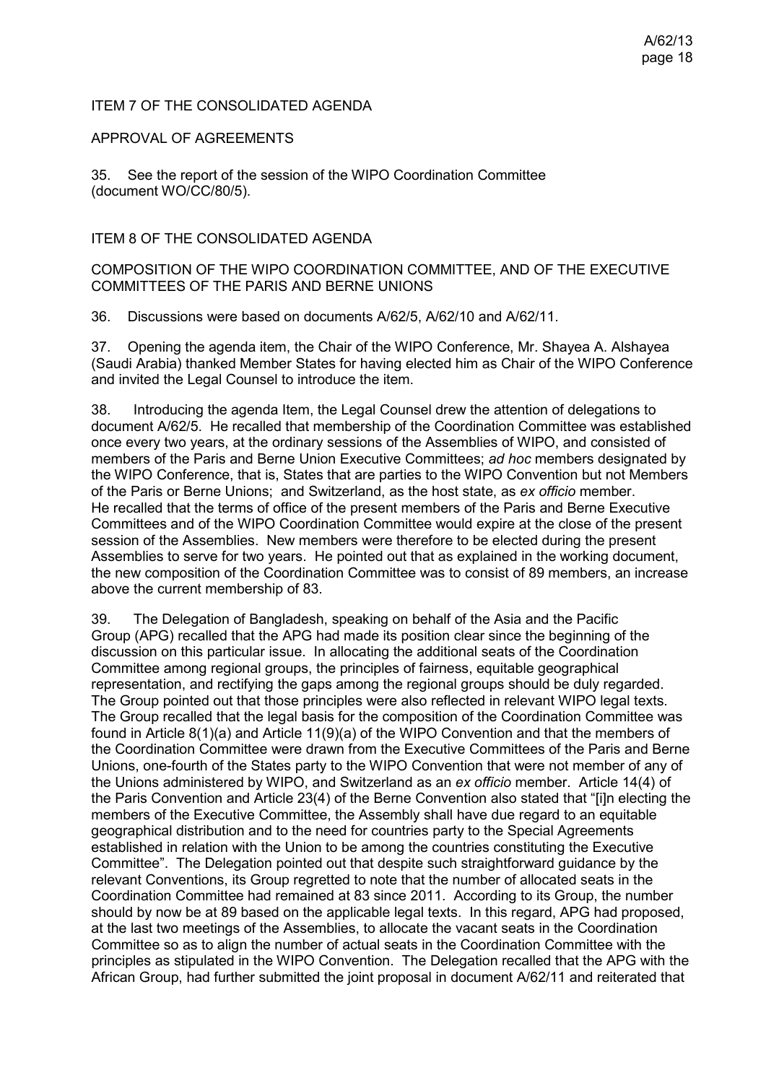### ITEM 7 OF THE CONSOLIDATED AGENDA

APPROVAL OF AGREEMENTS

35. See the report of the session of the WIPO Coordination Committee (document WO/CC/80/5).

ITEM 8 OF THE CONSOLIDATED AGENDA

### COMPOSITION OF THE WIPO COORDINATION COMMITTEE, AND OF THE EXECUTIVE COMMITTEES OF THE PARIS AND BERNE UNIONS

36. Discussions were based on documents [A/62/5,](https://www.wipo.int/about-wipo/en/assemblies/2021/a_62/doc_details.jsp?doc_id=547733) [A/62/10](https://www.wipo.int/about-wipo/en/assemblies/2021/a_62/doc_details.jsp?doc_id=545395) and [A/62/11.](https://www.wipo.int/about-wipo/en/assemblies/2021/a_62/doc_details.jsp?doc_id=551553)

37. Opening the agenda item, the Chair of the WIPO Conference, Mr. Shayea A. Alshayea (Saudi Arabia) thanked Member States for having elected him as Chair of the WIPO Conference and invited the Legal Counsel to introduce the item.

38. Introducing the agenda Item, the Legal Counsel drew the attention of delegations to document A/62/5. He recalled that membership of the Coordination Committee was established once every two years, at the ordinary sessions of the Assemblies of WIPO, and consisted of members of the Paris and Berne Union Executive Committees; *ad hoc* members designated by the WIPO Conference, that is, States that are parties to the WIPO Convention but not Members of the Paris or Berne Unions; and Switzerland, as the host state, as *ex officio* member. He recalled that the terms of office of the present members of the Paris and Berne Executive Committees and of the WIPO Coordination Committee would expire at the close of the present session of the Assemblies. New members were therefore to be elected during the present Assemblies to serve for two years. He pointed out that as explained in the working document, the new composition of the Coordination Committee was to consist of 89 members, an increase above the current membership of 83.

39. The Delegation of Bangladesh, speaking on behalf of the Asia and the Pacific Group (APG) recalled that the APG had made its position clear since the beginning of the discussion on this particular issue. In allocating the additional seats of the Coordination Committee among regional groups, the principles of fairness, equitable geographical representation, and rectifying the gaps among the regional groups should be duly regarded. The Group pointed out that those principles were also reflected in relevant WIPO legal texts. The Group recalled that the legal basis for the composition of the Coordination Committee was found in Article 8(1)(a) and Article 11(9)(a) of the WIPO Convention and that the members of the Coordination Committee were drawn from the Executive Committees of the Paris and Berne Unions, one-fourth of the States party to the WIPO Convention that were not member of any of the Unions administered by WIPO, and Switzerland as an *ex officio* member. Article 14(4) of the Paris Convention and Article 23(4) of the Berne Convention also stated that "[i]n electing the members of the Executive Committee, the Assembly shall have due regard to an equitable geographical distribution and to the need for countries party to the Special Agreements established in relation with the Union to be among the countries constituting the Executive Committee". The Delegation pointed out that despite such straightforward guidance by the relevant Conventions, its Group regretted to note that the number of allocated seats in the Coordination Committee had remained at 83 since 2011. According to its Group, the number should by now be at 89 based on the applicable legal texts. In this regard, APG had proposed, at the last two meetings of the Assemblies, to allocate the vacant seats in the Coordination Committee so as to align the number of actual seats in the Coordination Committee with the principles as stipulated in the WIPO Convention. The Delegation recalled that the APG with the African Group, had further submitted the joint proposal in document A/62/11 and reiterated that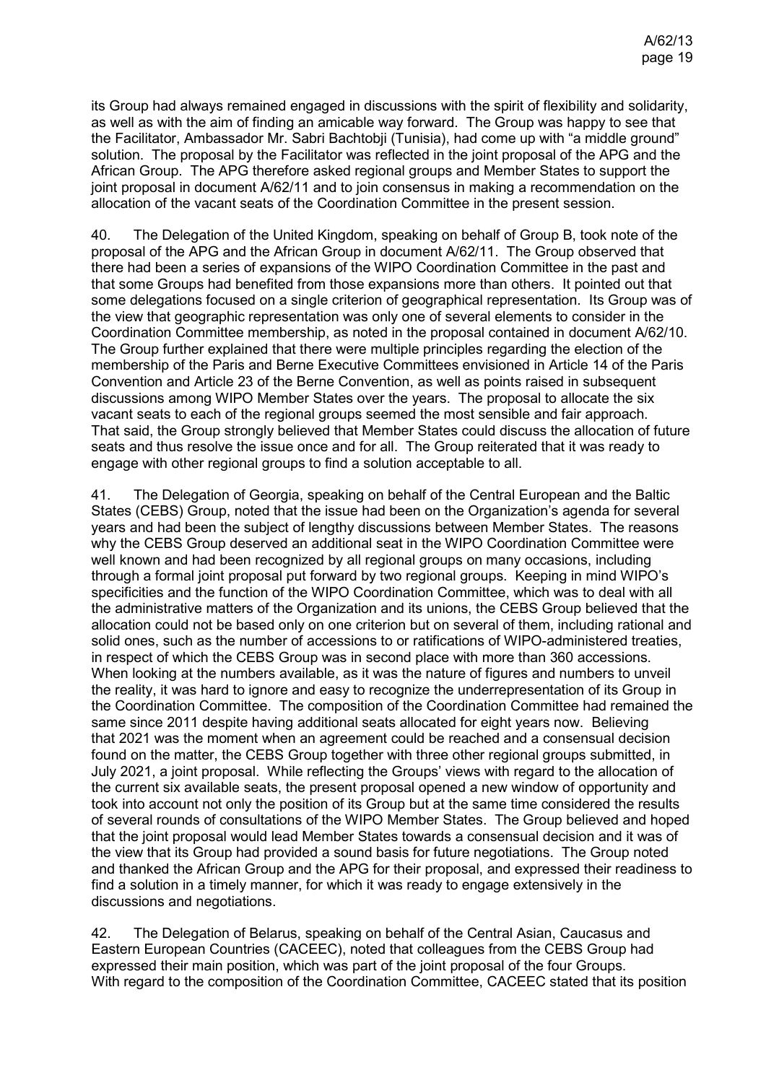its Group had always remained engaged in discussions with the spirit of flexibility and solidarity, as well as with the aim of finding an amicable way forward. The Group was happy to see that the Facilitator, Ambassador Mr. Sabri Bachtobji (Tunisia), had come up with "a middle ground" solution. The proposal by the Facilitator was reflected in the joint proposal of the APG and the African Group. The APG therefore asked regional groups and Member States to support the joint proposal in document A/62/11 and to join consensus in making a recommendation on the allocation of the vacant seats of the Coordination Committee in the present session.

40. The Delegation of the United Kingdom, speaking on behalf of Group B, took note of the proposal of the APG and the African Group in document A/62/11. The Group observed that there had been a series of expansions of the WIPO Coordination Committee in the past and that some Groups had benefited from those expansions more than others. It pointed out that some delegations focused on a single criterion of geographical representation. Its Group was of the view that geographic representation was only one of several elements to consider in the Coordination Committee membership, as noted in the proposal contained in document A/62/10. The Group further explained that there were multiple principles regarding the election of the membership of the Paris and Berne Executive Committees envisioned in Article 14 of the Paris Convention and Article 23 of the Berne Convention, as well as points raised in subsequent discussions among WIPO Member States over the years. The proposal to allocate the six vacant seats to each of the regional groups seemed the most sensible and fair approach. That said, the Group strongly believed that Member States could discuss the allocation of future seats and thus resolve the issue once and for all. The Group reiterated that it was ready to engage with other regional groups to find a solution acceptable to all.

41. The Delegation of Georgia, speaking on behalf of the Central European and the Baltic States (CEBS) Group, noted that the issue had been on the Organization's agenda for several years and had been the subject of lengthy discussions between Member States. The reasons why the CEBS Group deserved an additional seat in the WIPO Coordination Committee were well known and had been recognized by all regional groups on many occasions, including through a formal joint proposal put forward by two regional groups. Keeping in mind WIPO's specificities and the function of the WIPO Coordination Committee, which was to deal with all the administrative matters of the Organization and its unions, the CEBS Group believed that the allocation could not be based only on one criterion but on several of them, including rational and solid ones, such as the number of accessions to or ratifications of WIPO-administered treaties, in respect of which the CEBS Group was in second place with more than 360 accessions. When looking at the numbers available, as it was the nature of figures and numbers to unveil the reality, it was hard to ignore and easy to recognize the underrepresentation of its Group in the Coordination Committee. The composition of the Coordination Committee had remained the same since 2011 despite having additional seats allocated for eight years now. Believing that 2021 was the moment when an agreement could be reached and a consensual decision found on the matter, the CEBS Group together with three other regional groups submitted, in July 2021, a joint proposal. While reflecting the Groups' views with regard to the allocation of the current six available seats, the present proposal opened a new window of opportunity and took into account not only the position of its Group but at the same time considered the results of several rounds of consultations of the WIPO Member States. The Group believed and hoped that the joint proposal would lead Member States towards a consensual decision and it was of the view that its Group had provided a sound basis for future negotiations. The Group noted and thanked the African Group and the APG for their proposal, and expressed their readiness to find a solution in a timely manner, for which it was ready to engage extensively in the discussions and negotiations.

42. The Delegation of Belarus, speaking on behalf of the Central Asian, Caucasus and Eastern European Countries (CACEEC), noted that colleagues from the CEBS Group had expressed their main position, which was part of the joint proposal of the four Groups. With regard to the composition of the Coordination Committee, CACEEC stated that its position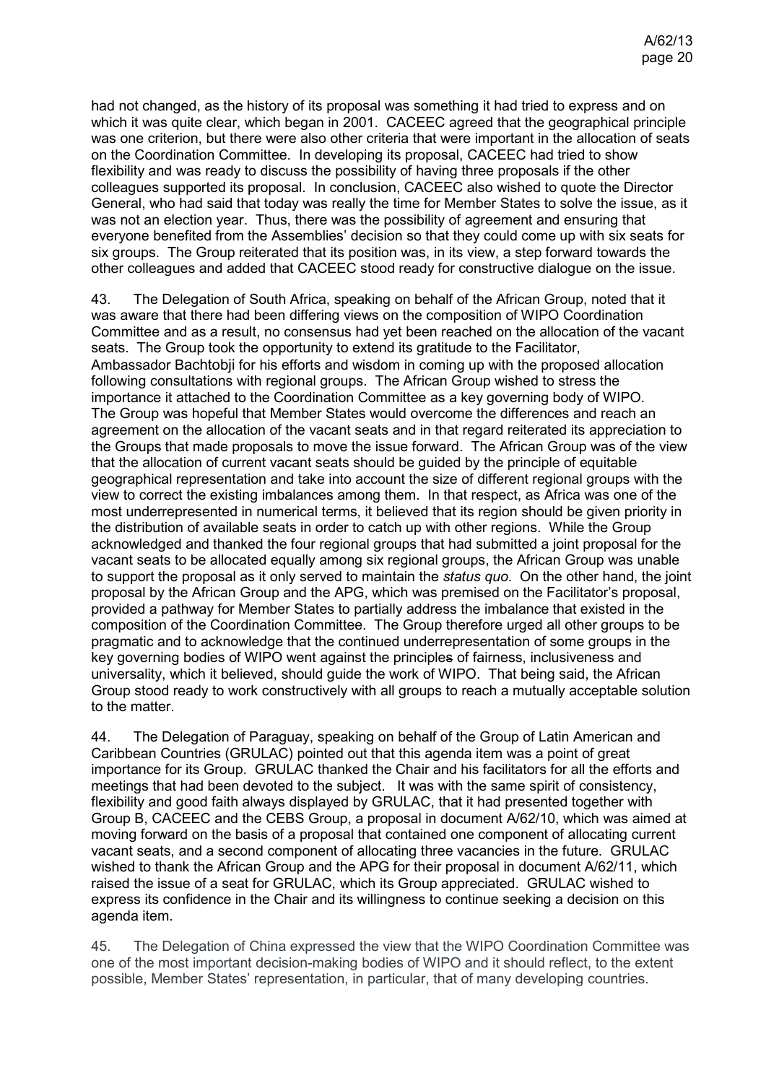had not changed, as the history of its proposal was something it had tried to express and on which it was quite clear, which began in 2001. CACEEC agreed that the geographical principle was one criterion, but there were also other criteria that were important in the allocation of seats on the Coordination Committee. In developing its proposal, CACEEC had tried to show flexibility and was ready to discuss the possibility of having three proposals if the other colleagues supported its proposal. In conclusion, CACEEC also wished to quote the Director General, who had said that today was really the time for Member States to solve the issue, as it was not an election year. Thus, there was the possibility of agreement and ensuring that everyone benefited from the Assemblies' decision so that they could come up with six seats for six groups. The Group reiterated that its position was, in its view, a step forward towards the other colleagues and added that CACEEC stood ready for constructive dialogue on the issue.

43. The Delegation of South Africa, speaking on behalf of the African Group, noted that it was aware that there had been differing views on the composition of WIPO Coordination Committee and as a result, no consensus had yet been reached on the allocation of the vacant seats. The Group took the opportunity to extend its gratitude to the Facilitator, Ambassador Bachtobji for his efforts and wisdom in coming up with the proposed allocation following consultations with regional groups. The African Group wished to stress the importance it attached to the Coordination Committee as a key governing body of WIPO. The Group was hopeful that Member States would overcome the differences and reach an agreement on the allocation of the vacant seats and in that regard reiterated its appreciation to the Groups that made proposals to move the issue forward. The African Group was of the view that the allocation of current vacant seats should be guided by the principle of equitable geographical representation and take into account the size of different regional groups with the view to correct the existing imbalances among them. In that respect, as Africa was one of the most underrepresented in numerical terms, it believed that its region should be given priority in the distribution of available seats in order to catch up with other regions. While the Group acknowledged and thanked the four regional groups that had submitted a joint proposal for the vacant seats to be allocated equally among six regional groups, the African Group was unable to support the proposal as it only served to maintain the *status quo*. On the other hand, the joint proposal by the African Group and the APG, which was premised on the Facilitator's proposal, provided a pathway for Member States to partially address the imbalance that existed in the composition of the Coordination Committee. The Group therefore urged all other groups to be pragmatic and to acknowledge that the continued underrepresentation of some groups in the key governing bodies of WIPO went against the principles of fairness, inclusiveness and universality, which it believed, should guide the work of WIPO. That being said, the African Group stood ready to work constructively with all groups to reach a mutually acceptable solution to the matter.

44. The Delegation of Paraguay, speaking on behalf of the Group of Latin American and Caribbean Countries (GRULAC) pointed out that this agenda item was a point of great importance for its Group. GRULAC thanked the Chair and his facilitators for all the efforts and meetings that had been devoted to the subject. It was with the same spirit of consistency, flexibility and good faith always displayed by GRULAC, that it had presented together with Group B, CACEEC and the CEBS Group, a proposal in document A/62/10, which was aimed at moving forward on the basis of a proposal that contained one component of allocating current vacant seats, and a second component of allocating three vacancies in the future. GRULAC wished to thank the African Group and the APG for their proposal in document A/62/11, which raised the issue of a seat for GRULAC, which its Group appreciated. GRULAC wished to express its confidence in the Chair and its willingness to continue seeking a decision on this agenda item.

45. The Delegation of China expressed the view that the WIPO Coordination Committee was one of the most important decision-making bodies of WIPO and it should reflect, to the extent possible, Member States' representation, in particular, that of many developing countries.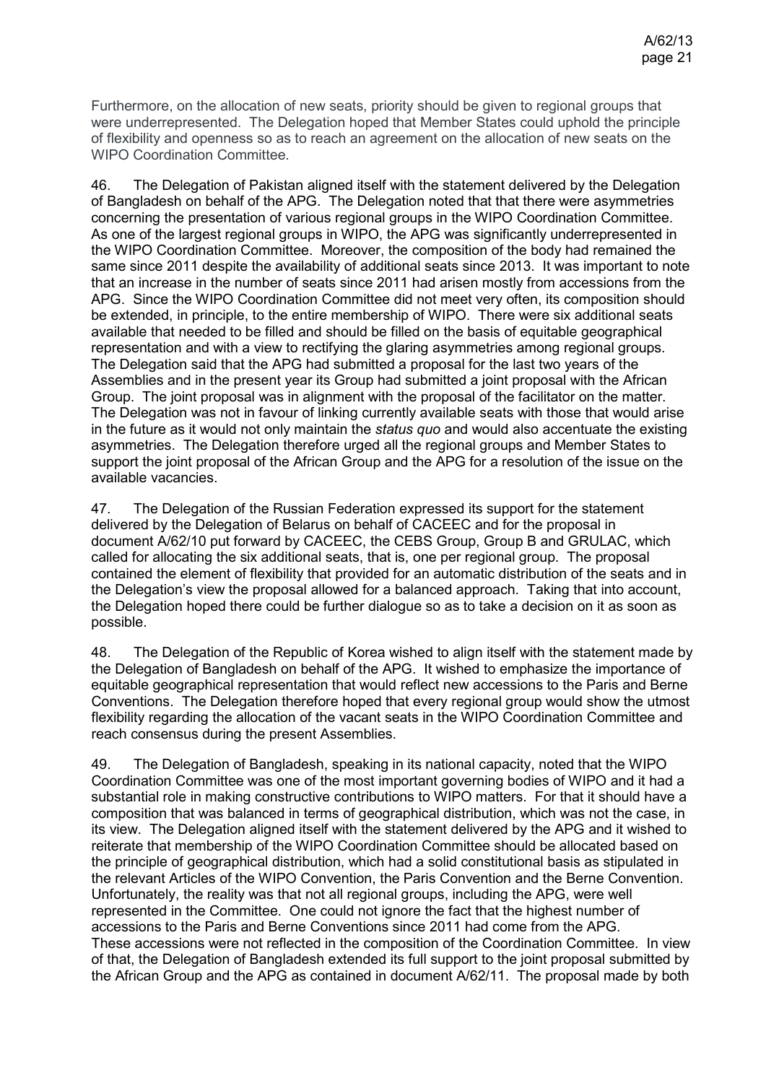Furthermore, on the allocation of new seats, priority should be given to regional groups that were underrepresented. The Delegation hoped that Member States could uphold the principle of flexibility and openness so as to reach an agreement on the allocation of new seats on the WIPO Coordination Committee.

46. The Delegation of Pakistan aligned itself with the statement delivered by the Delegation of Bangladesh on behalf of the APG. The Delegation noted that that there were asymmetries concerning the presentation of various regional groups in the WIPO Coordination Committee. As one of the largest regional groups in WIPO, the APG was significantly underrepresented in the WIPO Coordination Committee. Moreover, the composition of the body had remained the same since 2011 despite the availability of additional seats since 2013. It was important to note that an increase in the number of seats since 2011 had arisen mostly from accessions from the APG. Since the WIPO Coordination Committee did not meet very often, its composition should be extended, in principle, to the entire membership of WIPO. There were six additional seats available that needed to be filled and should be filled on the basis of equitable geographical representation and with a view to rectifying the glaring asymmetries among regional groups. The Delegation said that the APG had submitted a proposal for the last two years of the Assemblies and in the present year its Group had submitted a joint proposal with the African Group. The joint proposal was in alignment with the proposal of the facilitator on the matter. The Delegation was not in favour of linking currently available seats with those that would arise in the future as it would not only maintain the *status quo* and would also accentuate the existing asymmetries. The Delegation therefore urged all the regional groups and Member States to support the joint proposal of the African Group and the APG for a resolution of the issue on the available vacancies.

47. The Delegation of the Russian Federation expressed its support for the statement delivered by the Delegation of Belarus on behalf of CACEEC and for the proposal in document A/62/10 put forward by CACEEC, the CEBS Group, Group B and GRULAC, which called for allocating the six additional seats, that is, one per regional group. The proposal contained the element of flexibility that provided for an automatic distribution of the seats and in the Delegation's view the proposal allowed for a balanced approach. Taking that into account, the Delegation hoped there could be further dialogue so as to take a decision on it as soon as possible.

48. The Delegation of the Republic of Korea wished to align itself with the statement made by the Delegation of Bangladesh on behalf of the APG. It wished to emphasize the importance of equitable geographical representation that would reflect new accessions to the Paris and Berne Conventions. The Delegation therefore hoped that every regional group would show the utmost flexibility regarding the allocation of the vacant seats in the WIPO Coordination Committee and reach consensus during the present Assemblies.

49. The Delegation of Bangladesh, speaking in its national capacity, noted that the WIPO Coordination Committee was one of the most important governing bodies of WIPO and it had a substantial role in making constructive contributions to WIPO matters. For that it should have a composition that was balanced in terms of geographical distribution, which was not the case, in its view. The Delegation aligned itself with the statement delivered by the APG and it wished to reiterate that membership of the WIPO Coordination Committee should be allocated based on the principle of geographical distribution, which had a solid constitutional basis as stipulated in the relevant Articles of the WIPO Convention, the Paris Convention and the Berne Convention. Unfortunately, the reality was that not all regional groups, including the APG, were well represented in the Committee. One could not ignore the fact that the highest number of accessions to the Paris and Berne Conventions since 2011 had come from the APG. These accessions were not reflected in the composition of the Coordination Committee. In view of that, the Delegation of Bangladesh extended its full support to the joint proposal submitted by the African Group and the APG as contained in document A/62/11. The proposal made by both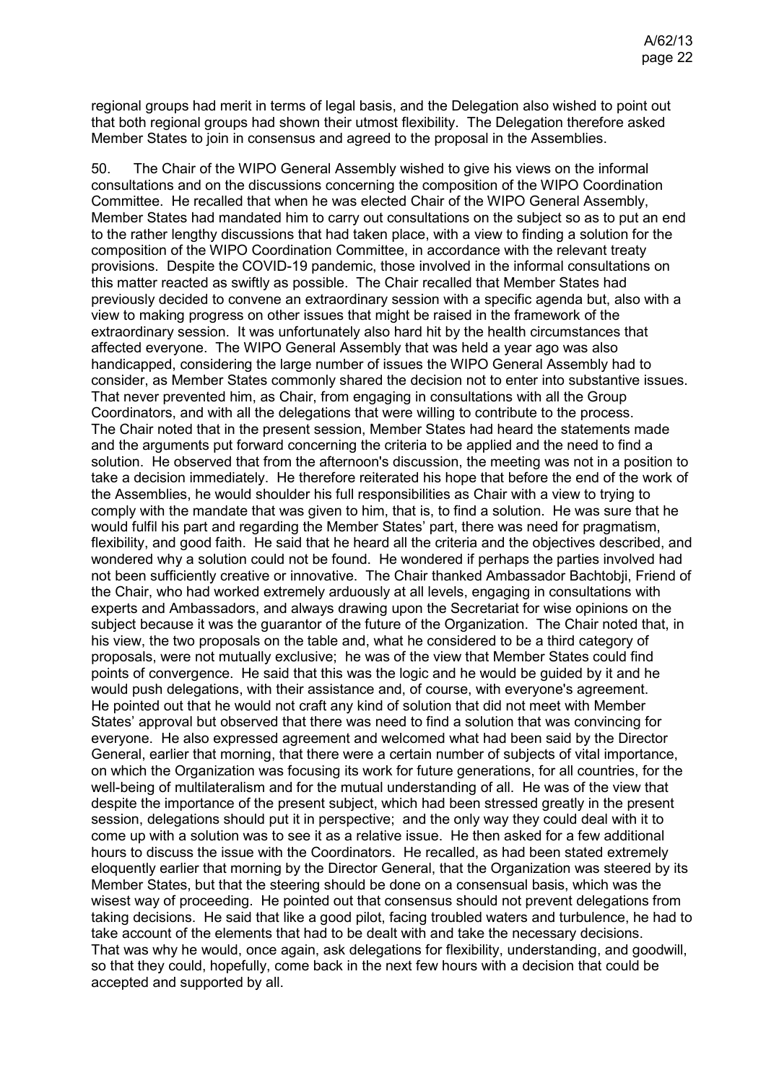regional groups had merit in terms of legal basis, and the Delegation also wished to point out that both regional groups had shown their utmost flexibility. The Delegation therefore asked Member States to join in consensus and agreed to the proposal in the Assemblies.

50. The Chair of the WIPO General Assembly wished to give his views on the informal consultations and on the discussions concerning the composition of the WIPO Coordination Committee. He recalled that when he was elected Chair of the WIPO General Assembly, Member States had mandated him to carry out consultations on the subject so as to put an end to the rather lengthy discussions that had taken place, with a view to finding a solution for the composition of the WIPO Coordination Committee, in accordance with the relevant treaty provisions. Despite the COVID-19 pandemic, those involved in the informal consultations on this matter reacted as swiftly as possible. The Chair recalled that Member States had previously decided to convene an extraordinary session with a specific agenda but, also with a view to making progress on other issues that might be raised in the framework of the extraordinary session. It was unfortunately also hard hit by the health circumstances that affected everyone. The WIPO General Assembly that was held a year ago was also handicapped, considering the large number of issues the WIPO General Assembly had to consider, as Member States commonly shared the decision not to enter into substantive issues. That never prevented him, as Chair, from engaging in consultations with all the Group Coordinators, and with all the delegations that were willing to contribute to the process. The Chair noted that in the present session, Member States had heard the statements made and the arguments put forward concerning the criteria to be applied and the need to find a solution. He observed that from the afternoon's discussion, the meeting was not in a position to take a decision immediately. He therefore reiterated his hope that before the end of the work of the Assemblies, he would shoulder his full responsibilities as Chair with a view to trying to comply with the mandate that was given to him, that is, to find a solution. He was sure that he would fulfil his part and regarding the Member States' part, there was need for pragmatism, flexibility, and good faith. He said that he heard all the criteria and the objectives described, and wondered why a solution could not be found. He wondered if perhaps the parties involved had not been sufficiently creative or innovative. The Chair thanked Ambassador Bachtobji, Friend of the Chair, who had worked extremely arduously at all levels, engaging in consultations with experts and Ambassadors, and always drawing upon the Secretariat for wise opinions on the subject because it was the guarantor of the future of the Organization. The Chair noted that, in his view, the two proposals on the table and, what he considered to be a third category of proposals, were not mutually exclusive; he was of the view that Member States could find points of convergence. He said that this was the logic and he would be guided by it and he would push delegations, with their assistance and, of course, with everyone's agreement. He pointed out that he would not craft any kind of solution that did not meet with Member States' approval but observed that there was need to find a solution that was convincing for everyone. He also expressed agreement and welcomed what had been said by the Director General, earlier that morning, that there were a certain number of subjects of vital importance, on which the Organization was focusing its work for future generations, for all countries, for the well-being of multilateralism and for the mutual understanding of all. He was of the view that despite the importance of the present subject, which had been stressed greatly in the present session, delegations should put it in perspective; and the only way they could deal with it to come up with a solution was to see it as a relative issue. He then asked for a few additional hours to discuss the issue with the Coordinators. He recalled, as had been stated extremely eloquently earlier that morning by the Director General, that the Organization was steered by its Member States, but that the steering should be done on a consensual basis, which was the wisest way of proceeding. He pointed out that consensus should not prevent delegations from taking decisions. He said that like a good pilot, facing troubled waters and turbulence, he had to take account of the elements that had to be dealt with and take the necessary decisions. That was why he would, once again, ask delegations for flexibility, understanding, and goodwill, so that they could, hopefully, come back in the next few hours with a decision that could be accepted and supported by all.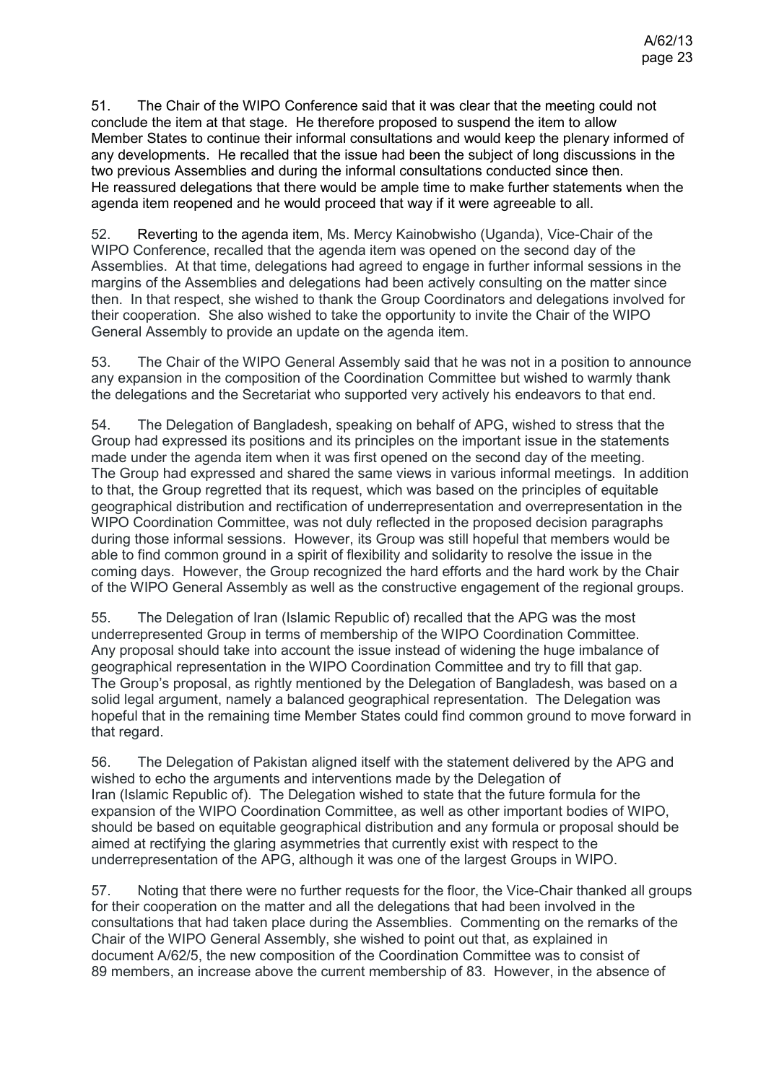51. The Chair of the WIPO Conference said that it was clear that the meeting could not conclude the item at that stage. He therefore proposed to suspend the item to allow Member States to continue their informal consultations and would keep the plenary informed of any developments. He recalled that the issue had been the subject of long discussions in the two previous Assemblies and during the informal consultations conducted since then. He reassured delegations that there would be ample time to make further statements when the agenda item reopened and he would proceed that way if it were agreeable to all.

52. Reverting to the agenda item, Ms. Mercy Kainobwisho (Uganda), Vice-Chair of the WIPO Conference, recalled that the agenda item was opened on the second day of the Assemblies. At that time, delegations had agreed to engage in further informal sessions in the margins of the Assemblies and delegations had been actively consulting on the matter since then. In that respect, she wished to thank the Group Coordinators and delegations involved for their cooperation. She also wished to take the opportunity to invite the Chair of the WIPO General Assembly to provide an update on the agenda item.

53. The Chair of the WIPO General Assembly said that he was not in a position to announce any expansion in the composition of the Coordination Committee but wished to warmly thank the delegations and the Secretariat who supported very actively his endeavors to that end.

54. The Delegation of Bangladesh, speaking on behalf of APG, wished to stress that the Group had expressed its positions and its principles on the important issue in the statements made under the agenda item when it was first opened on the second day of the meeting. The Group had expressed and shared the same views in various informal meetings. In addition to that, the Group regretted that its request, which was based on the principles of equitable geographical distribution and rectification of underrepresentation and overrepresentation in the WIPO Coordination Committee, was not duly reflected in the proposed decision paragraphs during those informal sessions. However, its Group was still hopeful that members would be able to find common ground in a spirit of flexibility and solidarity to resolve the issue in the coming days. However, the Group recognized the hard efforts and the hard work by the Chair of the WIPO General Assembly as well as the constructive engagement of the regional groups.

55. The Delegation of Iran (Islamic Republic of) recalled that the APG was the most underrepresented Group in terms of membership of the WIPO Coordination Committee. Any proposal should take into account the issue instead of widening the huge imbalance of geographical representation in the WIPO Coordination Committee and try to fill that gap. The Group's proposal, as rightly mentioned by the Delegation of Bangladesh, was based on a solid legal argument, namely a balanced geographical representation. The Delegation was hopeful that in the remaining time Member States could find common ground to move forward in that regard.

56. The Delegation of Pakistan aligned itself with the statement delivered by the APG and wished to echo the arguments and interventions made by the Delegation of Iran (Islamic Republic of). The Delegation wished to state that the future formula for the expansion of the WIPO Coordination Committee, as well as other important bodies of WIPO, should be based on equitable geographical distribution and any formula or proposal should be aimed at rectifying the glaring asymmetries that currently exist with respect to the underrepresentation of the APG, although it was one of the largest Groups in WIPO.

57. Noting that there were no further requests for the floor, the Vice-Chair thanked all groups for their cooperation on the matter and all the delegations that had been involved in the consultations that had taken place during the Assemblies. Commenting on the remarks of the Chair of the WIPO General Assembly, she wished to point out that, as explained in document A/62/5, the new composition of the Coordination Committee was to consist of 89 members, an increase above the current membership of 83. However, in the absence of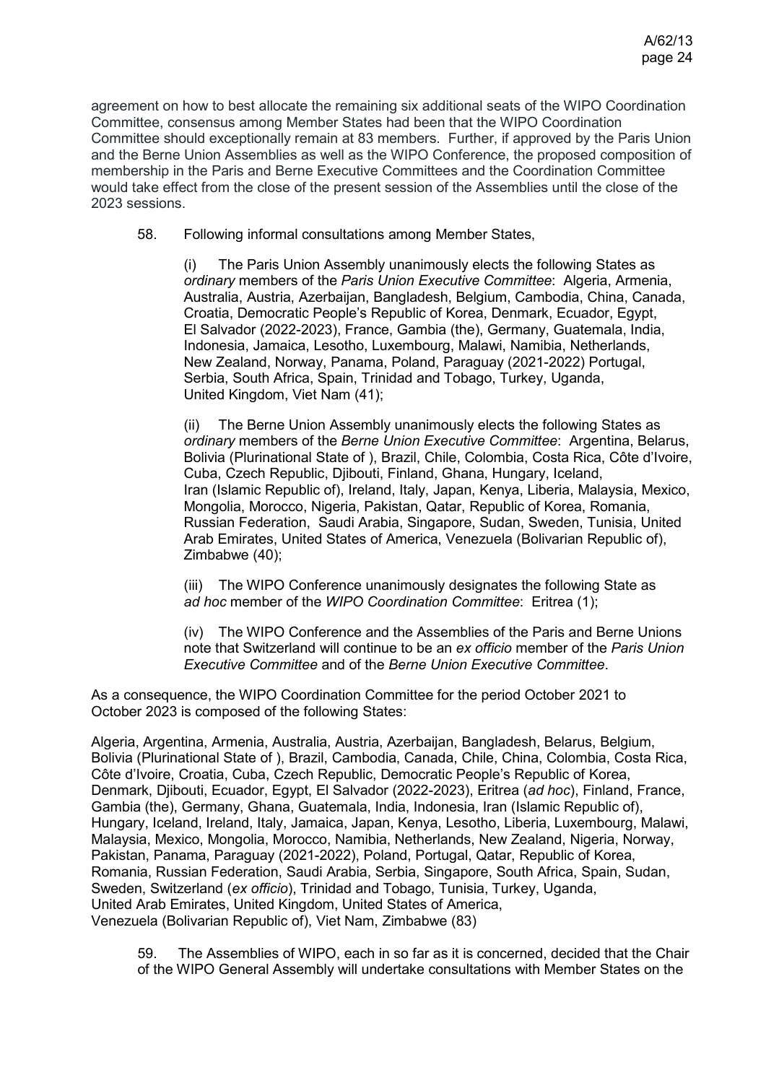agreement on how to best allocate the remaining six additional seats of the WIPO Coordination Committee, consensus among Member States had been that the WIPO Coordination Committee should exceptionally remain at 83 members. Further, if approved by the Paris Union and the Berne Union Assemblies as well as the WIPO Conference, the proposed composition of membership in the Paris and Berne Executive Committees and the Coordination Committee would take effect from the close of the present session of the Assemblies until the close of the 2023 sessions.

58. Following informal consultations among Member States,

(i) The Paris Union Assembly unanimously elects the following States as *ordinary* members of the *Paris Union Executive Committee*: Algeria, Armenia, Australia, Austria, Azerbaijan, Bangladesh, Belgium, Cambodia, China, Canada, Croatia, Democratic People's Republic of Korea, Denmark, Ecuador, Egypt, El Salvador (2022-2023), France, Gambia (the), Germany, Guatemala, India, Indonesia, Jamaica, Lesotho, Luxembourg, Malawi, Namibia, Netherlands, New Zealand, Norway, Panama, Poland, Paraguay (2021-2022) Portugal, Serbia, South Africa, Spain, Trinidad and Tobago, Turkey, Uganda, United Kingdom, Viet Nam (41);

(ii) The Berne Union Assembly unanimously elects the following States as *ordinary* members of the *Berne Union Executive Committee*: Argentina, Belarus, Bolivia (Plurinational State of ), Brazil, Chile, Colombia, Costa Rica, Côte d'Ivoire, Cuba, Czech Republic, Djibouti, Finland, Ghana, Hungary, Iceland, Iran (Islamic Republic of), Ireland, Italy, Japan, Kenya, Liberia, Malaysia, Mexico, Mongolia, Morocco, Nigeria, Pakistan, Qatar, Republic of Korea, Romania, Russian Federation, Saudi Arabia, Singapore, Sudan, Sweden, Tunisia, United Arab Emirates, United States of America, Venezuela (Bolivarian Republic of), Zimbabwe (40);

(iii) The WIPO Conference unanimously designates the following State as *ad hoc* member of the *WIPO Coordination Committee*: Eritrea (1);

(iv) The WIPO Conference and the Assemblies of the Paris and Berne Unions note that Switzerland will continue to be an *ex officio* member of the *Paris Union Executive Committee* and of the *Berne Union Executive Committee*.

As a consequence, the WIPO Coordination Committee for the period October 2021 to October 2023 is composed of the following States:

Algeria, Argentina, Armenia, Australia, Austria, Azerbaijan, Bangladesh, Belarus, Belgium, Bolivia (Plurinational State of ), Brazil, Cambodia, Canada, Chile, China, Colombia, Costa Rica, Côte d'Ivoire, Croatia, Cuba, Czech Republic, Democratic People's Republic of Korea, Denmark, Djibouti, Ecuador, Egypt, El Salvador (2022-2023), Eritrea (*ad hoc*), Finland, France, Gambia (the), Germany, Ghana, Guatemala, India, Indonesia, Iran (Islamic Republic of), Hungary, Iceland, Ireland, Italy, Jamaica, Japan, Kenya, Lesotho, Liberia, Luxembourg, Malawi, Malaysia, Mexico, Mongolia, Morocco, Namibia, Netherlands, New Zealand, Nigeria, Norway, Pakistan, Panama, Paraguay (2021-2022), Poland, Portugal, Qatar, Republic of Korea, Romania, Russian Federation, Saudi Arabia, Serbia, Singapore, South Africa, Spain, Sudan, Sweden, Switzerland (*ex officio*), Trinidad and Tobago, Tunisia, Turkey, Uganda, United Arab Emirates, United Kingdom, United States of America, Venezuela (Bolivarian Republic of), Viet Nam, Zimbabwe (83)

59. The Assemblies of WIPO, each in so far as it is concerned, decided that the Chair of the WIPO General Assembly will undertake consultations with Member States on the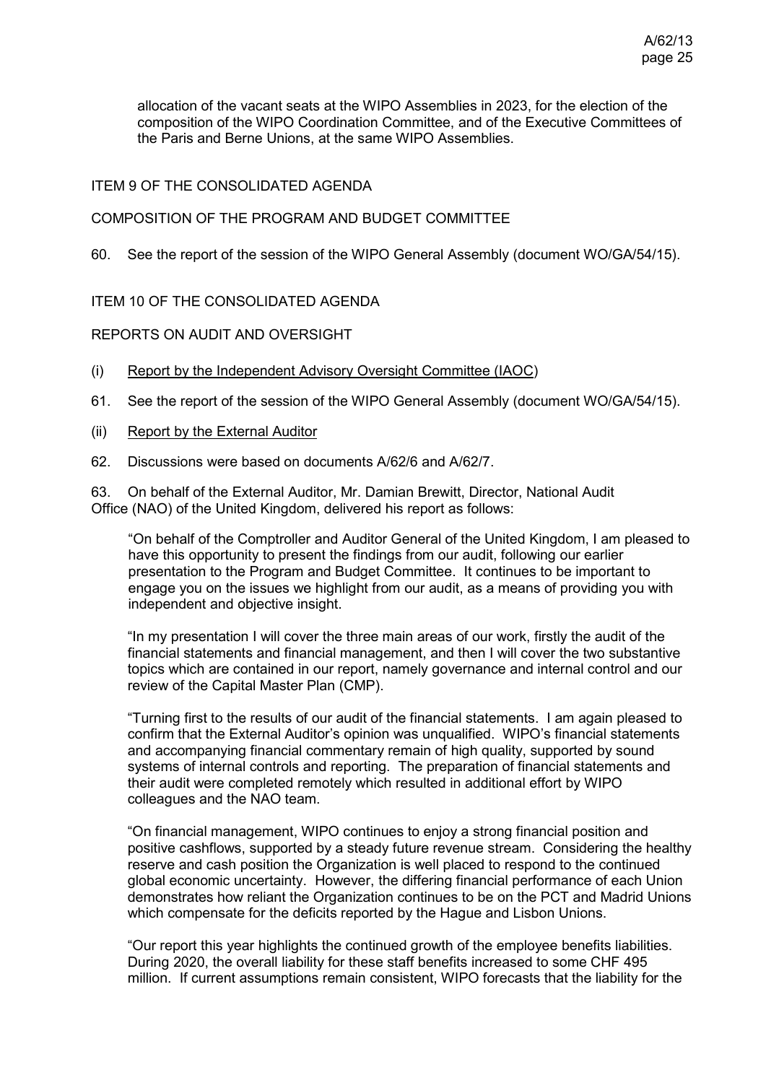allocation of the vacant seats at the WIPO Assemblies in 2023, for the election of the composition of the WIPO Coordination Committee, and of the Executive Committees of the Paris and Berne Unions, at the same WIPO Assemblies.

# ITEM 9 OF THE CONSOLIDATED AGENDA

# COMPOSITION OF THE PROGRAM AND BUDGET COMMITTEE

60. See the report of the session of the WIPO General Assembly (document WO/GA/54/15).

# ITEM 10 OF THE CONSOLIDATED AGENDA

# REPORTS ON AUDIT AND OVERSIGHT

- (i) Report by the Independent Advisory Oversight Committee (IAOC)
- 61. See the report of the session of the WIPO General Assembly (document WO/GA/54/15).
- (ii) Report by the External Auditor
- 62. Discussions were based on documents [A/62/6](https://www.wipo.int/about-wipo/en/assemblies/2021/a_62/doc_details.jsp?doc_id=/547753) and [A/62/7.](https://www.wipo.int/about-wipo/en/assemblies/2021/a_62/doc_details.jsp?doc_id=551574)

63. On behalf of the External Auditor, Mr. Damian Brewitt, Director, National Audit Office (NAO) of the United Kingdom, delivered his report as follows:

"On behalf of the Comptroller and Auditor General of the United Kingdom, I am pleased to have this opportunity to present the findings from our audit, following our earlier presentation to the Program and Budget Committee. It continues to be important to engage you on the issues we highlight from our audit, as a means of providing you with independent and objective insight.

"In my presentation I will cover the three main areas of our work, firstly the audit of the financial statements and financial management, and then I will cover the two substantive topics which are contained in our report, namely governance and internal control and our review of the Capital Master Plan (CMP).

"Turning first to the results of our audit of the financial statements. I am again pleased to confirm that the External Auditor's opinion was unqualified. WIPO's financial statements and accompanying financial commentary remain of high quality, supported by sound systems of internal controls and reporting. The preparation of financial statements and their audit were completed remotely which resulted in additional effort by WIPO colleagues and the NAO team.

"On financial management, WIPO continues to enjoy a strong financial position and positive cashflows, supported by a steady future revenue stream. Considering the healthy reserve and cash position the Organization is well placed to respond to the continued global economic uncertainty. However, the differing financial performance of each Union demonstrates how reliant the Organization continues to be on the PCT and Madrid Unions which compensate for the deficits reported by the Hague and Lisbon Unions.

"Our report this year highlights the continued growth of the employee benefits liabilities. During 2020, the overall liability for these staff benefits increased to some CHF 495 million. If current assumptions remain consistent, WIPO forecasts that the liability for the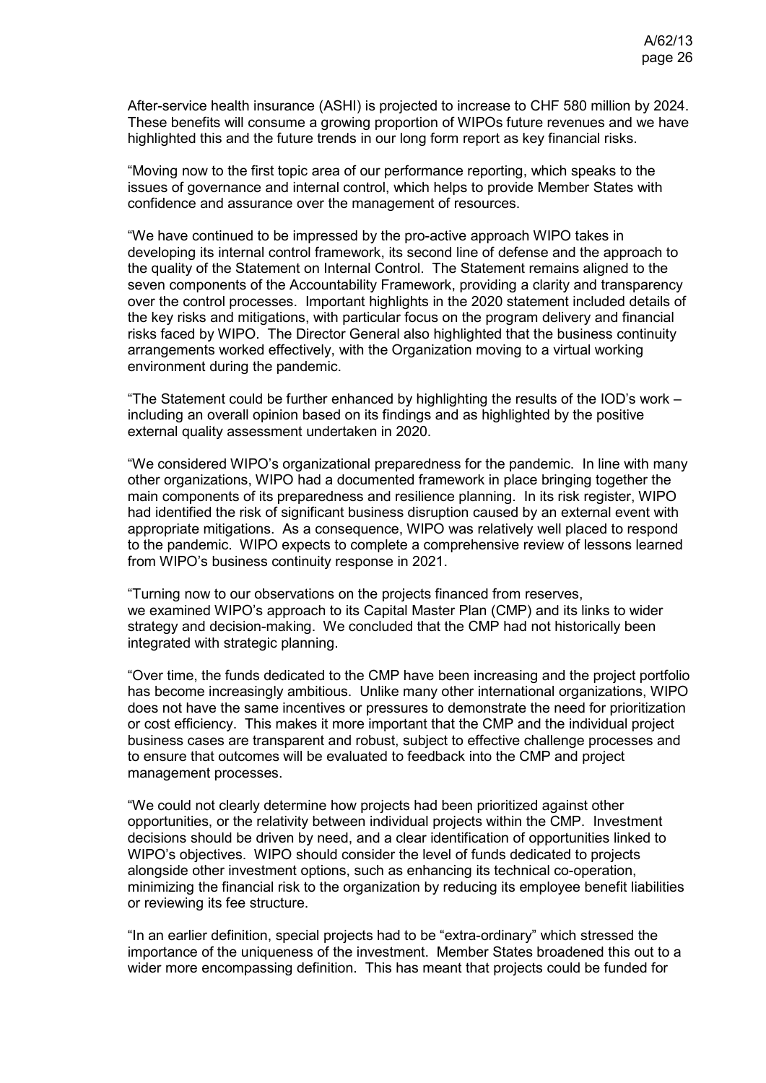After-service health insurance (ASHI) is projected to increase to CHF 580 million by 2024. These benefits will consume a growing proportion of WIPOs future revenues and we have highlighted this and the future trends in our long form report as key financial risks.

"Moving now to the first topic area of our performance reporting, which speaks to the issues of governance and internal control, which helps to provide Member States with confidence and assurance over the management of resources.

"We have continued to be impressed by the pro-active approach WIPO takes in developing its internal control framework, its second line of defense and the approach to the quality of the Statement on Internal Control. The Statement remains aligned to the seven components of the Accountability Framework, providing a clarity and transparency over the control processes. Important highlights in the 2020 statement included details of the key risks and mitigations, with particular focus on the program delivery and financial risks faced by WIPO. The Director General also highlighted that the business continuity arrangements worked effectively, with the Organization moving to a virtual working environment during the pandemic.

"The Statement could be further enhanced by highlighting the results of the IOD's work – including an overall opinion based on its findings and as highlighted by the positive external quality assessment undertaken in 2020.

"We considered WIPO's organizational preparedness for the pandemic. In line with many other organizations, WIPO had a documented framework in place bringing together the main components of its preparedness and resilience planning. In its risk register, WIPO had identified the risk of significant business disruption caused by an external event with appropriate mitigations. As a consequence, WIPO was relatively well placed to respond to the pandemic. WIPO expects to complete a comprehensive review of lessons learned from WIPO's business continuity response in 2021.

"Turning now to our observations on the projects financed from reserves, we examined WIPO's approach to its Capital Master Plan (CMP) and its links to wider strategy and decision-making. We concluded that the CMP had not historically been integrated with strategic planning.

"Over time, the funds dedicated to the CMP have been increasing and the project portfolio has become increasingly ambitious. Unlike many other international organizations, WIPO does not have the same incentives or pressures to demonstrate the need for prioritization or cost efficiency. This makes it more important that the CMP and the individual project business cases are transparent and robust, subject to effective challenge processes and to ensure that outcomes will be evaluated to feedback into the CMP and project management processes.

"We could not clearly determine how projects had been prioritized against other opportunities, or the relativity between individual projects within the CMP. Investment decisions should be driven by need, and a clear identification of opportunities linked to WIPO's objectives. WIPO should consider the level of funds dedicated to projects alongside other investment options, such as enhancing its technical co-operation, minimizing the financial risk to the organization by reducing its employee benefit liabilities or reviewing its fee structure.

"In an earlier definition, special projects had to be "extra-ordinary" which stressed the importance of the uniqueness of the investment. Member States broadened this out to a wider more encompassing definition. This has meant that projects could be funded for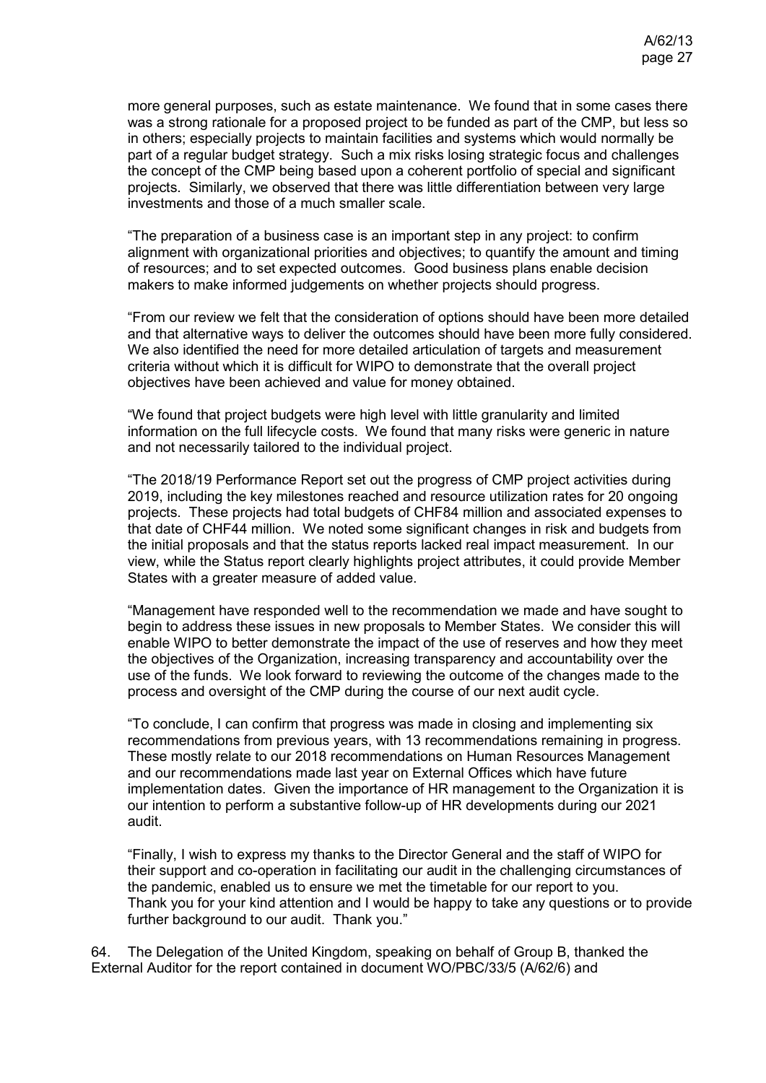more general purposes, such as estate maintenance. We found that in some cases there was a strong rationale for a proposed project to be funded as part of the CMP, but less so in others; especially projects to maintain facilities and systems which would normally be part of a regular budget strategy. Such a mix risks losing strategic focus and challenges the concept of the CMP being based upon a coherent portfolio of special and significant projects. Similarly, we observed that there was little differentiation between very large investments and those of a much smaller scale.

"The preparation of a business case is an important step in any project: to confirm alignment with organizational priorities and objectives; to quantify the amount and timing of resources; and to set expected outcomes. Good business plans enable decision makers to make informed judgements on whether projects should progress.

"From our review we felt that the consideration of options should have been more detailed and that alternative ways to deliver the outcomes should have been more fully considered. We also identified the need for more detailed articulation of targets and measurement criteria without which it is difficult for WIPO to demonstrate that the overall project objectives have been achieved and value for money obtained.

"We found that project budgets were high level with little granularity and limited information on the full lifecycle costs. We found that many risks were generic in nature and not necessarily tailored to the individual project.

"The 2018/19 Performance Report set out the progress of CMP project activities during 2019, including the key milestones reached and resource utilization rates for 20 ongoing projects. These projects had total budgets of CHF84 million and associated expenses to that date of CHF44 million. We noted some significant changes in risk and budgets from the initial proposals and that the status reports lacked real impact measurement. In our view, while the Status report clearly highlights project attributes, it could provide Member States with a greater measure of added value.

"Management have responded well to the recommendation we made and have sought to begin to address these issues in new proposals to Member States. We consider this will enable WIPO to better demonstrate the impact of the use of reserves and how they meet the objectives of the Organization, increasing transparency and accountability over the use of the funds. We look forward to reviewing the outcome of the changes made to the process and oversight of the CMP during the course of our next audit cycle.

"To conclude, I can confirm that progress was made in closing and implementing six recommendations from previous years, with 13 recommendations remaining in progress. These mostly relate to our 2018 recommendations on Human Resources Management and our recommendations made last year on External Offices which have future implementation dates. Given the importance of HR management to the Organization it is our intention to perform a substantive follow-up of HR developments during our 2021 audit.

"Finally, I wish to express my thanks to the Director General and the staff of WIPO for their support and co-operation in facilitating our audit in the challenging circumstances of the pandemic, enabled us to ensure we met the timetable for our report to you. Thank you for your kind attention and I would be happy to take any questions or to provide further background to our audit. Thank you."

64. The Delegation of the United Kingdom, speaking on behalf of Group B, thanked the External Auditor for the report contained in document WO/PBC/33/5 (A/62/6) and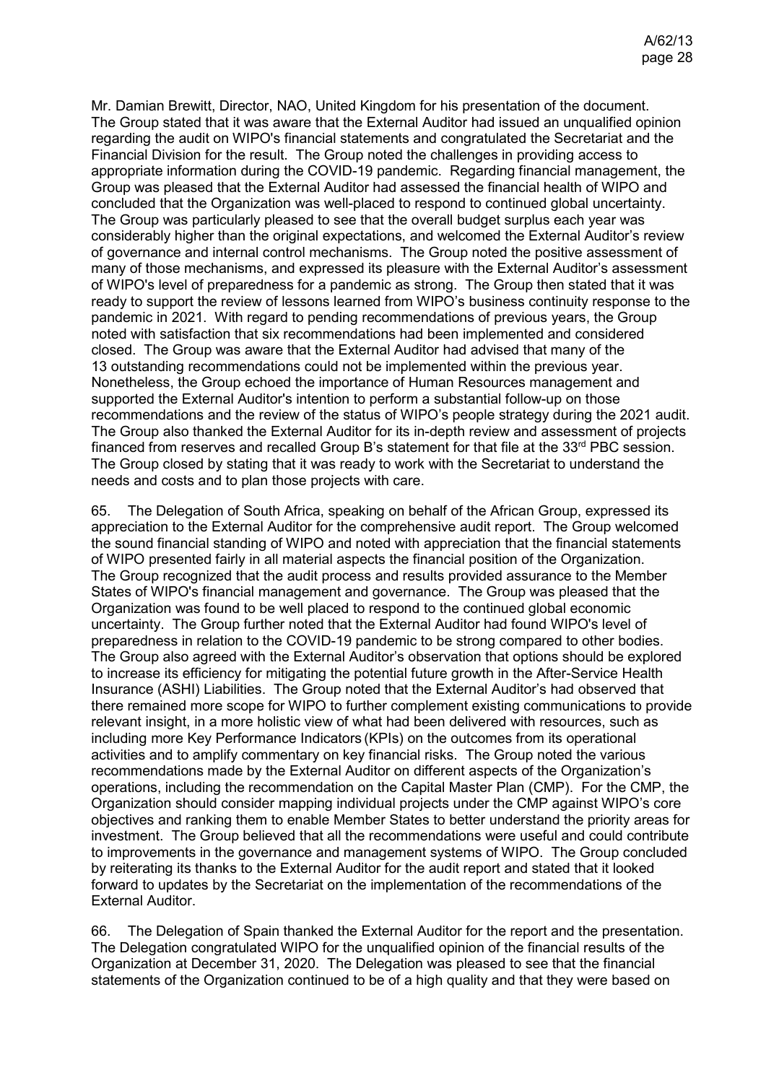Mr. Damian Brewitt, Director, NAO, United Kingdom for his presentation of the document. The Group stated that it was aware that the External Auditor had issued an unqualified opinion regarding the audit on WIPO's financial statements and congratulated the Secretariat and the Financial Division for the result. The Group noted the challenges in providing access to appropriate information during the COVID-19 pandemic. Regarding financial management, the Group was pleased that the External Auditor had assessed the financial health of WIPO and concluded that the Organization was well-placed to respond to continued global uncertainty. The Group was particularly pleased to see that the overall budget surplus each year was considerably higher than the original expectations, and welcomed the External Auditor's review of governance and internal control mechanisms. The Group noted the positive assessment of many of those mechanisms, and expressed its pleasure with the External Auditor's assessment of WIPO's level of preparedness for a pandemic as strong. The Group then stated that it was ready to support the review of lessons learned from WIPO's business continuity response to the pandemic in 2021. With regard to pending recommendations of previous years, the Group noted with satisfaction that six recommendations had been implemented and considered closed. The Group was aware that the External Auditor had advised that many of the 13 outstanding recommendations could not be implemented within the previous year. Nonetheless, the Group echoed the importance of Human Resources management and supported the External Auditor's intention to perform a substantial follow-up on those recommendations and the review of the status of WIPO's people strategy during the 2021 audit. The Group also thanked the External Auditor for its in-depth review and assessment of projects financed from reserves and recalled Group B's statement for that file at the  $33<sup>rd</sup>$  PBC session. The Group closed by stating that it was ready to work with the Secretariat to understand the needs and costs and to plan those projects with care.

65. The Delegation of South Africa, speaking on behalf of the African Group, expressed its appreciation to the External Auditor for the comprehensive audit report. The Group welcomed the sound financial standing of WIPO and noted with appreciation that the financial statements of WIPO presented fairly in all material aspects the financial position of the Organization. The Group recognized that the audit process and results provided assurance to the Member States of WIPO's financial management and governance. The Group was pleased that the Organization was found to be well placed to respond to the continued global economic uncertainty. The Group further noted that the External Auditor had found WIPO's level of preparedness in relation to the COVID-19 pandemic to be strong compared to other bodies. The Group also agreed with the External Auditor's observation that options should be explored to increase its efficiency for mitigating the potential future growth in the After-Service Health Insurance (ASHI) Liabilities. The Group noted that the External Auditor's had observed that there remained more scope for WIPO to further complement existing communications to provide relevant insight, in a more holistic view of what had been delivered with resources, such as including more Key Performance Indicators (KPIs) on the outcomes from its operational activities and to amplify commentary on key financial risks. The Group noted the various recommendations made by the External Auditor on different aspects of the Organization's operations, including the recommendation on the Capital Master Plan (CMP). For the CMP, the Organization should consider mapping individual projects under the CMP against WIPO's core objectives and ranking them to enable Member States to better understand the priority areas for investment. The Group believed that all the recommendations were useful and could contribute to improvements in the governance and management systems of WIPO. The Group concluded by reiterating its thanks to the External Auditor for the audit report and stated that it looked forward to updates by the Secretariat on the implementation of the recommendations of the External Auditor.

66. The Delegation of Spain thanked the External Auditor for the report and the presentation. The Delegation congratulated WIPO for the unqualified opinion of the financial results of the Organization at December 31, 2020. The Delegation was pleased to see that the financial statements of the Organization continued to be of a high quality and that they were based on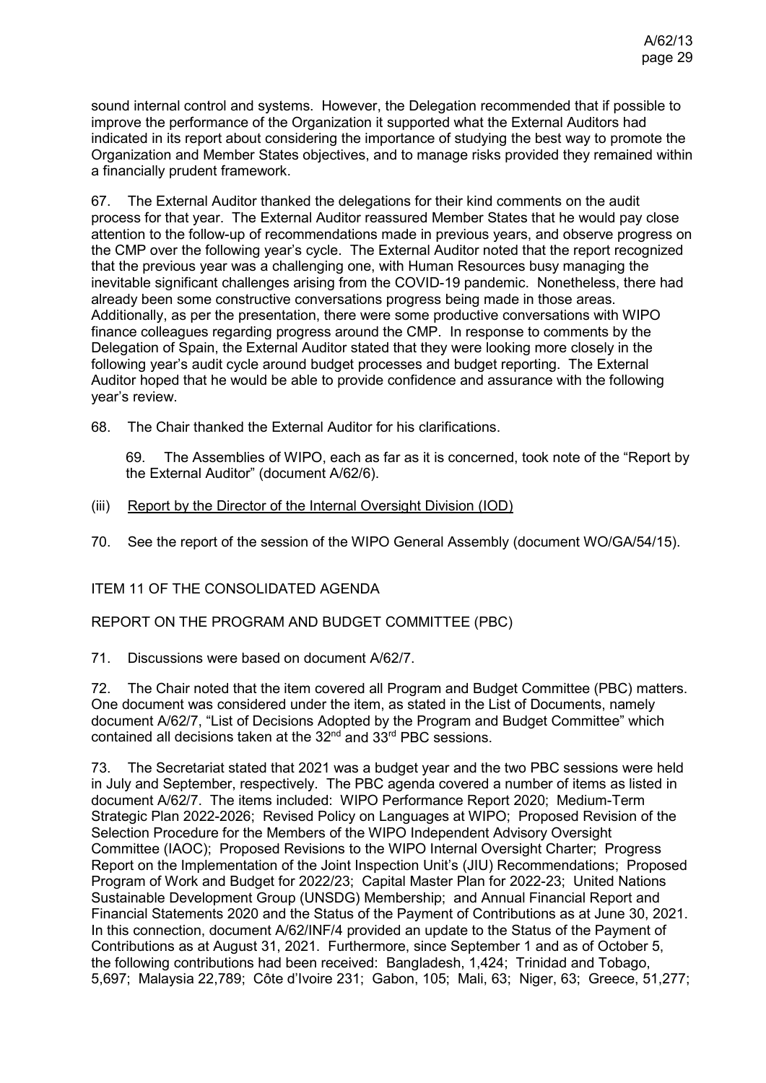sound internal control and systems. However, the Delegation recommended that if possible to improve the performance of the Organization it supported what the External Auditors had indicated in its report about considering the importance of studying the best way to promote the Organization and Member States objectives, and to manage risks provided they remained within a financially prudent framework.

67. The External Auditor thanked the delegations for their kind comments on the audit process for that year. The External Auditor reassured Member States that he would pay close attention to the follow-up of recommendations made in previous years, and observe progress on the CMP over the following year's cycle. The External Auditor noted that the report recognized that the previous year was a challenging one, with Human Resources busy managing the inevitable significant challenges arising from the COVID-19 pandemic. Nonetheless, there had already been some constructive conversations progress being made in those areas. Additionally, as per the presentation, there were some productive conversations with WIPO finance colleagues regarding progress around the CMP. In response to comments by the Delegation of Spain, the External Auditor stated that they were looking more closely in the following year's audit cycle around budget processes and budget reporting. The External Auditor hoped that he would be able to provide confidence and assurance with the following year's review.

68. The Chair thanked the External Auditor for his clarifications.

69. The Assemblies of WIPO, each as far as it is concerned, took note of the "Report by the External Auditor" (document A/62/6).

(iii) Report by the Director of the Internal Oversight Division (IOD)

70. See the report of the session of the WIPO General Assembly (document WO/GA/54/15).

### ITEM 11 OF THE CONSOLIDATED AGENDA

### REPORT ON THE PROGRAM AND BUDGET COMMITTEE (PBC)

71. Discussions were based on document [A/62/7.](https://www.wipo.int/about-wipo/en/assemblies/2021/a_62/doc_details.jsp?doc_id=551574)

72. The Chair noted that the item covered all Program and Budget Committee (PBC) matters. One document was considered under the item, as stated in the List of Documents, namely document A/62/7, "List of Decisions Adopted by the Program and Budget Committee" which contained all decisions taken at the 32<sup>nd</sup> and 33<sup>rd</sup> PBC sessions.

73. The Secretariat stated that 2021 was a budget year and the two PBC sessions were held in July and September, respectively. The PBC agenda covered a number of items as listed in document A/62/7. The items included: WIPO Performance Report 2020; Medium-Term Strategic Plan 2022-2026; Revised Policy on Languages at WIPO; Proposed Revision of the Selection Procedure for the Members of the WIPO Independent Advisory Oversight Committee (IAOC); Proposed Revisions to the WIPO Internal Oversight Charter; Progress Report on the Implementation of the Joint Inspection Unit's (JIU) Recommendations; Proposed Program of Work and Budget for 2022/23; Capital Master Plan for 2022-23; United Nations Sustainable Development Group (UNSDG) Membership; and Annual Financial Report and Financial Statements 2020 and the Status of the Payment of Contributions as at June 30, 2021. In this connection, document A/62/INF/4 provided an update to the Status of the Payment of Contributions as at August 31, 2021. Furthermore, since September 1 and as of October 5, the following contributions had been received: Bangladesh, 1,424; Trinidad and Tobago, 5,697; Malaysia 22,789; Côte d'Ivoire 231; Gabon, 105; Mali, 63; Niger, 63; Greece, 51,277;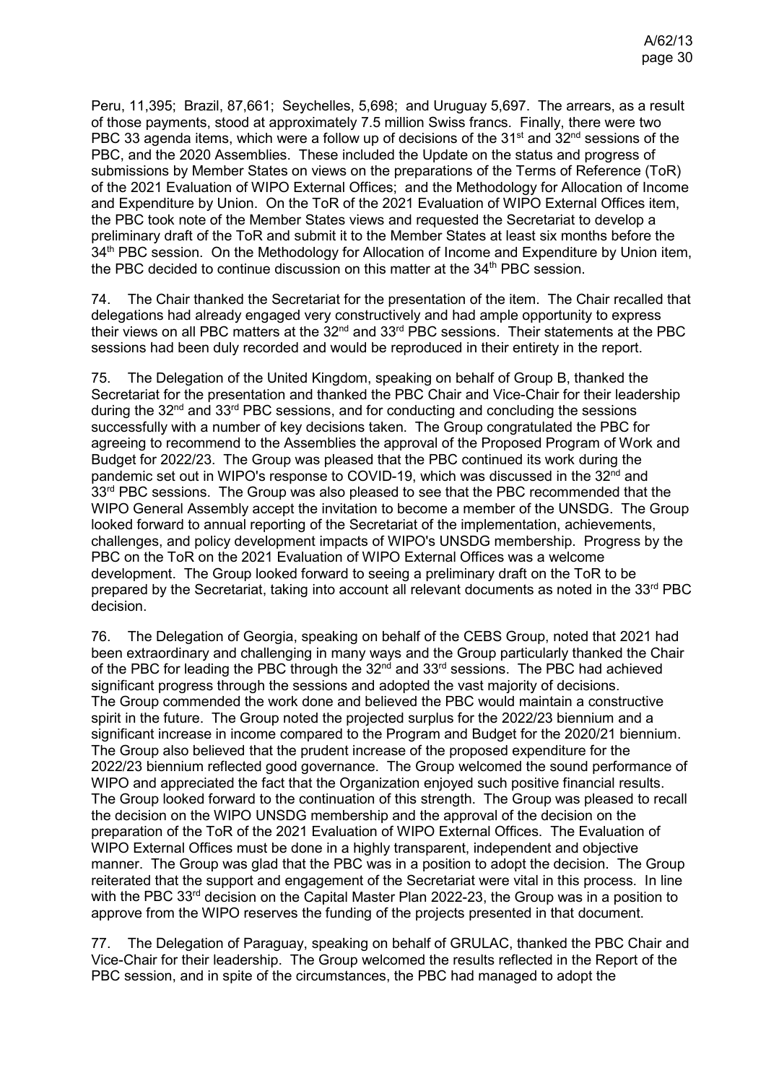Peru, 11,395; Brazil, 87,661; Seychelles, 5,698; and Uruguay 5,697. The arrears, as a result of those payments, stood at approximately 7.5 million Swiss francs. Finally, there were two PBC 33 agenda items, which were a follow up of decisions of the  $31<sup>st</sup>$  and  $32<sup>nd</sup>$  sessions of the PBC, and the 2020 Assemblies. These included the Update on the status and progress of submissions by Member States on views on the preparations of the Terms of Reference (ToR) of the 2021 Evaluation of WIPO External Offices; and the Methodology for Allocation of Income and Expenditure by Union. On the ToR of the 2021 Evaluation of WIPO External Offices item, the PBC took note of the Member States views and requested the Secretariat to develop a preliminary draft of the ToR and submit it to the Member States at least six months before the 34<sup>th</sup> PBC session. On the Methodology for Allocation of Income and Expenditure by Union item, the PBC decided to continue discussion on this matter at the 34<sup>th</sup> PBC session.

74. The Chair thanked the Secretariat for the presentation of the item. The Chair recalled that delegations had already engaged very constructively and had ample opportunity to express their views on all PBC matters at the 32nd and 33rd PBC sessions. Their statements at the PBC sessions had been duly recorded and would be reproduced in their entirety in the report.

75. The Delegation of the United Kingdom, speaking on behalf of Group B, thanked the Secretariat for the presentation and thanked the PBC Chair and Vice-Chair for their leadership during the  $32<sup>nd</sup>$  and  $33<sup>rd</sup>$  PBC sessions, and for conducting and concluding the sessions successfully with a number of key decisions taken. The Group congratulated the PBC for agreeing to recommend to the Assemblies the approval of the Proposed Program of Work and Budget for 2022/23. The Group was pleased that the PBC continued its work during the pandemic set out in WIPO's response to COVID-19, which was discussed in the 32<sup>nd</sup> and 33<sup>rd</sup> PBC sessions. The Group was also pleased to see that the PBC recommended that the WIPO General Assembly accept the invitation to become a member of the UNSDG. The Group looked forward to annual reporting of the Secretariat of the implementation, achievements, challenges, and policy development impacts of WIPO's UNSDG membership. Progress by the PBC on the ToR on the 2021 Evaluation of WIPO External Offices was a welcome development. The Group looked forward to seeing a preliminary draft on the ToR to be prepared by the Secretariat, taking into account all relevant documents as noted in the  $33<sup>rd</sup> PBC$ decision.

76. The Delegation of Georgia, speaking on behalf of the CEBS Group, noted that 2021 had been extraordinary and challenging in many ways and the Group particularly thanked the Chair of the PBC for leading the PBC through the 32<sup>nd</sup> and 33<sup>rd</sup> sessions. The PBC had achieved significant progress through the sessions and adopted the vast majority of decisions. The Group commended the work done and believed the PBC would maintain a constructive spirit in the future. The Group noted the projected surplus for the 2022/23 biennium and a significant increase in income compared to the Program and Budget for the 2020/21 biennium. The Group also believed that the prudent increase of the proposed expenditure for the 2022/23 biennium reflected good governance. The Group welcomed the sound performance of WIPO and appreciated the fact that the Organization enjoyed such positive financial results. The Group looked forward to the continuation of this strength. The Group was pleased to recall the decision on the WIPO UNSDG membership and the approval of the decision on the preparation of the ToR of the 2021 Evaluation of WIPO External Offices. The Evaluation of WIPO External Offices must be done in a highly transparent, independent and objective manner. The Group was glad that the PBC was in a position to adopt the decision. The Group reiterated that the support and engagement of the Secretariat were vital in this process. In line with the PBC 33<sup>rd</sup> decision on the Capital Master Plan 2022-23, the Group was in a position to approve from the WIPO reserves the funding of the projects presented in that document.

77. The Delegation of Paraguay, speaking on behalf of GRULAC, thanked the PBC Chair and Vice-Chair for their leadership. The Group welcomed the results reflected in the Report of the PBC session, and in spite of the circumstances, the PBC had managed to adopt the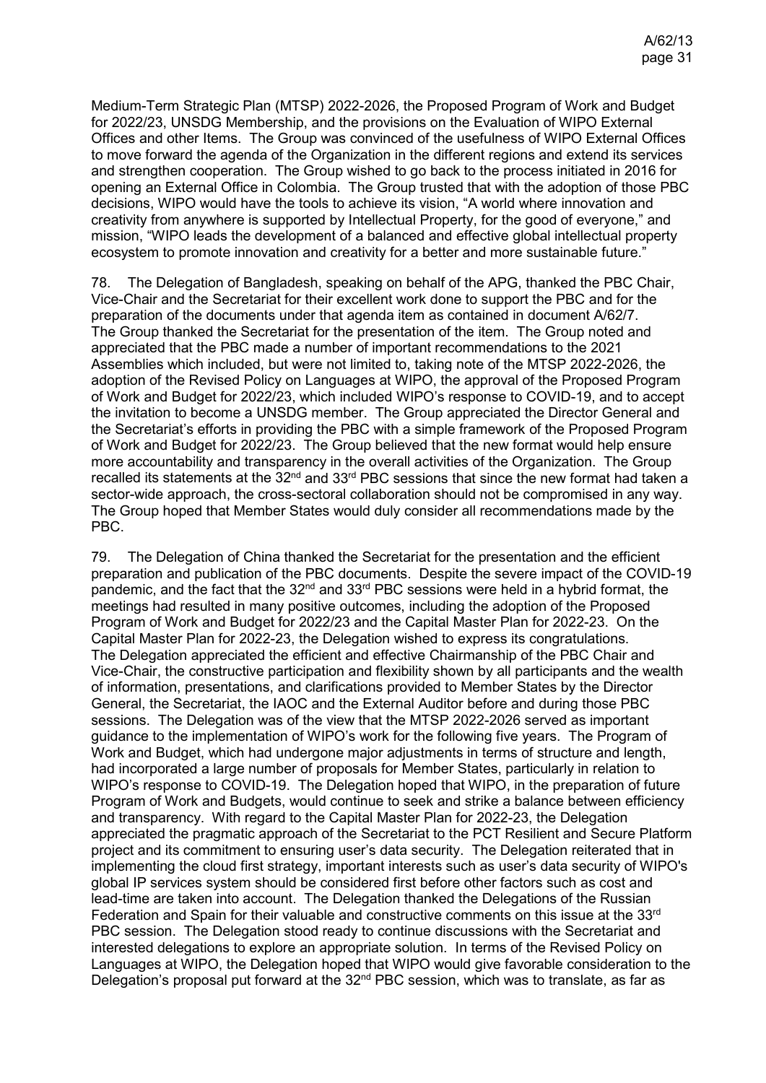Medium-Term Strategic Plan (MTSP) 2022-2026, the Proposed Program of Work and Budget for 2022/23, UNSDG Membership, and the provisions on the Evaluation of WIPO External Offices and other Items. The Group was convinced of the usefulness of WIPO External Offices to move forward the agenda of the Organization in the different regions and extend its services and strengthen cooperation. The Group wished to go back to the process initiated in 2016 for opening an External Office in Colombia. The Group trusted that with the adoption of those PBC decisions, WIPO would have the tools to achieve its vision, "A world where innovation and creativity from anywhere is supported by Intellectual Property, for the good of everyone," and mission, "WIPO leads the development of a balanced and effective global intellectual property ecosystem to promote innovation and creativity for a better and more sustainable future."

78. The Delegation of Bangladesh, speaking on behalf of the APG, thanked the PBC Chair, Vice-Chair and the Secretariat for their excellent work done to support the PBC and for the preparation of the documents under that agenda item as contained in document A/62/7. The Group thanked the Secretariat for the presentation of the item. The Group noted and appreciated that the PBC made a number of important recommendations to the 2021 Assemblies which included, but were not limited to, taking note of the MTSP 2022-2026, the adoption of the Revised Policy on Languages at WIPO, the approval of the Proposed Program of Work and Budget for 2022/23, which included WIPO's response to COVID-19, and to accept the invitation to become a UNSDG member. The Group appreciated the Director General and the Secretariat's efforts in providing the PBC with a simple framework of the Proposed Program of Work and Budget for 2022/23. The Group believed that the new format would help ensure more accountability and transparency in the overall activities of the Organization. The Group recalled its statements at the 32<sup>nd</sup> and 33<sup>rd</sup> PBC sessions that since the new format had taken a sector-wide approach, the cross-sectoral collaboration should not be compromised in any way. The Group hoped that Member States would duly consider all recommendations made by the PBC.

79. The Delegation of China thanked the Secretariat for the presentation and the efficient preparation and publication of the PBC documents. Despite the severe impact of the COVID-19 pandemic, and the fact that the  $32<sup>nd</sup>$  and  $33<sup>rd</sup>$  PBC sessions were held in a hybrid format, the meetings had resulted in many positive outcomes, including the adoption of the Proposed Program of Work and Budget for 2022/23 and the Capital Master Plan for 2022-23. On the Capital Master Plan for 2022-23, the Delegation wished to express its congratulations. The Delegation appreciated the efficient and effective Chairmanship of the PBC Chair and Vice-Chair, the constructive participation and flexibility shown by all participants and the wealth of information, presentations, and clarifications provided to Member States by the Director General, the Secretariat, the IAOC and the External Auditor before and during those PBC sessions. The Delegation was of the view that the MTSP 2022-2026 served as important guidance to the implementation of WIPO's work for the following five years. The Program of Work and Budget, which had undergone major adjustments in terms of structure and length, had incorporated a large number of proposals for Member States, particularly in relation to WIPO's response to COVID-19. The Delegation hoped that WIPO, in the preparation of future Program of Work and Budgets, would continue to seek and strike a balance between efficiency and transparency. With regard to the Capital Master Plan for 2022-23, the Delegation appreciated the pragmatic approach of the Secretariat to the PCT Resilient and Secure Platform project and its commitment to ensuring user's data security. The Delegation reiterated that in implementing the cloud first strategy, important interests such as user's data security of WIPO's global IP services system should be considered first before other factors such as cost and lead-time are taken into account. The Delegation thanked the Delegations of the Russian Federation and Spain for their valuable and constructive comments on this issue at the 33rd PBC session. The Delegation stood ready to continue discussions with the Secretariat and interested delegations to explore an appropriate solution. In terms of the Revised Policy on Languages at WIPO, the Delegation hoped that WIPO would give favorable consideration to the Delegation's proposal put forward at the 32<sup>nd</sup> PBC session, which was to translate, as far as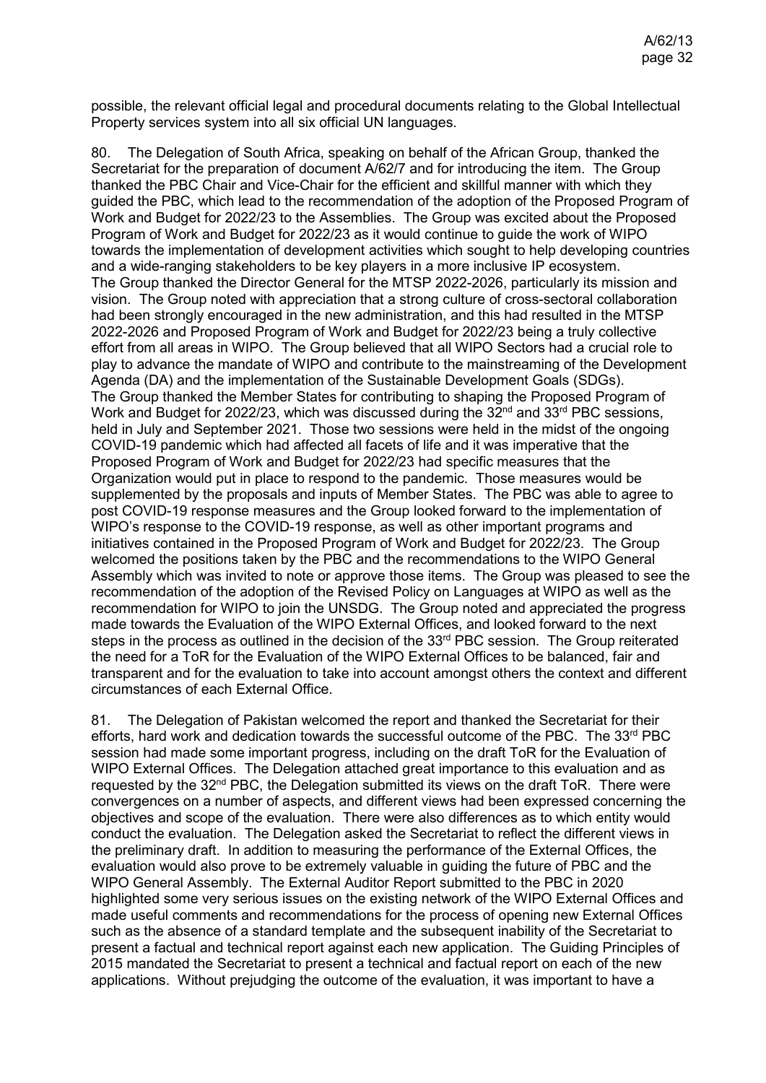possible, the relevant official legal and procedural documents relating to the Global Intellectual Property services system into all six official UN languages.

80. The Delegation of South Africa, speaking on behalf of the African Group, thanked the Secretariat for the preparation of document A/62/7 and for introducing the item. The Group thanked the PBC Chair and Vice-Chair for the efficient and skillful manner with which they guided the PBC, which lead to the recommendation of the adoption of the Proposed Program of Work and Budget for 2022/23 to the Assemblies. The Group was excited about the Proposed Program of Work and Budget for 2022/23 as it would continue to guide the work of WIPO towards the implementation of development activities which sought to help developing countries and a wide-ranging stakeholders to be key players in a more inclusive IP ecosystem. The Group thanked the Director General for the MTSP 2022-2026, particularly its mission and vision. The Group noted with appreciation that a strong culture of cross-sectoral collaboration had been strongly encouraged in the new administration, and this had resulted in the MTSP 2022-2026 and Proposed Program of Work and Budget for 2022/23 being a truly collective effort from all areas in WIPO. The Group believed that all WIPO Sectors had a crucial role to play to advance the mandate of WIPO and contribute to the mainstreaming of the Development Agenda (DA) and the implementation of the Sustainable Development Goals (SDGs). The Group thanked the Member States for contributing to shaping the Proposed Program of Work and Budget for 2022/23, which was discussed during the  $32<sup>nd</sup>$  and  $33<sup>rd</sup>$  PBC sessions, held in July and September 2021. Those two sessions were held in the midst of the ongoing COVID-19 pandemic which had affected all facets of life and it was imperative that the Proposed Program of Work and Budget for 2022/23 had specific measures that the Organization would put in place to respond to the pandemic. Those measures would be supplemented by the proposals and inputs of Member States. The PBC was able to agree to post COVID-19 response measures and the Group looked forward to the implementation of WIPO's response to the COVID-19 response, as well as other important programs and initiatives contained in the Proposed Program of Work and Budget for 2022/23. The Group welcomed the positions taken by the PBC and the recommendations to the WIPO General Assembly which was invited to note or approve those items. The Group was pleased to see the recommendation of the adoption of the Revised Policy on Languages at WIPO as well as the recommendation for WIPO to join the UNSDG. The Group noted and appreciated the progress made towards the Evaluation of the WIPO External Offices, and looked forward to the next steps in the process as outlined in the decision of the 33<sup>rd</sup> PBC session. The Group reiterated the need for a ToR for the Evaluation of the WIPO External Offices to be balanced, fair and transparent and for the evaluation to take into account amongst others the context and different circumstances of each External Office.

81. The Delegation of Pakistan welcomed the report and thanked the Secretariat for their efforts, hard work and dedication towards the successful outcome of the PBC. The  $33<sup>rd</sup>$  PBC session had made some important progress, including on the draft ToR for the Evaluation of WIPO External Offices. The Delegation attached great importance to this evaluation and as requested by the  $32<sup>nd</sup> PBC$ , the Delegation submitted its views on the draft ToR. There were convergences on a number of aspects, and different views had been expressed concerning the objectives and scope of the evaluation. There were also differences as to which entity would conduct the evaluation. The Delegation asked the Secretariat to reflect the different views in the preliminary draft. In addition to measuring the performance of the External Offices, the evaluation would also prove to be extremely valuable in guiding the future of PBC and the WIPO General Assembly. The External Auditor Report submitted to the PBC in 2020 highlighted some very serious issues on the existing network of the WIPO External Offices and made useful comments and recommendations for the process of opening new External Offices such as the absence of a standard template and the subsequent inability of the Secretariat to present a factual and technical report against each new application. The Guiding Principles of 2015 mandated the Secretariat to present a technical and factual report on each of the new applications. Without prejudging the outcome of the evaluation, it was important to have a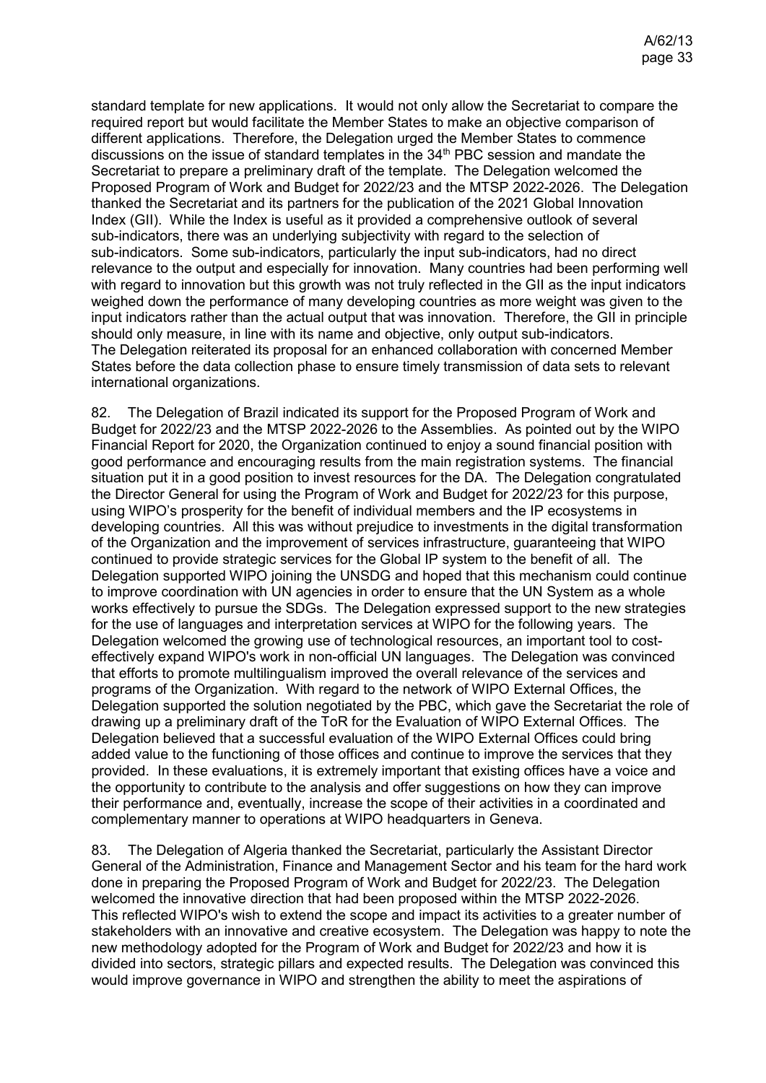standard template for new applications. It would not only allow the Secretariat to compare the required report but would facilitate the Member States to make an objective comparison of different applications. Therefore, the Delegation urged the Member States to commence discussions on the issue of standard templates in the 34<sup>th</sup> PBC session and mandate the Secretariat to prepare a preliminary draft of the template. The Delegation welcomed the Proposed Program of Work and Budget for 2022/23 and the MTSP 2022-2026. The Delegation thanked the Secretariat and its partners for the publication of the 2021 Global Innovation Index (GII). While the Index is useful as it provided a comprehensive outlook of several sub-indicators, there was an underlying subjectivity with regard to the selection of sub-indicators. Some sub-indicators, particularly the input sub-indicators, had no direct relevance to the output and especially for innovation. Many countries had been performing well with regard to innovation but this growth was not truly reflected in the GII as the input indicators weighed down the performance of many developing countries as more weight was given to the input indicators rather than the actual output that was innovation. Therefore, the GII in principle should only measure, in line with its name and objective, only output sub-indicators. The Delegation reiterated its proposal for an enhanced collaboration with concerned Member States before the data collection phase to ensure timely transmission of data sets to relevant international organizations.

82. The Delegation of Brazil indicated its support for the Proposed Program of Work and Budget for 2022/23 and the MTSP 2022-2026 to the Assemblies. As pointed out by the WIPO Financial Report for 2020, the Organization continued to enjoy a sound financial position with good performance and encouraging results from the main registration systems. The financial situation put it in a good position to invest resources for the DA. The Delegation congratulated the Director General for using the Program of Work and Budget for 2022/23 for this purpose, using WIPO's prosperity for the benefit of individual members and the IP ecosystems in developing countries. All this was without prejudice to investments in the digital transformation of the Organization and the improvement of services infrastructure, guaranteeing that WIPO continued to provide strategic services for the Global IP system to the benefit of all. The Delegation supported WIPO joining the UNSDG and hoped that this mechanism could continue to improve coordination with UN agencies in order to ensure that the UN System as a whole works effectively to pursue the SDGs. The Delegation expressed support to the new strategies for the use of languages and interpretation services at WIPO for the following years. The Delegation welcomed the growing use of technological resources, an important tool to costeffectively expand WIPO's work in non-official UN languages. The Delegation was convinced that efforts to promote multilingualism improved the overall relevance of the services and programs of the Organization. With regard to the network of WIPO External Offices, the Delegation supported the solution negotiated by the PBC, which gave the Secretariat the role of drawing up a preliminary draft of the ToR for the Evaluation of WIPO External Offices. The Delegation believed that a successful evaluation of the WIPO External Offices could bring added value to the functioning of those offices and continue to improve the services that they provided. In these evaluations, it is extremely important that existing offices have a voice and the opportunity to contribute to the analysis and offer suggestions on how they can improve their performance and, eventually, increase the scope of their activities in a coordinated and complementary manner to operations at WIPO headquarters in Geneva.

83. The Delegation of Algeria thanked the Secretariat, particularly the Assistant Director General of the Administration, Finance and Management Sector and his team for the hard work done in preparing the Proposed Program of Work and Budget for 2022/23. The Delegation welcomed the innovative direction that had been proposed within the MTSP 2022-2026. This reflected WIPO's wish to extend the scope and impact its activities to a greater number of stakeholders with an innovative and creative ecosystem. The Delegation was happy to note the new methodology adopted for the Program of Work and Budget for 2022/23 and how it is divided into sectors, strategic pillars and expected results. The Delegation was convinced this would improve governance in WIPO and strengthen the ability to meet the aspirations of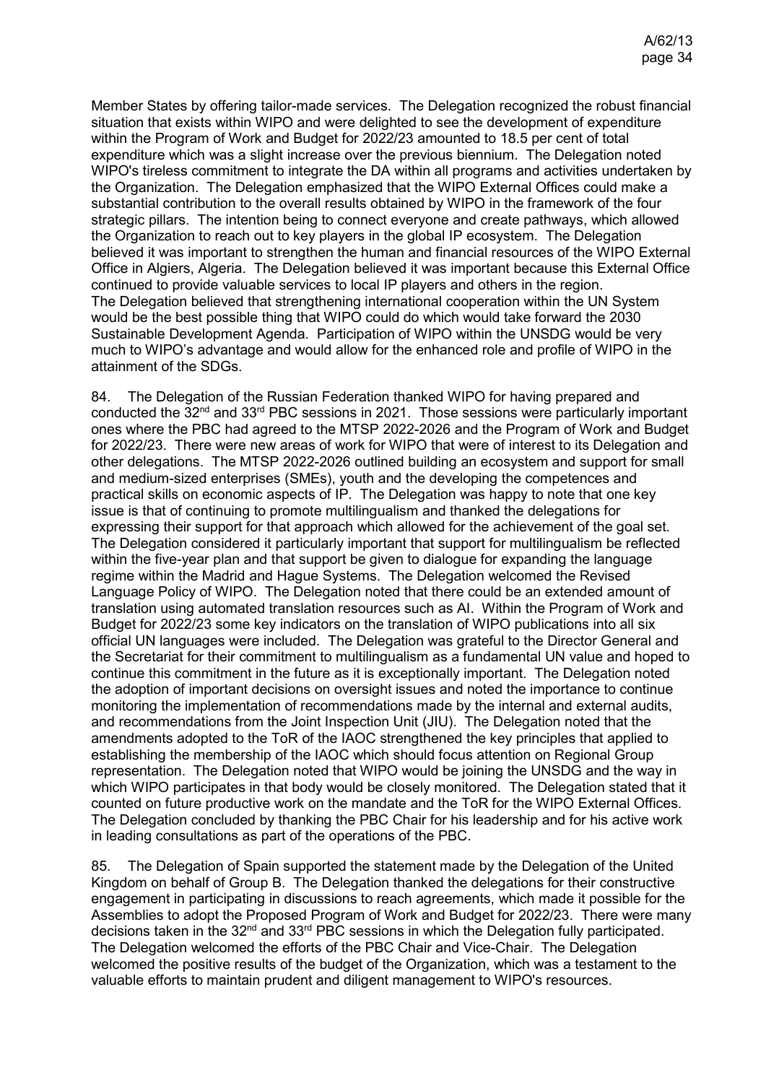Member States by offering tailor-made services. The Delegation recognized the robust financial situation that exists within WIPO and were delighted to see the development of expenditure within the Program of Work and Budget for 2022/23 amounted to 18.5 per cent of total expenditure which was a slight increase over the previous biennium. The Delegation noted WIPO's tireless commitment to integrate the DA within all programs and activities undertaken by the Organization. The Delegation emphasized that the WIPO External Offices could make a substantial contribution to the overall results obtained by WIPO in the framework of the four strategic pillars. The intention being to connect everyone and create pathways, which allowed the Organization to reach out to key players in the global IP ecosystem. The Delegation believed it was important to strengthen the human and financial resources of the WIPO External Office in Algiers, Algeria. The Delegation believed it was important because this External Office continued to provide valuable services to local IP players and others in the region. The Delegation believed that strengthening international cooperation within the UN System would be the best possible thing that WIPO could do which would take forward the 2030 Sustainable Development Agenda. Participation of WIPO within the UNSDG would be very much to WIPO's advantage and would allow for the enhanced role and profile of WIPO in the attainment of the SDGs.

84. The Delegation of the Russian Federation thanked WIPO for having prepared and conducted the 32<sup>nd</sup> and 33<sup>rd</sup> PBC sessions in 2021. Those sessions were particularly important ones where the PBC had agreed to the MTSP 2022-2026 and the Program of Work and Budget for 2022/23. There were new areas of work for WIPO that were of interest to its Delegation and other delegations. The MTSP 2022-2026 outlined building an ecosystem and support for small and medium-sized enterprises (SMEs), youth and the developing the competences and practical skills on economic aspects of IP. The Delegation was happy to note that one key issue is that of continuing to promote multilingualism and thanked the delegations for expressing their support for that approach which allowed for the achievement of the goal set. The Delegation considered it particularly important that support for multilingualism be reflected within the five-year plan and that support be given to dialogue for expanding the language regime within the Madrid and Hague Systems. The Delegation welcomed the Revised Language Policy of WIPO. The Delegation noted that there could be an extended amount of translation using automated translation resources such as AI. Within the Program of Work and Budget for 2022/23 some key indicators on the translation of WIPO publications into all six official UN languages were included. The Delegation was grateful to the Director General and the Secretariat for their commitment to multilingualism as a fundamental UN value and hoped to continue this commitment in the future as it is exceptionally important. The Delegation noted the adoption of important decisions on oversight issues and noted the importance to continue monitoring the implementation of recommendations made by the internal and external audits, and recommendations from the Joint Inspection Unit (JIU). The Delegation noted that the amendments adopted to the ToR of the IAOC strengthened the key principles that applied to establishing the membership of the IAOC which should focus attention on Regional Group representation. The Delegation noted that WIPO would be joining the UNSDG and the way in which WIPO participates in that body would be closely monitored. The Delegation stated that it counted on future productive work on the mandate and the ToR for the WIPO External Offices. The Delegation concluded by thanking the PBC Chair for his leadership and for his active work in leading consultations as part of the operations of the PBC.

85. The Delegation of Spain supported the statement made by the Delegation of the United Kingdom on behalf of Group B. The Delegation thanked the delegations for their constructive engagement in participating in discussions to reach agreements, which made it possible for the Assemblies to adopt the Proposed Program of Work and Budget for 2022/23. There were many decisions taken in the 32<sup>nd</sup> and 33<sup>rd</sup> PBC sessions in which the Delegation fully participated. The Delegation welcomed the efforts of the PBC Chair and Vice-Chair. The Delegation welcomed the positive results of the budget of the Organization, which was a testament to the valuable efforts to maintain prudent and diligent management to WIPO's resources.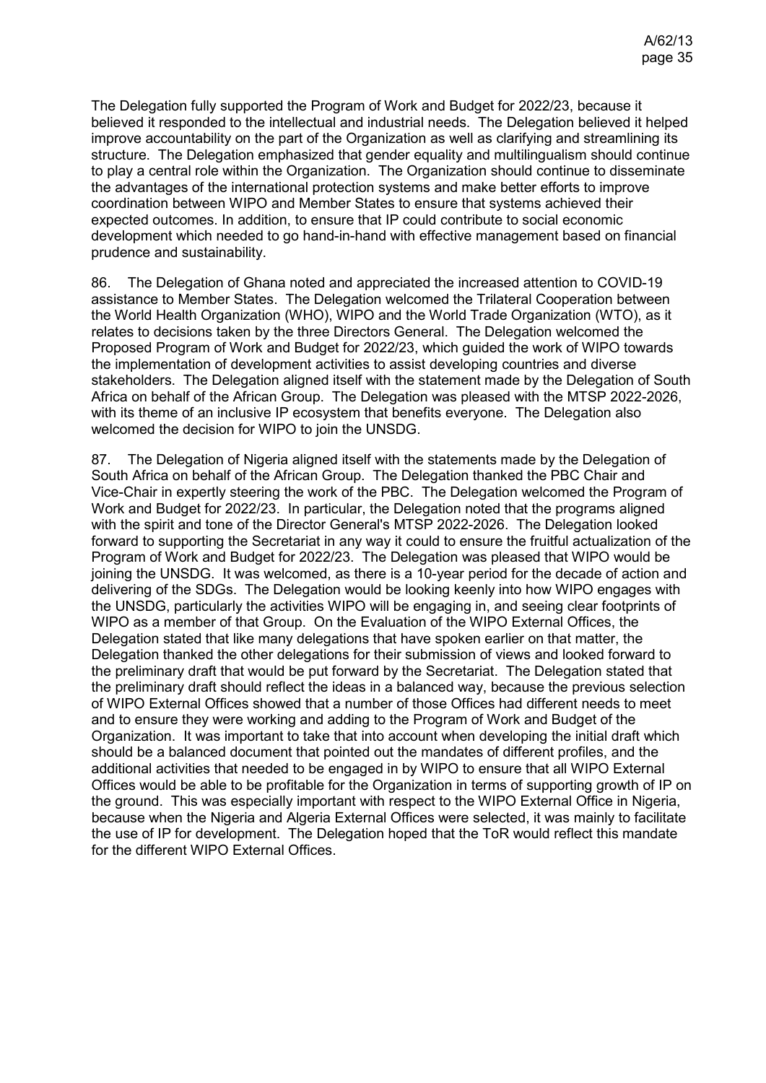The Delegation fully supported the Program of Work and Budget for 2022/23, because it believed it responded to the intellectual and industrial needs. The Delegation believed it helped improve accountability on the part of the Organization as well as clarifying and streamlining its structure. The Delegation emphasized that gender equality and multilingualism should continue to play a central role within the Organization. The Organization should continue to disseminate the advantages of the international protection systems and make better efforts to improve coordination between WIPO and Member States to ensure that systems achieved their expected outcomes. In addition, to ensure that IP could contribute to social economic development which needed to go hand-in-hand with effective management based on financial prudence and sustainability.

86. The Delegation of Ghana noted and appreciated the increased attention to COVID-19 assistance to Member States. The Delegation welcomed the Trilateral Cooperation between the World Health Organization (WHO), WIPO and the World Trade Organization (WTO), as it relates to decisions taken by the three Directors General. The Delegation welcomed the Proposed Program of Work and Budget for 2022/23, which guided the work of WIPO towards the implementation of development activities to assist developing countries and diverse stakeholders. The Delegation aligned itself with the statement made by the Delegation of South Africa on behalf of the African Group. The Delegation was pleased with the MTSP 2022-2026, with its theme of an inclusive IP ecosystem that benefits everyone. The Delegation also welcomed the decision for WIPO to join the UNSDG.

87. The Delegation of Nigeria aligned itself with the statements made by the Delegation of South Africa on behalf of the African Group. The Delegation thanked the PBC Chair and Vice-Chair in expertly steering the work of the PBC. The Delegation welcomed the Program of Work and Budget for 2022/23. In particular, the Delegation noted that the programs aligned with the spirit and tone of the Director General's MTSP 2022-2026. The Delegation looked forward to supporting the Secretariat in any way it could to ensure the fruitful actualization of the Program of Work and Budget for 2022/23. The Delegation was pleased that WIPO would be joining the UNSDG. It was welcomed, as there is a 10-year period for the decade of action and delivering of the SDGs. The Delegation would be looking keenly into how WIPO engages with the UNSDG, particularly the activities WIPO will be engaging in, and seeing clear footprints of WIPO as a member of that Group. On the Evaluation of the WIPO External Offices, the Delegation stated that like many delegations that have spoken earlier on that matter, the Delegation thanked the other delegations for their submission of views and looked forward to the preliminary draft that would be put forward by the Secretariat. The Delegation stated that the preliminary draft should reflect the ideas in a balanced way, because the previous selection of WIPO External Offices showed that a number of those Offices had different needs to meet and to ensure they were working and adding to the Program of Work and Budget of the Organization. It was important to take that into account when developing the initial draft which should be a balanced document that pointed out the mandates of different profiles, and the additional activities that needed to be engaged in by WIPO to ensure that all WIPO External Offices would be able to be profitable for the Organization in terms of supporting growth of IP on the ground. This was especially important with respect to the WIPO External Office in Nigeria, because when the Nigeria and Algeria External Offices were selected, it was mainly to facilitate the use of IP for development. The Delegation hoped that the ToR would reflect this mandate for the different WIPO External Offices.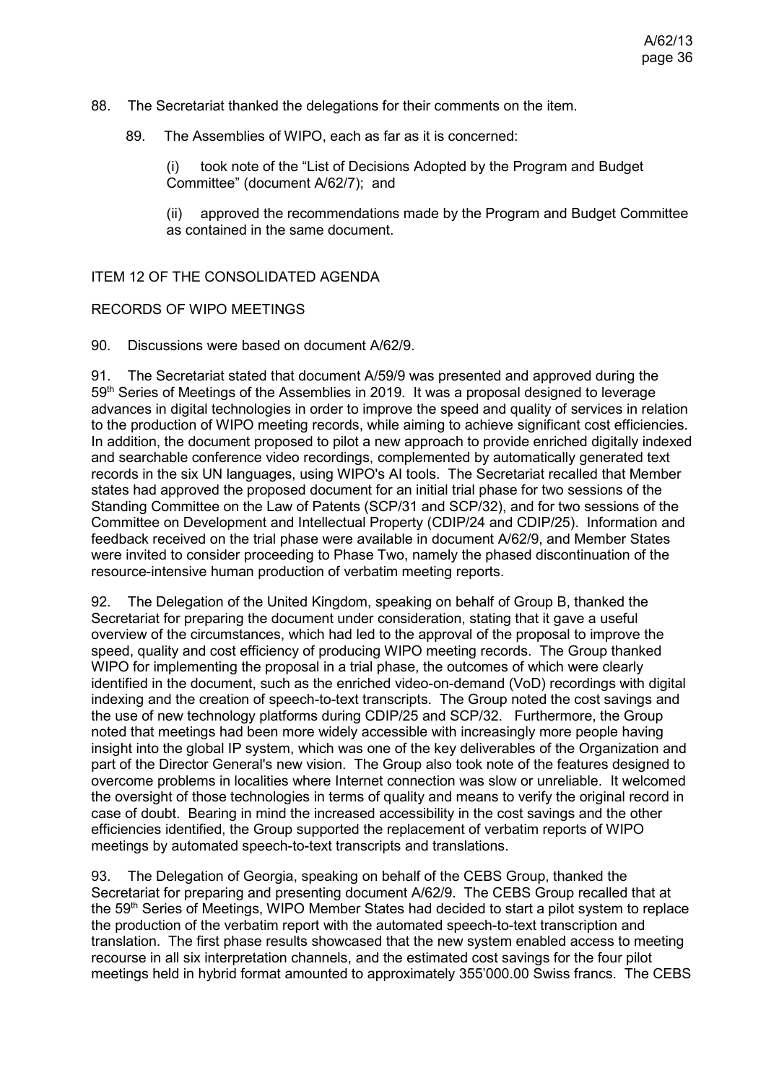- 88. The Secretariat thanked the delegations for their comments on the item.
	- 89. The Assemblies of WIPO, each as far as it is concerned:

(i) took note of the "List of Decisions Adopted by the Program and Budget Committee" (document A/62/7); and

(ii) approved the recommendations made by the Program and Budget Committee as contained in the same document.

ITEM 12 OF THE CONSOLIDATED AGENDA

#### RECORDS OF WIPO MEETINGS

90. Discussions were based on document [A/62/9.](https://www.wipo.int/about-wipo/en/assemblies/2021/a_62/doc_details.jsp?doc_id=547754)

91. The Secretariat stated that document A/59/9 was presented and approved during the 59<sup>th</sup> Series of Meetings of the Assemblies in 2019. It was a proposal designed to leverage advances in digital technologies in order to improve the speed and quality of services in relation to the production of WIPO meeting records, while aiming to achieve significant cost efficiencies. In addition, the document proposed to pilot a new approach to provide enriched digitally indexed and searchable conference video recordings, complemented by automatically generated text records in the six UN languages, using WIPO's AI tools. The Secretariat recalled that Member states had approved the proposed document for an initial trial phase for two sessions of the Standing Committee on the Law of Patents (SCP/31 and SCP/32), and for two sessions of the Committee on Development and Intellectual Property (CDIP/24 and CDIP/25). Information and feedback received on the trial phase were available in document A/62/9, and Member States were invited to consider proceeding to Phase Two, namely the phased discontinuation of the resource-intensive human production of verbatim meeting reports.

92. The Delegation of the United Kingdom, speaking on behalf of Group B, thanked the Secretariat for preparing the document under consideration, stating that it gave a useful overview of the circumstances, which had led to the approval of the proposal to improve the speed, quality and cost efficiency of producing WIPO meeting records. The Group thanked WIPO for implementing the proposal in a trial phase, the outcomes of which were clearly identified in the document, such as the enriched video-on-demand (VoD) recordings with digital indexing and the creation of speech-to-text transcripts. The Group noted the cost savings and the use of new technology platforms during CDIP/25 and SCP/32. Furthermore, the Group noted that meetings had been more widely accessible with increasingly more people having insight into the global IP system, which was one of the key deliverables of the Organization and part of the Director General's new vision. The Group also took note of the features designed to overcome problems in localities where Internet connection was slow or unreliable. It welcomed the oversight of those technologies in terms of quality and means to verify the original record in case of doubt. Bearing in mind the increased accessibility in the cost savings and the other efficiencies identified, the Group supported the replacement of verbatim reports of WIPO meetings by automated speech-to-text transcripts and translations.

93. The Delegation of Georgia, speaking on behalf of the CEBS Group, thanked the Secretariat for preparing and presenting document A/62/9. The CEBS Group recalled that at the 59<sup>th</sup> Series of Meetings, WIPO Member States had decided to start a pilot system to replace the production of the verbatim report with the automated speech-to-text transcription and translation. The first phase results showcased that the new system enabled access to meeting recourse in all six interpretation channels, and the estimated cost savings for the four pilot meetings held in hybrid format amounted to approximately 355'000.00 Swiss francs. The CEBS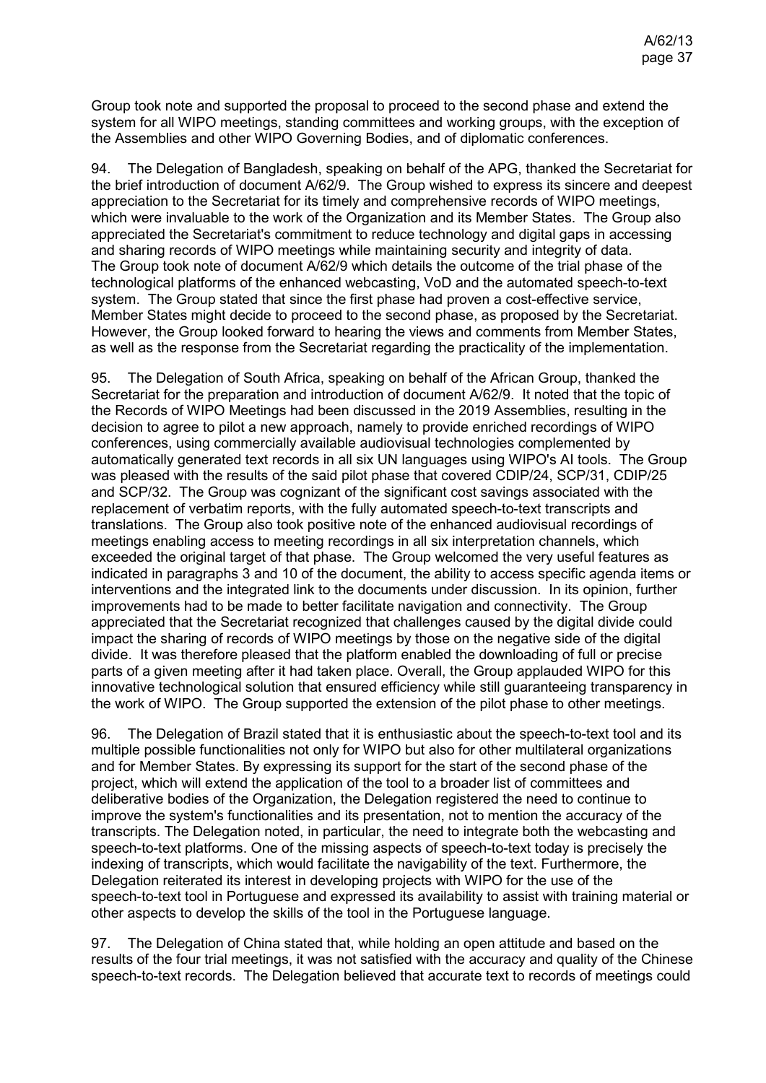Group took note and supported the proposal to proceed to the second phase and extend the system for all WIPO meetings, standing committees and working groups, with the exception of the Assemblies and other WIPO Governing Bodies, and of diplomatic conferences.

94. The Delegation of Bangladesh, speaking on behalf of the APG, thanked the Secretariat for the brief introduction of document A/62/9. The Group wished to express its sincere and deepest appreciation to the Secretariat for its timely and comprehensive records of WIPO meetings, which were invaluable to the work of the Organization and its Member States. The Group also appreciated the Secretariat's commitment to reduce technology and digital gaps in accessing and sharing records of WIPO meetings while maintaining security and integrity of data. The Group took note of document A/62/9 which details the outcome of the trial phase of the technological platforms of the enhanced webcasting, VoD and the automated speech-to-text system. The Group stated that since the first phase had proven a cost-effective service, Member States might decide to proceed to the second phase, as proposed by the Secretariat. However, the Group looked forward to hearing the views and comments from Member States, as well as the response from the Secretariat regarding the practicality of the implementation.

95. The Delegation of South Africa, speaking on behalf of the African Group, thanked the Secretariat for the preparation and introduction of document A/62/9. It noted that the topic of the Records of WIPO Meetings had been discussed in the 2019 Assemblies, resulting in the decision to agree to pilot a new approach, namely to provide enriched recordings of WIPO conferences, using commercially available audiovisual technologies complemented by automatically generated text records in all six UN languages using WIPO's AI tools. The Group was pleased with the results of the said pilot phase that covered CDIP/24, SCP/31, CDIP/25 and SCP/32. The Group was cognizant of the significant cost savings associated with the replacement of verbatim reports, with the fully automated speech-to-text transcripts and translations. The Group also took positive note of the enhanced audiovisual recordings of meetings enabling access to meeting recordings in all six interpretation channels, which exceeded the original target of that phase. The Group welcomed the very useful features as indicated in paragraphs 3 and 10 of the document, the ability to access specific agenda items or interventions and the integrated link to the documents under discussion. In its opinion, further improvements had to be made to better facilitate navigation and connectivity. The Group appreciated that the Secretariat recognized that challenges caused by the digital divide could impact the sharing of records of WIPO meetings by those on the negative side of the digital divide. It was therefore pleased that the platform enabled the downloading of full or precise parts of a given meeting after it had taken place. Overall, the Group applauded WIPO for this innovative technological solution that ensured efficiency while still guaranteeing transparency in the work of WIPO. The Group supported the extension of the pilot phase to other meetings.

96. The Delegation of Brazil stated that it is enthusiastic about the speech-to-text tool and its multiple possible functionalities not only for WIPO but also for other multilateral organizations and for Member States. By expressing its support for the start of the second phase of the project, which will extend the application of the tool to a broader list of committees and deliberative bodies of the Organization, the Delegation registered the need to continue to improve the system's functionalities and its presentation, not to mention the accuracy of the transcripts. The Delegation noted, in particular, the need to integrate both the webcasting and speech-to-text platforms. One of the missing aspects of speech-to-text today is precisely the indexing of transcripts, which would facilitate the navigability of the text. Furthermore, the Delegation reiterated its interest in developing projects with WIPO for the use of the speech-to-text tool in Portuguese and expressed its availability to assist with training material or other aspects to develop the skills of the tool in the Portuguese language.

97. The Delegation of China stated that, while holding an open attitude and based on the results of the four trial meetings, it was not satisfied with the accuracy and quality of the Chinese speech-to-text records. The Delegation believed that accurate text to records of meetings could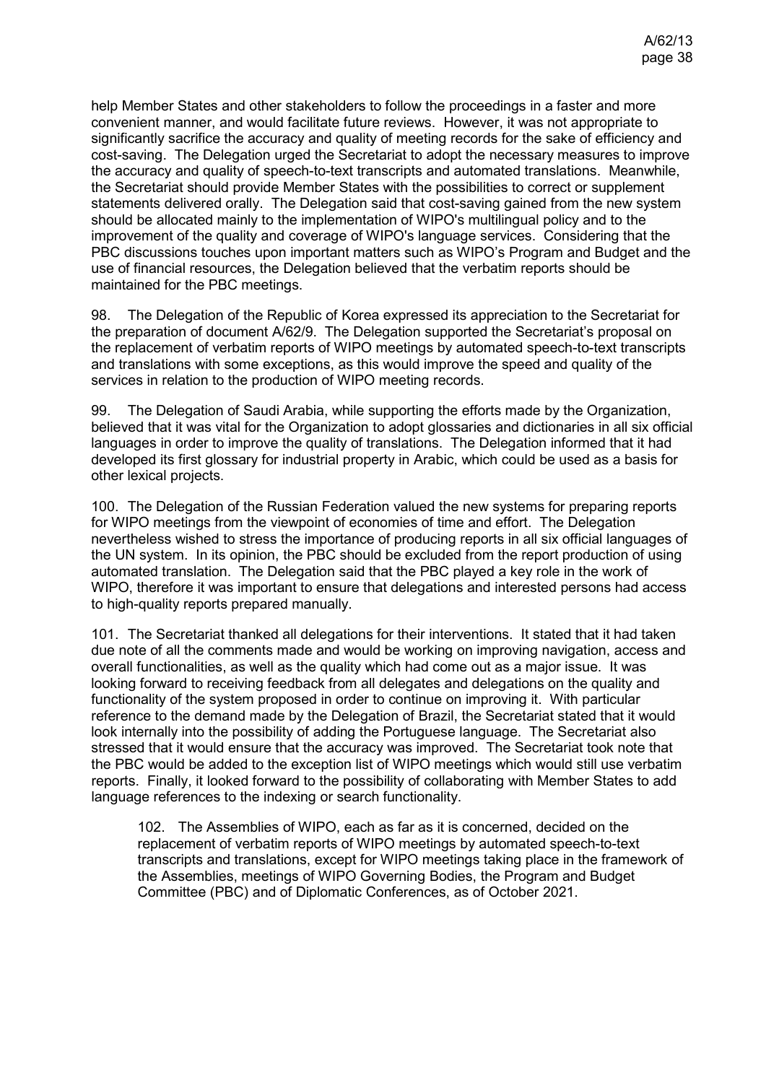help Member States and other stakeholders to follow the proceedings in a faster and more convenient manner, and would facilitate future reviews. However, it was not appropriate to significantly sacrifice the accuracy and quality of meeting records for the sake of efficiency and cost-saving. The Delegation urged the Secretariat to adopt the necessary measures to improve the accuracy and quality of speech-to-text transcripts and automated translations. Meanwhile, the Secretariat should provide Member States with the possibilities to correct or supplement statements delivered orally. The Delegation said that cost-saving gained from the new system should be allocated mainly to the implementation of WIPO's multilingual policy and to the improvement of the quality and coverage of WIPO's language services. Considering that the PBC discussions touches upon important matters such as WIPO's Program and Budget and the use of financial resources, the Delegation believed that the verbatim reports should be maintained for the PBC meetings.

98. The Delegation of the Republic of Korea expressed its appreciation to the Secretariat for the preparation of document A/62/9. The Delegation supported the Secretariat's proposal on the replacement of verbatim reports of WIPO meetings by automated speech-to-text transcripts and translations with some exceptions, as this would improve the speed and quality of the services in relation to the production of WIPO meeting records.

99. The Delegation of Saudi Arabia, while supporting the efforts made by the Organization, believed that it was vital for the Organization to adopt glossaries and dictionaries in all six official languages in order to improve the quality of translations. The Delegation informed that it had developed its first glossary for industrial property in Arabic, which could be used as a basis for other lexical projects.

100. The Delegation of the Russian Federation valued the new systems for preparing reports for WIPO meetings from the viewpoint of economies of time and effort. The Delegation nevertheless wished to stress the importance of producing reports in all six official languages of the UN system. In its opinion, the PBC should be excluded from the report production of using automated translation. The Delegation said that the PBC played a key role in the work of WIPO, therefore it was important to ensure that delegations and interested persons had access to high-quality reports prepared manually.

101. The Secretariat thanked all delegations for their interventions. It stated that it had taken due note of all the comments made and would be working on improving navigation, access and overall functionalities, as well as the quality which had come out as a major issue. It was looking forward to receiving feedback from all delegates and delegations on the quality and functionality of the system proposed in order to continue on improving it. With particular reference to the demand made by the Delegation of Brazil, the Secretariat stated that it would look internally into the possibility of adding the Portuguese language. The Secretariat also stressed that it would ensure that the accuracy was improved. The Secretariat took note that the PBC would be added to the exception list of WIPO meetings which would still use verbatim reports. Finally, it looked forward to the possibility of collaborating with Member States to add language references to the indexing or search functionality.

102. The Assemblies of WIPO, each as far as it is concerned, decided on the replacement of verbatim reports of WIPO meetings by automated speech-to-text transcripts and translations, except for WIPO meetings taking place in the framework of the Assemblies, meetings of WIPO Governing Bodies, the Program and Budget Committee (PBC) and of Diplomatic Conferences, as of October 2021.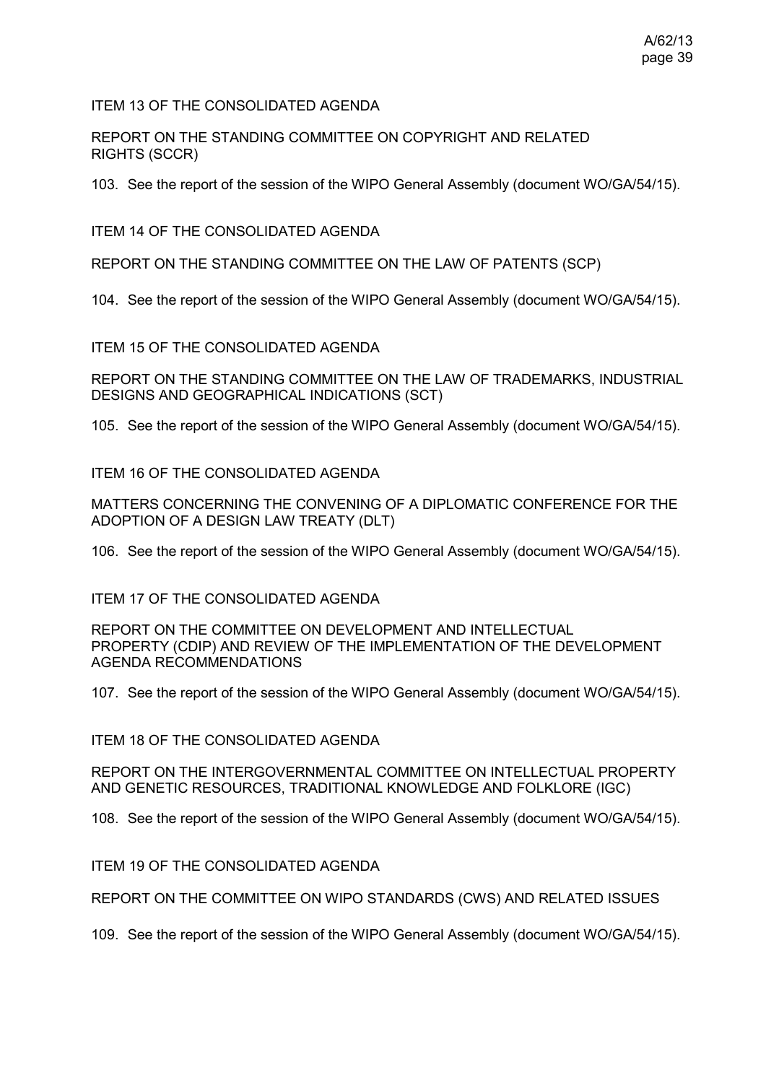ITEM 13 OF THE CONSOLIDATED AGENDA

REPORT ON THE STANDING COMMITTEE ON COPYRIGHT AND RELATED RIGHTS (SCCR)

103. See the report of the session of the WIPO General Assembly (document WO/GA/54/15).

ITEM 14 OF THE CONSOLIDATED AGENDA

REPORT ON THE STANDING COMMITTEE ON THE LAW OF PATENTS (SCP)

104. See the report of the session of the WIPO General Assembly (document WO/GA/54/15).

ITEM 15 OF THE CONSOLIDATED AGENDA

REPORT ON THE STANDING COMMITTEE ON THE LAW OF TRADEMARKS, INDUSTRIAL DESIGNS AND GEOGRAPHICAL INDICATIONS (SCT)

105. See the report of the session of the WIPO General Assembly (document WO/GA/54/15).

ITEM 16 OF THE CONSOLIDATED AGENDA

MATTERS CONCERNING THE CONVENING OF A DIPLOMATIC CONFERENCE FOR THE ADOPTION OF A DESIGN LAW TREATY (DLT)

106. See the report of the session of the WIPO General Assembly (document WO/GA/54/15).

ITEM 17 OF THE CONSOLIDATED AGENDA

REPORT ON THE COMMITTEE ON DEVELOPMENT AND INTELLECTUAL PROPERTY (CDIP) AND REVIEW OF THE IMPLEMENTATION OF THE DEVELOPMENT AGENDA RECOMMENDATIONS

107. See the report of the session of the WIPO General Assembly (document WO/GA/54/15).

ITEM 18 OF THE CONSOLIDATED AGENDA

REPORT ON THE INTERGOVERNMENTAL COMMITTEE ON INTELLECTUAL PROPERTY AND GENETIC RESOURCES, TRADITIONAL KNOWLEDGE AND FOLKLORE (IGC)

108. See the report of the session of the WIPO General Assembly (document WO/GA/54/15).

ITEM 19 OF THE CONSOLIDATED AGENDA

REPORT ON THE COMMITTEE ON WIPO STANDARDS (CWS) AND RELATED ISSUES

109. See the report of the session of the WIPO General Assembly (document WO/GA/54/15).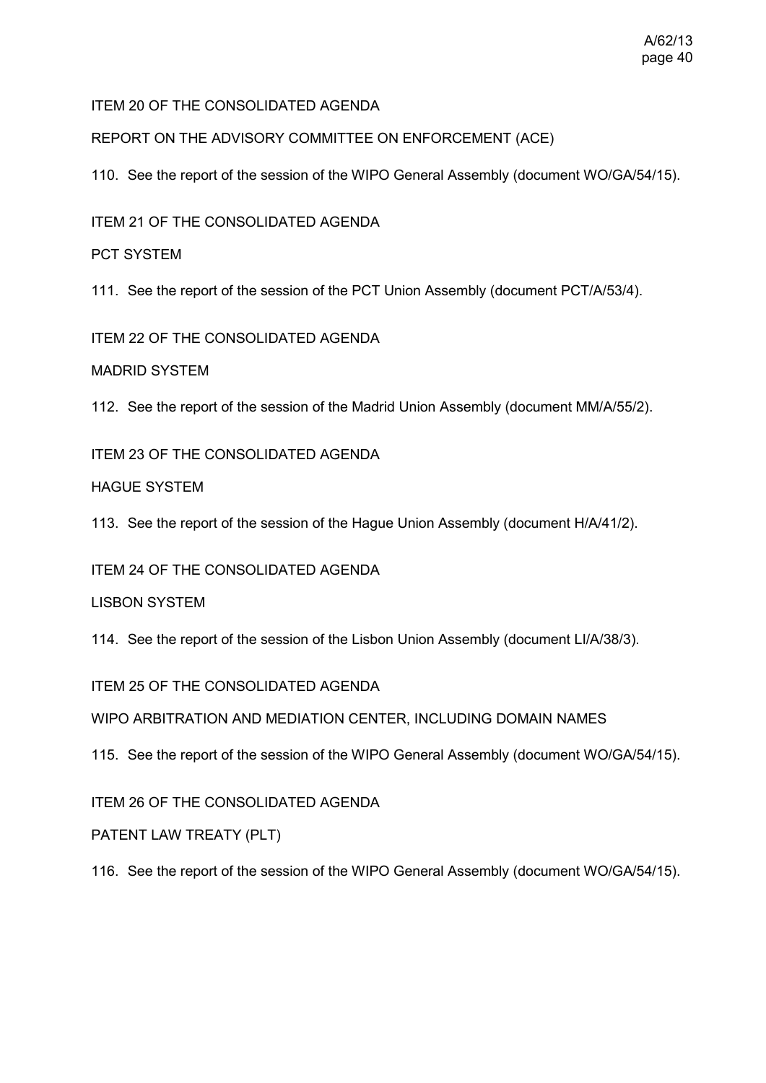#### A/62/13 page 40

# ITEM 20 OF THE CONSOLIDATED AGENDA

REPORT ON THE ADVISORY COMMITTEE ON ENFORCEMENT (ACE)

110. See the report of the session of the WIPO General Assembly (document WO/GA/54/15).

ITEM 21 OF THE CONSOLIDATED AGENDA

PCT SYSTEM

111. See the report of the session of the PCT Union Assembly (document PCT/A/53/4).

ITEM 22 OF THE CONSOLIDATED AGENDA

MADRID SYSTEM

112. See the report of the session of the Madrid Union Assembly (document MM/A/55/2).

ITEM 23 OF THE CONSOLIDATED AGENDA

HAGUE SYSTEM

113. See the report of the session of the Hague Union Assembly (document H/A/41/2).

ITEM 24 OF THE CONSOLIDATED AGENDA

LISBON SYSTEM

114. See the report of the session of the Lisbon Union Assembly (document LI/A/38/3).

ITEM 25 OF THE CONSOLIDATED AGENDA

WIPO ARBITRATION AND MEDIATION CENTER, INCLUDING DOMAIN NAMES

115. See the report of the session of the WIPO General Assembly (document WO/GA/54/15).

ITEM 26 OF THE CONSOLIDATED AGENDA

PATENT LAW TREATY (PLT)

116. See the report of the session of the WIPO General Assembly (document WO/GA/54/15).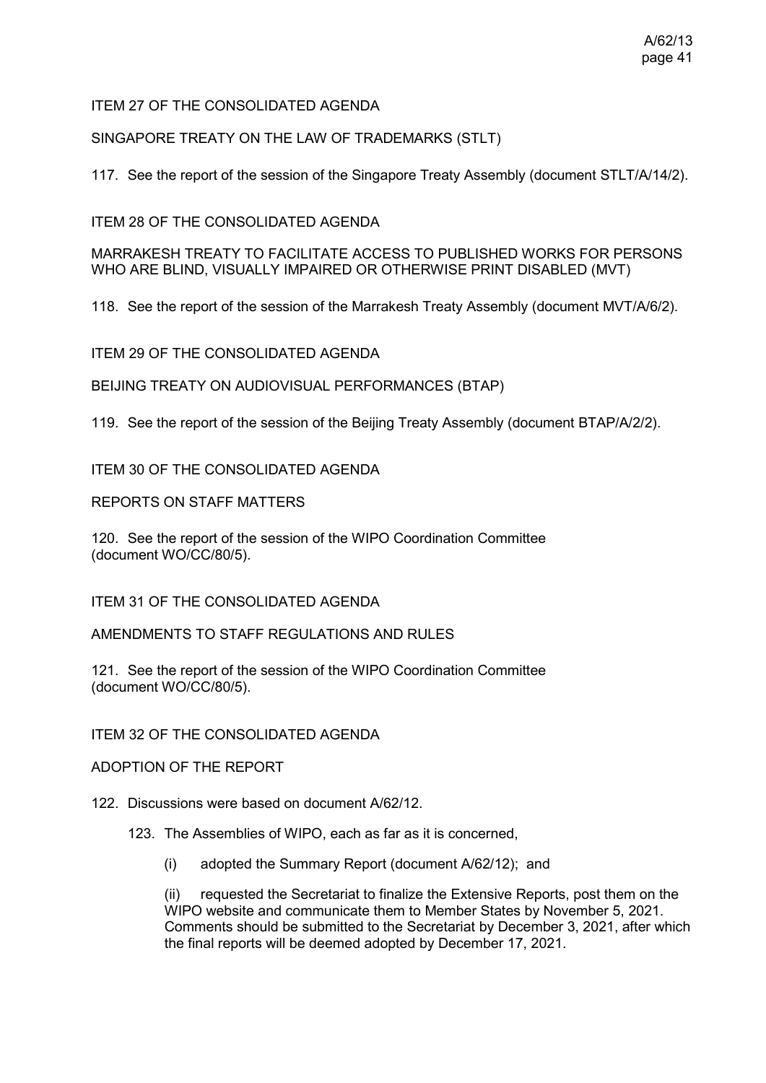## ITEM 27 OF THE CONSOLIDATED AGENDA

SINGAPORE TREATY ON THE LAW OF TRADEMARKS (STLT)

117. See the report of the session of the Singapore Treaty Assembly (document STLT/A/14/2).

ITEM 28 OF THE CONSOLIDATED AGENDA

MARRAKESH TREATY TO FACILITATE ACCESS TO PUBLISHED WORKS FOR PERSONS WHO ARE BLIND, VISUALLY IMPAIRED OR OTHERWISE PRINT DISABLED (MVT)

118. See the report of the session of the Marrakesh Treaty Assembly (document MVT/A/6/2).

ITEM 29 OF THE CONSOLIDATED AGENDA

BEIJING TREATY ON AUDIOVISUAL PERFORMANCES (BTAP)

119. See the report of the session of the Beijing Treaty Assembly (document BTAP/A/2/2).

ITEM 30 OF THE CONSOLIDATED AGENDA

REPORTS ON STAFF MATTERS

120. See the report of the session of the WIPO Coordination Committee (document WO/CC/80/5).

ITEM 31 OF THE CONSOLIDATED AGENDA

AMENDMENTS TO STAFF REGULATIONS AND RULES

121. See the report of the session of the WIPO Coordination Committee (document WO/CC/80/5).

ITEM 32 OF THE CONSOLIDATED AGENDA

ADOPTION OF THE REPORT

122. Discussions were based on document [A/62/12.](https://www.wipo.int/about-wipo/en/assemblies/2021/a_62/doc_details.jsp?doc_id=552851)

123. The Assemblies of WIPO, each as far as it is concerned,

(i) adopted the Summary Report (document A/62/12); and

(ii) requested the Secretariat to finalize the Extensive Reports, post them on the WIPO website and communicate them to Member States by November 5, 2021. Comments should be submitted to the Secretariat by December 3, 2021, after which the final reports will be deemed adopted by December 17, 2021.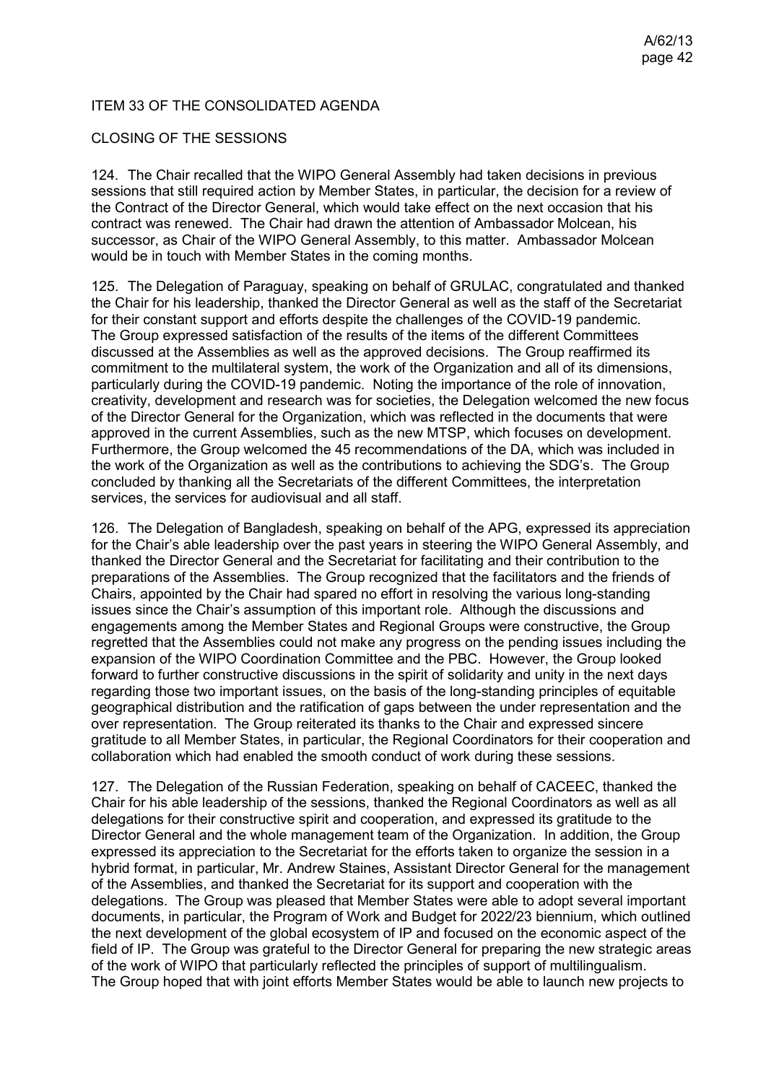## ITEM 33 OF THE CONSOLIDATED AGENDA

### CLOSING OF THE SESSIONS

124. The Chair recalled that the WIPO General Assembly had taken decisions in previous sessions that still required action by Member States, in particular, the decision for a review of the Contract of the Director General, which would take effect on the next occasion that his contract was renewed. The Chair had drawn the attention of Ambassador Molcean, his successor, as Chair of the WIPO General Assembly, to this matter. Ambassador Molcean would be in touch with Member States in the coming months.

125. The Delegation of Paraguay, speaking on behalf of GRULAC, congratulated and thanked the Chair for his leadership, thanked the Director General as well as the staff of the Secretariat for their constant support and efforts despite the challenges of the COVID-19 pandemic. The Group expressed satisfaction of the results of the items of the different Committees discussed at the Assemblies as well as the approved decisions. The Group reaffirmed its commitment to the multilateral system, the work of the Organization and all of its dimensions, particularly during the COVID-19 pandemic. Noting the importance of the role of innovation, creativity, development and research was for societies, the Delegation welcomed the new focus of the Director General for the Organization, which was reflected in the documents that were approved in the current Assemblies, such as the new MTSP, which focuses on development. Furthermore, the Group welcomed the 45 recommendations of the DA, which was included in the work of the Organization as well as the contributions to achieving the SDG's. The Group concluded by thanking all the Secretariats of the different Committees, the interpretation services, the services for audiovisual and all staff.

126. The Delegation of Bangladesh, speaking on behalf of the APG, expressed its appreciation for the Chair's able leadership over the past years in steering the WIPO General Assembly, and thanked the Director General and the Secretariat for facilitating and their contribution to the preparations of the Assemblies. The Group recognized that the facilitators and the friends of Chairs, appointed by the Chair had spared no effort in resolving the various long-standing issues since the Chair's assumption of this important role. Although the discussions and engagements among the Member States and Regional Groups were constructive, the Group regretted that the Assemblies could not make any progress on the pending issues including the expansion of the WIPO Coordination Committee and the PBC. However, the Group looked forward to further constructive discussions in the spirit of solidarity and unity in the next days regarding those two important issues, on the basis of the long-standing principles of equitable geographical distribution and the ratification of gaps between the under representation and the over representation. The Group reiterated its thanks to the Chair and expressed sincere gratitude to all Member States, in particular, the Regional Coordinators for their cooperation and collaboration which had enabled the smooth conduct of work during these sessions.

127. The Delegation of the Russian Federation, speaking on behalf of CACEEC, thanked the Chair for his able leadership of the sessions, thanked the Regional Coordinators as well as all delegations for their constructive spirit and cooperation, and expressed its gratitude to the Director General and the whole management team of the Organization. In addition, the Group expressed its appreciation to the Secretariat for the efforts taken to organize the session in a hybrid format, in particular, Mr. Andrew Staines, Assistant Director General for the management of the Assemblies, and thanked the Secretariat for its support and cooperation with the delegations. The Group was pleased that Member States were able to adopt several important documents, in particular, the Program of Work and Budget for 2022/23 biennium, which outlined the next development of the global ecosystem of IP and focused on the economic aspect of the field of IP. The Group was grateful to the Director General for preparing the new strategic areas of the work of WIPO that particularly reflected the principles of support of multilingualism. The Group hoped that with joint efforts Member States would be able to launch new projects to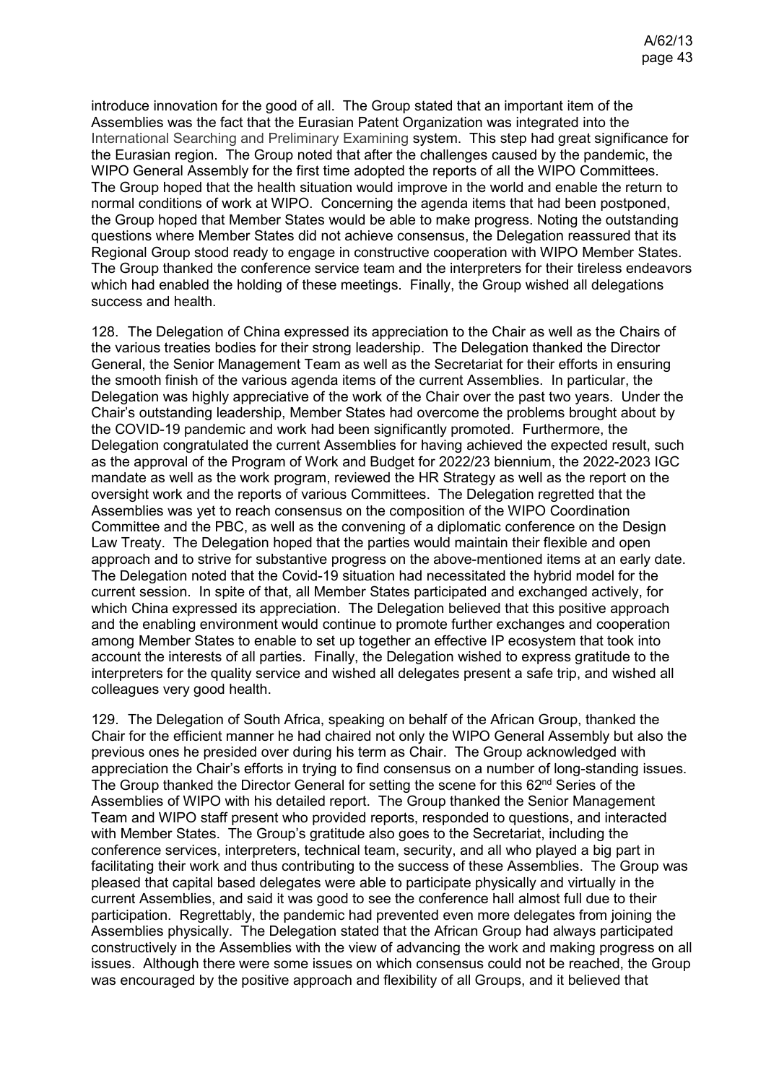introduce innovation for the good of all. The Group stated that an important item of the Assemblies was the fact that the Eurasian Patent Organization was integrated into the International Searching and Preliminary Examining system. This step had great significance for the Eurasian region. The Group noted that after the challenges caused by the pandemic, the WIPO General Assembly for the first time adopted the reports of all the WIPO Committees. The Group hoped that the health situation would improve in the world and enable the return to normal conditions of work at WIPO. Concerning the agenda items that had been postponed, the Group hoped that Member States would be able to make progress. Noting the outstanding questions where Member States did not achieve consensus, the Delegation reassured that its Regional Group stood ready to engage in constructive cooperation with WIPO Member States. The Group thanked the conference service team and the interpreters for their tireless endeavors which had enabled the holding of these meetings. Finally, the Group wished all delegations success and health.

128. The Delegation of China expressed its appreciation to the Chair as well as the Chairs of the various treaties bodies for their strong leadership. The Delegation thanked the Director General, the Senior Management Team as well as the Secretariat for their efforts in ensuring the smooth finish of the various agenda items of the current Assemblies. In particular, the Delegation was highly appreciative of the work of the Chair over the past two years. Under the Chair's outstanding leadership, Member States had overcome the problems brought about by the COVID-19 pandemic and work had been significantly promoted. Furthermore, the Delegation congratulated the current Assemblies for having achieved the expected result, such as the approval of the Program of Work and Budget for 2022/23 biennium, the 2022-2023 IGC mandate as well as the work program, reviewed the HR Strategy as well as the report on the oversight work and the reports of various Committees. The Delegation regretted that the Assemblies was yet to reach consensus on the composition of the WIPO Coordination Committee and the PBC, as well as the convening of a diplomatic conference on the Design Law Treaty. The Delegation hoped that the parties would maintain their flexible and open approach and to strive for substantive progress on the above-mentioned items at an early date. The Delegation noted that the Covid-19 situation had necessitated the hybrid model for the current session. In spite of that, all Member States participated and exchanged actively, for which China expressed its appreciation. The Delegation believed that this positive approach and the enabling environment would continue to promote further exchanges and cooperation among Member States to enable to set up together an effective IP ecosystem that took into account the interests of all parties. Finally, the Delegation wished to express gratitude to the interpreters for the quality service and wished all delegates present a safe trip, and wished all colleagues very good health.

129. The Delegation of South Africa, speaking on behalf of the African Group, thanked the Chair for the efficient manner he had chaired not only the WIPO General Assembly but also the previous ones he presided over during his term as Chair. The Group acknowledged with appreciation the Chair's efforts in trying to find consensus on a number of long-standing issues. The Group thanked the Director General for setting the scene for this 62<sup>nd</sup> Series of the Assemblies of WIPO with his detailed report. The Group thanked the Senior Management Team and WIPO staff present who provided reports, responded to questions, and interacted with Member States. The Group's gratitude also goes to the Secretariat, including the conference services, interpreters, technical team, security, and all who played a big part in facilitating their work and thus contributing to the success of these Assemblies. The Group was pleased that capital based delegates were able to participate physically and virtually in the current Assemblies, and said it was good to see the conference hall almost full due to their participation. Regrettably, the pandemic had prevented even more delegates from joining the Assemblies physically. The Delegation stated that the African Group had always participated constructively in the Assemblies with the view of advancing the work and making progress on all issues. Although there were some issues on which consensus could not be reached, the Group was encouraged by the positive approach and flexibility of all Groups, and it believed that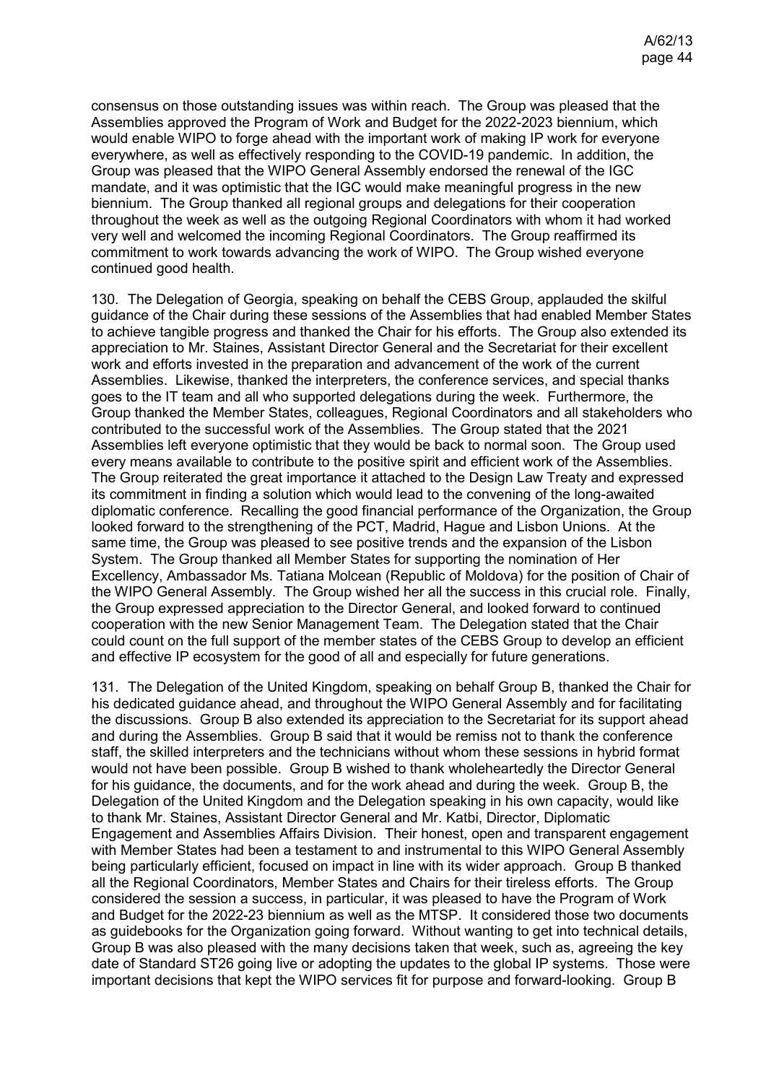consensus on those outstanding issues was within reach. The Group was pleased that the Assemblies approved the Program of Work and Budget for the 2022-2023 biennium, which would enable WIPO to forge ahead with the important work of making IP work for everyone everywhere, as well as effectively responding to the COVID-19 pandemic. In addition, the Group was pleased that the WIPO General Assembly endorsed the renewal of the IGC mandate, and it was optimistic that the IGC would make meaningful progress in the new biennium. The Group thanked all regional groups and delegations for their cooperation throughout the week as well as the outgoing Regional Coordinators with whom it had worked very well and welcomed the incoming Regional Coordinators. The Group reaffirmed its commitment to work towards advancing the work of WIPO. The Group wished everyone continued good health.

130. The Delegation of Georgia, speaking on behalf the CEBS Group, applauded the skilful guidance of the Chair during these sessions of the Assemblies that had enabled Member States to achieve tangible progress and thanked the Chair for his efforts. The Group also extended its appreciation to Mr. Staines, Assistant Director General and the Secretariat for their excellent work and efforts invested in the preparation and advancement of the work of the current Assemblies. Likewise, thanked the interpreters, the conference services, and special thanks goes to the IT team and all who supported delegations during the week. Furthermore, the Group thanked the Member States, colleagues, Regional Coordinators and all stakeholders who contributed to the successful work of the Assemblies. The Group stated that the 2021 Assemblies left everyone optimistic that they would be back to normal soon. The Group used every means available to contribute to the positive spirit and efficient work of the Assemblies. The Group reiterated the great importance it attached to the Design Law Treaty and expressed its commitment in finding a solution which would lead to the convening of the long-awaited diplomatic conference. Recalling the good financial performance of the Organization, the Group looked forward to the strengthening of the PCT, Madrid, Hague and Lisbon Unions. At the same time, the Group was pleased to see positive trends and the expansion of the Lisbon System. The Group thanked all Member States for supporting the nomination of Her Excellency, Ambassador Ms. Tatiana Molcean (Republic of Moldova) for the position of Chair of the WIPO General Assembly. The Group wished her all the success in this crucial role. Finally, the Group expressed appreciation to the Director General, and looked forward to continued cooperation with the new Senior Management Team. The Delegation stated that the Chair could count on the full support of the member states of the CEBS Group to develop an efficient and effective IP ecosystem for the good of all and especially for future generations.

131. The Delegation of the United Kingdom, speaking on behalf Group B, thanked the Chair for his dedicated guidance ahead, and throughout the WIPO General Assembly and for facilitating the discussions. Group B also extended its appreciation to the Secretariat for its support ahead and during the Assemblies. Group B said that it would be remiss not to thank the conference staff, the skilled interpreters and the technicians without whom these sessions in hybrid format would not have been possible. Group B wished to thank wholeheartedly the Director General for his guidance, the documents, and for the work ahead and during the week. Group B, the Delegation of the United Kingdom and the Delegation speaking in his own capacity, would like to thank Mr. Staines, Assistant Director General and Mr. Katbi, Director, Diplomatic Engagement and Assemblies Affairs Division. Their honest, open and transparent engagement with Member States had been a testament to and instrumental to this WIPO General Assembly being particularly efficient, focused on impact in line with its wider approach. Group B thanked all the Regional Coordinators, Member States and Chairs for their tireless efforts. The Group considered the session a success, in particular, it was pleased to have the Program of Work and Budget for the 2022-23 biennium as well as the MTSP. It considered those two documents as guidebooks for the Organization going forward. Without wanting to get into technical details, Group B was also pleased with the many decisions taken that week, such as, agreeing the key date of Standard ST26 going live or adopting the updates to the global IP systems. Those were important decisions that kept the WIPO services fit for purpose and forward-looking. Group B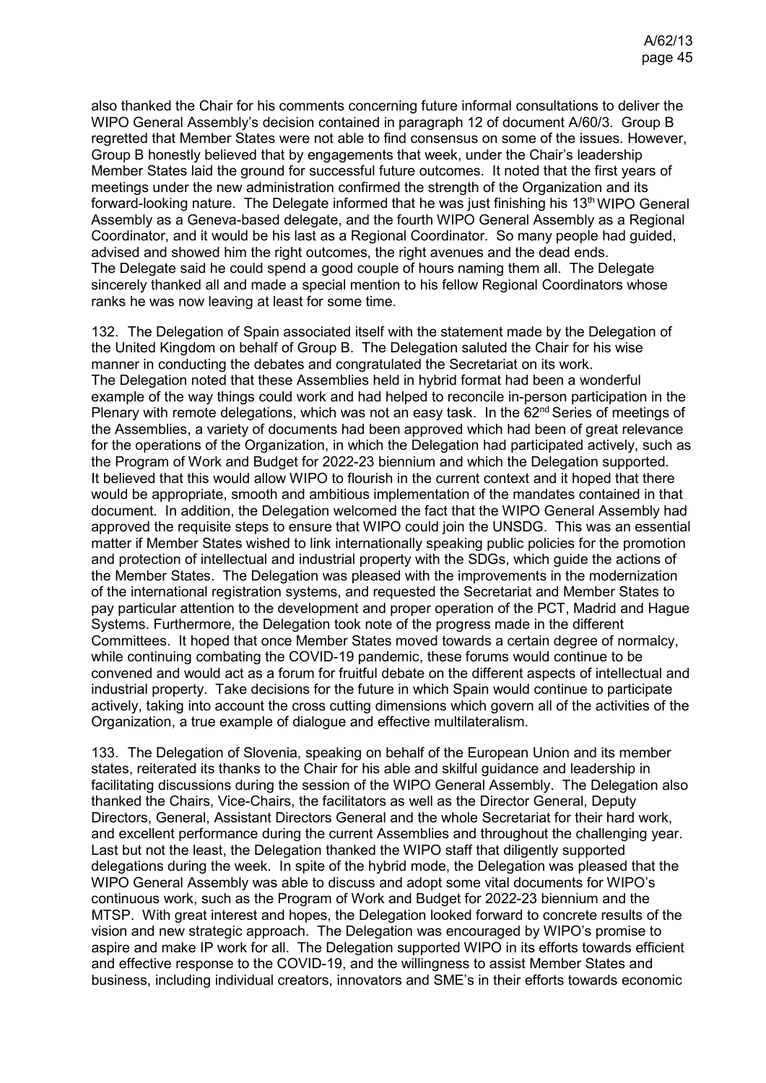also thanked the Chair for his comments concerning future informal consultations to deliver the WIPO General Assembly's decision contained in paragraph 12 of document A/60/3. Group B regretted that Member States were not able to find consensus on some of the issues. However, Group B honestly believed that by engagements that week, under the Chair's leadership Member States laid the ground for successful future outcomes. It noted that the first years of meetings under the new administration confirmed the strength of the Organization and its forward-looking nature. The Delegate informed that he was just finishing his 13<sup>th</sup> WIPO General Assembly as a Geneva-based delegate, and the fourth WIPO General Assembly as a Regional Coordinator, and it would be his last as a Regional Coordinator. So many people had guided, advised and showed him the right outcomes, the right avenues and the dead ends. The Delegate said he could spend a good couple of hours naming them all. The Delegate sincerely thanked all and made a special mention to his fellow Regional Coordinators whose ranks he was now leaving at least for some time.

132. The Delegation of Spain associated itself with the statement made by the Delegation of the United Kingdom on behalf of Group B. The Delegation saluted the Chair for his wise manner in conducting the debates and congratulated the Secretariat on its work. The Delegation noted that these Assemblies held in hybrid format had been a wonderful example of the way things could work and had helped to reconcile in-person participation in the Plenary with remote delegations, which was not an easy task. In the 62<sup>nd</sup> Series of meetings of the Assemblies, a variety of documents had been approved which had been of great relevance for the operations of the Organization, in which the Delegation had participated actively, such as the Program of Work and Budget for 2022-23 biennium and which the Delegation supported. It believed that this would allow WIPO to flourish in the current context and it hoped that there would be appropriate, smooth and ambitious implementation of the mandates contained in that document. In addition, the Delegation welcomed the fact that the WIPO General Assembly had approved the requisite steps to ensure that WIPO could join the UNSDG. This was an essential matter if Member States wished to link internationally speaking public policies for the promotion and protection of intellectual and industrial property with the SDGs, which guide the actions of the Member States. The Delegation was pleased with the improvements in the modernization of the international registration systems, and requested the Secretariat and Member States to pay particular attention to the development and proper operation of the PCT, Madrid and Hague Systems. Furthermore, the Delegation took note of the progress made in the different Committees. It hoped that once Member States moved towards a certain degree of normalcy, while continuing combating the COVID-19 pandemic, these forums would continue to be convened and would act as a forum for fruitful debate on the different aspects of intellectual and industrial property. Take decisions for the future in which Spain would continue to participate actively, taking into account the cross cutting dimensions which govern all of the activities of the Organization, a true example of dialogue and effective multilateralism.

133. The Delegation of Slovenia, speaking on behalf of the European Union and its member states, reiterated its thanks to the Chair for his able and skilful guidance and leadership in facilitating discussions during the session of the WIPO General Assembly. The Delegation also thanked the Chairs, Vice-Chairs, the facilitators as well as the Director General, Deputy Directors, General, Assistant Directors General and the whole Secretariat for their hard work, and excellent performance during the current Assemblies and throughout the challenging year. Last but not the least, the Delegation thanked the WIPO staff that diligently supported delegations during the week. In spite of the hybrid mode, the Delegation was pleased that the WIPO General Assembly was able to discuss and adopt some vital documents for WIPO's continuous work, such as the Program of Work and Budget for 2022-23 biennium and the MTSP. With great interest and hopes, the Delegation looked forward to concrete results of the vision and new strategic approach. The Delegation was encouraged by WIPO's promise to aspire and make IP work for all. The Delegation supported WIPO in its efforts towards efficient and effective response to the COVID-19, and the willingness to assist Member States and business, including individual creators, innovators and SME's in their efforts towards economic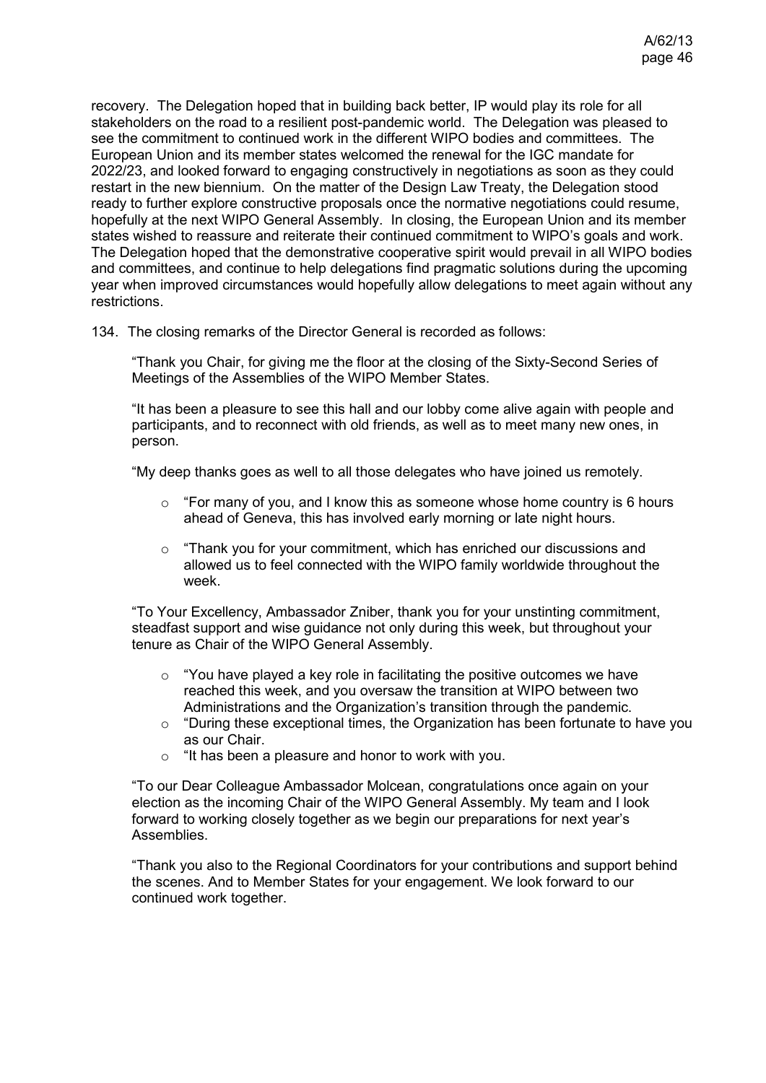recovery. The Delegation hoped that in building back better, IP would play its role for all stakeholders on the road to a resilient post-pandemic world. The Delegation was pleased to see the commitment to continued work in the different WIPO bodies and committees. The European Union and its member states welcomed the renewal for the IGC mandate for 2022/23, and looked forward to engaging constructively in negotiations as soon as they could restart in the new biennium. On the matter of the Design Law Treaty, the Delegation stood ready to further explore constructive proposals once the normative negotiations could resume, hopefully at the next WIPO General Assembly. In closing, the European Union and its member states wished to reassure and reiterate their continued commitment to WIPO's goals and work. The Delegation hoped that the demonstrative cooperative spirit would prevail in all WIPO bodies and committees, and continue to help delegations find pragmatic solutions during the upcoming year when improved circumstances would hopefully allow delegations to meet again without any restrictions.

134. The closing remarks of the Director General is recorded as follows:

"Thank you Chair, for giving me the floor at the closing of the Sixty-Second Series of Meetings of the Assemblies of the WIPO Member States.

"It has been a pleasure to see this hall and our lobby come alive again with people and participants, and to reconnect with old friends, as well as to meet many new ones, in person.

"My deep thanks goes as well to all those delegates who have joined us remotely.

- $\circ$  "For many of you, and I know this as someone whose home country is 6 hours ahead of Geneva, this has involved early morning or late night hours.
- $\circ$  "Thank you for your commitment, which has enriched our discussions and allowed us to feel connected with the WIPO family worldwide throughout the week.

"To Your Excellency, Ambassador Zniber, thank you for your unstinting commitment, steadfast support and wise guidance not only during this week, but throughout your tenure as Chair of the WIPO General Assembly.

- $\circ$  "You have played a key role in facilitating the positive outcomes we have reached this week, and you oversaw the transition at WIPO between two Administrations and the Organization's transition through the pandemic.
- o "During these exceptional times, the Organization has been fortunate to have you as our Chair.
- o "It has been a pleasure and honor to work with you.

"To our Dear Colleague Ambassador Molcean, congratulations once again on your election as the incoming Chair of the WIPO General Assembly. My team and I look forward to working closely together as we begin our preparations for next year's Assemblies.

"Thank you also to the Regional Coordinators for your contributions and support behind the scenes. And to Member States for your engagement. We look forward to our continued work together.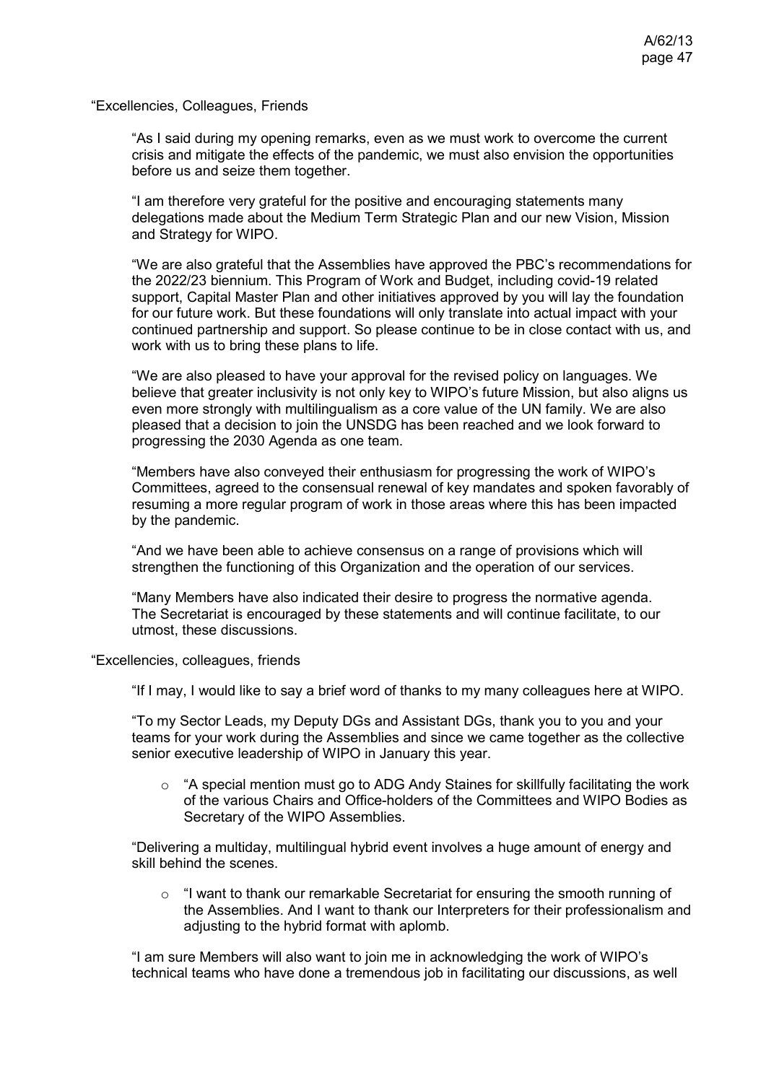"Excellencies, Colleagues, Friends

"As I said during my opening remarks, even as we must work to overcome the current crisis and mitigate the effects of the pandemic, we must also envision the opportunities before us and seize them together.

"I am therefore very grateful for the positive and encouraging statements many delegations made about the Medium Term Strategic Plan and our new Vision, Mission and Strategy for WIPO.

"We are also grateful that the Assemblies have approved the PBC's recommendations for the 2022/23 biennium. This Program of Work and Budget, including covid-19 related support, Capital Master Plan and other initiatives approved by you will lay the foundation for our future work. But these foundations will only translate into actual impact with your continued partnership and support. So please continue to be in close contact with us, and work with us to bring these plans to life.

"We are also pleased to have your approval for the revised policy on languages. We believe that greater inclusivity is not only key to WIPO's future Mission, but also aligns us even more strongly with multilingualism as a core value of the UN family. We are also pleased that a decision to join the UNSDG has been reached and we look forward to progressing the 2030 Agenda as one team.

"Members have also conveyed their enthusiasm for progressing the work of WIPO's Committees, agreed to the consensual renewal of key mandates and spoken favorably of resuming a more regular program of work in those areas where this has been impacted by the pandemic.

"And we have been able to achieve consensus on a range of provisions which will strengthen the functioning of this Organization and the operation of our services.

"Many Members have also indicated their desire to progress the normative agenda. The Secretariat is encouraged by these statements and will continue facilitate, to our utmost, these discussions.

"Excellencies, colleagues, friends

"If I may, I would like to say a brief word of thanks to my many colleagues here at WIPO.

"To my Sector Leads, my Deputy DGs and Assistant DGs, thank you to you and your teams for your work during the Assemblies and since we came together as the collective senior executive leadership of WIPO in January this year.

 $\circ$  "A special mention must go to ADG Andy Staines for skillfully facilitating the work of the various Chairs and Office-holders of the Committees and WIPO Bodies as Secretary of the WIPO Assemblies.

"Delivering a multiday, multilingual hybrid event involves a huge amount of energy and skill behind the scenes.

o "I want to thank our remarkable Secretariat for ensuring the smooth running of the Assemblies. And I want to thank our Interpreters for their professionalism and adjusting to the hybrid format with aplomb.

"I am sure Members will also want to join me in acknowledging the work of WIPO's technical teams who have done a tremendous job in facilitating our discussions, as well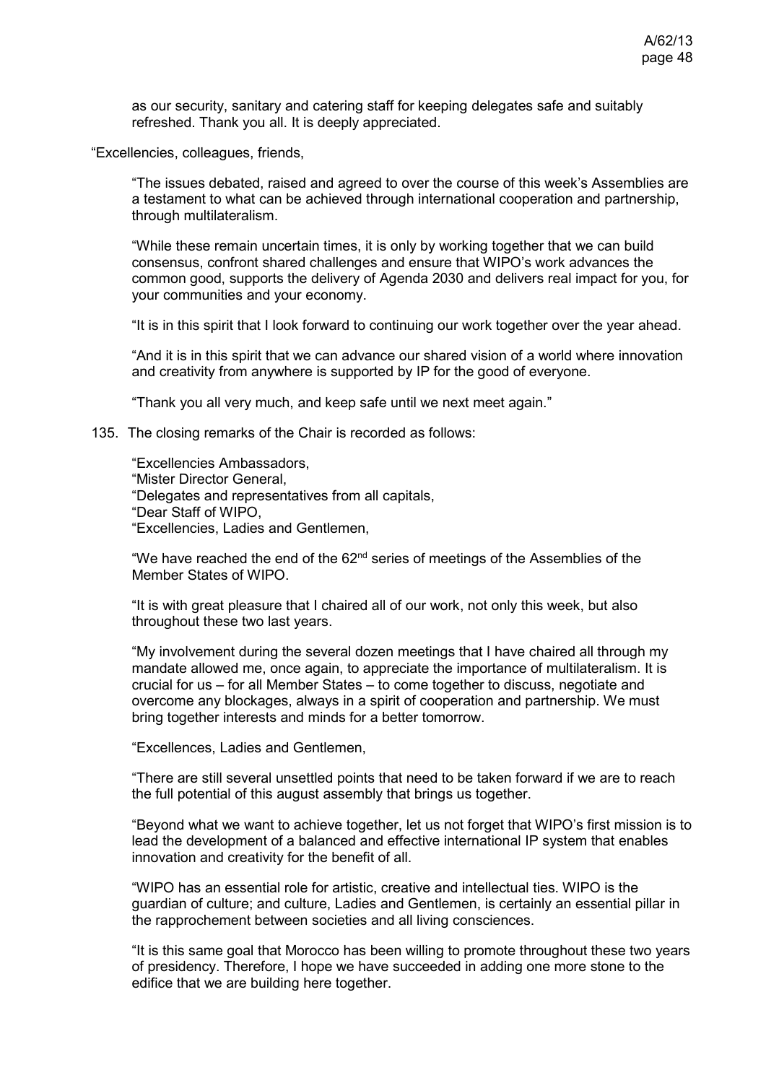as our security, sanitary and catering staff for keeping delegates safe and suitably refreshed. Thank you all. It is deeply appreciated.

"Excellencies, colleagues, friends,

"The issues debated, raised and agreed to over the course of this week's Assemblies are a testament to what can be achieved through international cooperation and partnership, through multilateralism.

"While these remain uncertain times, it is only by working together that we can build consensus, confront shared challenges and ensure that WIPO's work advances the common good, supports the delivery of Agenda 2030 and delivers real impact for you, for your communities and your economy.

"It is in this spirit that I look forward to continuing our work together over the year ahead.

"And it is in this spirit that we can advance our shared vision of a world where innovation and creativity from anywhere is supported by IP for the good of everyone.

"Thank you all very much, and keep safe until we next meet again."

135. The closing remarks of the Chair is recorded as follows:

"Excellencies Ambassadors, "Mister Director General, "Delegates and representatives from all capitals, "Dear Staff of WIPO, "Excellencies, Ladies and Gentlemen,

"We have reached the end of the  $62<sup>nd</sup>$  series of meetings of the Assemblies of the Member States of WIPO.

"It is with great pleasure that I chaired all of our work, not only this week, but also throughout these two last years.

"My involvement during the several dozen meetings that I have chaired all through my mandate allowed me, once again, to appreciate the importance of multilateralism. It is crucial for us – for all Member States – to come together to discuss, negotiate and overcome any blockages, always in a spirit of cooperation and partnership. We must bring together interests and minds for a better tomorrow.

"Excellences, Ladies and Gentlemen,

"There are still several unsettled points that need to be taken forward if we are to reach the full potential of this august assembly that brings us together.

"Beyond what we want to achieve together, let us not forget that WIPO's first mission is to lead the development of a balanced and effective international IP system that enables innovation and creativity for the benefit of all.

"WIPO has an essential role for artistic, creative and intellectual ties. WIPO is the guardian of culture; and culture, Ladies and Gentlemen, is certainly an essential pillar in the rapprochement between societies and all living consciences.

"It is this same goal that Morocco has been willing to promote throughout these two years of presidency. Therefore, I hope we have succeeded in adding one more stone to the edifice that we are building here together.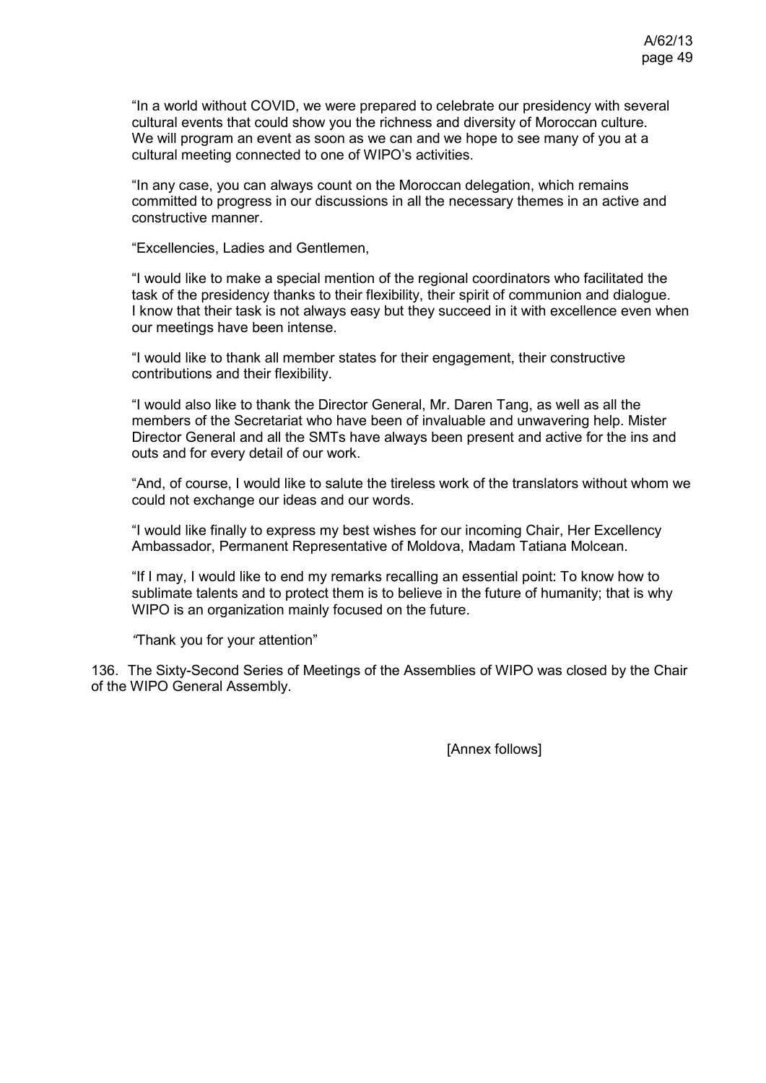"In a world without COVID, we were prepared to celebrate our presidency with several cultural events that could show you the richness and diversity of Moroccan culture. We will program an event as soon as we can and we hope to see many of you at a cultural meeting connected to one of WIPO's activities.

"In any case, you can always count on the Moroccan delegation, which remains committed to progress in our discussions in all the necessary themes in an active and constructive manner.

"Excellencies, Ladies and Gentlemen,

"I would like to make a special mention of the regional coordinators who facilitated the task of the presidency thanks to their flexibility, their spirit of communion and dialogue. I know that their task is not always easy but they succeed in it with excellence even when our meetings have been intense.

"I would like to thank all member states for their engagement, their constructive contributions and their flexibility.

"I would also like to thank the Director General, Mr. Daren Tang, as well as all the members of the Secretariat who have been of invaluable and unwavering help. Mister Director General and all the SMTs have always been present and active for the ins and outs and for every detail of our work.

"And, of course, I would like to salute the tireless work of the translators without whom we could not exchange our ideas and our words.

"I would like finally to express my best wishes for our incoming Chair, Her Excellency Ambassador, Permanent Representative of Moldova, Madam Tatiana Molcean.

"If I may, I would like to end my remarks recalling an essential point: To know how to sublimate talents and to protect them is to believe in the future of humanity; that is why WIPO is an organization mainly focused on the future.

*"*Thank you for your attention"

136. The Sixty-Second Series of Meetings of the Assemblies of WIPO was closed by the Chair of the WIPO General Assembly.

[Annex follows]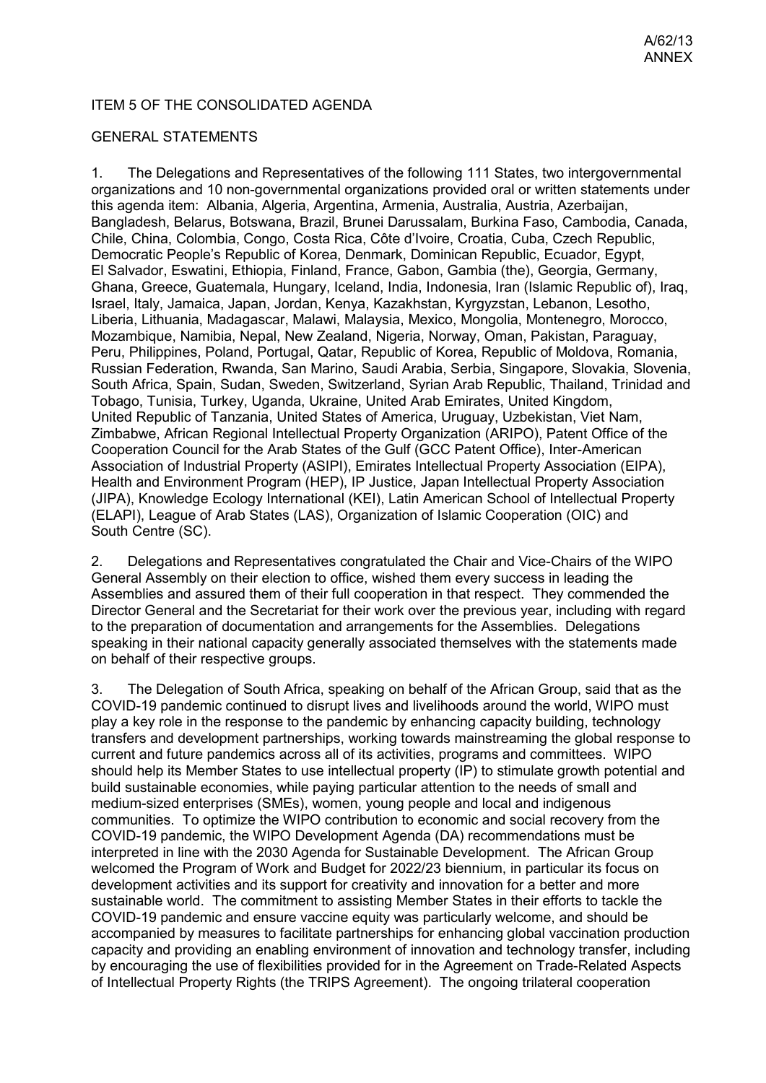### ITEM 5 OF THE CONSOLIDATED AGENDA

### GENERAL STATEMENTS

1. The Delegations and Representatives of the following 111 States, two intergovernmental organizations and 10 non-governmental organizations provided oral or written statements under this agenda item: Albania, Algeria, Argentina, Armenia, Australia, Austria, Azerbaijan, Bangladesh, Belarus, Botswana, Brazil, Brunei Darussalam, Burkina Faso, Cambodia, Canada, Chile, China, Colombia, Congo, Costa Rica, Côte d'Ivoire, Croatia, Cuba, Czech Republic, Democratic People's Republic of Korea, Denmark, Dominican Republic, Ecuador, Egypt, El Salvador, Eswatini, Ethiopia, Finland, France, Gabon, Gambia (the), Georgia, Germany, Ghana, Greece, Guatemala, Hungary, Iceland, India, Indonesia, Iran (Islamic Republic of), Iraq, Israel, Italy, Jamaica, Japan, Jordan, Kenya, Kazakhstan, Kyrgyzstan, Lebanon, Lesotho, Liberia, Lithuania, Madagascar, Malawi, Malaysia, Mexico, Mongolia, Montenegro, Morocco, Mozambique, Namibia, Nepal, New Zealand, Nigeria, Norway, Oman, Pakistan, Paraguay, Peru, Philippines, Poland, Portugal, Qatar, Republic of Korea, Republic of Moldova, Romania, Russian Federation, Rwanda, San Marino, Saudi Arabia, Serbia, Singapore, Slovakia, Slovenia, South Africa, Spain, Sudan, Sweden, Switzerland, Syrian Arab Republic, Thailand, Trinidad and Tobago, Tunisia, Turkey, Uganda, Ukraine, United Arab Emirates, United Kingdom, United Republic of Tanzania, United States of America, Uruguay, Uzbekistan, Viet Nam, Zimbabwe, African Regional Intellectual Property Organization (ARIPO), Patent Office of the Cooperation Council for the Arab States of the Gulf (GCC Patent Office), Inter-American Association of Industrial Property (ASIPI), Emirates Intellectual Property Association (EIPA), Health and Environment Program (HEP), IP Justice, Japan Intellectual Property Association (JIPA), Knowledge Ecology International (KEI), Latin American School of Intellectual Property (ELAPI), League of Arab States (LAS), Organization of Islamic Cooperation (OIC) and South Centre (SC).

2. Delegations and Representatives congratulated the Chair and Vice-Chairs of the WIPO General Assembly on their election to office, wished them every success in leading the Assemblies and assured them of their full cooperation in that respect. They commended the Director General and the Secretariat for their work over the previous year, including with regard to the preparation of documentation and arrangements for the Assemblies. Delegations speaking in their national capacity generally associated themselves with the statements made on behalf of their respective groups.

3. The Delegation of South Africa, speaking on behalf of the African Group, said that as the COVID-19 pandemic continued to disrupt lives and livelihoods around the world, WIPO must play a key role in the response to the pandemic by enhancing capacity building, technology transfers and development partnerships, working towards mainstreaming the global response to current and future pandemics across all of its activities, programs and committees. WIPO should help its Member States to use intellectual property (IP) to stimulate growth potential and build sustainable economies, while paying particular attention to the needs of small and medium-sized enterprises (SMEs), women, young people and local and indigenous communities. To optimize the WIPO contribution to economic and social recovery from the COVID-19 pandemic, the WIPO Development Agenda (DA) recommendations must be interpreted in line with the 2030 Agenda for Sustainable Development. The African Group welcomed the Program of Work and Budget for 2022/23 biennium, in particular its focus on development activities and its support for creativity and innovation for a better and more sustainable world. The commitment to assisting Member States in their efforts to tackle the COVID-19 pandemic and ensure vaccine equity was particularly welcome, and should be accompanied by measures to facilitate partnerships for enhancing global vaccination production capacity and providing an enabling environment of innovation and technology transfer, including by encouraging the use of flexibilities provided for in the Agreement on Trade-Related Aspects of Intellectual Property Rights (the TRIPS Agreement). The ongoing trilateral cooperation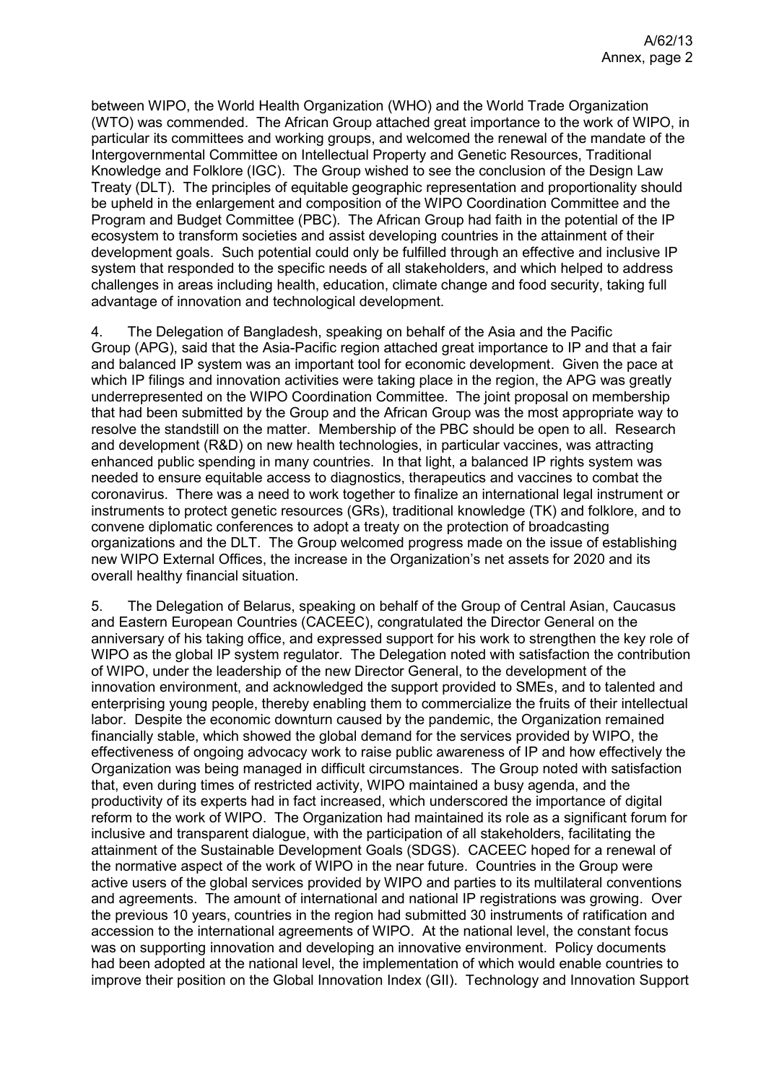between WIPO, the World Health Organization (WHO) and the World Trade Organization (WTO) was commended. The African Group attached great importance to the work of WIPO, in particular its committees and working groups, and welcomed the renewal of the mandate of the Intergovernmental Committee on Intellectual Property and Genetic Resources, Traditional Knowledge and Folklore (IGC). The Group wished to see the conclusion of the Design Law Treaty (DLT). The principles of equitable geographic representation and proportionality should be upheld in the enlargement and composition of the WIPO Coordination Committee and the Program and Budget Committee (PBC). The African Group had faith in the potential of the IP ecosystem to transform societies and assist developing countries in the attainment of their development goals. Such potential could only be fulfilled through an effective and inclusive IP system that responded to the specific needs of all stakeholders, and which helped to address challenges in areas including health, education, climate change and food security, taking full advantage of innovation and technological development.

4. The Delegation of Bangladesh, speaking on behalf of the Asia and the Pacific Group (APG), said that the Asia-Pacific region attached great importance to IP and that a fair and balanced IP system was an important tool for economic development. Given the pace at which IP filings and innovation activities were taking place in the region, the APG was greatly underrepresented on the WIPO Coordination Committee. The joint proposal on membership that had been submitted by the Group and the African Group was the most appropriate way to resolve the standstill on the matter. Membership of the PBC should be open to all. Research and development (R&D) on new health technologies, in particular vaccines, was attracting enhanced public spending in many countries. In that light, a balanced IP rights system was needed to ensure equitable access to diagnostics, therapeutics and vaccines to combat the coronavirus. There was a need to work together to finalize an international legal instrument or instruments to protect genetic resources (GRs), traditional knowledge (TK) and folklore, and to convene diplomatic conferences to adopt a treaty on the protection of broadcasting organizations and the DLT. The Group welcomed progress made on the issue of establishing new WIPO External Offices, the increase in the Organization's net assets for 2020 and its overall healthy financial situation.

5. The Delegation of Belarus, speaking on behalf of the Group of Central Asian, Caucasus and Eastern European Countries (CACEEC), congratulated the Director General on the anniversary of his taking office, and expressed support for his work to strengthen the key role of WIPO as the global IP system regulator. The Delegation noted with satisfaction the contribution of WIPO, under the leadership of the new Director General, to the development of the innovation environment, and acknowledged the support provided to SMEs, and to talented and enterprising young people, thereby enabling them to commercialize the fruits of their intellectual labor. Despite the economic downturn caused by the pandemic, the Organization remained financially stable, which showed the global demand for the services provided by WIPO, the effectiveness of ongoing advocacy work to raise public awareness of IP and how effectively the Organization was being managed in difficult circumstances. The Group noted with satisfaction that, even during times of restricted activity, WIPO maintained a busy agenda, and the productivity of its experts had in fact increased, which underscored the importance of digital reform to the work of WIPO. The Organization had maintained its role as a significant forum for inclusive and transparent dialogue, with the participation of all stakeholders, facilitating the attainment of the Sustainable Development Goals (SDGS). CACEEC hoped for a renewal of the normative aspect of the work of WIPO in the near future. Countries in the Group were active users of the global services provided by WIPO and parties to its multilateral conventions and agreements. The amount of international and national IP registrations was growing. Over the previous 10 years, countries in the region had submitted 30 instruments of ratification and accession to the international agreements of WIPO. At the national level, the constant focus was on supporting innovation and developing an innovative environment. Policy documents had been adopted at the national level, the implementation of which would enable countries to improve their position on the Global Innovation Index (GII). Technology and Innovation Support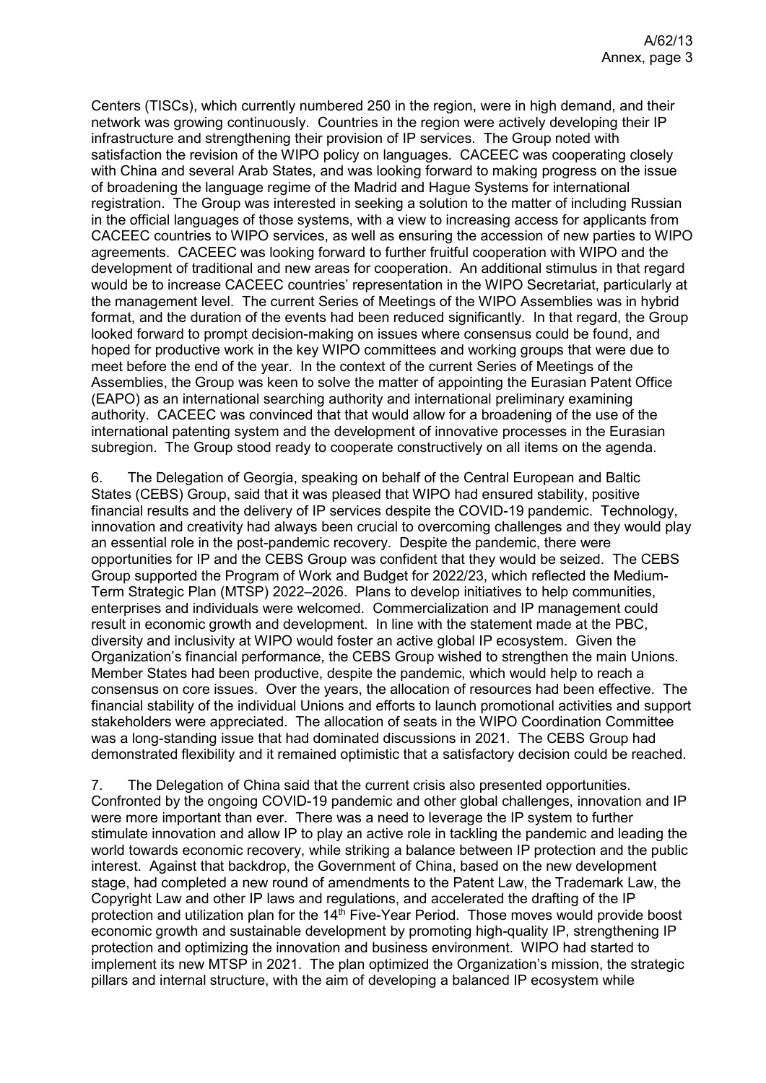Centers (TISCs), which currently numbered 250 in the region, were in high demand, and their network was growing continuously. Countries in the region were actively developing their IP infrastructure and strengthening their provision of IP services. The Group noted with satisfaction the revision of the WIPO policy on languages. CACEEC was cooperating closely with China and several Arab States, and was looking forward to making progress on the issue of broadening the language regime of the Madrid and Hague Systems for international registration. The Group was interested in seeking a solution to the matter of including Russian in the official languages of those systems, with a view to increasing access for applicants from CACEEC countries to WIPO services, as well as ensuring the accession of new parties to WIPO agreements. CACEEC was looking forward to further fruitful cooperation with WIPO and the development of traditional and new areas for cooperation. An additional stimulus in that regard would be to increase CACEEC countries' representation in the WIPO Secretariat, particularly at the management level. The current Series of Meetings of the WIPO Assemblies was in hybrid format, and the duration of the events had been reduced significantly. In that regard, the Group looked forward to prompt decision-making on issues where consensus could be found, and hoped for productive work in the key WIPO committees and working groups that were due to meet before the end of the year. In the context of the current Series of Meetings of the Assemblies, the Group was keen to solve the matter of appointing the Eurasian Patent Office (EAPO) as an international searching authority and international preliminary examining authority. CACEEC was convinced that that would allow for a broadening of the use of the international patenting system and the development of innovative processes in the Eurasian subregion. The Group stood ready to cooperate constructively on all items on the agenda.

6. The Delegation of Georgia, speaking on behalf of the Central European and Baltic States (CEBS) Group, said that it was pleased that WIPO had ensured stability, positive financial results and the delivery of IP services despite the COVID-19 pandemic. Technology, innovation and creativity had always been crucial to overcoming challenges and they would play an essential role in the post-pandemic recovery. Despite the pandemic, there were opportunities for IP and the CEBS Group was confident that they would be seized. The CEBS Group supported the Program of Work and Budget for 2022/23, which reflected the Medium-Term Strategic Plan (MTSP) 2022–2026. Plans to develop initiatives to help communities, enterprises and individuals were welcomed. Commercialization and IP management could result in economic growth and development. In line with the statement made at the PBC, diversity and inclusivity at WIPO would foster an active global IP ecosystem. Given the Organization's financial performance, the CEBS Group wished to strengthen the main Unions. Member States had been productive, despite the pandemic, which would help to reach a consensus on core issues. Over the years, the allocation of resources had been effective. The financial stability of the individual Unions and efforts to launch promotional activities and support stakeholders were appreciated. The allocation of seats in the WIPO Coordination Committee was a long-standing issue that had dominated discussions in 2021. The CEBS Group had demonstrated flexibility and it remained optimistic that a satisfactory decision could be reached.

7. The Delegation of China said that the current crisis also presented opportunities. Confronted by the ongoing COVID-19 pandemic and other global challenges, innovation and IP were more important than ever. There was a need to leverage the IP system to further stimulate innovation and allow IP to play an active role in tackling the pandemic and leading the world towards economic recovery, while striking a balance between IP protection and the public interest. Against that backdrop, the Government of China, based on the new development stage, had completed a new round of amendments to the Patent Law, the Trademark Law, the Copyright Law and other IP laws and regulations, and accelerated the drafting of the IP protection and utilization plan for the 14<sup>th</sup> Five-Year Period. Those moves would provide boost economic growth and sustainable development by promoting high-quality IP, strengthening IP protection and optimizing the innovation and business environment. WIPO had started to implement its new MTSP in 2021. The plan optimized the Organization's mission, the strategic pillars and internal structure, with the aim of developing a balanced IP ecosystem while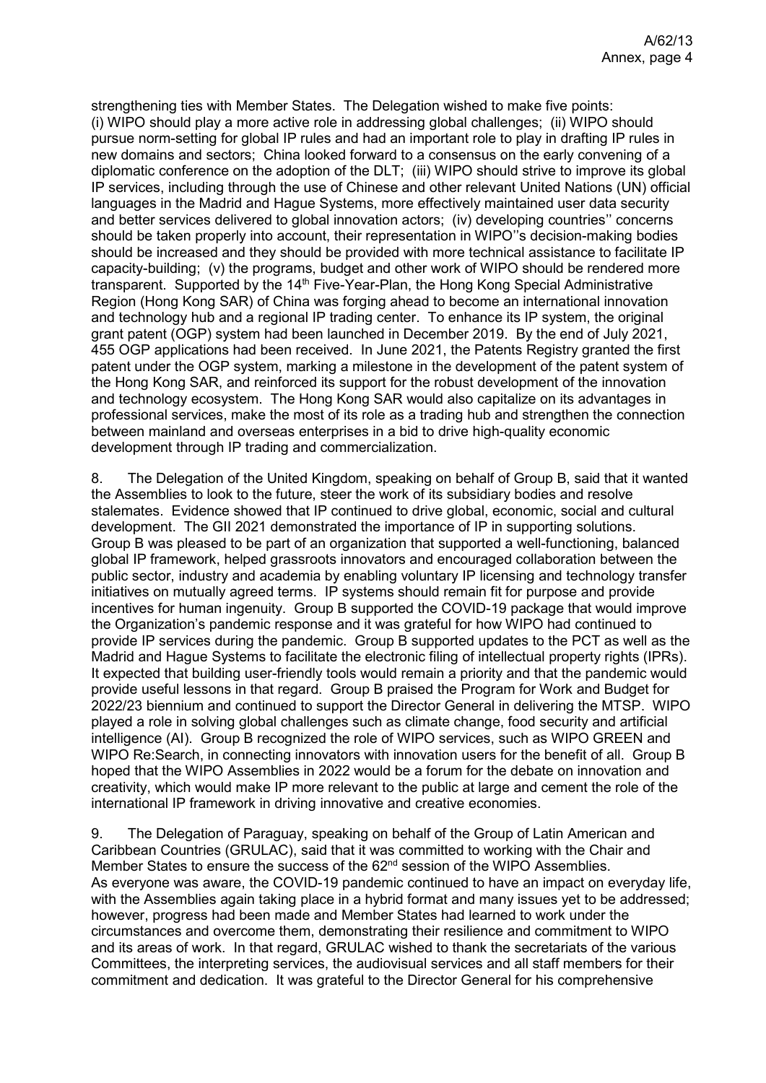strengthening ties with Member States. The Delegation wished to make five points: (i) WIPO should play a more active role in addressing global challenges; (ii) WIPO should pursue norm-setting for global IP rules and had an important role to play in drafting IP rules in new domains and sectors; China looked forward to a consensus on the early convening of a diplomatic conference on the adoption of the DLT; (iii) WIPO should strive to improve its global IP services, including through the use of Chinese and other relevant United Nations (UN) official languages in the Madrid and Hague Systems, more effectively maintained user data security and better services delivered to global innovation actors; (iv) developing countries'' concerns should be taken properly into account, their representation in WIPO"s decision-making bodies should be increased and they should be provided with more technical assistance to facilitate IP capacity-building; (v) the programs, budget and other work of WIPO should be rendered more transparent. Supported by the 14<sup>th</sup> Five-Year-Plan, the Hong Kong Special Administrative Region (Hong Kong SAR) of China was forging ahead to become an international innovation and technology hub and a regional IP trading center. To enhance its IP system, the original grant patent (OGP) system had been launched in December 2019. By the end of July 2021, 455 OGP applications had been received. In June 2021, the Patents Registry granted the first patent under the OGP system, marking a milestone in the development of the patent system of the Hong Kong SAR, and reinforced its support for the robust development of the innovation and technology ecosystem. The Hong Kong SAR would also capitalize on its advantages in professional services, make the most of its role as a trading hub and strengthen the connection between mainland and overseas enterprises in a bid to drive high-quality economic development through IP trading and commercialization.

8. The Delegation of the United Kingdom, speaking on behalf of Group B, said that it wanted the Assemblies to look to the future, steer the work of its subsidiary bodies and resolve stalemates. Evidence showed that IP continued to drive global, economic, social and cultural development. The GII 2021 demonstrated the importance of IP in supporting solutions. Group B was pleased to be part of an organization that supported a well-functioning, balanced global IP framework, helped grassroots innovators and encouraged collaboration between the public sector, industry and academia by enabling voluntary IP licensing and technology transfer initiatives on mutually agreed terms. IP systems should remain fit for purpose and provide incentives for human ingenuity. Group B supported the COVID-19 package that would improve the Organization's pandemic response and it was grateful for how WIPO had continued to provide IP services during the pandemic. Group B supported updates to the PCT as well as the Madrid and Hague Systems to facilitate the electronic filing of intellectual property rights (IPRs). It expected that building user-friendly tools would remain a priority and that the pandemic would provide useful lessons in that regard. Group B praised the Program for Work and Budget for 2022/23 biennium and continued to support the Director General in delivering the MTSP. WIPO played a role in solving global challenges such as climate change, food security and artificial intelligence (AI). Group B recognized the role of WIPO services, such as WIPO GREEN and WIPO Re:Search, in connecting innovators with innovation users for the benefit of all. Group B hoped that the WIPO Assemblies in 2022 would be a forum for the debate on innovation and creativity, which would make IP more relevant to the public at large and cement the role of the international IP framework in driving innovative and creative economies.

9. The Delegation of Paraguay, speaking on behalf of the Group of Latin American and Caribbean Countries (GRULAC), said that it was committed to working with the Chair and Member States to ensure the success of the 62<sup>nd</sup> session of the WIPO Assemblies. As everyone was aware, the COVID-19 pandemic continued to have an impact on everyday life, with the Assemblies again taking place in a hybrid format and many issues yet to be addressed; however, progress had been made and Member States had learned to work under the circumstances and overcome them, demonstrating their resilience and commitment to WIPO and its areas of work. In that regard, GRULAC wished to thank the secretariats of the various Committees, the interpreting services, the audiovisual services and all staff members for their commitment and dedication. It was grateful to the Director General for his comprehensive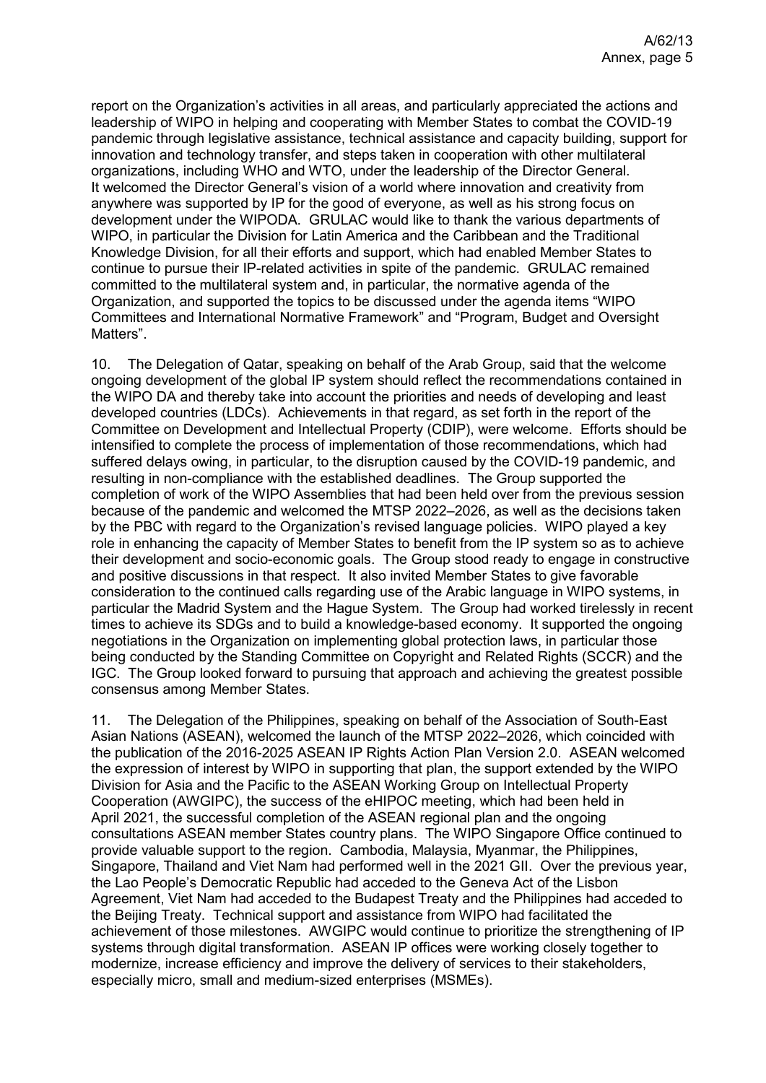report on the Organization's activities in all areas, and particularly appreciated the actions and leadership of WIPO in helping and cooperating with Member States to combat the COVID-19 pandemic through legislative assistance, technical assistance and capacity building, support for innovation and technology transfer, and steps taken in cooperation with other multilateral organizations, including WHO and WTO, under the leadership of the Director General. It welcomed the Director General's vision of a world where innovation and creativity from anywhere was supported by IP for the good of everyone, as well as his strong focus on development under the WIPODA. GRULAC would like to thank the various departments of WIPO, in particular the Division for Latin America and the Caribbean and the Traditional Knowledge Division, for all their efforts and support, which had enabled Member States to continue to pursue their IP-related activities in spite of the pandemic. GRULAC remained committed to the multilateral system and, in particular, the normative agenda of the Organization, and supported the topics to be discussed under the agenda items "WIPO Committees and International Normative Framework" and "Program, Budget and Oversight Matters".

10. The Delegation of Qatar, speaking on behalf of the Arab Group, said that the welcome ongoing development of the global IP system should reflect the recommendations contained in the WIPO DA and thereby take into account the priorities and needs of developing and least developed countries (LDCs). Achievements in that regard, as set forth in the report of the Committee on Development and Intellectual Property (CDIP), were welcome. Efforts should be intensified to complete the process of implementation of those recommendations, which had suffered delays owing, in particular, to the disruption caused by the COVID-19 pandemic, and resulting in non-compliance with the established deadlines. The Group supported the completion of work of the WIPO Assemblies that had been held over from the previous session because of the pandemic and welcomed the MTSP 2022–2026, as well as the decisions taken by the PBC with regard to the Organization's revised language policies. WIPO played a key role in enhancing the capacity of Member States to benefit from the IP system so as to achieve their development and socio-economic goals. The Group stood ready to engage in constructive and positive discussions in that respect. It also invited Member States to give favorable consideration to the continued calls regarding use of the Arabic language in WIPO systems, in particular the Madrid System and the Hague System. The Group had worked tirelessly in recent times to achieve its SDGs and to build a knowledge-based economy. It supported the ongoing negotiations in the Organization on implementing global protection laws, in particular those being conducted by the Standing Committee on Copyright and Related Rights (SCCR) and the IGC. The Group looked forward to pursuing that approach and achieving the greatest possible consensus among Member States.

11. The Delegation of the Philippines, speaking on behalf of the Association of South-East Asian Nations (ASEAN), welcomed the launch of the MTSP 2022–2026, which coincided with the publication of the 2016-2025 ASEAN IP Rights Action Plan Version 2.0. ASEAN welcomed the expression of interest by WIPO in supporting that plan, the support extended by the WIPO Division for Asia and the Pacific to the ASEAN Working Group on Intellectual Property Cooperation (AWGIPC), the success of the eHIPOC meeting, which had been held in April 2021, the successful completion of the ASEAN regional plan and the ongoing consultations ASEAN member States country plans. The WIPO Singapore Office continued to provide valuable support to the region. Cambodia, Malaysia, Myanmar, the Philippines, Singapore, Thailand and Viet Nam had performed well in the 2021 GII. Over the previous year, the Lao People's Democratic Republic had acceded to the Geneva Act of the Lisbon Agreement, Viet Nam had acceded to the Budapest Treaty and the Philippines had acceded to the Beijing Treaty. Technical support and assistance from WIPO had facilitated the achievement of those milestones. AWGIPC would continue to prioritize the strengthening of IP systems through digital transformation. ASEAN IP offices were working closely together to modernize, increase efficiency and improve the delivery of services to their stakeholders, especially micro, small and medium-sized enterprises (MSMEs).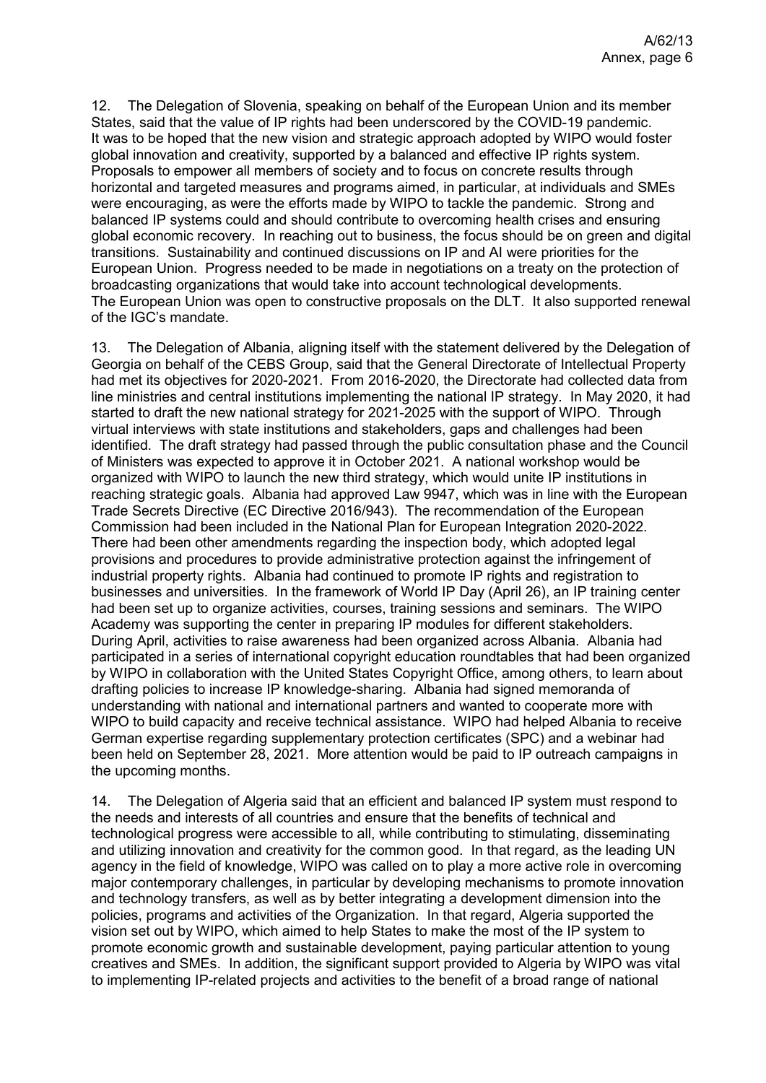12. The Delegation of Slovenia, speaking on behalf of the European Union and its member States, said that the value of IP rights had been underscored by the COVID-19 pandemic. It was to be hoped that the new vision and strategic approach adopted by WIPO would foster global innovation and creativity, supported by a balanced and effective IP rights system. Proposals to empower all members of society and to focus on concrete results through horizontal and targeted measures and programs aimed, in particular, at individuals and SMEs were encouraging, as were the efforts made by WIPO to tackle the pandemic. Strong and balanced IP systems could and should contribute to overcoming health crises and ensuring global economic recovery. In reaching out to business, the focus should be on green and digital transitions. Sustainability and continued discussions on IP and AI were priorities for the European Union. Progress needed to be made in negotiations on a treaty on the protection of broadcasting organizations that would take into account technological developments. The European Union was open to constructive proposals on the DLT. It also supported renewal of the IGC's mandate.

13. The Delegation of Albania, aligning itself with the statement delivered by the Delegation of Georgia on behalf of the CEBS Group, said that the General Directorate of Intellectual Property had met its objectives for 2020-2021. From 2016-2020, the Directorate had collected data from line ministries and central institutions implementing the national IP strategy. In May 2020, it had started to draft the new national strategy for 2021-2025 with the support of WIPO. Through virtual interviews with state institutions and stakeholders, gaps and challenges had been identified. The draft strategy had passed through the public consultation phase and the Council of Ministers was expected to approve it in October 2021. A national workshop would be organized with WIPO to launch the new third strategy, which would unite IP institutions in reaching strategic goals. Albania had approved Law 9947, which was in line with the European Trade Secrets Directive (EC Directive 2016/943). The recommendation of the European Commission had been included in the National Plan for European Integration 2020-2022. There had been other amendments regarding the inspection body, which adopted legal provisions and procedures to provide administrative protection against the infringement of industrial property rights. Albania had continued to promote IP rights and registration to businesses and universities. In the framework of World IP Day (April 26), an IP training center had been set up to organize activities, courses, training sessions and seminars. The WIPO Academy was supporting the center in preparing IP modules for different stakeholders. During April, activities to raise awareness had been organized across Albania. Albania had participated in a series of international copyright education roundtables that had been organized by WIPO in collaboration with the United States Copyright Office, among others, to learn about drafting policies to increase IP knowledge-sharing. Albania had signed memoranda of understanding with national and international partners and wanted to cooperate more with WIPO to build capacity and receive technical assistance. WIPO had helped Albania to receive German expertise regarding supplementary protection certificates (SPC) and a webinar had been held on September 28, 2021. More attention would be paid to IP outreach campaigns in the upcoming months.

14. The Delegation of Algeria said that an efficient and balanced IP system must respond to the needs and interests of all countries and ensure that the benefits of technical and technological progress were accessible to all, while contributing to stimulating, disseminating and utilizing innovation and creativity for the common good. In that regard, as the leading UN agency in the field of knowledge, WIPO was called on to play a more active role in overcoming major contemporary challenges, in particular by developing mechanisms to promote innovation and technology transfers, as well as by better integrating a development dimension into the policies, programs and activities of the Organization. In that regard, Algeria supported the vision set out by WIPO, which aimed to help States to make the most of the IP system to promote economic growth and sustainable development, paying particular attention to young creatives and SMEs. In addition, the significant support provided to Algeria by WIPO was vital to implementing IP-related projects and activities to the benefit of a broad range of national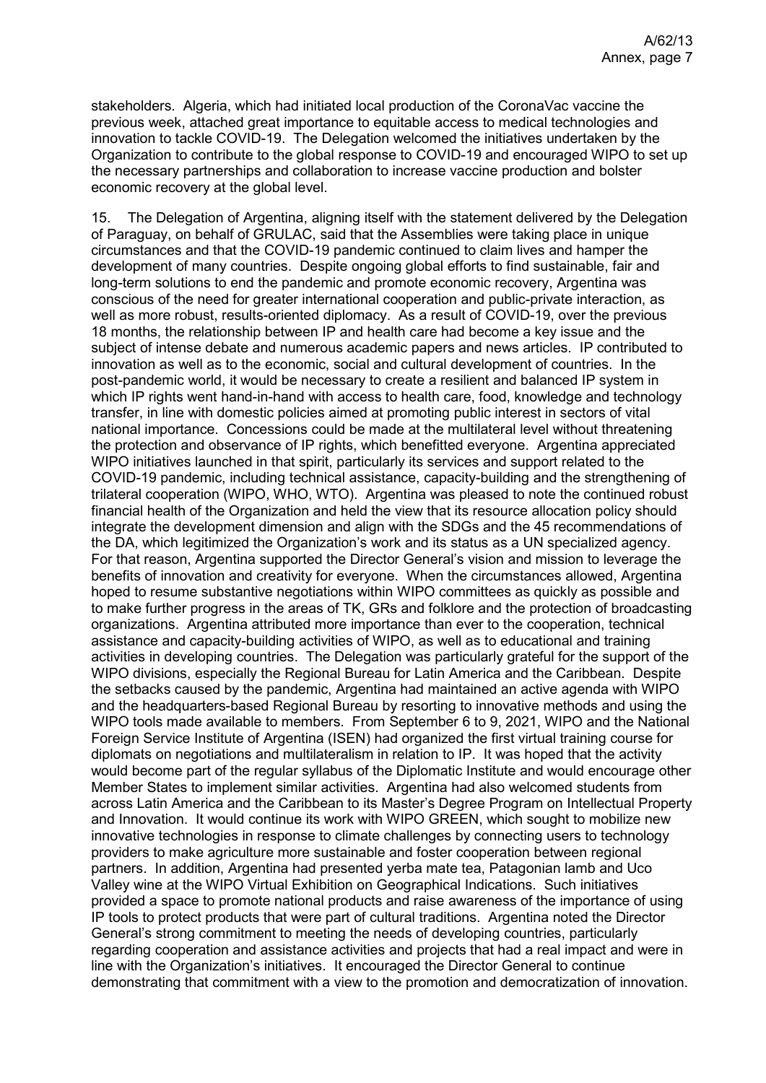stakeholders. Algeria, which had initiated local production of the CoronaVac vaccine the previous week, attached great importance to equitable access to medical technologies and innovation to tackle COVID-19. The Delegation welcomed the initiatives undertaken by the Organization to contribute to the global response to COVID-19 and encouraged WIPO to set up the necessary partnerships and collaboration to increase vaccine production and bolster economic recovery at the global level.

15. The Delegation of Argentina, aligning itself with the statement delivered by the Delegation of Paraguay, on behalf of GRULAC, said that the Assemblies were taking place in unique circumstances and that the COVID-19 pandemic continued to claim lives and hamper the development of many countries. Despite ongoing global efforts to find sustainable, fair and long-term solutions to end the pandemic and promote economic recovery, Argentina was conscious of the need for greater international cooperation and public-private interaction, as well as more robust, results-oriented diplomacy. As a result of COVID-19, over the previous 18 months, the relationship between IP and health care had become a key issue and the subject of intense debate and numerous academic papers and news articles. IP contributed to innovation as well as to the economic, social and cultural development of countries. In the post-pandemic world, it would be necessary to create a resilient and balanced IP system in which IP rights went hand-in-hand with access to health care, food, knowledge and technology transfer, in line with domestic policies aimed at promoting public interest in sectors of vital national importance. Concessions could be made at the multilateral level without threatening the protection and observance of IP rights, which benefitted everyone. Argentina appreciated WIPO initiatives launched in that spirit, particularly its services and support related to the COVID-19 pandemic, including technical assistance, capacity-building and the strengthening of trilateral cooperation (WIPO, WHO, WTO). Argentina was pleased to note the continued robust financial health of the Organization and held the view that its resource allocation policy should integrate the development dimension and align with the SDGs and the 45 recommendations of the DA, which legitimized the Organization's work and its status as a UN specialized agency. For that reason, Argentina supported the Director General's vision and mission to leverage the benefits of innovation and creativity for everyone. When the circumstances allowed, Argentina hoped to resume substantive negotiations within WIPO committees as quickly as possible and to make further progress in the areas of TK, GRs and folklore and the protection of broadcasting organizations. Argentina attributed more importance than ever to the cooperation, technical assistance and capacity-building activities of WIPO, as well as to educational and training activities in developing countries. The Delegation was particularly grateful for the support of the WIPO divisions, especially the Regional Bureau for Latin America and the Caribbean. Despite the setbacks caused by the pandemic, Argentina had maintained an active agenda with WIPO and the headquarters-based Regional Bureau by resorting to innovative methods and using the WIPO tools made available to members. From September 6 to 9, 2021, WIPO and the National Foreign Service Institute of Argentina (ISEN) had organized the first virtual training course for diplomats on negotiations and multilateralism in relation to IP. It was hoped that the activity would become part of the regular syllabus of the Diplomatic Institute and would encourage other Member States to implement similar activities. Argentina had also welcomed students from across Latin America and the Caribbean to its Master's Degree Program on Intellectual Property and Innovation. It would continue its work with WIPO GREEN, which sought to mobilize new innovative technologies in response to climate challenges by connecting users to technology providers to make agriculture more sustainable and foster cooperation between regional partners. In addition, Argentina had presented yerba mate tea, Patagonian lamb and Uco Valley wine at the WIPO Virtual Exhibition on Geographical Indications. Such initiatives provided a space to promote national products and raise awareness of the importance of using IP tools to protect products that were part of cultural traditions. Argentina noted the Director General's strong commitment to meeting the needs of developing countries, particularly regarding cooperation and assistance activities and projects that had a real impact and were in line with the Organization's initiatives. It encouraged the Director General to continue demonstrating that commitment with a view to the promotion and democratization of innovation.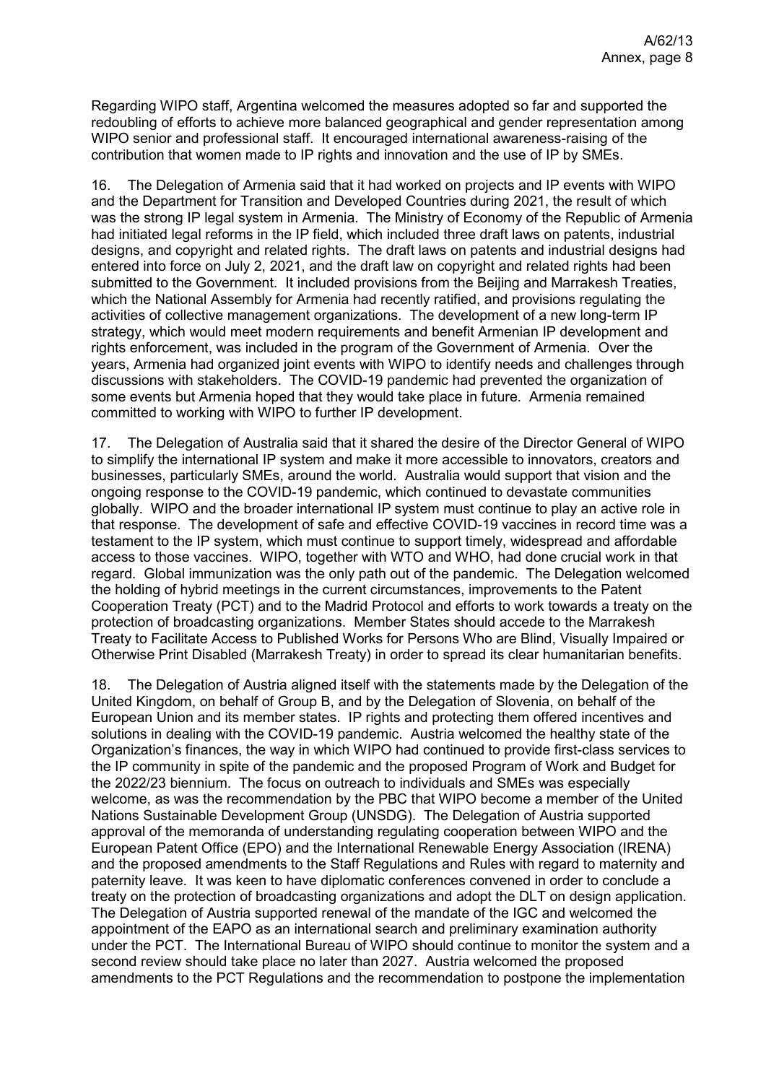Regarding WIPO staff, Argentina welcomed the measures adopted so far and supported the redoubling of efforts to achieve more balanced geographical and gender representation among WIPO senior and professional staff. It encouraged international awareness-raising of the contribution that women made to IP rights and innovation and the use of IP by SMEs.

16. The Delegation of Armenia said that it had worked on projects and IP events with WIPO and the Department for Transition and Developed Countries during 2021, the result of which was the strong IP legal system in Armenia. The Ministry of Economy of the Republic of Armenia had initiated legal reforms in the IP field, which included three draft laws on patents, industrial designs, and copyright and related rights. The draft laws on patents and industrial designs had entered into force on July 2, 2021, and the draft law on copyright and related rights had been submitted to the Government. It included provisions from the Beijing and Marrakesh Treaties, which the National Assembly for Armenia had recently ratified, and provisions regulating the activities of collective management organizations. The development of a new long-term IP strategy, which would meet modern requirements and benefit Armenian IP development and rights enforcement, was included in the program of the Government of Armenia. Over the years, Armenia had organized joint events with WIPO to identify needs and challenges through discussions with stakeholders. The COVID-19 pandemic had prevented the organization of some events but Armenia hoped that they would take place in future. Armenia remained committed to working with WIPO to further IP development.

17. The Delegation of Australia said that it shared the desire of the Director General of WIPO to simplify the international IP system and make it more accessible to innovators, creators and businesses, particularly SMEs, around the world. Australia would support that vision and the ongoing response to the COVID-19 pandemic, which continued to devastate communities globally. WIPO and the broader international IP system must continue to play an active role in that response. The development of safe and effective COVID-19 vaccines in record time was a testament to the IP system, which must continue to support timely, widespread and affordable access to those vaccines. WIPO, together with WTO and WHO, had done crucial work in that regard. Global immunization was the only path out of the pandemic. The Delegation welcomed the holding of hybrid meetings in the current circumstances, improvements to the Patent Cooperation Treaty (PCT) and to the Madrid Protocol and efforts to work towards a treaty on the protection of broadcasting organizations. Member States should accede to the Marrakesh Treaty to Facilitate Access to Published Works for Persons Who are Blind, Visually Impaired or Otherwise Print Disabled (Marrakesh Treaty) in order to spread its clear humanitarian benefits.

18. The Delegation of Austria aligned itself with the statements made by the Delegation of the United Kingdom, on behalf of Group B, and by the Delegation of Slovenia, on behalf of the European Union and its member states. IP rights and protecting them offered incentives and solutions in dealing with the COVID-19 pandemic. Austria welcomed the healthy state of the Organization's finances, the way in which WIPO had continued to provide first-class services to the IP community in spite of the pandemic and the proposed Program of Work and Budget for the 2022/23 biennium. The focus on outreach to individuals and SMEs was especially welcome, as was the recommendation by the PBC that WIPO become a member of the United Nations Sustainable Development Group (UNSDG). The Delegation of Austria supported approval of the memoranda of understanding regulating cooperation between WIPO and the European Patent Office (EPO) and the International Renewable Energy Association (IRENA) and the proposed amendments to the Staff Regulations and Rules with regard to maternity and paternity leave. It was keen to have diplomatic conferences convened in order to conclude a treaty on the protection of broadcasting organizations and adopt the DLT on design application. The Delegation of Austria supported renewal of the mandate of the IGC and welcomed the appointment of the EAPO as an international search and preliminary examination authority under the PCT. The International Bureau of WIPO should continue to monitor the system and a second review should take place no later than 2027. Austria welcomed the proposed amendments to the PCT Regulations and the recommendation to postpone the implementation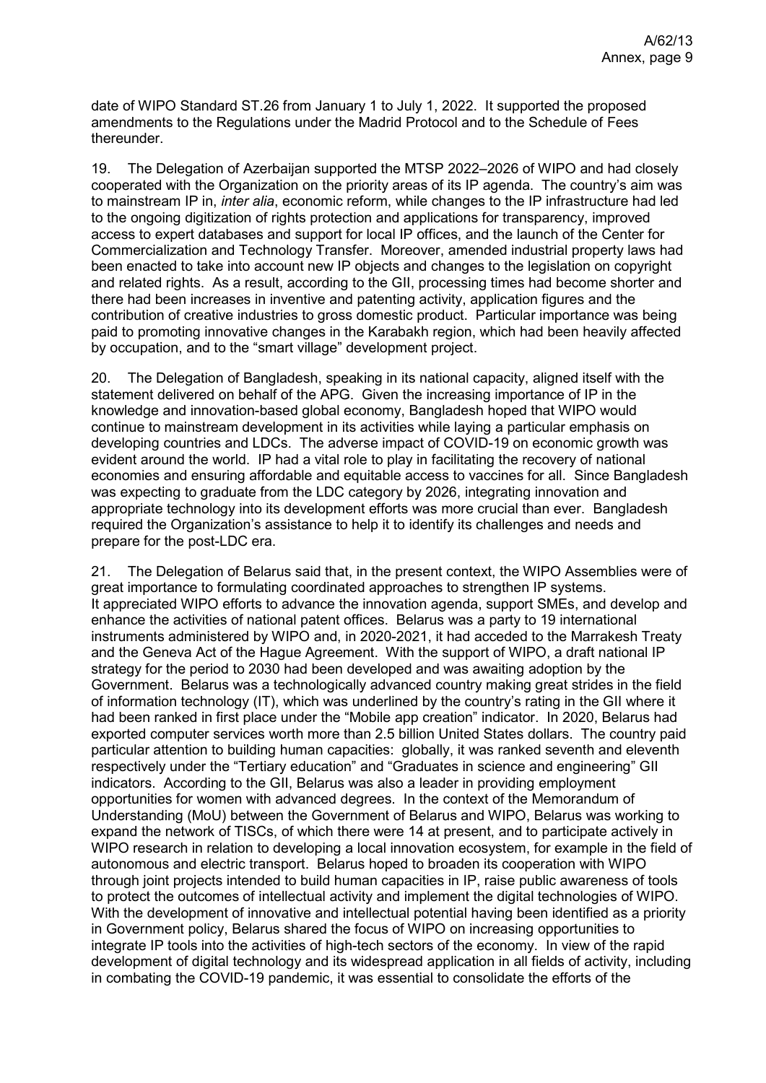date of WIPO Standard ST.26 from January 1 to July 1, 2022. It supported the proposed amendments to the Regulations under the Madrid Protocol and to the Schedule of Fees thereunder.

19. The Delegation of Azerbaijan supported the MTSP 2022–2026 of WIPO and had closely cooperated with the Organization on the priority areas of its IP agenda. The country's aim was to mainstream IP in, *inter alia*, economic reform, while changes to the IP infrastructure had led to the ongoing digitization of rights protection and applications for transparency, improved access to expert databases and support for local IP offices, and the launch of the Center for Commercialization and Technology Transfer. Moreover, amended industrial property laws had been enacted to take into account new IP objects and changes to the legislation on copyright and related rights. As a result, according to the GII, processing times had become shorter and there had been increases in inventive and patenting activity, application figures and the contribution of creative industries to gross domestic product. Particular importance was being paid to promoting innovative changes in the Karabakh region, which had been heavily affected by occupation, and to the "smart village" development project.

20. The Delegation of Bangladesh, speaking in its national capacity, aligned itself with the statement delivered on behalf of the APG. Given the increasing importance of IP in the knowledge and innovation-based global economy, Bangladesh hoped that WIPO would continue to mainstream development in its activities while laying a particular emphasis on developing countries and LDCs. The adverse impact of COVID-19 on economic growth was evident around the world. IP had a vital role to play in facilitating the recovery of national economies and ensuring affordable and equitable access to vaccines for all. Since Bangladesh was expecting to graduate from the LDC category by 2026, integrating innovation and appropriate technology into its development efforts was more crucial than ever. Bangladesh required the Organization's assistance to help it to identify its challenges and needs and prepare for the post-LDC era.

21. The Delegation of Belarus said that, in the present context, the WIPO Assemblies were of great importance to formulating coordinated approaches to strengthen IP systems. It appreciated WIPO efforts to advance the innovation agenda, support SMEs, and develop and enhance the activities of national patent offices. Belarus was a party to 19 international instruments administered by WIPO and, in 2020-2021, it had acceded to the Marrakesh Treaty and the Geneva Act of the Hague Agreement. With the support of WIPO, a draft national IP strategy for the period to 2030 had been developed and was awaiting adoption by the Government. Belarus was a technologically advanced country making great strides in the field of information technology (IT), which was underlined by the country's rating in the GII where it had been ranked in first place under the "Mobile app creation" indicator. In 2020, Belarus had exported computer services worth more than 2.5 billion United States dollars. The country paid particular attention to building human capacities: globally, it was ranked seventh and eleventh respectively under the "Tertiary education" and "Graduates in science and engineering" GII indicators. According to the GII, Belarus was also a leader in providing employment opportunities for women with advanced degrees. In the context of the Memorandum of Understanding (MoU) between the Government of Belarus and WIPO, Belarus was working to expand the network of TISCs, of which there were 14 at present, and to participate actively in WIPO research in relation to developing a local innovation ecosystem, for example in the field of autonomous and electric transport. Belarus hoped to broaden its cooperation with WIPO through joint projects intended to build human capacities in IP, raise public awareness of tools to protect the outcomes of intellectual activity and implement the digital technologies of WIPO. With the development of innovative and intellectual potential having been identified as a priority in Government policy, Belarus shared the focus of WIPO on increasing opportunities to integrate IP tools into the activities of high-tech sectors of the economy. In view of the rapid development of digital technology and its widespread application in all fields of activity, including in combating the COVID-19 pandemic, it was essential to consolidate the efforts of the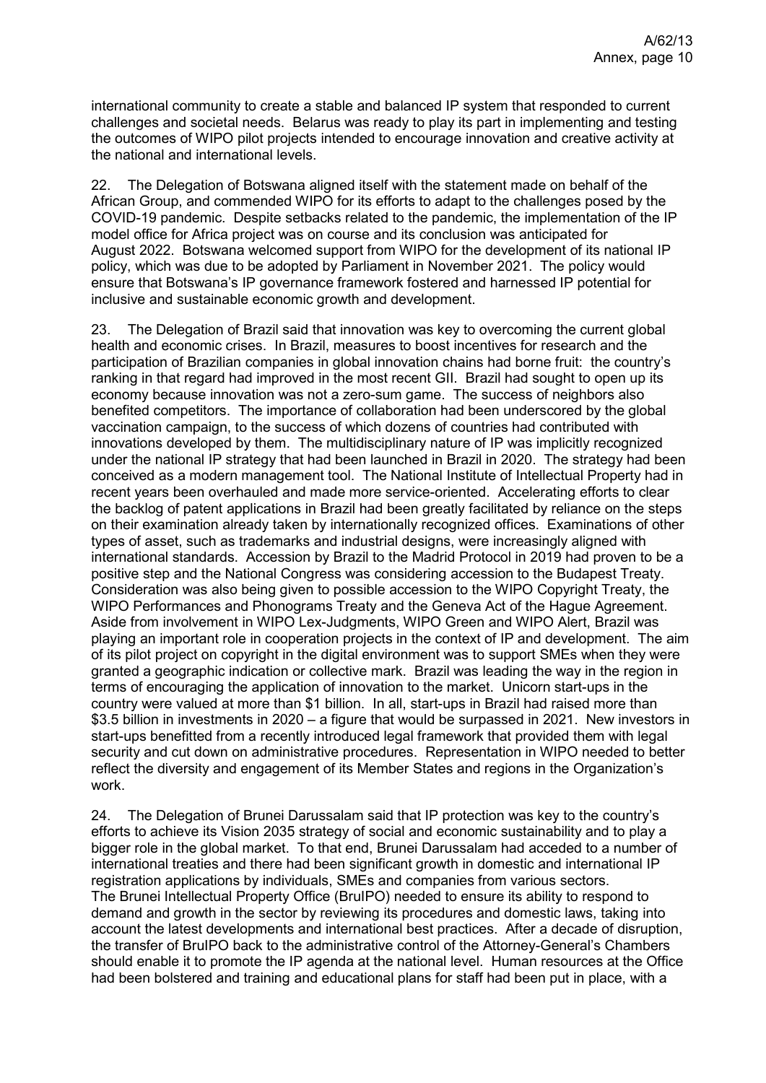international community to create a stable and balanced IP system that responded to current challenges and societal needs. Belarus was ready to play its part in implementing and testing the outcomes of WIPO pilot projects intended to encourage innovation and creative activity at the national and international levels.

22. The Delegation of Botswana aligned itself with the statement made on behalf of the African Group, and commended WIPO for its efforts to adapt to the challenges posed by the COVID-19 pandemic. Despite setbacks related to the pandemic, the implementation of the IP model office for Africa project was on course and its conclusion was anticipated for August 2022. Botswana welcomed support from WIPO for the development of its national IP policy, which was due to be adopted by Parliament in November 2021. The policy would ensure that Botswana's IP governance framework fostered and harnessed IP potential for inclusive and sustainable economic growth and development.

23. The Delegation of Brazil said that innovation was key to overcoming the current global health and economic crises. In Brazil, measures to boost incentives for research and the participation of Brazilian companies in global innovation chains had borne fruit: the country's ranking in that regard had improved in the most recent GII. Brazil had sought to open up its economy because innovation was not a zero-sum game. The success of neighbors also benefited competitors. The importance of collaboration had been underscored by the global vaccination campaign, to the success of which dozens of countries had contributed with innovations developed by them. The multidisciplinary nature of IP was implicitly recognized under the national IP strategy that had been launched in Brazil in 2020. The strategy had been conceived as a modern management tool. The National Institute of Intellectual Property had in recent years been overhauled and made more service-oriented. Accelerating efforts to clear the backlog of patent applications in Brazil had been greatly facilitated by reliance on the steps on their examination already taken by internationally recognized offices. Examinations of other types of asset, such as trademarks and industrial designs, were increasingly aligned with international standards. Accession by Brazil to the Madrid Protocol in 2019 had proven to be a positive step and the National Congress was considering accession to the Budapest Treaty. Consideration was also being given to possible accession to the WIPO Copyright Treaty, the WIPO Performances and Phonograms Treaty and the Geneva Act of the Hague Agreement. Aside from involvement in WIPO Lex-Judgments, WIPO Green and WIPO Alert, Brazil was playing an important role in cooperation projects in the context of IP and development. The aim of its pilot project on copyright in the digital environment was to support SMEs when they were granted a geographic indication or collective mark. Brazil was leading the way in the region in terms of encouraging the application of innovation to the market. Unicorn start-ups in the country were valued at more than \$1 billion. In all, start-ups in Brazil had raised more than \$3.5 billion in investments in 2020 – a figure that would be surpassed in 2021. New investors in start-ups benefitted from a recently introduced legal framework that provided them with legal security and cut down on administrative procedures. Representation in WIPO needed to better reflect the diversity and engagement of its Member States and regions in the Organization's work.

24. The Delegation of Brunei Darussalam said that IP protection was key to the country's efforts to achieve its Vision 2035 strategy of social and economic sustainability and to play a bigger role in the global market. To that end, Brunei Darussalam had acceded to a number of international treaties and there had been significant growth in domestic and international IP registration applications by individuals, SMEs and companies from various sectors. The Brunei Intellectual Property Office (BruIPO) needed to ensure its ability to respond to demand and growth in the sector by reviewing its procedures and domestic laws, taking into account the latest developments and international best practices. After a decade of disruption, the transfer of BruIPO back to the administrative control of the Attorney-General's Chambers should enable it to promote the IP agenda at the national level. Human resources at the Office had been bolstered and training and educational plans for staff had been put in place, with a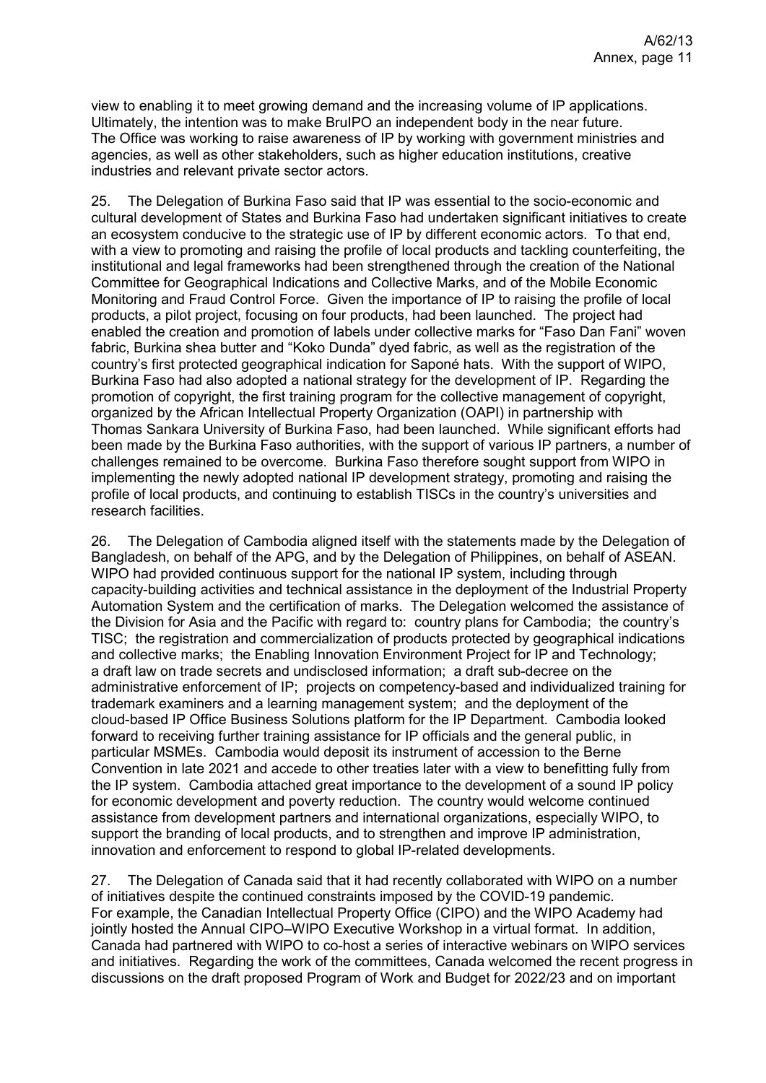view to enabling it to meet growing demand and the increasing volume of IP applications. Ultimately, the intention was to make BruIPO an independent body in the near future. The Office was working to raise awareness of IP by working with government ministries and agencies, as well as other stakeholders, such as higher education institutions, creative industries and relevant private sector actors.

25. The Delegation of Burkina Faso said that IP was essential to the socio-economic and cultural development of States and Burkina Faso had undertaken significant initiatives to create an ecosystem conducive to the strategic use of IP by different economic actors. To that end, with a view to promoting and raising the profile of local products and tackling counterfeiting, the institutional and legal frameworks had been strengthened through the creation of the National Committee for Geographical Indications and Collective Marks, and of the Mobile Economic Monitoring and Fraud Control Force. Given the importance of IP to raising the profile of local products, a pilot project, focusing on four products, had been launched. The project had enabled the creation and promotion of labels under collective marks for "Faso Dan Fani" woven fabric, Burkina shea butter and "Koko Dunda" dyed fabric, as well as the registration of the country's first protected geographical indication for Saponé hats. With the support of WIPO, Burkina Faso had also adopted a national strategy for the development of IP. Regarding the promotion of copyright, the first training program for the collective management of copyright, organized by the African Intellectual Property Organization (OAPI) in partnership with Thomas Sankara University of Burkina Faso, had been launched. While significant efforts had been made by the Burkina Faso authorities, with the support of various IP partners, a number of challenges remained to be overcome. Burkina Faso therefore sought support from WIPO in implementing the newly adopted national IP development strategy, promoting and raising the profile of local products, and continuing to establish TISCs in the country's universities and research facilities.

26. The Delegation of Cambodia aligned itself with the statements made by the Delegation of Bangladesh, on behalf of the APG, and by the Delegation of Philippines, on behalf of ASEAN. WIPO had provided continuous support for the national IP system, including through capacity-building activities and technical assistance in the deployment of the Industrial Property Automation System and the certification of marks. The Delegation welcomed the assistance of the Division for Asia and the Pacific with regard to: country plans for Cambodia; the country's TISC; the registration and commercialization of products protected by geographical indications and collective marks; the Enabling Innovation Environment Project for IP and Technology; a draft law on trade secrets and undisclosed information; a draft sub-decree on the administrative enforcement of IP; projects on competency-based and individualized training for trademark examiners and a learning management system; and the deployment of the cloud-based IP Office Business Solutions platform for the IP Department. Cambodia looked forward to receiving further training assistance for IP officials and the general public, in particular MSMEs. Cambodia would deposit its instrument of accession to the Berne Convention in late 2021 and accede to other treaties later with a view to benefitting fully from the IP system. Cambodia attached great importance to the development of a sound IP policy for economic development and poverty reduction. The country would welcome continued assistance from development partners and international organizations, especially WIPO, to support the branding of local products, and to strengthen and improve IP administration, innovation and enforcement to respond to global IP-related developments.

27. The Delegation of Canada said that it had recently collaborated with WIPO on a number of initiatives despite the continued constraints imposed by the COVID-19 pandemic. For example, the Canadian Intellectual Property Office (CIPO) and the WIPO Academy had jointly hosted the Annual CIPO–WIPO Executive Workshop in a virtual format. In addition, Canada had partnered with WIPO to co-host a series of interactive webinars on WIPO services and initiatives. Regarding the work of the committees, Canada welcomed the recent progress in discussions on the draft proposed Program of Work and Budget for 2022/23 and on important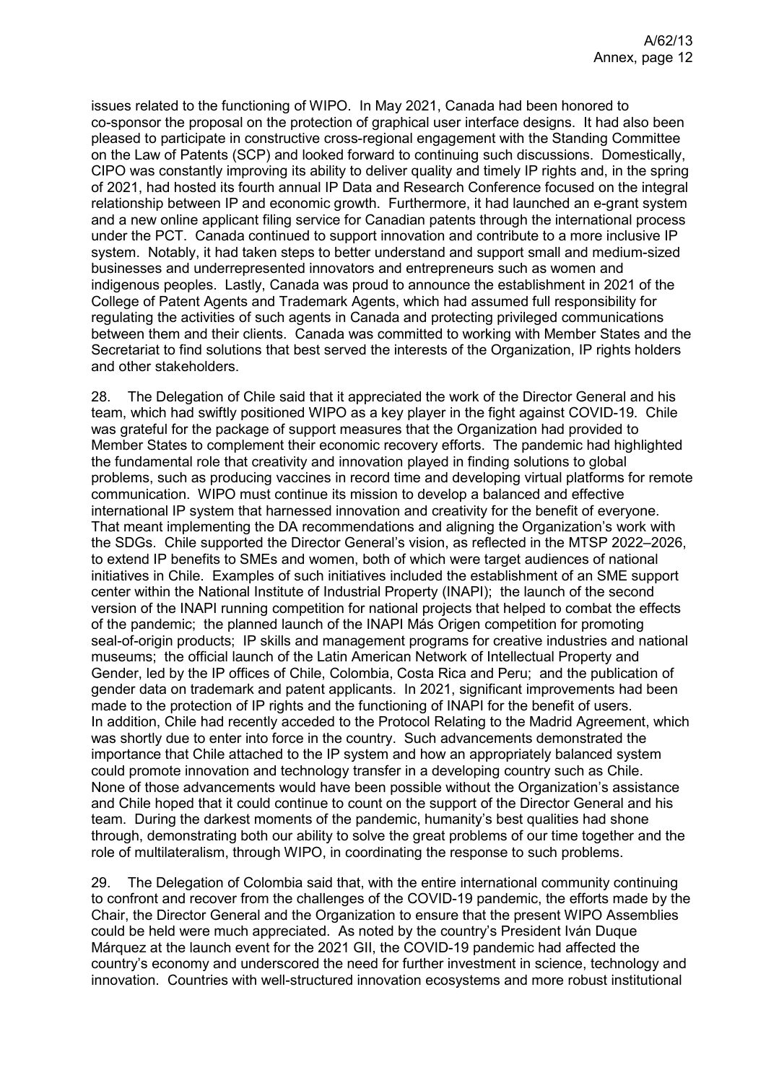issues related to the functioning of WIPO. In May 2021, Canada had been honored to co-sponsor the proposal on the protection of graphical user interface designs. It had also been pleased to participate in constructive cross-regional engagement with the Standing Committee on the Law of Patents (SCP) and looked forward to continuing such discussions. Domestically, CIPO was constantly improving its ability to deliver quality and timely IP rights and, in the spring of 2021, had hosted its fourth annual IP Data and Research Conference focused on the integral relationship between IP and economic growth. Furthermore, it had launched an e-grant system and a new online applicant filing service for Canadian patents through the international process under the PCT. Canada continued to support innovation and contribute to a more inclusive IP system. Notably, it had taken steps to better understand and support small and medium-sized businesses and underrepresented innovators and entrepreneurs such as women and indigenous peoples. Lastly, Canada was proud to announce the establishment in 2021 of the College of Patent Agents and Trademark Agents, which had assumed full responsibility for regulating the activities of such agents in Canada and protecting privileged communications between them and their clients. Canada was committed to working with Member States and the Secretariat to find solutions that best served the interests of the Organization, IP rights holders and other stakeholders.

28. The Delegation of Chile said that it appreciated the work of the Director General and his team, which had swiftly positioned WIPO as a key player in the fight against COVID-19. Chile was grateful for the package of support measures that the Organization had provided to Member States to complement their economic recovery efforts. The pandemic had highlighted the fundamental role that creativity and innovation played in finding solutions to global problems, such as producing vaccines in record time and developing virtual platforms for remote communication. WIPO must continue its mission to develop a balanced and effective international IP system that harnessed innovation and creativity for the benefit of everyone. That meant implementing the DA recommendations and aligning the Organization's work with the SDGs. Chile supported the Director General's vision, as reflected in the MTSP 2022–2026, to extend IP benefits to SMEs and women, both of which were target audiences of national initiatives in Chile. Examples of such initiatives included the establishment of an SME support center within the National Institute of Industrial Property (INAPI); the launch of the second version of the INAPI running competition for national projects that helped to combat the effects of the pandemic; the planned launch of the INAPI Más Origen competition for promoting seal-of-origin products; IP skills and management programs for creative industries and national museums; the official launch of the Latin American Network of Intellectual Property and Gender, led by the IP offices of Chile, Colombia, Costa Rica and Peru; and the publication of gender data on trademark and patent applicants. In 2021, significant improvements had been made to the protection of IP rights and the functioning of INAPI for the benefit of users. In addition, Chile had recently acceded to the Protocol Relating to the Madrid Agreement, which was shortly due to enter into force in the country. Such advancements demonstrated the importance that Chile attached to the IP system and how an appropriately balanced system could promote innovation and technology transfer in a developing country such as Chile. None of those advancements would have been possible without the Organization's assistance and Chile hoped that it could continue to count on the support of the Director General and his team. During the darkest moments of the pandemic, humanity's best qualities had shone through, demonstrating both our ability to solve the great problems of our time together and the role of multilateralism, through WIPO, in coordinating the response to such problems.

29. The Delegation of Colombia said that, with the entire international community continuing to confront and recover from the challenges of the COVID-19 pandemic, the efforts made by the Chair, the Director General and the Organization to ensure that the present WIPO Assemblies could be held were much appreciated. As noted by the country's President Iván Duque Márquez at the launch event for the 2021 GII, the COVID-19 pandemic had affected the country's economy and underscored the need for further investment in science, technology and innovation. Countries with well-structured innovation ecosystems and more robust institutional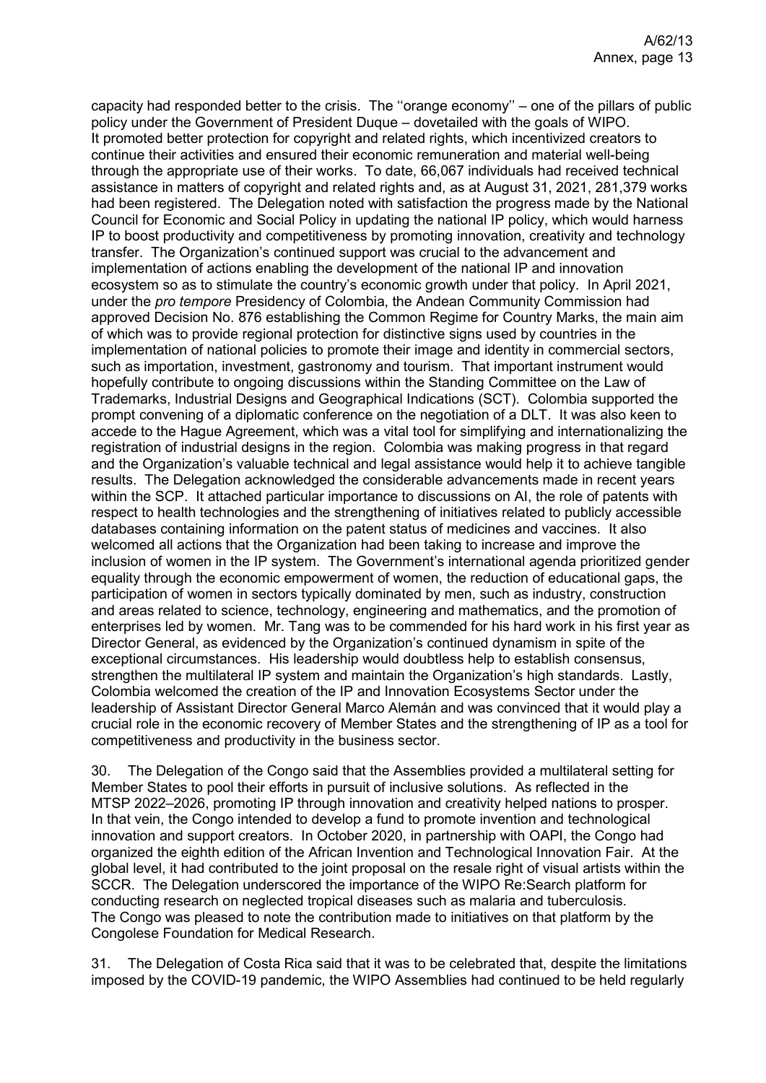capacity had responded better to the crisis. The ''orange economy'' – one of the pillars of public policy under the Government of President Duque – dovetailed with the goals of WIPO. It promoted better protection for copyright and related rights, which incentivized creators to continue their activities and ensured their economic remuneration and material well-being through the appropriate use of their works. To date, 66,067 individuals had received technical assistance in matters of copyright and related rights and, as at August 31, 2021, 281,379 works had been registered. The Delegation noted with satisfaction the progress made by the National Council for Economic and Social Policy in updating the national IP policy, which would harness IP to boost productivity and competitiveness by promoting innovation, creativity and technology transfer. The Organization's continued support was crucial to the advancement and implementation of actions enabling the development of the national IP and innovation ecosystem so as to stimulate the country's economic growth under that policy. In April 2021, under the *pro tempore* Presidency of Colombia, the Andean Community Commission had approved Decision No. 876 establishing the Common Regime for Country Marks, the main aim of which was to provide regional protection for distinctive signs used by countries in the implementation of national policies to promote their image and identity in commercial sectors, such as importation, investment, gastronomy and tourism. That important instrument would hopefully contribute to ongoing discussions within the Standing Committee on the Law of Trademarks, Industrial Designs and Geographical Indications (SCT). Colombia supported the prompt convening of a diplomatic conference on the negotiation of a DLT. It was also keen to accede to the Hague Agreement, which was a vital tool for simplifying and internationalizing the registration of industrial designs in the region. Colombia was making progress in that regard and the Organization's valuable technical and legal assistance would help it to achieve tangible results. The Delegation acknowledged the considerable advancements made in recent years within the SCP. It attached particular importance to discussions on AI, the role of patents with respect to health technologies and the strengthening of initiatives related to publicly accessible databases containing information on the patent status of medicines and vaccines. It also welcomed all actions that the Organization had been taking to increase and improve the inclusion of women in the IP system. The Government's international agenda prioritized gender equality through the economic empowerment of women, the reduction of educational gaps, the participation of women in sectors typically dominated by men, such as industry, construction and areas related to science, technology, engineering and mathematics, and the promotion of enterprises led by women. Mr. Tang was to be commended for his hard work in his first year as Director General, as evidenced by the Organization's continued dynamism in spite of the exceptional circumstances. His leadership would doubtless help to establish consensus, strengthen the multilateral IP system and maintain the Organization's high standards. Lastly, Colombia welcomed the creation of the IP and Innovation Ecosystems Sector under the leadership of Assistant Director General Marco Alemán and was convinced that it would play a crucial role in the economic recovery of Member States and the strengthening of IP as a tool for competitiveness and productivity in the business sector.

30. The Delegation of the Congo said that the Assemblies provided a multilateral setting for Member States to pool their efforts in pursuit of inclusive solutions. As reflected in the MTSP 2022–2026, promoting IP through innovation and creativity helped nations to prosper. In that vein, the Congo intended to develop a fund to promote invention and technological innovation and support creators. In October 2020, in partnership with OAPI, the Congo had organized the eighth edition of the African Invention and Technological Innovation Fair. At the global level, it had contributed to the joint proposal on the resale right of visual artists within the SCCR. The Delegation underscored the importance of the WIPO Re:Search platform for conducting research on neglected tropical diseases such as malaria and tuberculosis. The Congo was pleased to note the contribution made to initiatives on that platform by the Congolese Foundation for Medical Research.

31. The Delegation of Costa Rica said that it was to be celebrated that, despite the limitations imposed by the COVID-19 pandemic, the WIPO Assemblies had continued to be held regularly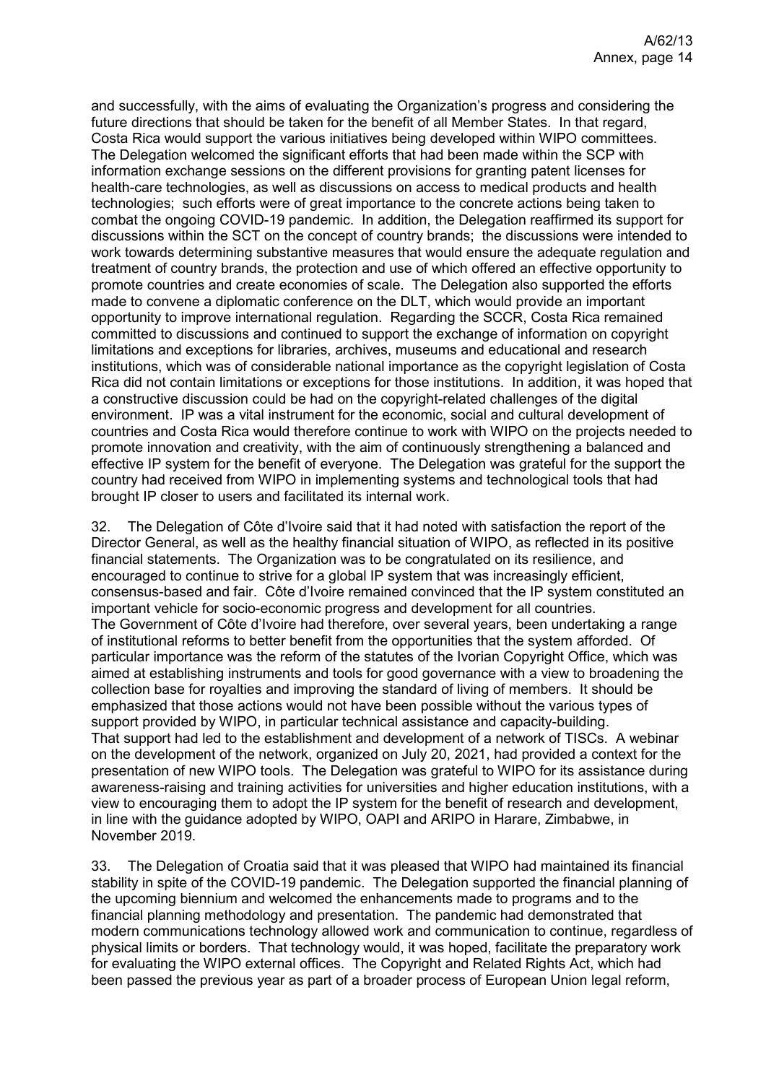and successfully, with the aims of evaluating the Organization's progress and considering the future directions that should be taken for the benefit of all Member States. In that regard, Costa Rica would support the various initiatives being developed within WIPO committees. The Delegation welcomed the significant efforts that had been made within the SCP with information exchange sessions on the different provisions for granting patent licenses for health-care technologies, as well as discussions on access to medical products and health technologies; such efforts were of great importance to the concrete actions being taken to combat the ongoing COVID-19 pandemic. In addition, the Delegation reaffirmed its support for discussions within the SCT on the concept of country brands; the discussions were intended to work towards determining substantive measures that would ensure the adequate regulation and treatment of country brands, the protection and use of which offered an effective opportunity to promote countries and create economies of scale. The Delegation also supported the efforts made to convene a diplomatic conference on the DLT, which would provide an important opportunity to improve international regulation. Regarding the SCCR, Costa Rica remained committed to discussions and continued to support the exchange of information on copyright limitations and exceptions for libraries, archives, museums and educational and research institutions, which was of considerable national importance as the copyright legislation of Costa Rica did not contain limitations or exceptions for those institutions. In addition, it was hoped that a constructive discussion could be had on the copyright-related challenges of the digital environment. IP was a vital instrument for the economic, social and cultural development of countries and Costa Rica would therefore continue to work with WIPO on the projects needed to promote innovation and creativity, with the aim of continuously strengthening a balanced and effective IP system for the benefit of everyone. The Delegation was grateful for the support the country had received from WIPO in implementing systems and technological tools that had brought IP closer to users and facilitated its internal work.

32. The Delegation of Côte d'Ivoire said that it had noted with satisfaction the report of the Director General, as well as the healthy financial situation of WIPO, as reflected in its positive financial statements. The Organization was to be congratulated on its resilience, and encouraged to continue to strive for a global IP system that was increasingly efficient, consensus-based and fair. Côte d'Ivoire remained convinced that the IP system constituted an important vehicle for socio-economic progress and development for all countries. The Government of Côte d'Ivoire had therefore, over several years, been undertaking a range of institutional reforms to better benefit from the opportunities that the system afforded. Of particular importance was the reform of the statutes of the Ivorian Copyright Office, which was aimed at establishing instruments and tools for good governance with a view to broadening the collection base for royalties and improving the standard of living of members. It should be emphasized that those actions would not have been possible without the various types of support provided by WIPO, in particular technical assistance and capacity-building. That support had led to the establishment and development of a network of TISCs. A webinar on the development of the network, organized on July 20, 2021, had provided a context for the presentation of new WIPO tools. The Delegation was grateful to WIPO for its assistance during awareness-raising and training activities for universities and higher education institutions, with a view to encouraging them to adopt the IP system for the benefit of research and development, in line with the guidance adopted by WIPO, OAPI and ARIPO in Harare, Zimbabwe, in November 2019.

33. The Delegation of Croatia said that it was pleased that WIPO had maintained its financial stability in spite of the COVID-19 pandemic. The Delegation supported the financial planning of the upcoming biennium and welcomed the enhancements made to programs and to the financial planning methodology and presentation. The pandemic had demonstrated that modern communications technology allowed work and communication to continue, regardless of physical limits or borders. That technology would, it was hoped, facilitate the preparatory work for evaluating the WIPO external offices. The Copyright and Related Rights Act, which had been passed the previous year as part of a broader process of European Union legal reform,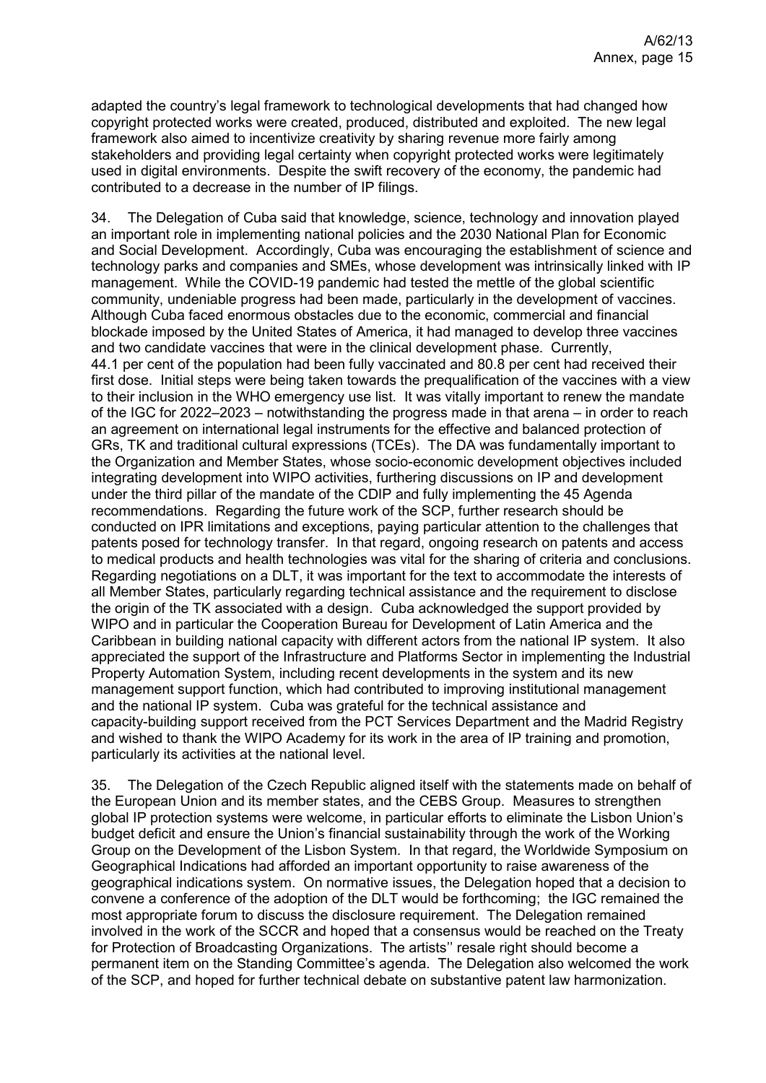adapted the country's legal framework to technological developments that had changed how copyright protected works were created, produced, distributed and exploited. The new legal framework also aimed to incentivize creativity by sharing revenue more fairly among stakeholders and providing legal certainty when copyright protected works were legitimately used in digital environments. Despite the swift recovery of the economy, the pandemic had contributed to a decrease in the number of IP filings.

34. The Delegation of Cuba said that knowledge, science, technology and innovation played an important role in implementing national policies and the 2030 National Plan for Economic and Social Development. Accordingly, Cuba was encouraging the establishment of science and technology parks and companies and SMEs, whose development was intrinsically linked with IP management. While the COVID-19 pandemic had tested the mettle of the global scientific community, undeniable progress had been made, particularly in the development of vaccines. Although Cuba faced enormous obstacles due to the economic, commercial and financial blockade imposed by the United States of America, it had managed to develop three vaccines and two candidate vaccines that were in the clinical development phase. Currently, 44.1 per cent of the population had been fully vaccinated and 80.8 per cent had received their first dose. Initial steps were being taken towards the prequalification of the vaccines with a view to their inclusion in the WHO emergency use list. It was vitally important to renew the mandate of the IGC for 2022–2023 – notwithstanding the progress made in that arena – in order to reach an agreement on international legal instruments for the effective and balanced protection of GRs, TK and traditional cultural expressions (TCEs). The DA was fundamentally important to the Organization and Member States, whose socio-economic development objectives included integrating development into WIPO activities, furthering discussions on IP and development under the third pillar of the mandate of the CDIP and fully implementing the 45 Agenda recommendations. Regarding the future work of the SCP, further research should be conducted on IPR limitations and exceptions, paying particular attention to the challenges that patents posed for technology transfer. In that regard, ongoing research on patents and access to medical products and health technologies was vital for the sharing of criteria and conclusions. Regarding negotiations on a DLT, it was important for the text to accommodate the interests of all Member States, particularly regarding technical assistance and the requirement to disclose the origin of the TK associated with a design. Cuba acknowledged the support provided by WIPO and in particular the Cooperation Bureau for Development of Latin America and the Caribbean in building national capacity with different actors from the national IP system. It also appreciated the support of the Infrastructure and Platforms Sector in implementing the Industrial Property Automation System, including recent developments in the system and its new management support function, which had contributed to improving institutional management and the national IP system. Cuba was grateful for the technical assistance and capacity-building support received from the PCT Services Department and the Madrid Registry and wished to thank the WIPO Academy for its work in the area of IP training and promotion, particularly its activities at the national level.

35. The Delegation of the Czech Republic aligned itself with the statements made on behalf of the European Union and its member states, and the CEBS Group. Measures to strengthen global IP protection systems were welcome, in particular efforts to eliminate the Lisbon Union's budget deficit and ensure the Union's financial sustainability through the work of the Working Group on the Development of the Lisbon System. In that regard, the Worldwide Symposium on Geographical Indications had afforded an important opportunity to raise awareness of the geographical indications system. On normative issues, the Delegation hoped that a decision to convene a conference of the adoption of the DLT would be forthcoming; the IGC remained the most appropriate forum to discuss the disclosure requirement. The Delegation remained involved in the work of the SCCR and hoped that a consensus would be reached on the Treaty for Protection of Broadcasting Organizations. The artists'' resale right should become a permanent item on the Standing Committee's agenda. The Delegation also welcomed the work of the SCP, and hoped for further technical debate on substantive patent law harmonization.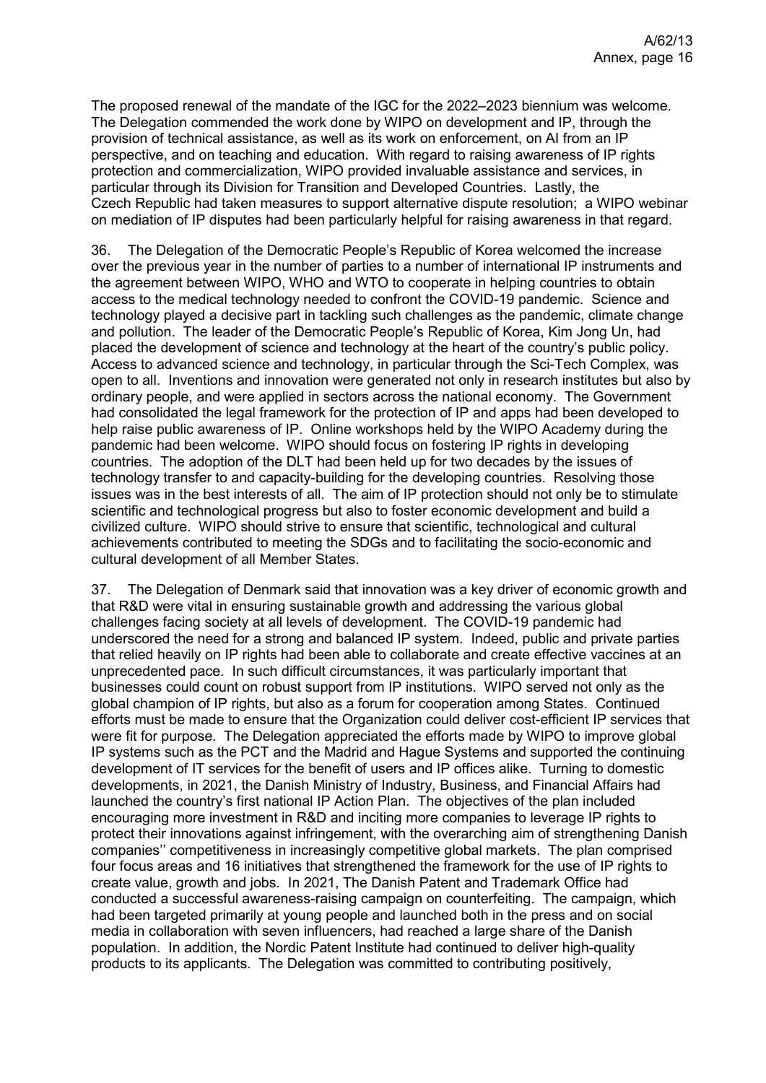The proposed renewal of the mandate of the IGC for the 2022–2023 biennium was welcome. The Delegation commended the work done by WIPO on development and IP, through the provision of technical assistance, as well as its work on enforcement, on AI from an IP perspective, and on teaching and education. With regard to raising awareness of IP rights protection and commercialization, WIPO provided invaluable assistance and services, in particular through its Division for Transition and Developed Countries. Lastly, the Czech Republic had taken measures to support alternative dispute resolution; a WIPO webinar on mediation of IP disputes had been particularly helpful for raising awareness in that regard.

36. The Delegation of the Democratic People's Republic of Korea welcomed the increase over the previous year in the number of parties to a number of international IP instruments and the agreement between WIPO, WHO and WTO to cooperate in helping countries to obtain access to the medical technology needed to confront the COVID-19 pandemic. Science and technology played a decisive part in tackling such challenges as the pandemic, climate change and pollution. The leader of the Democratic People's Republic of Korea, Kim Jong Un, had placed the development of science and technology at the heart of the country's public policy. Access to advanced science and technology, in particular through the Sci-Tech Complex, was open to all. Inventions and innovation were generated not only in research institutes but also by ordinary people, and were applied in sectors across the national economy. The Government had consolidated the legal framework for the protection of IP and apps had been developed to help raise public awareness of IP. Online workshops held by the WIPO Academy during the pandemic had been welcome. WIPO should focus on fostering IP rights in developing countries. The adoption of the DLT had been held up for two decades by the issues of technology transfer to and capacity-building for the developing countries. Resolving those issues was in the best interests of all. The aim of IP protection should not only be to stimulate scientific and technological progress but also to foster economic development and build a civilized culture. WIPO should strive to ensure that scientific, technological and cultural achievements contributed to meeting the SDGs and to facilitating the socio-economic and cultural development of all Member States.

37. The Delegation of Denmark said that innovation was a key driver of economic growth and that R&D were vital in ensuring sustainable growth and addressing the various global challenges facing society at all levels of development. The COVID-19 pandemic had underscored the need for a strong and balanced IP system. Indeed, public and private parties that relied heavily on IP rights had been able to collaborate and create effective vaccines at an unprecedented pace. In such difficult circumstances, it was particularly important that businesses could count on robust support from IP institutions. WIPO served not only as the global champion of IP rights, but also as a forum for cooperation among States. Continued efforts must be made to ensure that the Organization could deliver cost-efficient IP services that were fit for purpose. The Delegation appreciated the efforts made by WIPO to improve global IP systems such as the PCT and the Madrid and Hague Systems and supported the continuing development of IT services for the benefit of users and IP offices alike. Turning to domestic developments, in 2021, the Danish Ministry of Industry, Business, and Financial Affairs had launched the country's first national IP Action Plan. The objectives of the plan included encouraging more investment in R&D and inciting more companies to leverage IP rights to protect their innovations against infringement, with the overarching aim of strengthening Danish companies'' competitiveness in increasingly competitive global markets. The plan comprised four focus areas and 16 initiatives that strengthened the framework for the use of IP rights to create value, growth and jobs. In 2021, The Danish Patent and Trademark Office had conducted a successful awareness-raising campaign on counterfeiting. The campaign, which had been targeted primarily at young people and launched both in the press and on social media in collaboration with seven influencers, had reached a large share of the Danish population. In addition, the Nordic Patent Institute had continued to deliver high-quality products to its applicants. The Delegation was committed to contributing positively,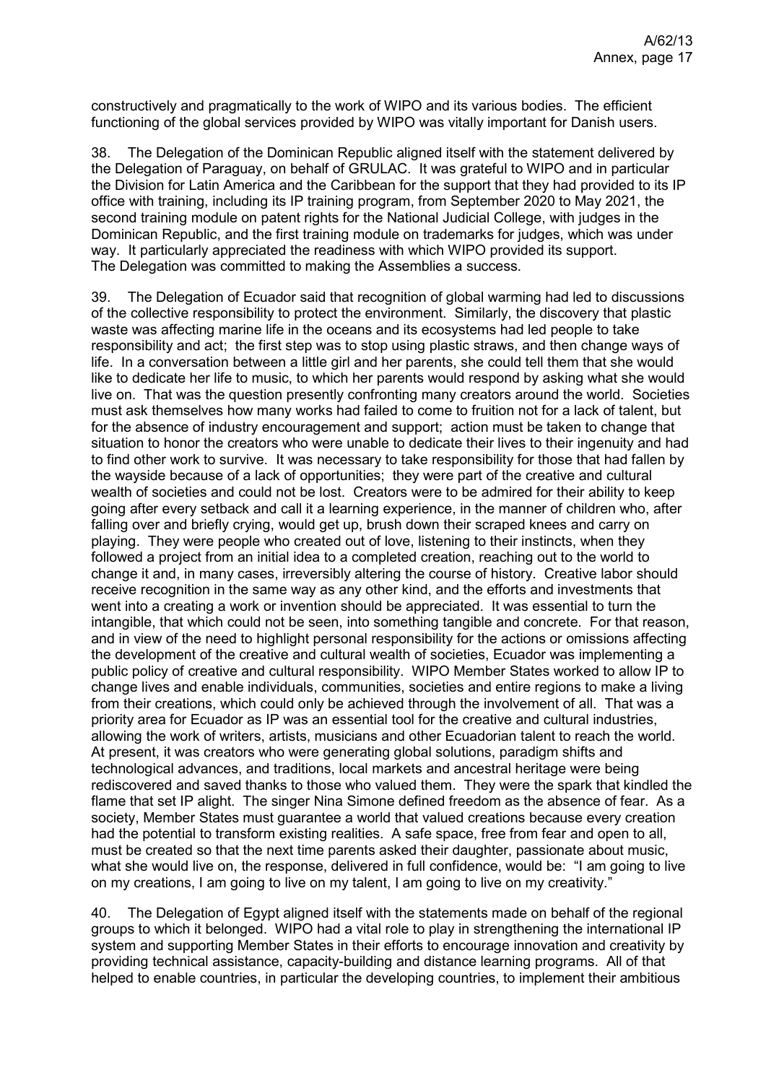constructively and pragmatically to the work of WIPO and its various bodies. The efficient functioning of the global services provided by WIPO was vitally important for Danish users.

38. The Delegation of the Dominican Republic aligned itself with the statement delivered by the Delegation of Paraguay, on behalf of GRULAC. It was grateful to WIPO and in particular the Division for Latin America and the Caribbean for the support that they had provided to its IP office with training, including its IP training program, from September 2020 to May 2021, the second training module on patent rights for the National Judicial College, with judges in the Dominican Republic, and the first training module on trademarks for judges, which was under way. It particularly appreciated the readiness with which WIPO provided its support. The Delegation was committed to making the Assemblies a success.

39. The Delegation of Ecuador said that recognition of global warming had led to discussions of the collective responsibility to protect the environment. Similarly, the discovery that plastic waste was affecting marine life in the oceans and its ecosystems had led people to take responsibility and act; the first step was to stop using plastic straws, and then change ways of life. In a conversation between a little girl and her parents, she could tell them that she would like to dedicate her life to music, to which her parents would respond by asking what she would live on. That was the question presently confronting many creators around the world. Societies must ask themselves how many works had failed to come to fruition not for a lack of talent, but for the absence of industry encouragement and support; action must be taken to change that situation to honor the creators who were unable to dedicate their lives to their ingenuity and had to find other work to survive. It was necessary to take responsibility for those that had fallen by the wayside because of a lack of opportunities; they were part of the creative and cultural wealth of societies and could not be lost. Creators were to be admired for their ability to keep going after every setback and call it a learning experience, in the manner of children who, after falling over and briefly crying, would get up, brush down their scraped knees and carry on playing. They were people who created out of love, listening to their instincts, when they followed a project from an initial idea to a completed creation, reaching out to the world to change it and, in many cases, irreversibly altering the course of history. Creative labor should receive recognition in the same way as any other kind, and the efforts and investments that went into a creating a work or invention should be appreciated. It was essential to turn the intangible, that which could not be seen, into something tangible and concrete. For that reason, and in view of the need to highlight personal responsibility for the actions or omissions affecting the development of the creative and cultural wealth of societies, Ecuador was implementing a public policy of creative and cultural responsibility. WIPO Member States worked to allow IP to change lives and enable individuals, communities, societies and entire regions to make a living from their creations, which could only be achieved through the involvement of all. That was a priority area for Ecuador as IP was an essential tool for the creative and cultural industries, allowing the work of writers, artists, musicians and other Ecuadorian talent to reach the world. At present, it was creators who were generating global solutions, paradigm shifts and technological advances, and traditions, local markets and ancestral heritage were being rediscovered and saved thanks to those who valued them. They were the spark that kindled the flame that set IP alight. The singer Nina Simone defined freedom as the absence of fear. As a society, Member States must guarantee a world that valued creations because every creation had the potential to transform existing realities. A safe space, free from fear and open to all, must be created so that the next time parents asked their daughter, passionate about music, what she would live on, the response, delivered in full confidence, would be: "I am going to live on my creations, I am going to live on my talent, I am going to live on my creativity."

40. The Delegation of Egypt aligned itself with the statements made on behalf of the regional groups to which it belonged. WIPO had a vital role to play in strengthening the international IP system and supporting Member States in their efforts to encourage innovation and creativity by providing technical assistance, capacity-building and distance learning programs. All of that helped to enable countries, in particular the developing countries, to implement their ambitious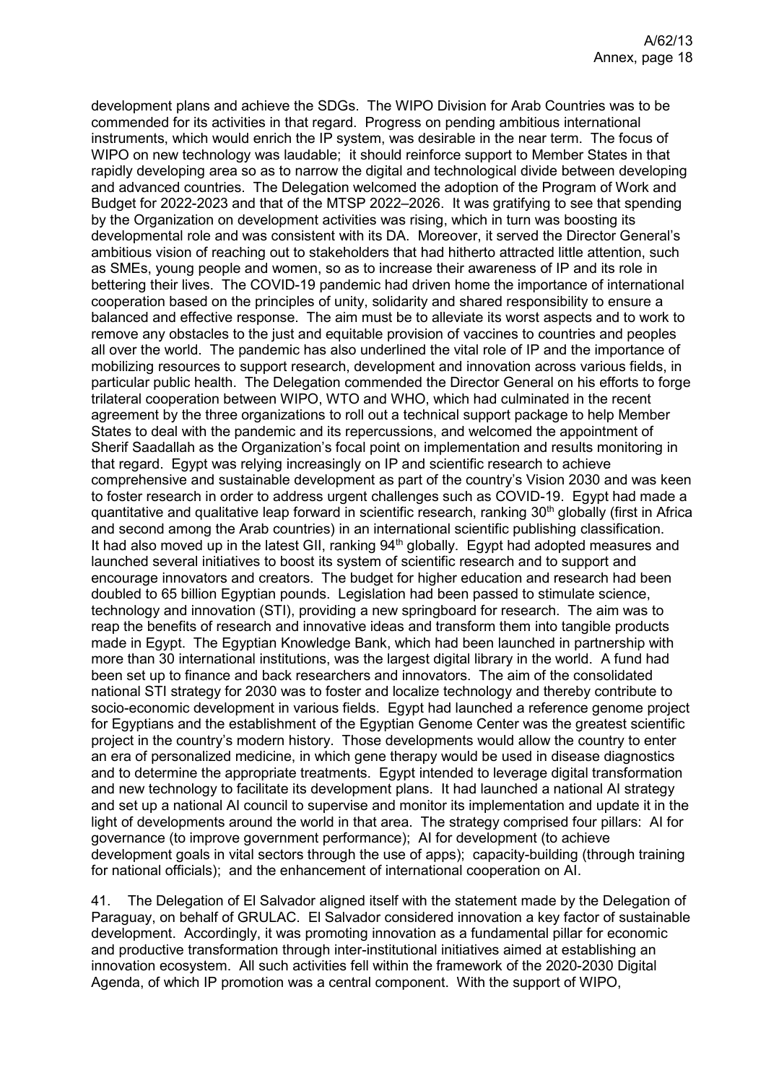development plans and achieve the SDGs. The WIPO Division for Arab Countries was to be commended for its activities in that regard. Progress on pending ambitious international instruments, which would enrich the IP system, was desirable in the near term. The focus of WIPO on new technology was laudable; it should reinforce support to Member States in that rapidly developing area so as to narrow the digital and technological divide between developing and advanced countries. The Delegation welcomed the adoption of the Program of Work and Budget for 2022-2023 and that of the MTSP 2022–2026. It was gratifying to see that spending by the Organization on development activities was rising, which in turn was boosting its developmental role and was consistent with its DA. Moreover, it served the Director General's ambitious vision of reaching out to stakeholders that had hitherto attracted little attention, such as SMEs, young people and women, so as to increase their awareness of IP and its role in bettering their lives. The COVID-19 pandemic had driven home the importance of international cooperation based on the principles of unity, solidarity and shared responsibility to ensure a balanced and effective response. The aim must be to alleviate its worst aspects and to work to remove any obstacles to the just and equitable provision of vaccines to countries and peoples all over the world. The pandemic has also underlined the vital role of IP and the importance of mobilizing resources to support research, development and innovation across various fields, in particular public health. The Delegation commended the Director General on his efforts to forge trilateral cooperation between WIPO, WTO and WHO, which had culminated in the recent agreement by the three organizations to roll out a technical support package to help Member States to deal with the pandemic and its repercussions, and welcomed the appointment of Sherif Saadallah as the Organization's focal point on implementation and results monitoring in that regard. Egypt was relying increasingly on IP and scientific research to achieve comprehensive and sustainable development as part of the country's Vision 2030 and was keen to foster research in order to address urgent challenges such as COVID-19. Egypt had made a quantitative and qualitative leap forward in scientific research, ranking  $30<sup>th</sup>$  globally (first in Africa and second among the Arab countries) in an international scientific publishing classification. It had also moved up in the latest GII, ranking  $94<sup>th</sup>$  globally. Egypt had adopted measures and launched several initiatives to boost its system of scientific research and to support and encourage innovators and creators. The budget for higher education and research had been doubled to 65 billion Egyptian pounds. Legislation had been passed to stimulate science, technology and innovation (STI), providing a new springboard for research. The aim was to reap the benefits of research and innovative ideas and transform them into tangible products made in Egypt. The Egyptian Knowledge Bank, which had been launched in partnership with more than 30 international institutions, was the largest digital library in the world. A fund had been set up to finance and back researchers and innovators. The aim of the consolidated national STI strategy for 2030 was to foster and localize technology and thereby contribute to socio-economic development in various fields. Egypt had launched a reference genome project for Egyptians and the establishment of the Egyptian Genome Center was the greatest scientific project in the country's modern history. Those developments would allow the country to enter an era of personalized medicine, in which gene therapy would be used in disease diagnostics and to determine the appropriate treatments. Egypt intended to leverage digital transformation and new technology to facilitate its development plans. It had launched a national AI strategy and set up a national AI council to supervise and monitor its implementation and update it in the light of developments around the world in that area. The strategy comprised four pillars: AI for governance (to improve government performance); AI for development (to achieve development goals in vital sectors through the use of apps); capacity-building (through training for national officials); and the enhancement of international cooperation on AI.

41. The Delegation of El Salvador aligned itself with the statement made by the Delegation of Paraguay, on behalf of GRULAC. El Salvador considered innovation a key factor of sustainable development. Accordingly, it was promoting innovation as a fundamental pillar for economic and productive transformation through inter-institutional initiatives aimed at establishing an innovation ecosystem. All such activities fell within the framework of the 2020-2030 Digital Agenda, of which IP promotion was a central component. With the support of WIPO,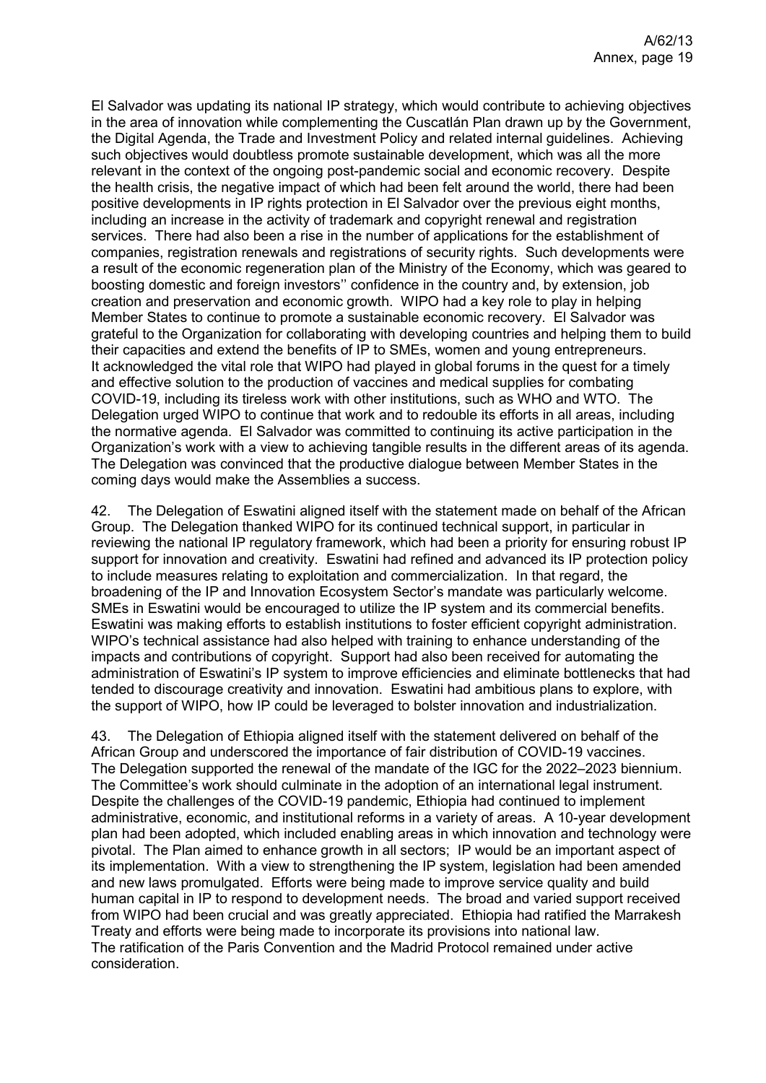El Salvador was updating its national IP strategy, which would contribute to achieving objectives in the area of innovation while complementing the Cuscatlán Plan drawn up by the Government, the Digital Agenda, the Trade and Investment Policy and related internal guidelines. Achieving such objectives would doubtless promote sustainable development, which was all the more relevant in the context of the ongoing post-pandemic social and economic recovery. Despite the health crisis, the negative impact of which had been felt around the world, there had been positive developments in IP rights protection in El Salvador over the previous eight months, including an increase in the activity of trademark and copyright renewal and registration services. There had also been a rise in the number of applications for the establishment of companies, registration renewals and registrations of security rights. Such developments were a result of the economic regeneration plan of the Ministry of the Economy, which was geared to boosting domestic and foreign investors'' confidence in the country and, by extension, job creation and preservation and economic growth. WIPO had a key role to play in helping Member States to continue to promote a sustainable economic recovery. El Salvador was grateful to the Organization for collaborating with developing countries and helping them to build their capacities and extend the benefits of IP to SMEs, women and young entrepreneurs. It acknowledged the vital role that WIPO had played in global forums in the quest for a timely and effective solution to the production of vaccines and medical supplies for combating COVID-19, including its tireless work with other institutions, such as WHO and WTO. The Delegation urged WIPO to continue that work and to redouble its efforts in all areas, including the normative agenda. El Salvador was committed to continuing its active participation in the Organization's work with a view to achieving tangible results in the different areas of its agenda. The Delegation was convinced that the productive dialogue between Member States in the coming days would make the Assemblies a success.

42. The Delegation of Eswatini aligned itself with the statement made on behalf of the African Group. The Delegation thanked WIPO for its continued technical support, in particular in reviewing the national IP regulatory framework, which had been a priority for ensuring robust IP support for innovation and creativity. Eswatini had refined and advanced its IP protection policy to include measures relating to exploitation and commercialization. In that regard, the broadening of the IP and Innovation Ecosystem Sector's mandate was particularly welcome. SMEs in Eswatini would be encouraged to utilize the IP system and its commercial benefits. Eswatini was making efforts to establish institutions to foster efficient copyright administration. WIPO's technical assistance had also helped with training to enhance understanding of the impacts and contributions of copyright. Support had also been received for automating the administration of Eswatini's IP system to improve efficiencies and eliminate bottlenecks that had tended to discourage creativity and innovation. Eswatini had ambitious plans to explore, with the support of WIPO, how IP could be leveraged to bolster innovation and industrialization.

43. The Delegation of Ethiopia aligned itself with the statement delivered on behalf of the African Group and underscored the importance of fair distribution of COVID-19 vaccines. The Delegation supported the renewal of the mandate of the IGC for the 2022–2023 biennium. The Committee's work should culminate in the adoption of an international legal instrument. Despite the challenges of the COVID-19 pandemic, Ethiopia had continued to implement administrative, economic, and institutional reforms in a variety of areas. A 10-year development plan had been adopted, which included enabling areas in which innovation and technology were pivotal. The Plan aimed to enhance growth in all sectors; IP would be an important aspect of its implementation. With a view to strengthening the IP system, legislation had been amended and new laws promulgated. Efforts were being made to improve service quality and build human capital in IP to respond to development needs. The broad and varied support received from WIPO had been crucial and was greatly appreciated. Ethiopia had ratified the Marrakesh Treaty and efforts were being made to incorporate its provisions into national law. The ratification of the Paris Convention and the Madrid Protocol remained under active consideration.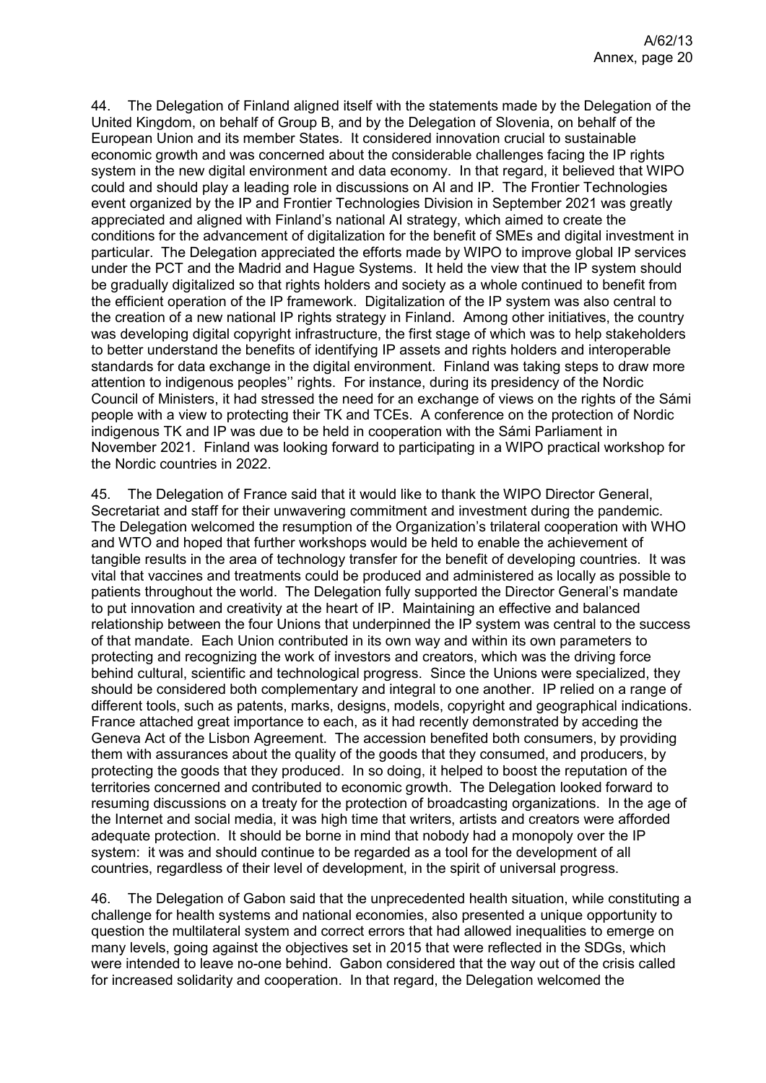44. The Delegation of Finland aligned itself with the statements made by the Delegation of the United Kingdom, on behalf of Group B, and by the Delegation of Slovenia, on behalf of the European Union and its member States. It considered innovation crucial to sustainable economic growth and was concerned about the considerable challenges facing the IP rights system in the new digital environment and data economy. In that regard, it believed that WIPO could and should play a leading role in discussions on AI and IP. The Frontier Technologies event organized by the IP and Frontier Technologies Division in September 2021 was greatly appreciated and aligned with Finland's national AI strategy, which aimed to create the conditions for the advancement of digitalization for the benefit of SMEs and digital investment in particular. The Delegation appreciated the efforts made by WIPO to improve global IP services under the PCT and the Madrid and Hague Systems. It held the view that the IP system should be gradually digitalized so that rights holders and society as a whole continued to benefit from the efficient operation of the IP framework. Digitalization of the IP system was also central to the creation of a new national IP rights strategy in Finland. Among other initiatives, the country was developing digital copyright infrastructure, the first stage of which was to help stakeholders to better understand the benefits of identifying IP assets and rights holders and interoperable standards for data exchange in the digital environment. Finland was taking steps to draw more attention to indigenous peoples'' rights. For instance, during its presidency of the Nordic Council of Ministers, it had stressed the need for an exchange of views on the rights of the Sámi people with a view to protecting their TK and TCEs. A conference on the protection of Nordic indigenous TK and IP was due to be held in cooperation with the Sámi Parliament in November 2021. Finland was looking forward to participating in a WIPO practical workshop for the Nordic countries in 2022.

45. The Delegation of France said that it would like to thank the WIPO Director General, Secretariat and staff for their unwavering commitment and investment during the pandemic. The Delegation welcomed the resumption of the Organization's trilateral cooperation with WHO and WTO and hoped that further workshops would be held to enable the achievement of tangible results in the area of technology transfer for the benefit of developing countries. It was vital that vaccines and treatments could be produced and administered as locally as possible to patients throughout the world. The Delegation fully supported the Director General's mandate to put innovation and creativity at the heart of IP. Maintaining an effective and balanced relationship between the four Unions that underpinned the IP system was central to the success of that mandate. Each Union contributed in its own way and within its own parameters to protecting and recognizing the work of investors and creators, which was the driving force behind cultural, scientific and technological progress. Since the Unions were specialized, they should be considered both complementary and integral to one another. IP relied on a range of different tools, such as patents, marks, designs, models, copyright and geographical indications. France attached great importance to each, as it had recently demonstrated by acceding the Geneva Act of the Lisbon Agreement. The accession benefited both consumers, by providing them with assurances about the quality of the goods that they consumed, and producers, by protecting the goods that they produced. In so doing, it helped to boost the reputation of the territories concerned and contributed to economic growth. The Delegation looked forward to resuming discussions on a treaty for the protection of broadcasting organizations. In the age of the Internet and social media, it was high time that writers, artists and creators were afforded adequate protection. It should be borne in mind that nobody had a monopoly over the IP system: it was and should continue to be regarded as a tool for the development of all countries, regardless of their level of development, in the spirit of universal progress.

46. The Delegation of Gabon said that the unprecedented health situation, while constituting a challenge for health systems and national economies, also presented a unique opportunity to question the multilateral system and correct errors that had allowed inequalities to emerge on many levels, going against the objectives set in 2015 that were reflected in the SDGs, which were intended to leave no-one behind. Gabon considered that the way out of the crisis called for increased solidarity and cooperation. In that regard, the Delegation welcomed the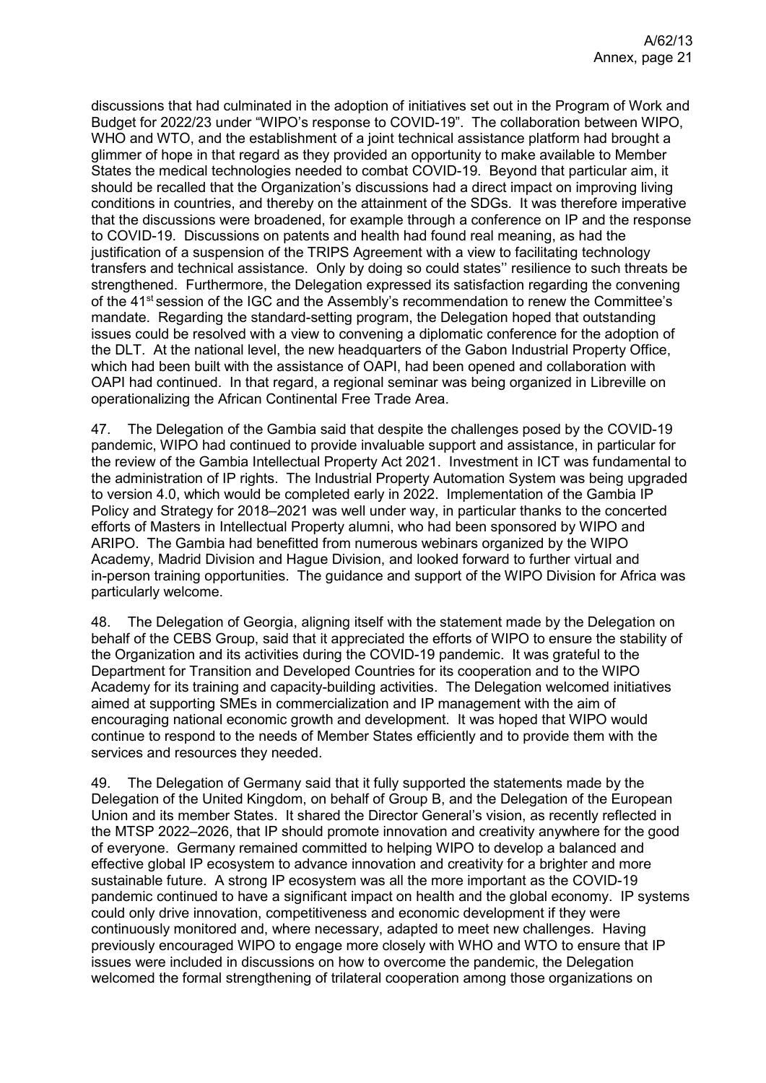discussions that had culminated in the adoption of initiatives set out in the Program of Work and Budget for 2022/23 under "WIPO's response to COVID-19". The collaboration between WIPO, WHO and WTO, and the establishment of a joint technical assistance platform had brought a glimmer of hope in that regard as they provided an opportunity to make available to Member States the medical technologies needed to combat COVID-19. Beyond that particular aim, it should be recalled that the Organization's discussions had a direct impact on improving living conditions in countries, and thereby on the attainment of the SDGs. It was therefore imperative that the discussions were broadened, for example through a conference on IP and the response to COVID-19. Discussions on patents and health had found real meaning, as had the justification of a suspension of the TRIPS Agreement with a view to facilitating technology transfers and technical assistance. Only by doing so could states'' resilience to such threats be strengthened. Furthermore, the Delegation expressed its satisfaction regarding the convening of the 41<sup>st</sup> session of the IGC and the Assembly's recommendation to renew the Committee's mandate. Regarding the standard-setting program, the Delegation hoped that outstanding issues could be resolved with a view to convening a diplomatic conference for the adoption of the DLT. At the national level, the new headquarters of the Gabon Industrial Property Office, which had been built with the assistance of OAPI, had been opened and collaboration with OAPI had continued. In that regard, a regional seminar was being organized in Libreville on operationalizing the African Continental Free Trade Area.

47. The Delegation of the Gambia said that despite the challenges posed by the COVID-19 pandemic, WIPO had continued to provide invaluable support and assistance, in particular for the review of the Gambia Intellectual Property Act 2021. Investment in ICT was fundamental to the administration of IP rights. The Industrial Property Automation System was being upgraded to version 4.0, which would be completed early in 2022. Implementation of the Gambia IP Policy and Strategy for 2018–2021 was well under way, in particular thanks to the concerted efforts of Masters in Intellectual Property alumni, who had been sponsored by WIPO and ARIPO. The Gambia had benefitted from numerous webinars organized by the WIPO Academy, Madrid Division and Hague Division, and looked forward to further virtual and in-person training opportunities. The guidance and support of the WIPO Division for Africa was particularly welcome.

48. The Delegation of Georgia, aligning itself with the statement made by the Delegation on behalf of the CEBS Group, said that it appreciated the efforts of WIPO to ensure the stability of the Organization and its activities during the COVID-19 pandemic. It was grateful to the Department for Transition and Developed Countries for its cooperation and to the WIPO Academy for its training and capacity-building activities. The Delegation welcomed initiatives aimed at supporting SMEs in commercialization and IP management with the aim of encouraging national economic growth and development. It was hoped that WIPO would continue to respond to the needs of Member States efficiently and to provide them with the services and resources they needed.

49. The Delegation of Germany said that it fully supported the statements made by the Delegation of the United Kingdom, on behalf of Group B, and the Delegation of the European Union and its member States. It shared the Director General's vision, as recently reflected in the MTSP 2022–2026, that IP should promote innovation and creativity anywhere for the good of everyone. Germany remained committed to helping WIPO to develop a balanced and effective global IP ecosystem to advance innovation and creativity for a brighter and more sustainable future. A strong IP ecosystem was all the more important as the COVID-19 pandemic continued to have a significant impact on health and the global economy. IP systems could only drive innovation, competitiveness and economic development if they were continuously monitored and, where necessary, adapted to meet new challenges. Having previously encouraged WIPO to engage more closely with WHO and WTO to ensure that IP issues were included in discussions on how to overcome the pandemic, the Delegation welcomed the formal strengthening of trilateral cooperation among those organizations on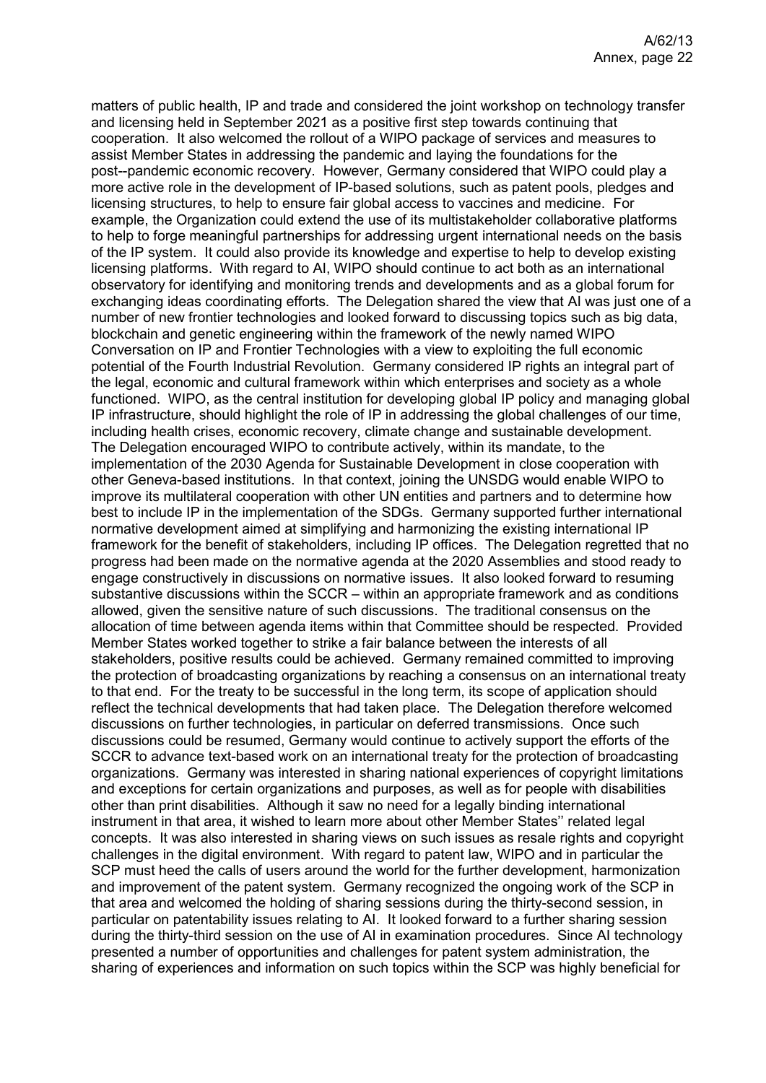matters of public health, IP and trade and considered the joint workshop on technology transfer and licensing held in September 2021 as a positive first step towards continuing that cooperation. It also welcomed the rollout of a WIPO package of services and measures to assist Member States in addressing the pandemic and laying the foundations for the post--pandemic economic recovery. However, Germany considered that WIPO could play a more active role in the development of IP-based solutions, such as patent pools, pledges and licensing structures, to help to ensure fair global access to vaccines and medicine. For example, the Organization could extend the use of its multistakeholder collaborative platforms to help to forge meaningful partnerships for addressing urgent international needs on the basis of the IP system. It could also provide its knowledge and expertise to help to develop existing licensing platforms. With regard to AI, WIPO should continue to act both as an international observatory for identifying and monitoring trends and developments and as a global forum for exchanging ideas coordinating efforts. The Delegation shared the view that AI was just one of a number of new frontier technologies and looked forward to discussing topics such as big data, blockchain and genetic engineering within the framework of the newly named WIPO Conversation on IP and Frontier Technologies with a view to exploiting the full economic potential of the Fourth Industrial Revolution. Germany considered IP rights an integral part of the legal, economic and cultural framework within which enterprises and society as a whole functioned. WIPO, as the central institution for developing global IP policy and managing global IP infrastructure, should highlight the role of IP in addressing the global challenges of our time, including health crises, economic recovery, climate change and sustainable development. The Delegation encouraged WIPO to contribute actively, within its mandate, to the implementation of the 2030 Agenda for Sustainable Development in close cooperation with other Geneva-based institutions. In that context, joining the UNSDG would enable WIPO to improve its multilateral cooperation with other UN entities and partners and to determine how best to include IP in the implementation of the SDGs. Germany supported further international normative development aimed at simplifying and harmonizing the existing international IP framework for the benefit of stakeholders, including IP offices. The Delegation regretted that no progress had been made on the normative agenda at the 2020 Assemblies and stood ready to engage constructively in discussions on normative issues. It also looked forward to resuming substantive discussions within the SCCR – within an appropriate framework and as conditions allowed, given the sensitive nature of such discussions. The traditional consensus on the allocation of time between agenda items within that Committee should be respected. Provided Member States worked together to strike a fair balance between the interests of all stakeholders, positive results could be achieved. Germany remained committed to improving the protection of broadcasting organizations by reaching a consensus on an international treaty to that end. For the treaty to be successful in the long term, its scope of application should reflect the technical developments that had taken place. The Delegation therefore welcomed discussions on further technologies, in particular on deferred transmissions. Once such discussions could be resumed, Germany would continue to actively support the efforts of the SCCR to advance text-based work on an international treaty for the protection of broadcasting organizations. Germany was interested in sharing national experiences of copyright limitations and exceptions for certain organizations and purposes, as well as for people with disabilities other than print disabilities. Although it saw no need for a legally binding international instrument in that area, it wished to learn more about other Member States'' related legal concepts. It was also interested in sharing views on such issues as resale rights and copyright challenges in the digital environment. With regard to patent law, WIPO and in particular the SCP must heed the calls of users around the world for the further development, harmonization and improvement of the patent system. Germany recognized the ongoing work of the SCP in that area and welcomed the holding of sharing sessions during the thirty-second session, in particular on patentability issues relating to AI. It looked forward to a further sharing session during the thirty-third session on the use of AI in examination procedures. Since AI technology presented a number of opportunities and challenges for patent system administration, the sharing of experiences and information on such topics within the SCP was highly beneficial for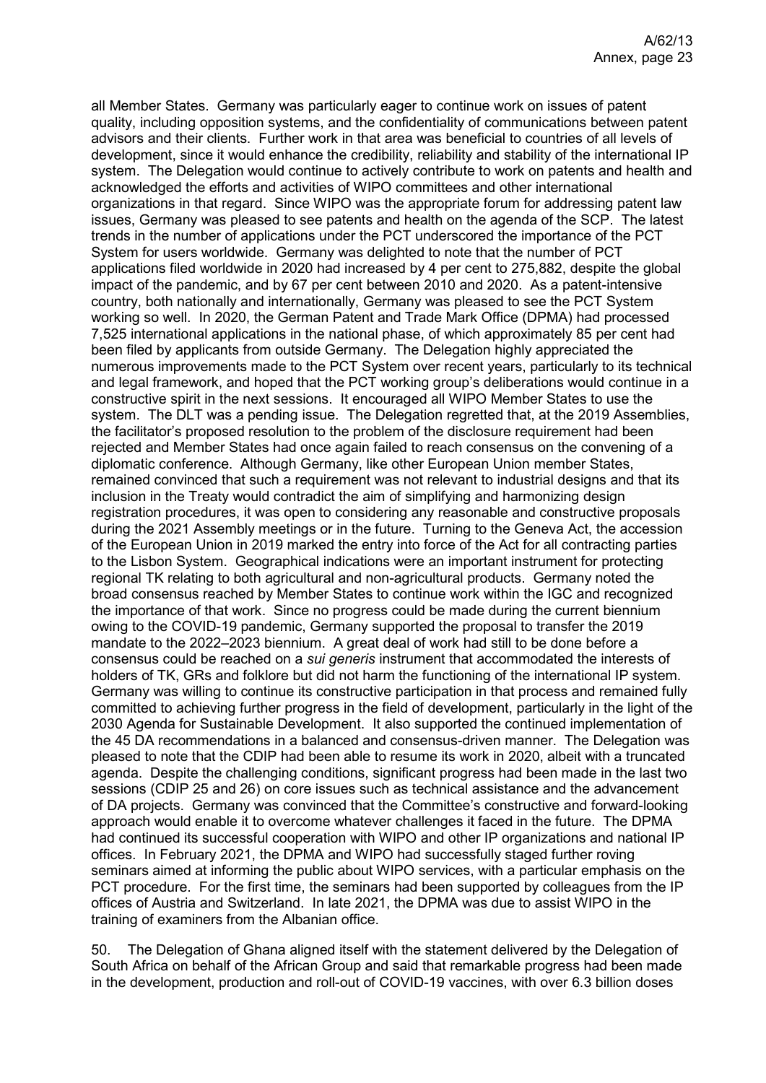all Member States. Germany was particularly eager to continue work on issues of patent quality, including opposition systems, and the confidentiality of communications between patent advisors and their clients. Further work in that area was beneficial to countries of all levels of development, since it would enhance the credibility, reliability and stability of the international IP system. The Delegation would continue to actively contribute to work on patents and health and acknowledged the efforts and activities of WIPO committees and other international organizations in that regard. Since WIPO was the appropriate forum for addressing patent law issues, Germany was pleased to see patents and health on the agenda of the SCP. The latest trends in the number of applications under the PCT underscored the importance of the PCT System for users worldwide. Germany was delighted to note that the number of PCT applications filed worldwide in 2020 had increased by 4 per cent to 275,882, despite the global impact of the pandemic, and by 67 per cent between 2010 and 2020. As a patent-intensive country, both nationally and internationally, Germany was pleased to see the PCT System working so well. In 2020, the German Patent and Trade Mark Office (DPMA) had processed 7,525 international applications in the national phase, of which approximately 85 per cent had been filed by applicants from outside Germany. The Delegation highly appreciated the numerous improvements made to the PCT System over recent years, particularly to its technical and legal framework, and hoped that the PCT working group's deliberations would continue in a constructive spirit in the next sessions. It encouraged all WIPO Member States to use the system. The DLT was a pending issue. The Delegation regretted that, at the 2019 Assemblies, the facilitator's proposed resolution to the problem of the disclosure requirement had been rejected and Member States had once again failed to reach consensus on the convening of a diplomatic conference. Although Germany, like other European Union member States, remained convinced that such a requirement was not relevant to industrial designs and that its inclusion in the Treaty would contradict the aim of simplifying and harmonizing design registration procedures, it was open to considering any reasonable and constructive proposals during the 2021 Assembly meetings or in the future. Turning to the Geneva Act, the accession of the European Union in 2019 marked the entry into force of the Act for all contracting parties to the Lisbon System. Geographical indications were an important instrument for protecting regional TK relating to both agricultural and non-agricultural products. Germany noted the broad consensus reached by Member States to continue work within the IGC and recognized the importance of that work. Since no progress could be made during the current biennium owing to the COVID-19 pandemic, Germany supported the proposal to transfer the 2019 mandate to the 2022–2023 biennium. A great deal of work had still to be done before a consensus could be reached on a *sui generis* instrument that accommodated the interests of holders of TK, GRs and folklore but did not harm the functioning of the international IP system. Germany was willing to continue its constructive participation in that process and remained fully committed to achieving further progress in the field of development, particularly in the light of the 2030 Agenda for Sustainable Development. It also supported the continued implementation of the 45 DA recommendations in a balanced and consensus-driven manner. The Delegation was pleased to note that the CDIP had been able to resume its work in 2020, albeit with a truncated agenda. Despite the challenging conditions, significant progress had been made in the last two sessions (CDIP 25 and 26) on core issues such as technical assistance and the advancement of DA projects. Germany was convinced that the Committee's constructive and forward-looking approach would enable it to overcome whatever challenges it faced in the future. The DPMA had continued its successful cooperation with WIPO and other IP organizations and national IP offices. In February 2021, the DPMA and WIPO had successfully staged further roving seminars aimed at informing the public about WIPO services, with a particular emphasis on the PCT procedure. For the first time, the seminars had been supported by colleagues from the IP offices of Austria and Switzerland. In late 2021, the DPMA was due to assist WIPO in the training of examiners from the Albanian office.

50. The Delegation of Ghana aligned itself with the statement delivered by the Delegation of South Africa on behalf of the African Group and said that remarkable progress had been made in the development, production and roll-out of COVID-19 vaccines, with over 6.3 billion doses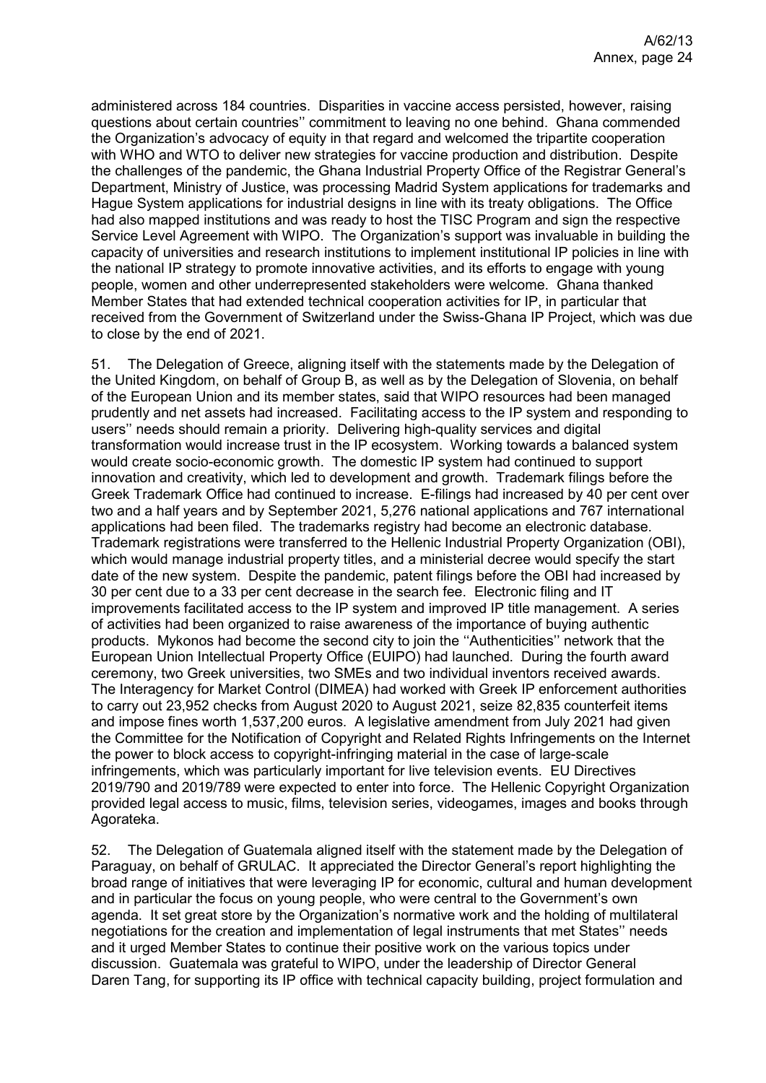administered across 184 countries. Disparities in vaccine access persisted, however, raising questions about certain countries'' commitment to leaving no one behind. Ghana commended the Organization's advocacy of equity in that regard and welcomed the tripartite cooperation with WHO and WTO to deliver new strategies for vaccine production and distribution. Despite the challenges of the pandemic, the Ghana Industrial Property Office of the Registrar General's Department, Ministry of Justice, was processing Madrid System applications for trademarks and Hague System applications for industrial designs in line with its treaty obligations. The Office had also mapped institutions and was ready to host the TISC Program and sign the respective Service Level Agreement with WIPO. The Organization's support was invaluable in building the capacity of universities and research institutions to implement institutional IP policies in line with the national IP strategy to promote innovative activities, and its efforts to engage with young people, women and other underrepresented stakeholders were welcome. Ghana thanked Member States that had extended technical cooperation activities for IP, in particular that received from the Government of Switzerland under the Swiss-Ghana IP Project, which was due to close by the end of 2021.

51. The Delegation of Greece, aligning itself with the statements made by the Delegation of the United Kingdom, on behalf of Group B, as well as by the Delegation of Slovenia, on behalf of the European Union and its member states, said that WIPO resources had been managed prudently and net assets had increased. Facilitating access to the IP system and responding to users'' needs should remain a priority. Delivering high-quality services and digital transformation would increase trust in the IP ecosystem. Working towards a balanced system would create socio-economic growth. The domestic IP system had continued to support innovation and creativity, which led to development and growth. Trademark filings before the Greek Trademark Office had continued to increase. E-filings had increased by 40 per cent over two and a half years and by September 2021, 5,276 national applications and 767 international applications had been filed. The trademarks registry had become an electronic database. Trademark registrations were transferred to the Hellenic Industrial Property Organization (OBI), which would manage industrial property titles, and a ministerial decree would specify the start date of the new system. Despite the pandemic, patent filings before the OBI had increased by 30 per cent due to a 33 per cent decrease in the search fee. Electronic filing and IT improvements facilitated access to the IP system and improved IP title management. A series of activities had been organized to raise awareness of the importance of buying authentic products. Mykonos had become the second city to join the ''Authenticities'' network that the European Union Intellectual Property Office (EUIPO) had launched. During the fourth award ceremony, two Greek universities, two SMEs and two individual inventors received awards. The Interagency for Market Control (DIMEA) had worked with Greek IP enforcement authorities to carry out 23,952 checks from August 2020 to August 2021, seize 82,835 counterfeit items and impose fines worth 1,537,200 euros. A legislative amendment from July 2021 had given the Committee for the Notification of Copyright and Related Rights Infringements on the Internet the power to block access to copyright-infringing material in the case of large-scale infringements, which was particularly important for live television events. EU Directives 2019/790 and 2019/789 were expected to enter into force. The Hellenic Copyright Organization provided legal access to music, films, television series, videogames, images and books through Agorateka.

52. The Delegation of Guatemala aligned itself with the statement made by the Delegation of Paraguay, on behalf of GRULAC. It appreciated the Director General's report highlighting the broad range of initiatives that were leveraging IP for economic, cultural and human development and in particular the focus on young people, who were central to the Government's own agenda. It set great store by the Organization's normative work and the holding of multilateral negotiations for the creation and implementation of legal instruments that met States'' needs and it urged Member States to continue their positive work on the various topics under discussion. Guatemala was grateful to WIPO, under the leadership of Director General Daren Tang, for supporting its IP office with technical capacity building, project formulation and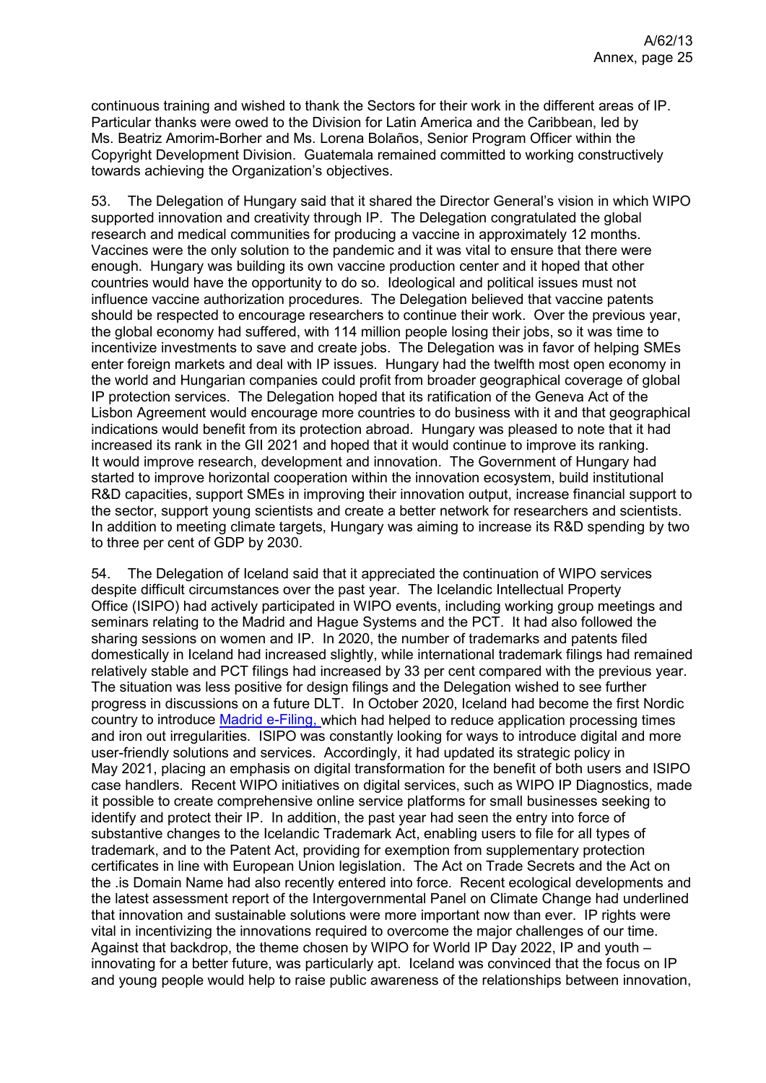continuous training and wished to thank the Sectors for their work in the different areas of IP. Particular thanks were owed to the Division for Latin America and the Caribbean, led by Ms. Beatriz Amorim-Borher and Ms. Lorena Bolaños, Senior Program Officer within the Copyright Development Division. Guatemala remained committed to working constructively towards achieving the Organization's objectives.

53. The Delegation of Hungary said that it shared the Director General's vision in which WIPO supported innovation and creativity through IP. The Delegation congratulated the global research and medical communities for producing a vaccine in approximately 12 months. Vaccines were the only solution to the pandemic and it was vital to ensure that there were enough. Hungary was building its own vaccine production center and it hoped that other countries would have the opportunity to do so. Ideological and political issues must not influence vaccine authorization procedures. The Delegation believed that vaccine patents should be respected to encourage researchers to continue their work. Over the previous year, the global economy had suffered, with 114 million people losing their jobs, so it was time to incentivize investments to save and create jobs. The Delegation was in favor of helping SMEs enter foreign markets and deal with IP issues. Hungary had the twelfth most open economy in the world and Hungarian companies could profit from broader geographical coverage of global IP protection services. The Delegation hoped that its ratification of the Geneva Act of the Lisbon Agreement would encourage more countries to do business with it and that geographical indications would benefit from its protection abroad. Hungary was pleased to note that it had increased its rank in the GII 2021 and hoped that it would continue to improve its ranking. It would improve research, development and innovation. The Government of Hungary had started to improve horizontal cooperation within the innovation ecosystem, build institutional R&D capacities, support SMEs in improving their innovation output, increase financial support to the sector, support young scientists and create a better network for researchers and scientists. In addition to meeting climate targets, Hungary was aiming to increase its R&D spending by two to three per cent of GDP by 2030.

54. The Delegation of Iceland said that it appreciated the continuation of WIPO services despite difficult circumstances over the past year. The Icelandic Intellectual Property Office (ISIPO) had actively participated in WIPO events, including working group meetings and seminars relating to the Madrid and Hague Systems and the PCT. It had also followed the sharing sessions on women and IP. In 2020, the number of trademarks and patents filed domestically in Iceland had increased slightly, while international trademark filings had remained relatively stable and PCT filings had increased by 33 per cent compared with the previous year. The situation was less positive for design filings and the Delegation wished to see further progress in discussions on a future DLT. In October 2020, Iceland had become the first Nordic country to introduce [Madrid e-Filing, w](https://www.wipo.int/madrid/en/contracting_parties/efiling_info.html)hich had helped to reduce application processing times and iron out irregularities. ISIPO was constantly looking for ways to introduce digital and more user-friendly solutions and services. Accordingly, it had updated its strategic policy in May 2021, placing an emphasis on digital transformation for the benefit of both users and ISIPO case handlers. Recent WIPO initiatives on digital services, such as WIPO IP Diagnostics, made it possible to create comprehensive online service platforms for small businesses seeking to identify and protect their IP. In addition, the past year had seen the entry into force of substantive changes to the Icelandic Trademark Act, enabling users to file for all types of trademark, and to the Patent Act, providing for exemption from supplementary protection certificates in line with European Union legislation. The Act on Trade Secrets and the Act on the .is Domain Name had also recently entered into force. Recent ecological developments and the latest assessment report of the Intergovernmental Panel on Climate Change had underlined that innovation and sustainable solutions were more important now than ever. IP rights were vital in incentivizing the innovations required to overcome the major challenges of our time. Against that backdrop, the theme chosen by WIPO for World IP Day 2022, IP and youth – innovating for a better future, was particularly apt. Iceland was convinced that the focus on IP and young people would help to raise public awareness of the relationships between innovation,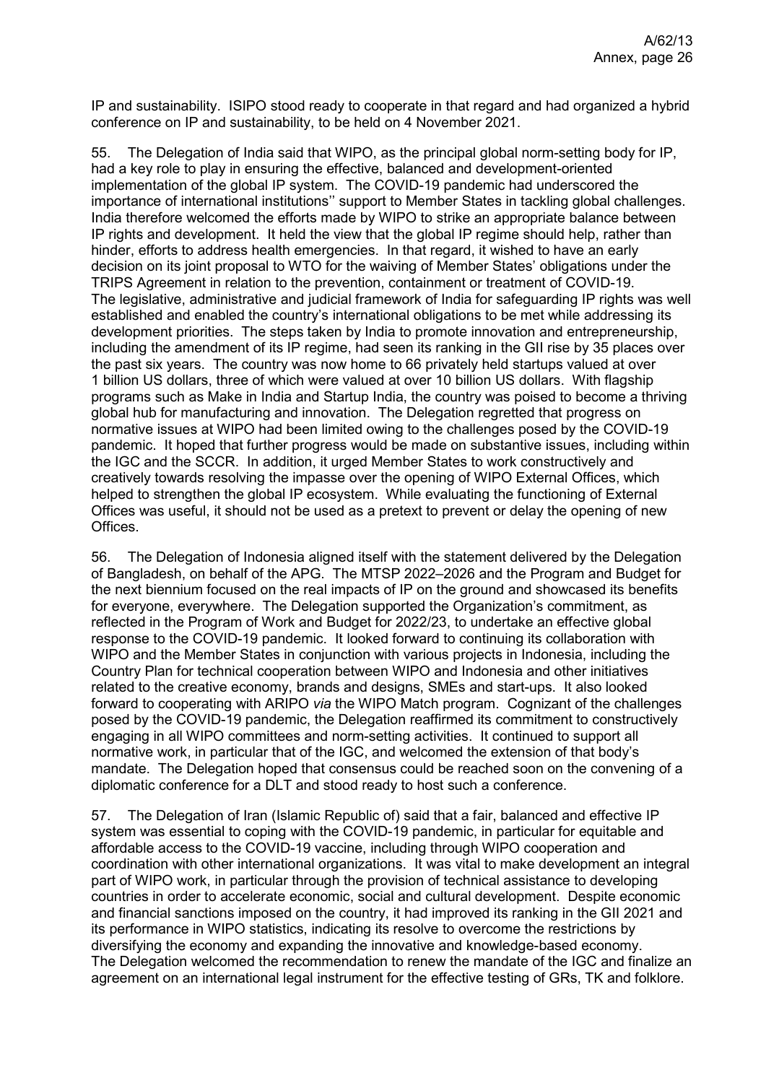IP and sustainability. ISIPO stood ready to cooperate in that regard and had organized a hybrid conference on IP and sustainability, to be held on 4 November 2021.

55. The Delegation of India said that WIPO, as the principal global norm-setting body for IP, had a key role to play in ensuring the effective, balanced and development-oriented implementation of the global IP system. The COVID-19 pandemic had underscored the importance of international institutions'' support to Member States in tackling global challenges. India therefore welcomed the efforts made by WIPO to strike an appropriate balance between IP rights and development. It held the view that the global IP regime should help, rather than hinder, efforts to address health emergencies. In that regard, it wished to have an early decision on its joint proposal to WTO for the waiving of Member States' obligations under the TRIPS Agreement in relation to the prevention, containment or treatment of COVID-19. The legislative, administrative and judicial framework of India for safeguarding IP rights was well established and enabled the country's international obligations to be met while addressing its development priorities. The steps taken by India to promote innovation and entrepreneurship, including the amendment of its IP regime, had seen its ranking in the GII rise by 35 places over the past six years. The country was now home to 66 privately held startups valued at over 1 billion US dollars, three of which were valued at over 10 billion US dollars. With flagship programs such as Make in India and Startup India, the country was poised to become a thriving global hub for manufacturing and innovation. The Delegation regretted that progress on normative issues at WIPO had been limited owing to the challenges posed by the COVID-19 pandemic. It hoped that further progress would be made on substantive issues, including within the IGC and the SCCR. In addition, it urged Member States to work constructively and creatively towards resolving the impasse over the opening of WIPO External Offices, which helped to strengthen the global IP ecosystem. While evaluating the functioning of External Offices was useful, it should not be used as a pretext to prevent or delay the opening of new Offices.

56. The Delegation of Indonesia aligned itself with the statement delivered by the Delegation of Bangladesh, on behalf of the APG. The MTSP 2022–2026 and the Program and Budget for the next biennium focused on the real impacts of IP on the ground and showcased its benefits for everyone, everywhere. The Delegation supported the Organization's commitment, as reflected in the Program of Work and Budget for 2022/23, to undertake an effective global response to the COVID-19 pandemic. It looked forward to continuing its collaboration with WIPO and the Member States in conjunction with various projects in Indonesia, including the Country Plan for technical cooperation between WIPO and Indonesia and other initiatives related to the creative economy, brands and designs, SMEs and start-ups. It also looked forward to cooperating with ARIPO *via* the WIPO Match program. Cognizant of the challenges posed by the COVID-19 pandemic, the Delegation reaffirmed its commitment to constructively engaging in all WIPO committees and norm-setting activities. It continued to support all normative work, in particular that of the IGC, and welcomed the extension of that body's mandate. The Delegation hoped that consensus could be reached soon on the convening of a diplomatic conference for a DLT and stood ready to host such a conference.

57. The Delegation of Iran (Islamic Republic of) said that a fair, balanced and effective IP system was essential to coping with the COVID-19 pandemic, in particular for equitable and affordable access to the COVID-19 vaccine, including through WIPO cooperation and coordination with other international organizations. It was vital to make development an integral part of WIPO work, in particular through the provision of technical assistance to developing countries in order to accelerate economic, social and cultural development. Despite economic and financial sanctions imposed on the country, it had improved its ranking in the GII 2021 and its performance in WIPO statistics, indicating its resolve to overcome the restrictions by diversifying the economy and expanding the innovative and knowledge-based economy. The Delegation welcomed the recommendation to renew the mandate of the IGC and finalize an agreement on an international legal instrument for the effective testing of GRs, TK and folklore.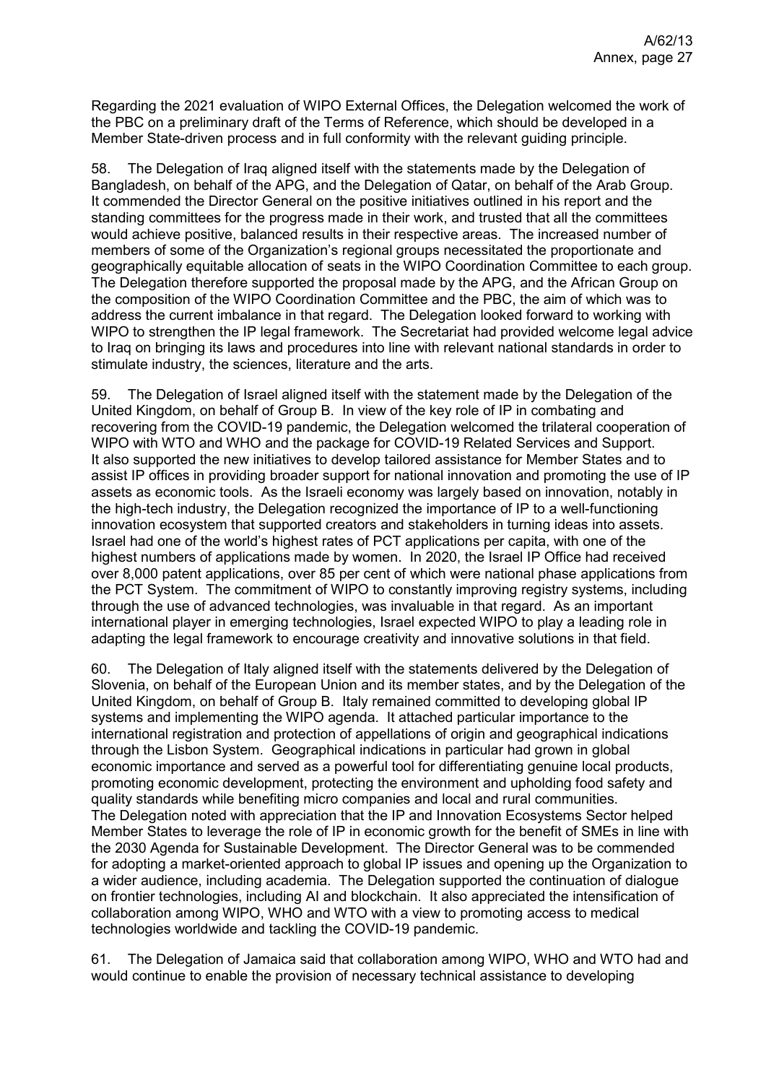Regarding the 2021 evaluation of WIPO External Offices, the Delegation welcomed the work of the PBC on a preliminary draft of the Terms of Reference, which should be developed in a Member State-driven process and in full conformity with the relevant guiding principle.

58. The Delegation of Iraq aligned itself with the statements made by the Delegation of Bangladesh, on behalf of the APG, and the Delegation of Qatar, on behalf of the Arab Group. It commended the Director General on the positive initiatives outlined in his report and the standing committees for the progress made in their work, and trusted that all the committees would achieve positive, balanced results in their respective areas. The increased number of members of some of the Organization's regional groups necessitated the proportionate and geographically equitable allocation of seats in the WIPO Coordination Committee to each group. The Delegation therefore supported the proposal made by the APG, and the African Group on the composition of the WIPO Coordination Committee and the PBC, the aim of which was to address the current imbalance in that regard. The Delegation looked forward to working with WIPO to strengthen the IP legal framework. The Secretariat had provided welcome legal advice to Iraq on bringing its laws and procedures into line with relevant national standards in order to stimulate industry, the sciences, literature and the arts.

59. The Delegation of Israel aligned itself with the statement made by the Delegation of the United Kingdom, on behalf of Group B. In view of the key role of IP in combating and recovering from the COVID-19 pandemic, the Delegation welcomed the trilateral cooperation of WIPO with WTO and WHO and the package for COVID-19 Related Services and Support. It also supported the new initiatives to develop tailored assistance for Member States and to assist IP offices in providing broader support for national innovation and promoting the use of IP assets as economic tools. As the Israeli economy was largely based on innovation, notably in the high-tech industry, the Delegation recognized the importance of IP to a well-functioning innovation ecosystem that supported creators and stakeholders in turning ideas into assets. Israel had one of the world's highest rates of PCT applications per capita, with one of the highest numbers of applications made by women. In 2020, the Israel IP Office had received over 8,000 patent applications, over 85 per cent of which were national phase applications from the PCT System. The commitment of WIPO to constantly improving registry systems, including through the use of advanced technologies, was invaluable in that regard. As an important international player in emerging technologies, Israel expected WIPO to play a leading role in adapting the legal framework to encourage creativity and innovative solutions in that field.

60. The Delegation of Italy aligned itself with the statements delivered by the Delegation of Slovenia, on behalf of the European Union and its member states, and by the Delegation of the United Kingdom, on behalf of Group B. Italy remained committed to developing global IP systems and implementing the WIPO agenda. It attached particular importance to the international registration and protection of appellations of origin and geographical indications through the Lisbon System. Geographical indications in particular had grown in global economic importance and served as a powerful tool for differentiating genuine local products, promoting economic development, protecting the environment and upholding food safety and quality standards while benefiting micro companies and local and rural communities. The Delegation noted with appreciation that the IP and Innovation Ecosystems Sector helped Member States to leverage the role of IP in economic growth for the benefit of SMEs in line with the 2030 Agenda for Sustainable Development. The Director General was to be commended for adopting a market-oriented approach to global IP issues and opening up the Organization to a wider audience, including academia. The Delegation supported the continuation of dialogue on frontier technologies, including AI and blockchain. It also appreciated the intensification of collaboration among WIPO, WHO and WTO with a view to promoting access to medical technologies worldwide and tackling the COVID-19 pandemic.

61. The Delegation of Jamaica said that collaboration among WIPO, WHO and WTO had and would continue to enable the provision of necessary technical assistance to developing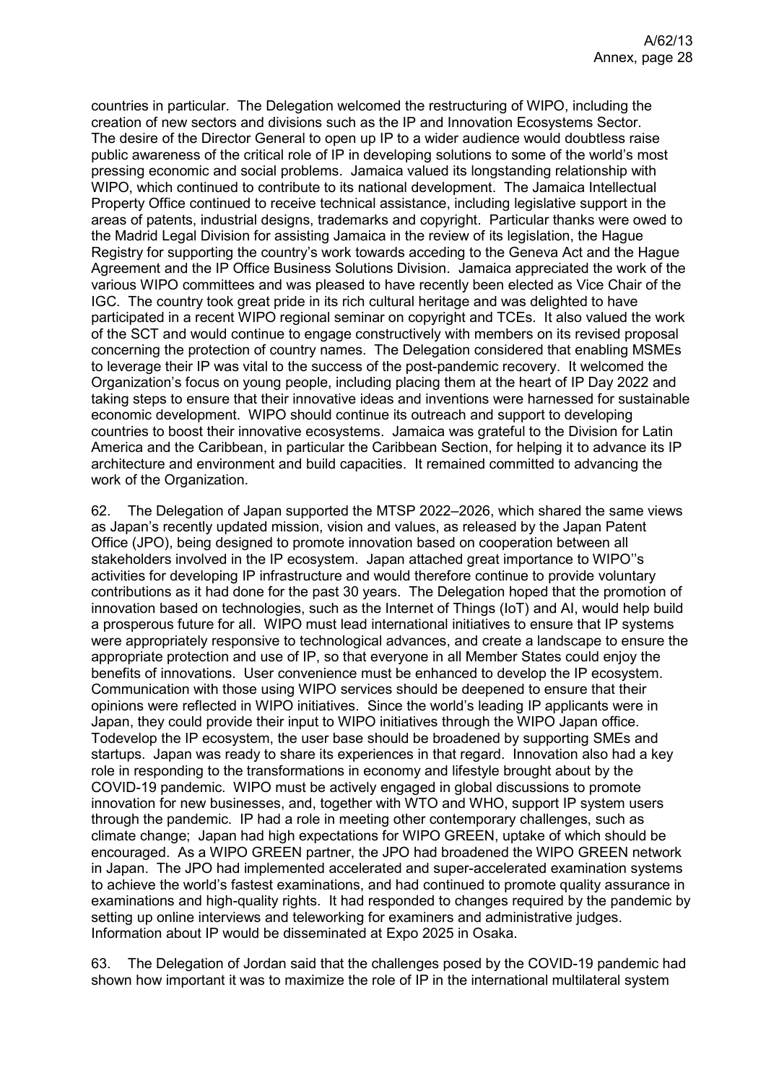countries in particular. The Delegation welcomed the restructuring of WIPO, including the creation of new sectors and divisions such as the IP and Innovation Ecosystems Sector. The desire of the Director General to open up IP to a wider audience would doubtless raise public awareness of the critical role of IP in developing solutions to some of the world's most pressing economic and social problems. Jamaica valued its longstanding relationship with WIPO, which continued to contribute to its national development. The Jamaica Intellectual Property Office continued to receive technical assistance, including legislative support in the areas of patents, industrial designs, trademarks and copyright. Particular thanks were owed to the Madrid Legal Division for assisting Jamaica in the review of its legislation, the Hague Registry for supporting the country's work towards acceding to the Geneva Act and the Hague Agreement and the IP Office Business Solutions Division. Jamaica appreciated the work of the various WIPO committees and was pleased to have recently been elected as Vice Chair of the IGC. The country took great pride in its rich cultural heritage and was delighted to have participated in a recent WIPO regional seminar on copyright and TCEs. It also valued the work of the SCT and would continue to engage constructively with members on its revised proposal concerning the protection of country names. The Delegation considered that enabling MSMEs to leverage their IP was vital to the success of the post-pandemic recovery. It welcomed the Organization's focus on young people, including placing them at the heart of IP Day 2022 and taking steps to ensure that their innovative ideas and inventions were harnessed for sustainable economic development. WIPO should continue its outreach and support to developing countries to boost their innovative ecosystems. Jamaica was grateful to the Division for Latin America and the Caribbean, in particular the Caribbean Section, for helping it to advance its IP architecture and environment and build capacities. It remained committed to advancing the work of the Organization.

62. The Delegation of Japan supported the MTSP 2022–2026, which shared the same views as Japan's recently updated mission, vision and values, as released by the Japan Patent Office (JPO), being designed to promote innovation based on cooperation between all stakeholders involved in the IP ecosystem. Japan attached great importance to WIPO''s activities for developing IP infrastructure and would therefore continue to provide voluntary contributions as it had done for the past 30 years. The Delegation hoped that the promotion of innovation based on technologies, such as the Internet of Things (IoT) and AI, would help build a prosperous future for all. WIPO must lead international initiatives to ensure that IP systems were appropriately responsive to technological advances, and create a landscape to ensure the appropriate protection and use of IP, so that everyone in all Member States could enjoy the benefits of innovations. User convenience must be enhanced to develop the IP ecosystem. Communication with those using WIPO services should be deepened to ensure that their opinions were reflected in WIPO initiatives. Since the world's leading IP applicants were in Japan, they could provide their input to WIPO initiatives through the WIPO Japan office. Todevelop the IP ecosystem, the user base should be broadened by supporting SMEs and startups. Japan was ready to share its experiences in that regard. Innovation also had a key role in responding to the transformations in economy and lifestyle brought about by the COVID-19 pandemic. WIPO must be actively engaged in global discussions to promote innovation for new businesses, and, together with WTO and WHO, support IP system users through the pandemic. IP had a role in meeting other contemporary challenges, such as climate change; Japan had high expectations for WIPO GREEN, uptake of which should be encouraged. As a WIPO GREEN partner, the JPO had broadened the WIPO GREEN network in Japan. The JPO had implemented accelerated and super-accelerated examination systems to achieve the world's fastest examinations, and had continued to promote quality assurance in examinations and high-quality rights. It had responded to changes required by the pandemic by setting up online interviews and teleworking for examiners and administrative judges. Information about IP would be disseminated at Expo 2025 in Osaka.

63. The Delegation of Jordan said that the challenges posed by the COVID-19 pandemic had shown how important it was to maximize the role of IP in the international multilateral system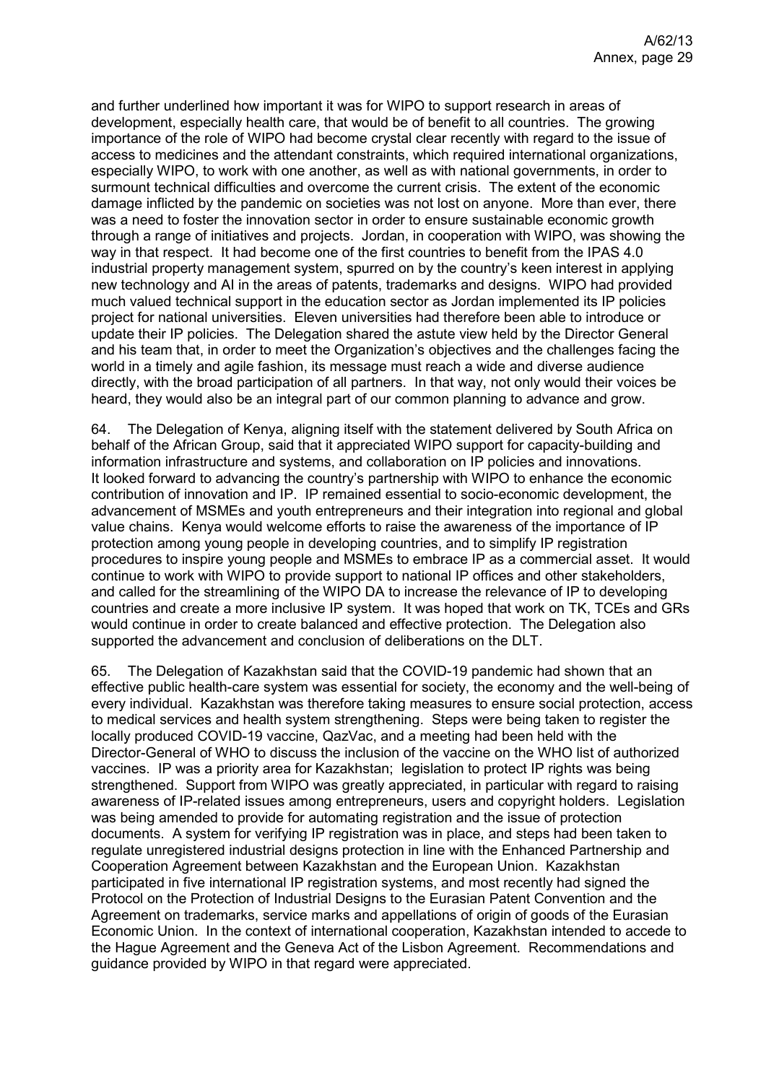and further underlined how important it was for WIPO to support research in areas of development, especially health care, that would be of benefit to all countries. The growing importance of the role of WIPO had become crystal clear recently with regard to the issue of access to medicines and the attendant constraints, which required international organizations, especially WIPO, to work with one another, as well as with national governments, in order to surmount technical difficulties and overcome the current crisis. The extent of the economic damage inflicted by the pandemic on societies was not lost on anyone. More than ever, there was a need to foster the innovation sector in order to ensure sustainable economic growth through a range of initiatives and projects. Jordan, in cooperation with WIPO, was showing the way in that respect. It had become one of the first countries to benefit from the IPAS 4.0 industrial property management system, spurred on by the country's keen interest in applying new technology and AI in the areas of patents, trademarks and designs. WIPO had provided much valued technical support in the education sector as Jordan implemented its IP policies project for national universities. Eleven universities had therefore been able to introduce or update their IP policies. The Delegation shared the astute view held by the Director General and his team that, in order to meet the Organization's objectives and the challenges facing the world in a timely and agile fashion, its message must reach a wide and diverse audience directly, with the broad participation of all partners. In that way, not only would their voices be heard, they would also be an integral part of our common planning to advance and grow.

64. The Delegation of Kenya, aligning itself with the statement delivered by South Africa on behalf of the African Group, said that it appreciated WIPO support for capacity-building and information infrastructure and systems, and collaboration on IP policies and innovations. It looked forward to advancing the country's partnership with WIPO to enhance the economic contribution of innovation and IP. IP remained essential to socio-economic development, the advancement of MSMEs and youth entrepreneurs and their integration into regional and global value chains. Kenya would welcome efforts to raise the awareness of the importance of IP protection among young people in developing countries, and to simplify IP registration procedures to inspire young people and MSMEs to embrace IP as a commercial asset. It would continue to work with WIPO to provide support to national IP offices and other stakeholders, and called for the streamlining of the WIPO DA to increase the relevance of IP to developing countries and create a more inclusive IP system. It was hoped that work on TK, TCEs and GRs would continue in order to create balanced and effective protection. The Delegation also supported the advancement and conclusion of deliberations on the DLT.

65. The Delegation of Kazakhstan said that the COVID-19 pandemic had shown that an effective public health-care system was essential for society, the economy and the well-being of every individual. Kazakhstan was therefore taking measures to ensure social protection, access to medical services and health system strengthening. Steps were being taken to register the locally produced COVID-19 vaccine, QazVac, and a meeting had been held with the Director-General of WHO to discuss the inclusion of the vaccine on the WHO list of authorized vaccines. IP was a priority area for Kazakhstan; legislation to protect IP rights was being strengthened. Support from WIPO was greatly appreciated, in particular with regard to raising awareness of IP-related issues among entrepreneurs, users and copyright holders. Legislation was being amended to provide for automating registration and the issue of protection documents. A system for verifying IP registration was in place, and steps had been taken to regulate unregistered industrial designs protection in line with the Enhanced Partnership and Cooperation Agreement between Kazakhstan and the European Union. Kazakhstan participated in five international IP registration systems, and most recently had signed the Protocol on the Protection of Industrial Designs to the Eurasian Patent Convention and the Agreement on trademarks, service marks and appellations of origin of goods of the Eurasian Economic Union. In the context of international cooperation, Kazakhstan intended to accede to the Hague Agreement and the Geneva Act of the Lisbon Agreement. Recommendations and guidance provided by WIPO in that regard were appreciated.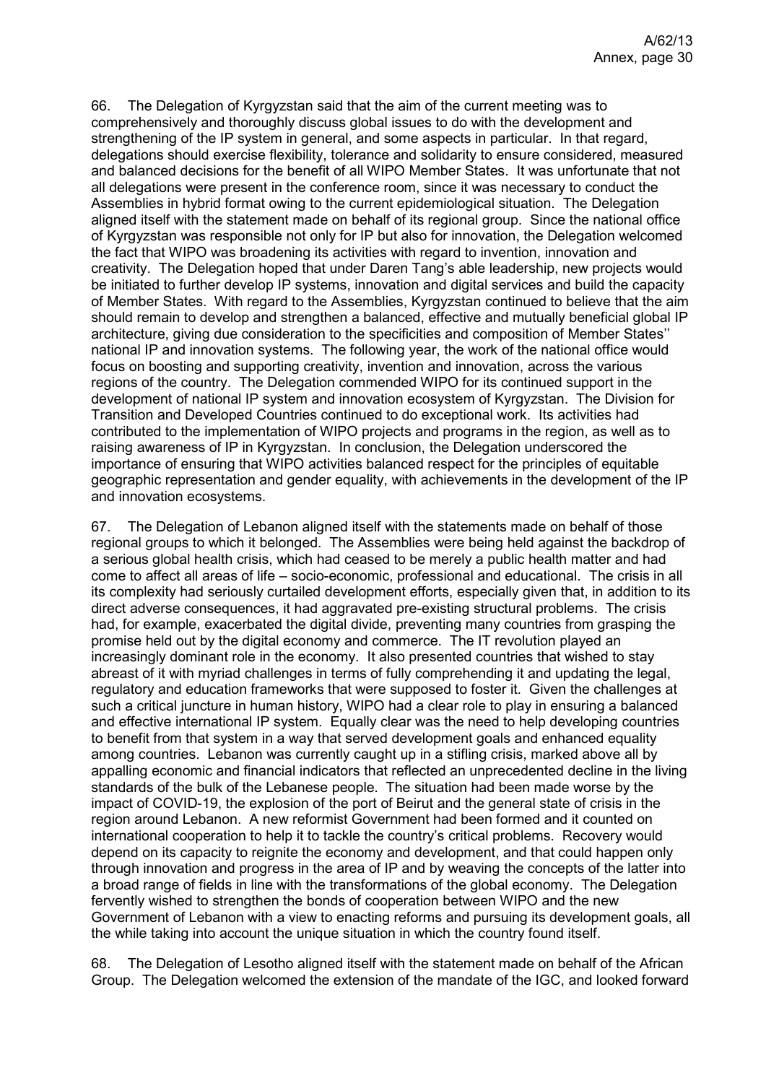66. The Delegation of Kyrgyzstan said that the aim of the current meeting was to comprehensively and thoroughly discuss global issues to do with the development and strengthening of the IP system in general, and some aspects in particular. In that regard, delegations should exercise flexibility, tolerance and solidarity to ensure considered, measured and balanced decisions for the benefit of all WIPO Member States. It was unfortunate that not all delegations were present in the conference room, since it was necessary to conduct the Assemblies in hybrid format owing to the current epidemiological situation. The Delegation aligned itself with the statement made on behalf of its regional group. Since the national office of Kyrgyzstan was responsible not only for IP but also for innovation, the Delegation welcomed the fact that WIPO was broadening its activities with regard to invention, innovation and creativity. The Delegation hoped that under Daren Tang's able leadership, new projects would be initiated to further develop IP systems, innovation and digital services and build the capacity of Member States. With regard to the Assemblies, Kyrgyzstan continued to believe that the aim should remain to develop and strengthen a balanced, effective and mutually beneficial global IP architecture, giving due consideration to the specificities and composition of Member States'' national IP and innovation systems. The following year, the work of the national office would focus on boosting and supporting creativity, invention and innovation, across the various regions of the country. The Delegation commended WIPO for its continued support in the development of national IP system and innovation ecosystem of Kyrgyzstan. The Division for Transition and Developed Countries continued to do exceptional work. Its activities had contributed to the implementation of WIPO projects and programs in the region, as well as to raising awareness of IP in Kyrgyzstan. In conclusion, the Delegation underscored the importance of ensuring that WIPO activities balanced respect for the principles of equitable geographic representation and gender equality, with achievements in the development of the IP and innovation ecosystems.

67. The Delegation of Lebanon aligned itself with the statements made on behalf of those regional groups to which it belonged. The Assemblies were being held against the backdrop of a serious global health crisis, which had ceased to be merely a public health matter and had come to affect all areas of life – socio-economic, professional and educational. The crisis in all its complexity had seriously curtailed development efforts, especially given that, in addition to its direct adverse consequences, it had aggravated pre-existing structural problems. The crisis had, for example, exacerbated the digital divide, preventing many countries from grasping the promise held out by the digital economy and commerce. The IT revolution played an increasingly dominant role in the economy. It also presented countries that wished to stay abreast of it with myriad challenges in terms of fully comprehending it and updating the legal, regulatory and education frameworks that were supposed to foster it. Given the challenges at such a critical juncture in human history, WIPO had a clear role to play in ensuring a balanced and effective international IP system. Equally clear was the need to help developing countries to benefit from that system in a way that served development goals and enhanced equality among countries. Lebanon was currently caught up in a stifling crisis, marked above all by appalling economic and financial indicators that reflected an unprecedented decline in the living standards of the bulk of the Lebanese people. The situation had been made worse by the impact of COVID-19, the explosion of the port of Beirut and the general state of crisis in the region around Lebanon. A new reformist Government had been formed and it counted on international cooperation to help it to tackle the country's critical problems. Recovery would depend on its capacity to reignite the economy and development, and that could happen only through innovation and progress in the area of IP and by weaving the concepts of the latter into a broad range of fields in line with the transformations of the global economy. The Delegation fervently wished to strengthen the bonds of cooperation between WIPO and the new Government of Lebanon with a view to enacting reforms and pursuing its development goals, all the while taking into account the unique situation in which the country found itself.

68. The Delegation of Lesotho aligned itself with the statement made on behalf of the African Group. The Delegation welcomed the extension of the mandate of the IGC, and looked forward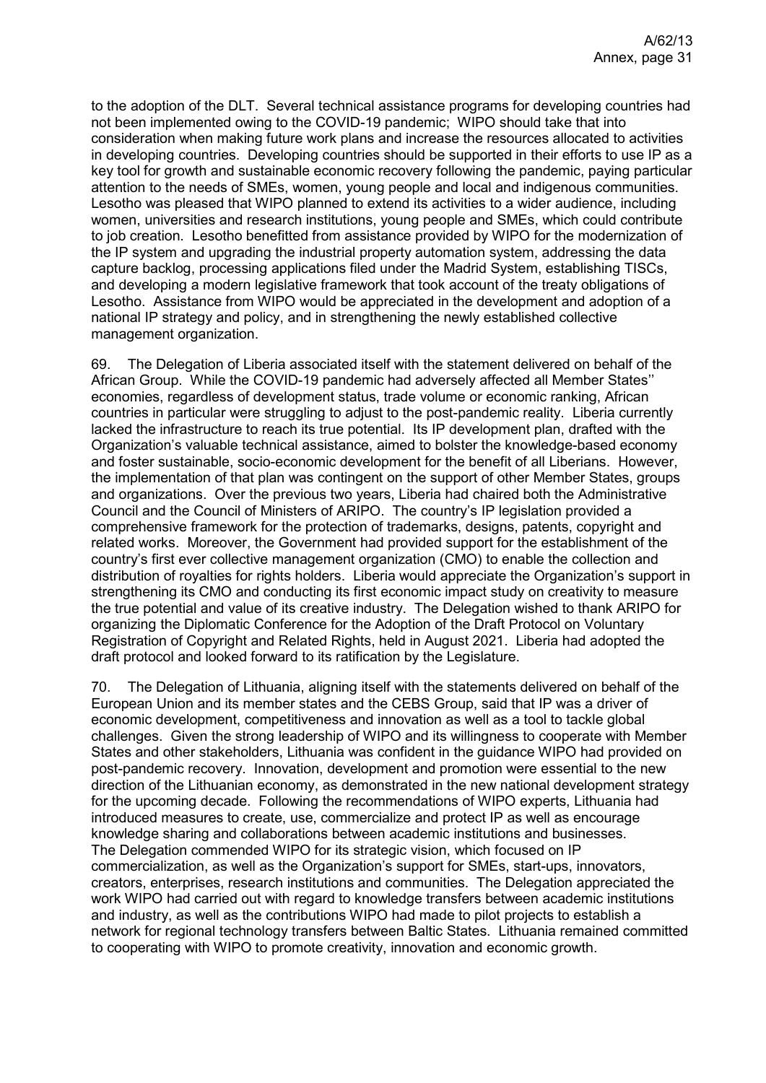to the adoption of the DLT. Several technical assistance programs for developing countries had not been implemented owing to the COVID-19 pandemic; WIPO should take that into consideration when making future work plans and increase the resources allocated to activities in developing countries. Developing countries should be supported in their efforts to use IP as a key tool for growth and sustainable economic recovery following the pandemic, paying particular attention to the needs of SMEs, women, young people and local and indigenous communities. Lesotho was pleased that WIPO planned to extend its activities to a wider audience, including women, universities and research institutions, young people and SMEs, which could contribute to job creation. Lesotho benefitted from assistance provided by WIPO for the modernization of the IP system and upgrading the industrial property automation system, addressing the data capture backlog, processing applications filed under the Madrid System, establishing TISCs, and developing a modern legislative framework that took account of the treaty obligations of Lesotho. Assistance from WIPO would be appreciated in the development and adoption of a national IP strategy and policy, and in strengthening the newly established collective management organization.

69. The Delegation of Liberia associated itself with the statement delivered on behalf of the African Group. While the COVID-19 pandemic had adversely affected all Member States'' economies, regardless of development status, trade volume or economic ranking, African countries in particular were struggling to adjust to the post-pandemic reality. Liberia currently lacked the infrastructure to reach its true potential. Its IP development plan, drafted with the Organization's valuable technical assistance, aimed to bolster the knowledge-based economy and foster sustainable, socio-economic development for the benefit of all Liberians. However, the implementation of that plan was contingent on the support of other Member States, groups and organizations. Over the previous two years, Liberia had chaired both the Administrative Council and the Council of Ministers of ARIPO. The country's IP legislation provided a comprehensive framework for the protection of trademarks, designs, patents, copyright and related works. Moreover, the Government had provided support for the establishment of the country's first ever collective management organization (CMO) to enable the collection and distribution of royalties for rights holders. Liberia would appreciate the Organization's support in strengthening its CMO and conducting its first economic impact study on creativity to measure the true potential and value of its creative industry. The Delegation wished to thank ARIPO for organizing the Diplomatic Conference for the Adoption of the Draft Protocol on Voluntary Registration of Copyright and Related Rights, held in August 2021. Liberia had adopted the draft protocol and looked forward to its ratification by the Legislature.

70. The Delegation of Lithuania, aligning itself with the statements delivered on behalf of the European Union and its member states and the CEBS Group, said that IP was a driver of economic development, competitiveness and innovation as well as a tool to tackle global challenges. Given the strong leadership of WIPO and its willingness to cooperate with Member States and other stakeholders, Lithuania was confident in the guidance WIPO had provided on post-pandemic recovery. Innovation, development and promotion were essential to the new direction of the Lithuanian economy, as demonstrated in the new national development strategy for the upcoming decade. Following the recommendations of WIPO experts, Lithuania had introduced measures to create, use, commercialize and protect IP as well as encourage knowledge sharing and collaborations between academic institutions and businesses. The Delegation commended WIPO for its strategic vision, which focused on IP commercialization, as well as the Organization's support for SMEs, start-ups, innovators, creators, enterprises, research institutions and communities. The Delegation appreciated the work WIPO had carried out with regard to knowledge transfers between academic institutions and industry, as well as the contributions WIPO had made to pilot projects to establish a network for regional technology transfers between Baltic States. Lithuania remained committed to cooperating with WIPO to promote creativity, innovation and economic growth.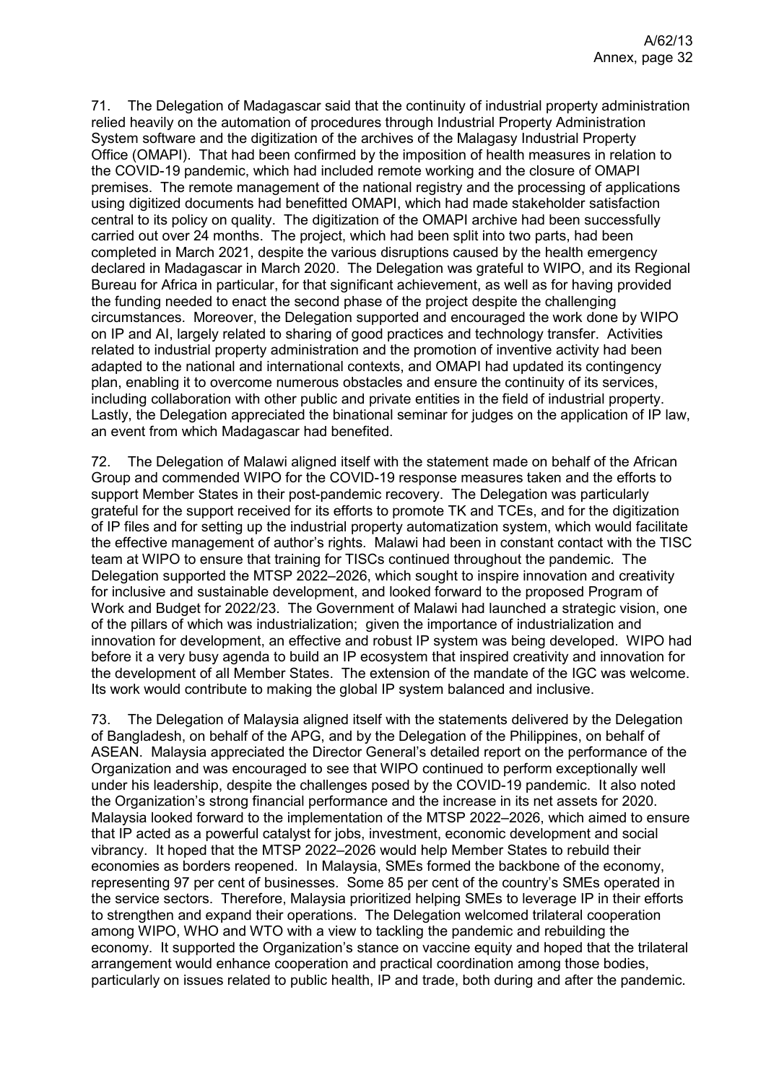71. The Delegation of Madagascar said that the continuity of industrial property administration relied heavily on the automation of procedures through Industrial Property Administration System software and the digitization of the archives of the Malagasy Industrial Property Office (OMAPI). That had been confirmed by the imposition of health measures in relation to the COVID-19 pandemic, which had included remote working and the closure of OMAPI premises. The remote management of the national registry and the processing of applications using digitized documents had benefitted OMAPI, which had made stakeholder satisfaction central to its policy on quality. The digitization of the OMAPI archive had been successfully carried out over 24 months. The project, which had been split into two parts, had been completed in March 2021, despite the various disruptions caused by the health emergency declared in Madagascar in March 2020. The Delegation was grateful to WIPO, and its Regional Bureau for Africa in particular, for that significant achievement, as well as for having provided the funding needed to enact the second phase of the project despite the challenging circumstances. Moreover, the Delegation supported and encouraged the work done by WIPO on IP and AI, largely related to sharing of good practices and technology transfer. Activities related to industrial property administration and the promotion of inventive activity had been adapted to the national and international contexts, and OMAPI had updated its contingency plan, enabling it to overcome numerous obstacles and ensure the continuity of its services, including collaboration with other public and private entities in the field of industrial property. Lastly, the Delegation appreciated the binational seminar for judges on the application of IP law, an event from which Madagascar had benefited.

72. The Delegation of Malawi aligned itself with the statement made on behalf of the African Group and commended WIPO for the COVID-19 response measures taken and the efforts to support Member States in their post-pandemic recovery. The Delegation was particularly grateful for the support received for its efforts to promote TK and TCEs, and for the digitization of IP files and for setting up the industrial property automatization system, which would facilitate the effective management of author's rights. Malawi had been in constant contact with the TISC team at WIPO to ensure that training for TISCs continued throughout the pandemic. The Delegation supported the MTSP 2022–2026, which sought to inspire innovation and creativity for inclusive and sustainable development, and looked forward to the proposed Program of Work and Budget for 2022/23. The Government of Malawi had launched a strategic vision, one of the pillars of which was industrialization; given the importance of industrialization and innovation for development, an effective and robust IP system was being developed. WIPO had before it a very busy agenda to build an IP ecosystem that inspired creativity and innovation for the development of all Member States. The extension of the mandate of the IGC was welcome. Its work would contribute to making the global IP system balanced and inclusive.

73. The Delegation of Malaysia aligned itself with the statements delivered by the Delegation of Bangladesh, on behalf of the APG, and by the Delegation of the Philippines, on behalf of ASEAN. Malaysia appreciated the Director General's detailed report on the performance of the Organization and was encouraged to see that WIPO continued to perform exceptionally well under his leadership, despite the challenges posed by the COVID-19 pandemic. It also noted the Organization's strong financial performance and the increase in its net assets for 2020. Malaysia looked forward to the implementation of the MTSP 2022–2026, which aimed to ensure that IP acted as a powerful catalyst for jobs, investment, economic development and social vibrancy. It hoped that the MTSP 2022–2026 would help Member States to rebuild their economies as borders reopened. In Malaysia, SMEs formed the backbone of the economy, representing 97 per cent of businesses. Some 85 per cent of the country's SMEs operated in the service sectors. Therefore, Malaysia prioritized helping SMEs to leverage IP in their efforts to strengthen and expand their operations. The Delegation welcomed trilateral cooperation among WIPO, WHO and WTO with a view to tackling the pandemic and rebuilding the economy. It supported the Organization's stance on vaccine equity and hoped that the trilateral arrangement would enhance cooperation and practical coordination among those bodies, particularly on issues related to public health, IP and trade, both during and after the pandemic.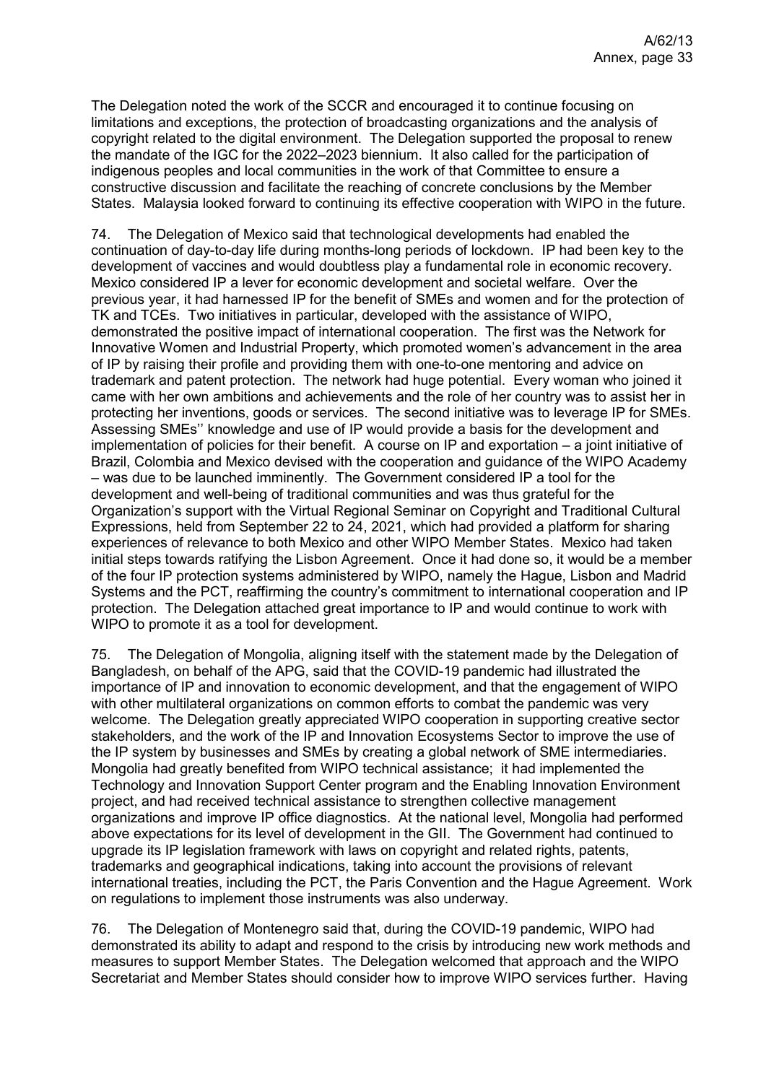The Delegation noted the work of the SCCR and encouraged it to continue focusing on limitations and exceptions, the protection of broadcasting organizations and the analysis of copyright related to the digital environment. The Delegation supported the proposal to renew the mandate of the IGC for the 2022–2023 biennium. It also called for the participation of indigenous peoples and local communities in the work of that Committee to ensure a constructive discussion and facilitate the reaching of concrete conclusions by the Member States. Malaysia looked forward to continuing its effective cooperation with WIPO in the future.

74. The Delegation of Mexico said that technological developments had enabled the continuation of day-to-day life during months-long periods of lockdown. IP had been key to the development of vaccines and would doubtless play a fundamental role in economic recovery. Mexico considered IP a lever for economic development and societal welfare. Over the previous year, it had harnessed IP for the benefit of SMEs and women and for the protection of TK and TCEs. Two initiatives in particular, developed with the assistance of WIPO, demonstrated the positive impact of international cooperation. The first was the Network for Innovative Women and Industrial Property, which promoted women's advancement in the area of IP by raising their profile and providing them with one-to-one mentoring and advice on trademark and patent protection. The network had huge potential. Every woman who joined it came with her own ambitions and achievements and the role of her country was to assist her in protecting her inventions, goods or services. The second initiative was to leverage IP for SMEs. Assessing SMEs'' knowledge and use of IP would provide a basis for the development and implementation of policies for their benefit. A course on IP and exportation – a joint initiative of Brazil, Colombia and Mexico devised with the cooperation and guidance of the WIPO Academy – was due to be launched imminently. The Government considered IP a tool for the development and well-being of traditional communities and was thus grateful for the Organization's support with the Virtual Regional Seminar on Copyright and Traditional Cultural Expressions, held from September 22 to 24, 2021, which had provided a platform for sharing experiences of relevance to both Mexico and other WIPO Member States. Mexico had taken initial steps towards ratifying the Lisbon Agreement. Once it had done so, it would be a member of the four IP protection systems administered by WIPO, namely the Hague, Lisbon and Madrid Systems and the PCT, reaffirming the country's commitment to international cooperation and IP protection. The Delegation attached great importance to IP and would continue to work with WIPO to promote it as a tool for development.

75. The Delegation of Mongolia, aligning itself with the statement made by the Delegation of Bangladesh, on behalf of the APG, said that the COVID-19 pandemic had illustrated the importance of IP and innovation to economic development, and that the engagement of WIPO with other multilateral organizations on common efforts to combat the pandemic was very welcome. The Delegation greatly appreciated WIPO cooperation in supporting creative sector stakeholders, and the work of the IP and Innovation Ecosystems Sector to improve the use of the IP system by businesses and SMEs by creating a global network of SME intermediaries. Mongolia had greatly benefited from WIPO technical assistance; it had implemented the Technology and Innovation Support Center program and the Enabling Innovation Environment project, and had received technical assistance to strengthen collective management organizations and improve IP office diagnostics. At the national level, Mongolia had performed above expectations for its level of development in the GII. The Government had continued to upgrade its IP legislation framework with laws on copyright and related rights, patents, trademarks and geographical indications, taking into account the provisions of relevant international treaties, including the PCT, the Paris Convention and the Hague Agreement. Work on regulations to implement those instruments was also underway.

76. The Delegation of Montenegro said that, during the COVID-19 pandemic, WIPO had demonstrated its ability to adapt and respond to the crisis by introducing new work methods and measures to support Member States. The Delegation welcomed that approach and the WIPO Secretariat and Member States should consider how to improve WIPO services further. Having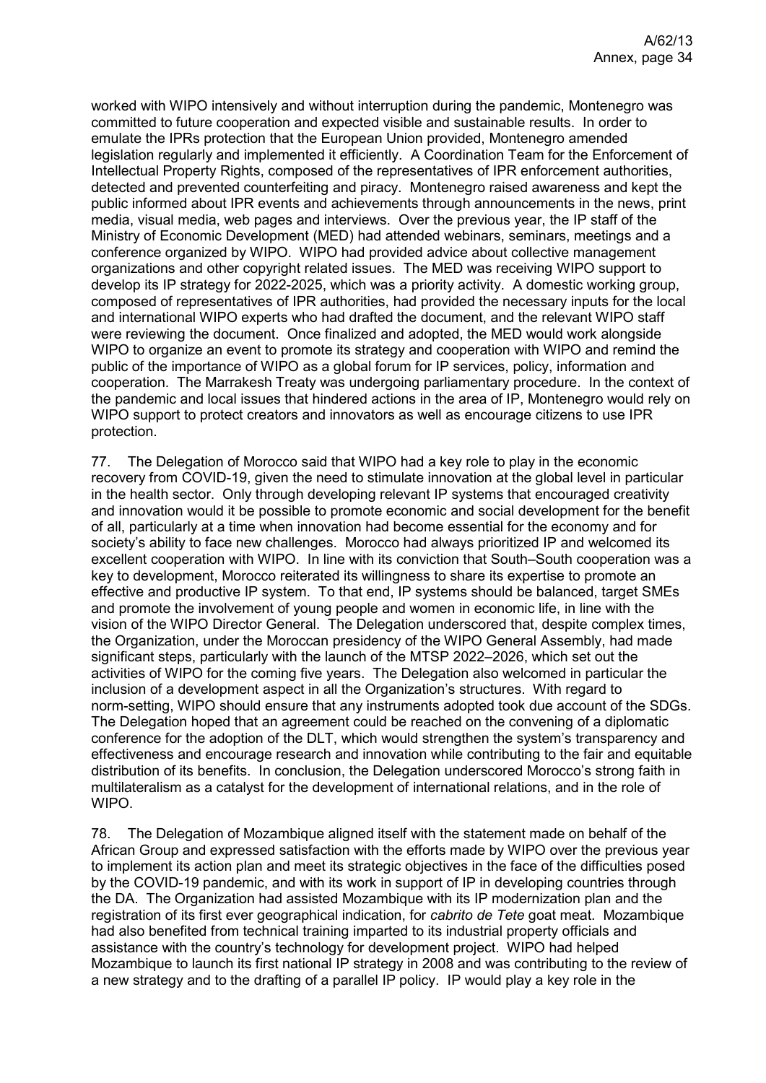worked with WIPO intensively and without interruption during the pandemic, Montenegro was committed to future cooperation and expected visible and sustainable results. In order to emulate the IPRs protection that the European Union provided, Montenegro amended legislation regularly and implemented it efficiently. A Coordination Team for the Enforcement of Intellectual Property Rights, composed of the representatives of IPR enforcement authorities, detected and prevented counterfeiting and piracy. Montenegro raised awareness and kept the public informed about IPR events and achievements through announcements in the news, print media, visual media, web pages and interviews. Over the previous year, the IP staff of the Ministry of Economic Development (MED) had attended webinars, seminars, meetings and a conference organized by WIPO. WIPO had provided advice about collective management organizations and other copyright related issues. The MED was receiving WIPO support to develop its IP strategy for 2022-2025, which was a priority activity. A domestic working group, composed of representatives of IPR authorities, had provided the necessary inputs for the local and international WIPO experts who had drafted the document, and the relevant WIPO staff were reviewing the document. Once finalized and adopted, the MED would work alongside WIPO to organize an event to promote its strategy and cooperation with WIPO and remind the public of the importance of WIPO as a global forum for IP services, policy, information and cooperation. The Marrakesh Treaty was undergoing parliamentary procedure. In the context of the pandemic and local issues that hindered actions in the area of IP, Montenegro would rely on WIPO support to protect creators and innovators as well as encourage citizens to use IPR protection.

77. The Delegation of Morocco said that WIPO had a key role to play in the economic recovery from COVID-19, given the need to stimulate innovation at the global level in particular in the health sector. Only through developing relevant IP systems that encouraged creativity and innovation would it be possible to promote economic and social development for the benefit of all, particularly at a time when innovation had become essential for the economy and for society's ability to face new challenges. Morocco had always prioritized IP and welcomed its excellent cooperation with WIPO. In line with its conviction that South–South cooperation was a key to development, Morocco reiterated its willingness to share its expertise to promote an effective and productive IP system. To that end, IP systems should be balanced, target SMEs and promote the involvement of young people and women in economic life, in line with the vision of the WIPO Director General. The Delegation underscored that, despite complex times, the Organization, under the Moroccan presidency of the WIPO General Assembly, had made significant steps, particularly with the launch of the MTSP 2022–2026, which set out the activities of WIPO for the coming five years. The Delegation also welcomed in particular the inclusion of a development aspect in all the Organization's structures. With regard to norm-setting, WIPO should ensure that any instruments adopted took due account of the SDGs. The Delegation hoped that an agreement could be reached on the convening of a diplomatic conference for the adoption of the DLT, which would strengthen the system's transparency and effectiveness and encourage research and innovation while contributing to the fair and equitable distribution of its benefits. In conclusion, the Delegation underscored Morocco's strong faith in multilateralism as a catalyst for the development of international relations, and in the role of WIPO.

78. The Delegation of Mozambique aligned itself with the statement made on behalf of the African Group and expressed satisfaction with the efforts made by WIPO over the previous year to implement its action plan and meet its strategic objectives in the face of the difficulties posed by the COVID-19 pandemic, and with its work in support of IP in developing countries through the DA. The Organization had assisted Mozambique with its IP modernization plan and the registration of its first ever geographical indication, for *cabrito de Tete* goat meat. Mozambique had also benefited from technical training imparted to its industrial property officials and assistance with the country's technology for development project. WIPO had helped Mozambique to launch its first national IP strategy in 2008 and was contributing to the review of a new strategy and to the drafting of a parallel IP policy. IP would play a key role in the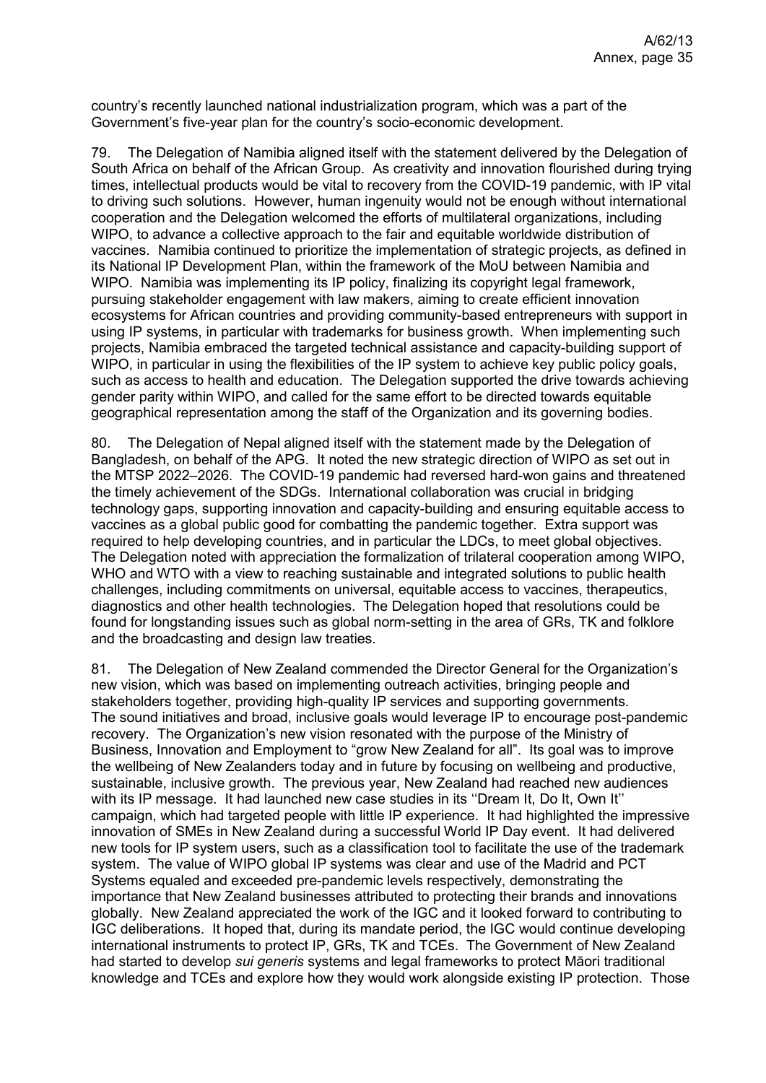country's recently launched national industrialization program, which was a part of the Government's five-year plan for the country's socio-economic development.

79. The Delegation of Namibia aligned itself with the statement delivered by the Delegation of South Africa on behalf of the African Group. As creativity and innovation flourished during trying times, intellectual products would be vital to recovery from the COVID-19 pandemic, with IP vital to driving such solutions. However, human ingenuity would not be enough without international cooperation and the Delegation welcomed the efforts of multilateral organizations, including WIPO, to advance a collective approach to the fair and equitable worldwide distribution of vaccines. Namibia continued to prioritize the implementation of strategic projects, as defined in its National IP Development Plan, within the framework of the MoU between Namibia and WIPO. Namibia was implementing its IP policy, finalizing its copyright legal framework, pursuing stakeholder engagement with law makers, aiming to create efficient innovation ecosystems for African countries and providing community-based entrepreneurs with support in using IP systems, in particular with trademarks for business growth. When implementing such projects, Namibia embraced the targeted technical assistance and capacity-building support of WIPO, in particular in using the flexibilities of the IP system to achieve key public policy goals, such as access to health and education. The Delegation supported the drive towards achieving gender parity within WIPO, and called for the same effort to be directed towards equitable geographical representation among the staff of the Organization and its governing bodies.

80. The Delegation of Nepal aligned itself with the statement made by the Delegation of Bangladesh, on behalf of the APG. It noted the new strategic direction of WIPO as set out in the MTSP 2022–2026. The COVID-19 pandemic had reversed hard-won gains and threatened the timely achievement of the SDGs. International collaboration was crucial in bridging technology gaps, supporting innovation and capacity-building and ensuring equitable access to vaccines as a global public good for combatting the pandemic together. Extra support was required to help developing countries, and in particular the LDCs, to meet global objectives. The Delegation noted with appreciation the formalization of trilateral cooperation among WIPO, WHO and WTO with a view to reaching sustainable and integrated solutions to public health challenges, including commitments on universal, equitable access to vaccines, therapeutics, diagnostics and other health technologies. The Delegation hoped that resolutions could be found for longstanding issues such as global norm-setting in the area of GRs, TK and folklore and the broadcasting and design law treaties.

81. The Delegation of New Zealand commended the Director General for the Organization's new vision, which was based on implementing outreach activities, bringing people and stakeholders together, providing high-quality IP services and supporting governments. The sound initiatives and broad, inclusive goals would leverage IP to encourage post-pandemic recovery. The Organization's new vision resonated with the purpose of the Ministry of Business, Innovation and Employment to "grow New Zealand for all". Its goal was to improve the wellbeing of New Zealanders today and in future by focusing on wellbeing and productive, sustainable, inclusive growth. The previous year, New Zealand had reached new audiences with its IP message. It had launched new case studies in its "Dream It, Do It, Own It" campaign, which had targeted people with little IP experience. It had highlighted the impressive innovation of SMEs in New Zealand during a successful World IP Day event. It had delivered new tools for IP system users, such as a classification tool to facilitate the use of the trademark system. The value of WIPO global IP systems was clear and use of the Madrid and PCT Systems equaled and exceeded pre-pandemic levels respectively, demonstrating the importance that New Zealand businesses attributed to protecting their brands and innovations globally. New Zealand appreciated the work of the IGC and it looked forward to contributing to IGC deliberations. It hoped that, during its mandate period, the IGC would continue developing international instruments to protect IP, GRs, TK and TCEs. The Government of New Zealand had started to develop *sui generis* systems and legal frameworks to protect Māori traditional knowledge and TCEs and explore how they would work alongside existing IP protection. Those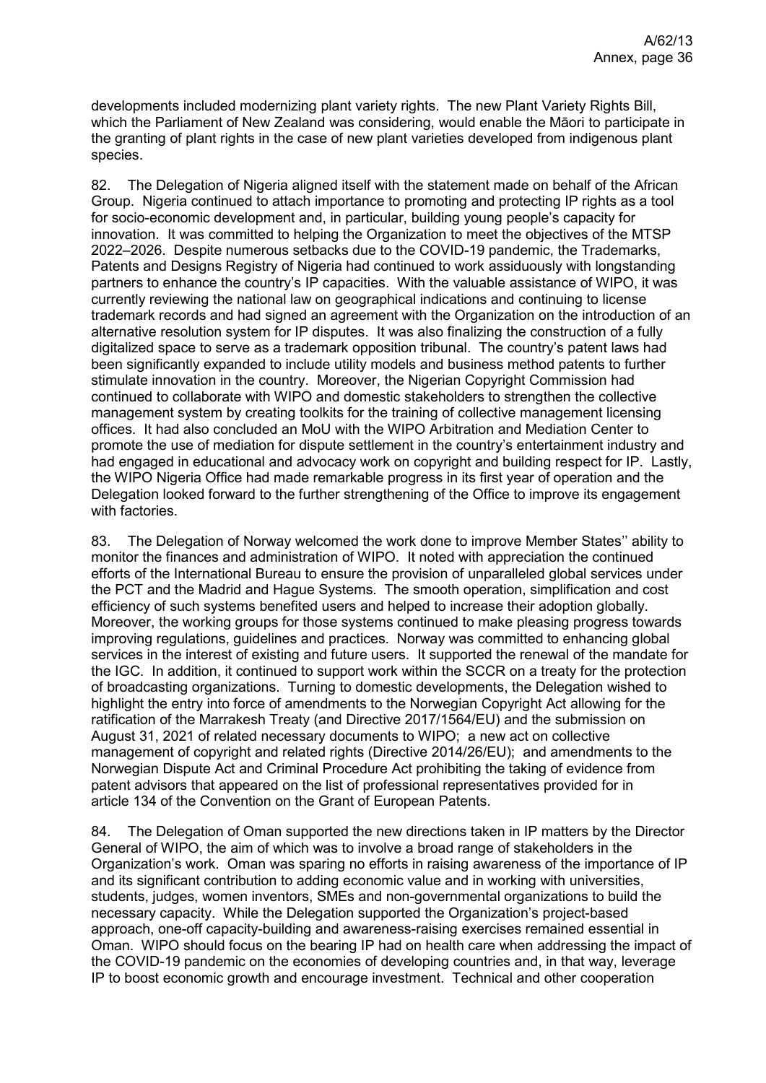developments included modernizing plant variety rights. The new Plant Variety Rights Bill, which the Parliament of New Zealand was considering, would enable the Māori to participate in the granting of plant rights in the case of new plant varieties developed from indigenous plant species.

82. The Delegation of Nigeria aligned itself with the statement made on behalf of the African Group. Nigeria continued to attach importance to promoting and protecting IP rights as a tool for socio-economic development and, in particular, building young people's capacity for innovation. It was committed to helping the Organization to meet the objectives of the MTSP 2022–2026. Despite numerous setbacks due to the COVID-19 pandemic, the Trademarks, Patents and Designs Registry of Nigeria had continued to work assiduously with longstanding partners to enhance the country's IP capacities. With the valuable assistance of WIPO, it was currently reviewing the national law on geographical indications and continuing to license trademark records and had signed an agreement with the Organization on the introduction of an alternative resolution system for IP disputes. It was also finalizing the construction of a fully digitalized space to serve as a trademark opposition tribunal. The country's patent laws had been significantly expanded to include utility models and business method patents to further stimulate innovation in the country. Moreover, the Nigerian Copyright Commission had continued to collaborate with WIPO and domestic stakeholders to strengthen the collective management system by creating toolkits for the training of collective management licensing offices. It had also concluded an MoU with the WIPO Arbitration and Mediation Center to promote the use of mediation for dispute settlement in the country's entertainment industry and had engaged in educational and advocacy work on copyright and building respect for IP. Lastly, the WIPO Nigeria Office had made remarkable progress in its first year of operation and the Delegation looked forward to the further strengthening of the Office to improve its engagement with factories.

83. The Delegation of Norway welcomed the work done to improve Member States'' ability to monitor the finances and administration of WIPO. It noted with appreciation the continued efforts of the International Bureau to ensure the provision of unparalleled global services under the PCT and the Madrid and Hague Systems. The smooth operation, simplification and cost efficiency of such systems benefited users and helped to increase their adoption globally. Moreover, the working groups for those systems continued to make pleasing progress towards improving regulations, guidelines and practices. Norway was committed to enhancing global services in the interest of existing and future users. It supported the renewal of the mandate for the IGC. In addition, it continued to support work within the SCCR on a treaty for the protection of broadcasting organizations. Turning to domestic developments, the Delegation wished to highlight the entry into force of amendments to the Norwegian Copyright Act allowing for the ratification of the Marrakesh Treaty (and Directive 2017/1564/EU) and the submission on August 31, 2021 of related necessary documents to WIPO; a new act on collective management of copyright and related rights (Directive 2014/26/EU); and amendments to the Norwegian Dispute Act and Criminal Procedure Act prohibiting the taking of evidence from patent advisors that appeared on the list of professional representatives provided for in article 134 of the Convention on the Grant of European Patents.

84. The Delegation of Oman supported the new directions taken in IP matters by the Director General of WIPO, the aim of which was to involve a broad range of stakeholders in the Organization's work. Oman was sparing no efforts in raising awareness of the importance of IP and its significant contribution to adding economic value and in working with universities, students, judges, women inventors, SMEs and non-governmental organizations to build the necessary capacity. While the Delegation supported the Organization's project-based approach, one-off capacity-building and awareness-raising exercises remained essential in Oman. WIPO should focus on the bearing IP had on health care when addressing the impact of the COVID-19 pandemic on the economies of developing countries and, in that way, leverage IP to boost economic growth and encourage investment. Technical and other cooperation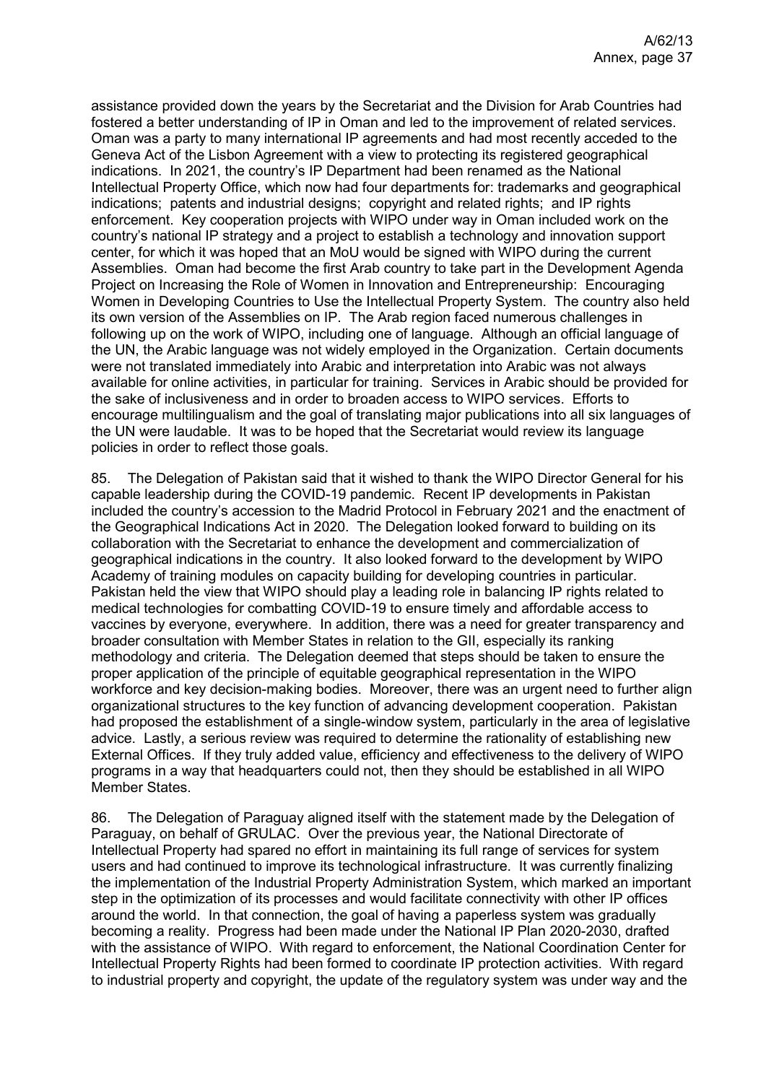assistance provided down the years by the Secretariat and the Division for Arab Countries had fostered a better understanding of IP in Oman and led to the improvement of related services. Oman was a party to many international IP agreements and had most recently acceded to the Geneva Act of the Lisbon Agreement with a view to protecting its registered geographical indications. In 2021, the country's IP Department had been renamed as the National Intellectual Property Office, which now had four departments for: trademarks and geographical indications; patents and industrial designs; copyright and related rights; and IP rights enforcement. Key cooperation projects with WIPO under way in Oman included work on the country's national IP strategy and a project to establish a technology and innovation support center, for which it was hoped that an MoU would be signed with WIPO during the current Assemblies. Oman had become the first Arab country to take part in the Development Agenda Project on Increasing the Role of Women in Innovation and Entrepreneurship: Encouraging Women in Developing Countries to Use the Intellectual Property System. The country also held its own version of the Assemblies on IP. The Arab region faced numerous challenges in following up on the work of WIPO, including one of language. Although an official language of the UN, the Arabic language was not widely employed in the Organization. Certain documents were not translated immediately into Arabic and interpretation into Arabic was not always available for online activities, in particular for training. Services in Arabic should be provided for the sake of inclusiveness and in order to broaden access to WIPO services. Efforts to encourage multilingualism and the goal of translating major publications into all six languages of the UN were laudable. It was to be hoped that the Secretariat would review its language policies in order to reflect those goals.

85. The Delegation of Pakistan said that it wished to thank the WIPO Director General for his capable leadership during the COVID-19 pandemic. Recent IP developments in Pakistan included the country's accession to the Madrid Protocol in February 2021 and the enactment of the Geographical Indications Act in 2020. The Delegation looked forward to building on its collaboration with the Secretariat to enhance the development and commercialization of geographical indications in the country. It also looked forward to the development by WIPO Academy of training modules on capacity building for developing countries in particular. Pakistan held the view that WIPO should play a leading role in balancing IP rights related to medical technologies for combatting COVID-19 to ensure timely and affordable access to vaccines by everyone, everywhere. In addition, there was a need for greater transparency and broader consultation with Member States in relation to the GII, especially its ranking methodology and criteria. The Delegation deemed that steps should be taken to ensure the proper application of the principle of equitable geographical representation in the WIPO workforce and key decision-making bodies. Moreover, there was an urgent need to further align organizational structures to the key function of advancing development cooperation. Pakistan had proposed the establishment of a single-window system, particularly in the area of legislative advice. Lastly, a serious review was required to determine the rationality of establishing new External Offices. If they truly added value, efficiency and effectiveness to the delivery of WIPO programs in a way that headquarters could not, then they should be established in all WIPO Member States.

86. The Delegation of Paraguay aligned itself with the statement made by the Delegation of Paraguay, on behalf of GRULAC. Over the previous year, the National Directorate of Intellectual Property had spared no effort in maintaining its full range of services for system users and had continued to improve its technological infrastructure. It was currently finalizing the implementation of the Industrial Property Administration System, which marked an important step in the optimization of its processes and would facilitate connectivity with other IP offices around the world. In that connection, the goal of having a paperless system was gradually becoming a reality. Progress had been made under the National IP Plan 2020-2030, drafted with the assistance of WIPO. With regard to enforcement, the National Coordination Center for Intellectual Property Rights had been formed to coordinate IP protection activities. With regard to industrial property and copyright, the update of the regulatory system was under way and the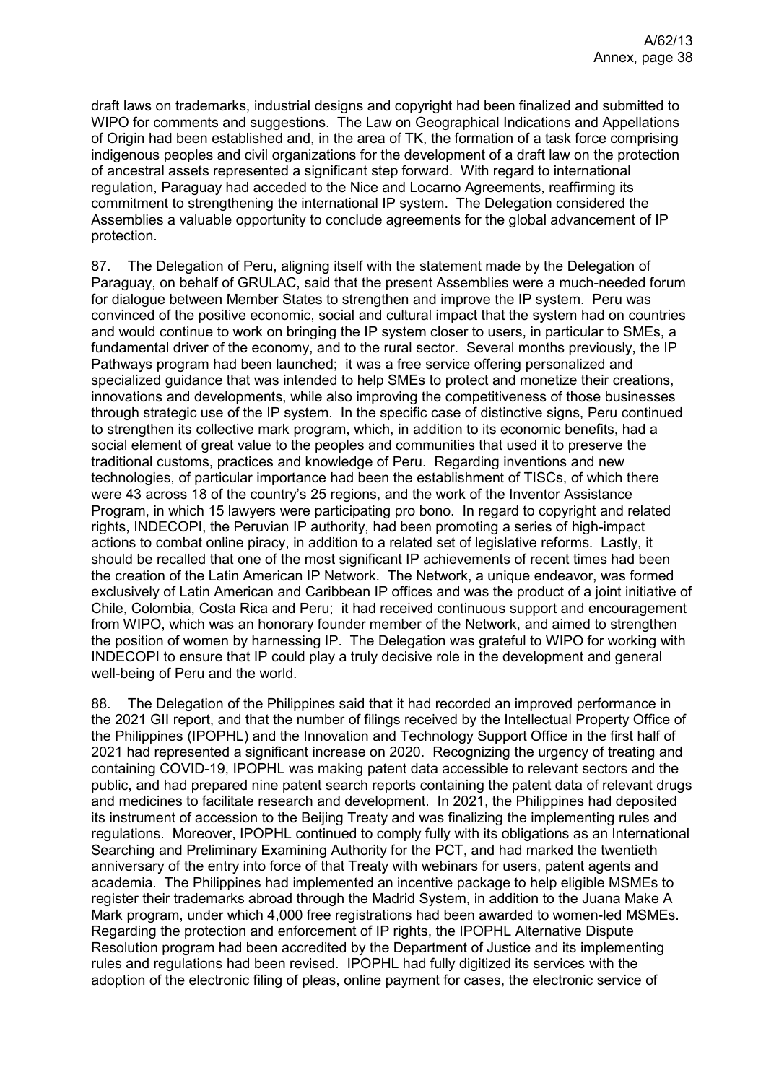draft laws on trademarks, industrial designs and copyright had been finalized and submitted to WIPO for comments and suggestions. The Law on Geographical Indications and Appellations of Origin had been established and, in the area of TK, the formation of a task force comprising indigenous peoples and civil organizations for the development of a draft law on the protection of ancestral assets represented a significant step forward. With regard to international regulation, Paraguay had acceded to the Nice and Locarno Agreements, reaffirming its commitment to strengthening the international IP system. The Delegation considered the Assemblies a valuable opportunity to conclude agreements for the global advancement of IP protection.

87. The Delegation of Peru, aligning itself with the statement made by the Delegation of Paraguay, on behalf of GRULAC, said that the present Assemblies were a much-needed forum for dialogue between Member States to strengthen and improve the IP system. Peru was convinced of the positive economic, social and cultural impact that the system had on countries and would continue to work on bringing the IP system closer to users, in particular to SMEs, a fundamental driver of the economy, and to the rural sector. Several months previously, the IP Pathways program had been launched; it was a free service offering personalized and specialized guidance that was intended to help SMEs to protect and monetize their creations, innovations and developments, while also improving the competitiveness of those businesses through strategic use of the IP system. In the specific case of distinctive signs, Peru continued to strengthen its collective mark program, which, in addition to its economic benefits, had a social element of great value to the peoples and communities that used it to preserve the traditional customs, practices and knowledge of Peru. Regarding inventions and new technologies, of particular importance had been the establishment of TISCs, of which there were 43 across 18 of the country's 25 regions, and the work of the Inventor Assistance Program, in which 15 lawyers were participating pro bono. In regard to copyright and related rights, INDECOPI, the Peruvian IP authority, had been promoting a series of high-impact actions to combat online piracy, in addition to a related set of legislative reforms. Lastly, it should be recalled that one of the most significant IP achievements of recent times had been the creation of the Latin American IP Network. The Network, a unique endeavor, was formed exclusively of Latin American and Caribbean IP offices and was the product of a joint initiative of Chile, Colombia, Costa Rica and Peru; it had received continuous support and encouragement from WIPO, which was an honorary founder member of the Network, and aimed to strengthen the position of women by harnessing IP. The Delegation was grateful to WIPO for working with INDECOPI to ensure that IP could play a truly decisive role in the development and general well-being of Peru and the world.

88. The Delegation of the Philippines said that it had recorded an improved performance in the 2021 GII report, and that the number of filings received by the Intellectual Property Office of the Philippines (IPOPHL) and the Innovation and Technology Support Office in the first half of 2021 had represented a significant increase on 2020. Recognizing the urgency of treating and containing COVID-19, IPOPHL was making patent data accessible to relevant sectors and the public, and had prepared nine patent search reports containing the patent data of relevant drugs and medicines to facilitate research and development. In 2021, the Philippines had deposited its instrument of accession to the Beijing Treaty and was finalizing the implementing rules and regulations. Moreover, IPOPHL continued to comply fully with its obligations as an International Searching and Preliminary Examining Authority for the PCT, and had marked the twentieth anniversary of the entry into force of that Treaty with webinars for users, patent agents and academia. The Philippines had implemented an incentive package to help eligible MSMEs to register their trademarks abroad through the Madrid System, in addition to the Juana Make A Mark program, under which 4,000 free registrations had been awarded to women-led MSMEs. Regarding the protection and enforcement of IP rights, the IPOPHL Alternative Dispute Resolution program had been accredited by the Department of Justice and its implementing rules and regulations had been revised. IPOPHL had fully digitized its services with the adoption of the electronic filing of pleas, online payment for cases, the electronic service of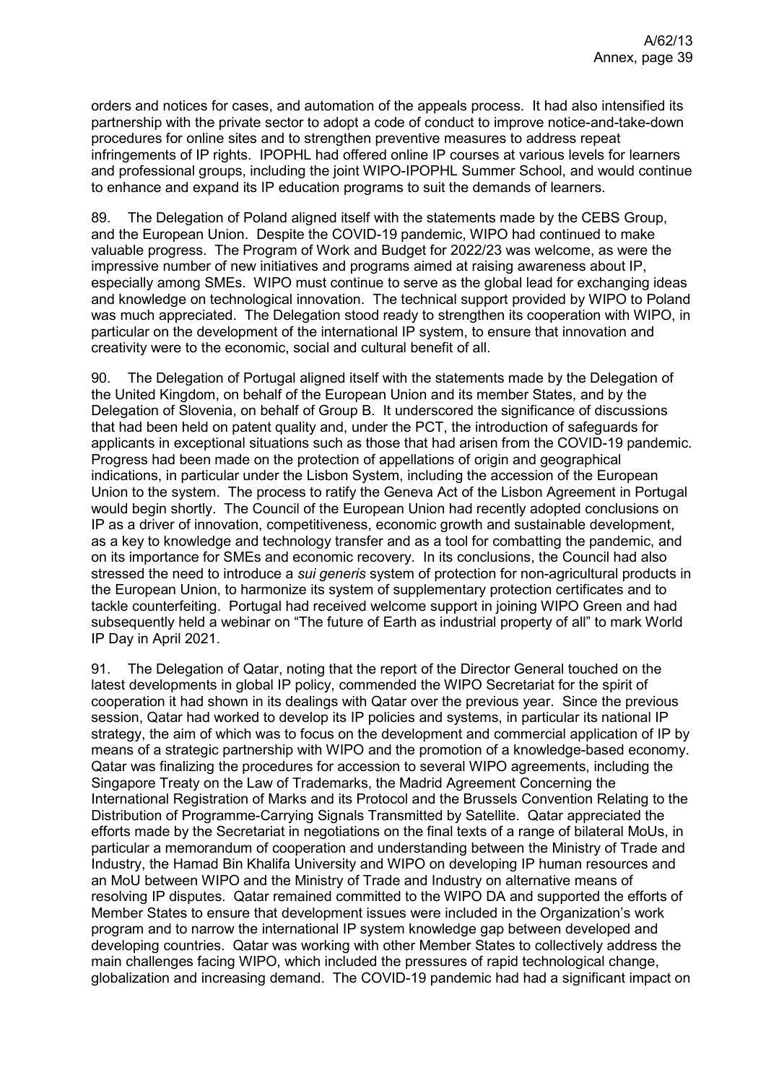orders and notices for cases, and automation of the appeals process. It had also intensified its partnership with the private sector to adopt a code of conduct to improve notice-and-take-down procedures for online sites and to strengthen preventive measures to address repeat infringements of IP rights. IPOPHL had offered online IP courses at various levels for learners and professional groups, including the joint WIPO-IPOPHL Summer School, and would continue to enhance and expand its IP education programs to suit the demands of learners.

89. The Delegation of Poland aligned itself with the statements made by the CEBS Group, and the European Union. Despite the COVID-19 pandemic, WIPO had continued to make valuable progress. The Program of Work and Budget for 2022/23 was welcome, as were the impressive number of new initiatives and programs aimed at raising awareness about IP, especially among SMEs. WIPO must continue to serve as the global lead for exchanging ideas and knowledge on technological innovation. The technical support provided by WIPO to Poland was much appreciated. The Delegation stood ready to strengthen its cooperation with WIPO, in particular on the development of the international IP system, to ensure that innovation and creativity were to the economic, social and cultural benefit of all.

90. The Delegation of Portugal aligned itself with the statements made by the Delegation of the United Kingdom, on behalf of the European Union and its member States, and by the Delegation of Slovenia, on behalf of Group B. It underscored the significance of discussions that had been held on patent quality and, under the PCT, the introduction of safeguards for applicants in exceptional situations such as those that had arisen from the COVID-19 pandemic. Progress had been made on the protection of appellations of origin and geographical indications, in particular under the Lisbon System, including the accession of the European Union to the system. The process to ratify the Geneva Act of the Lisbon Agreement in Portugal would begin shortly. The Council of the European Union had recently adopted conclusions on IP as a driver of innovation, competitiveness, economic growth and sustainable development, as a key to knowledge and technology transfer and as a tool for combatting the pandemic, and on its importance for SMEs and economic recovery. In its conclusions, the Council had also stressed the need to introduce a *sui generis* system of protection for non-agricultural products in the European Union, to harmonize its system of supplementary protection certificates and to tackle counterfeiting. Portugal had received welcome support in joining WIPO Green and had subsequently held a webinar on "The future of Earth as industrial property of all" to mark World IP Day in April 2021.

91. The Delegation of Qatar, noting that the report of the Director General touched on the latest developments in global IP policy, commended the WIPO Secretariat for the spirit of cooperation it had shown in its dealings with Qatar over the previous year. Since the previous session, Qatar had worked to develop its IP policies and systems, in particular its national IP strategy, the aim of which was to focus on the development and commercial application of IP by means of a strategic partnership with WIPO and the promotion of a knowledge-based economy. Qatar was finalizing the procedures for accession to several WIPO agreements, including the Singapore Treaty on the Law of Trademarks, the Madrid Agreement Concerning the International Registration of Marks and its Protocol and the Brussels Convention Relating to the Distribution of Programme-Carrying Signals Transmitted by Satellite. Qatar appreciated the efforts made by the Secretariat in negotiations on the final texts of a range of bilateral MoUs, in particular a memorandum of cooperation and understanding between the Ministry of Trade and Industry, the Hamad Bin Khalifa University and WIPO on developing IP human resources and an MoU between WIPO and the Ministry of Trade and Industry on alternative means of resolving IP disputes. Qatar remained committed to the WIPO DA and supported the efforts of Member States to ensure that development issues were included in the Organization's work program and to narrow the international IP system knowledge gap between developed and developing countries. Qatar was working with other Member States to collectively address the main challenges facing WIPO, which included the pressures of rapid technological change, globalization and increasing demand. The COVID-19 pandemic had had a significant impact on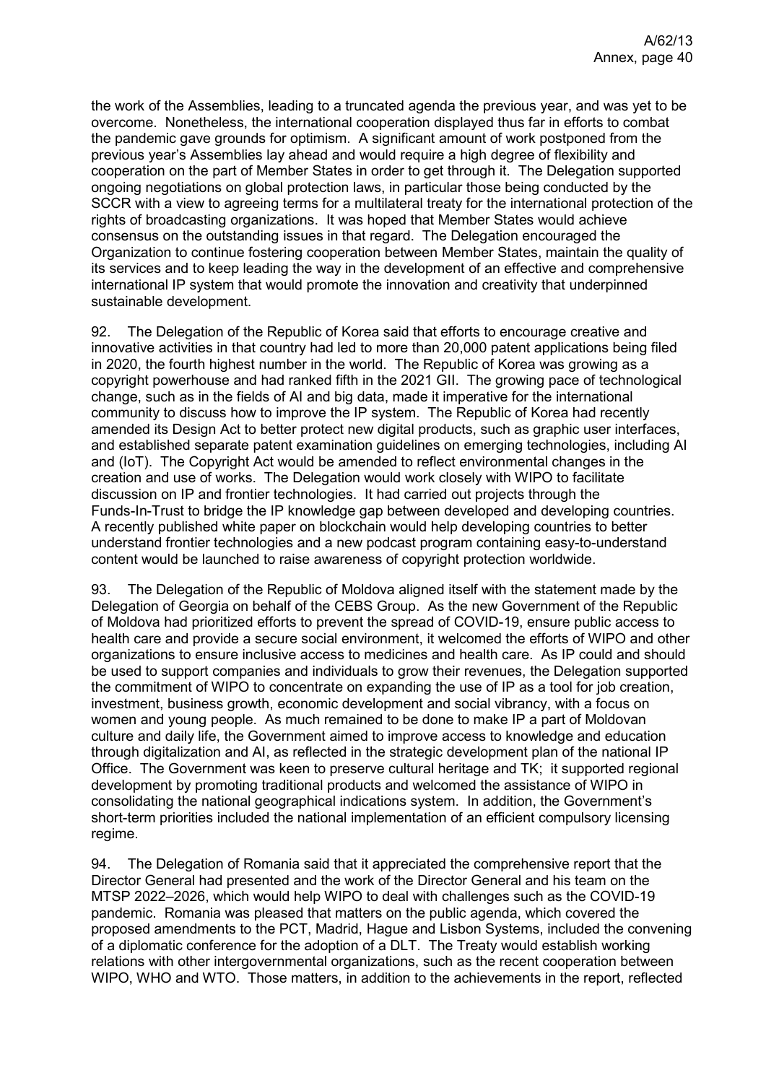the work of the Assemblies, leading to a truncated agenda the previous year, and was yet to be overcome. Nonetheless, the international cooperation displayed thus far in efforts to combat the pandemic gave grounds for optimism. A significant amount of work postponed from the previous year's Assemblies lay ahead and would require a high degree of flexibility and cooperation on the part of Member States in order to get through it. The Delegation supported ongoing negotiations on global protection laws, in particular those being conducted by the SCCR with a view to agreeing terms for a multilateral treaty for the international protection of the rights of broadcasting organizations. It was hoped that Member States would achieve consensus on the outstanding issues in that regard. The Delegation encouraged the Organization to continue fostering cooperation between Member States, maintain the quality of its services and to keep leading the way in the development of an effective and comprehensive international IP system that would promote the innovation and creativity that underpinned sustainable development.

92. The Delegation of the Republic of Korea said that efforts to encourage creative and innovative activities in that country had led to more than 20,000 patent applications being filed in 2020, the fourth highest number in the world. The Republic of Korea was growing as a copyright powerhouse and had ranked fifth in the 2021 GII. The growing pace of technological change, such as in the fields of AI and big data, made it imperative for the international community to discuss how to improve the IP system. The Republic of Korea had recently amended its Design Act to better protect new digital products, such as graphic user interfaces, and established separate patent examination guidelines on emerging technologies, including AI and (IoT). The Copyright Act would be amended to reflect environmental changes in the creation and use of works. The Delegation would work closely with WIPO to facilitate discussion on IP and frontier technologies. It had carried out projects through the Funds-In-Trust to bridge the IP knowledge gap between developed and developing countries. A recently published white paper on blockchain would help developing countries to better understand frontier technologies and a new podcast program containing easy-to-understand content would be launched to raise awareness of copyright protection worldwide.

93. The Delegation of the Republic of Moldova aligned itself with the statement made by the Delegation of Georgia on behalf of the CEBS Group. As the new Government of the Republic of Moldova had prioritized efforts to prevent the spread of COVID-19, ensure public access to health care and provide a secure social environment, it welcomed the efforts of WIPO and other organizations to ensure inclusive access to medicines and health care. As IP could and should be used to support companies and individuals to grow their revenues, the Delegation supported the commitment of WIPO to concentrate on expanding the use of IP as a tool for job creation, investment, business growth, economic development and social vibrancy, with a focus on women and young people. As much remained to be done to make IP a part of Moldovan culture and daily life, the Government aimed to improve access to knowledge and education through digitalization and AI, as reflected in the strategic development plan of the national IP Office. The Government was keen to preserve cultural heritage and TK; it supported regional development by promoting traditional products and welcomed the assistance of WIPO in consolidating the national geographical indications system. In addition, the Government's short-term priorities included the national implementation of an efficient compulsory licensing regime.

94. The Delegation of Romania said that it appreciated the comprehensive report that the Director General had presented and the work of the Director General and his team on the MTSP 2022–2026, which would help WIPO to deal with challenges such as the COVID-19 pandemic. Romania was pleased that matters on the public agenda, which covered the proposed amendments to the PCT, Madrid, Hague and Lisbon Systems, included the convening of a diplomatic conference for the adoption of a DLT. The Treaty would establish working relations with other intergovernmental organizations, such as the recent cooperation between WIPO, WHO and WTO. Those matters, in addition to the achievements in the report, reflected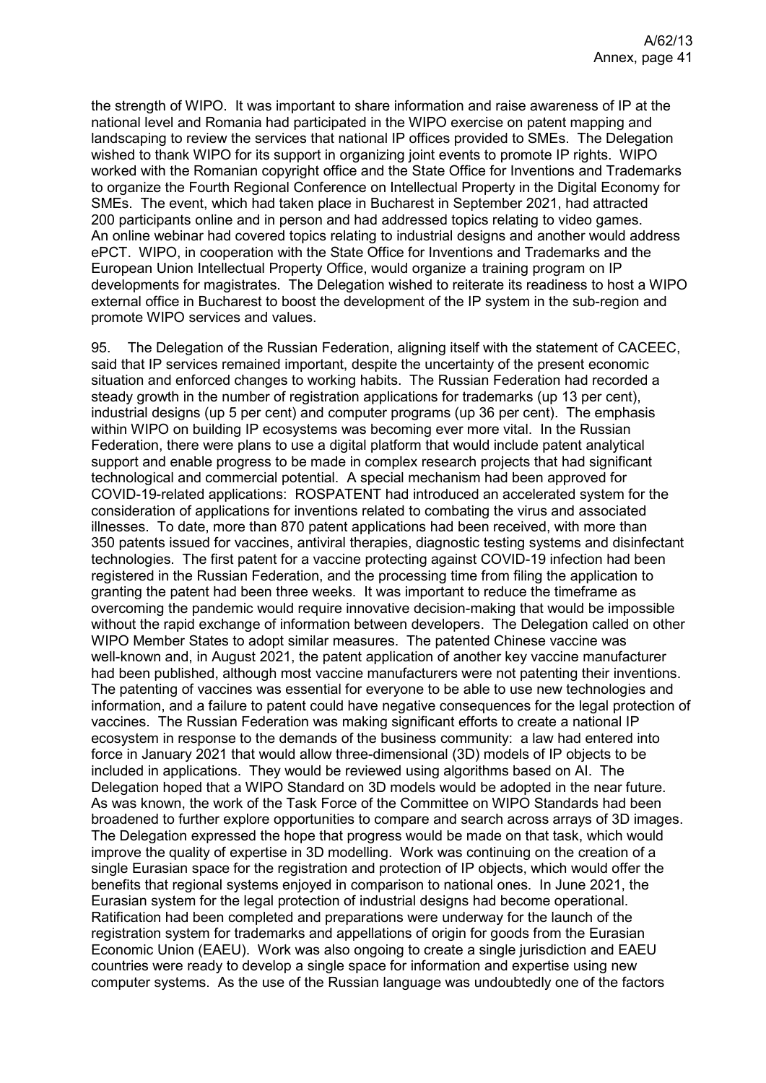the strength of WIPO. It was important to share information and raise awareness of IP at the national level and Romania had participated in the WIPO exercise on patent mapping and landscaping to review the services that national IP offices provided to SMEs. The Delegation wished to thank WIPO for its support in organizing joint events to promote IP rights. WIPO worked with the Romanian copyright office and the State Office for Inventions and Trademarks to organize the Fourth Regional Conference on Intellectual Property in the Digital Economy for SMEs. The event, which had taken place in Bucharest in September 2021, had attracted 200 participants online and in person and had addressed topics relating to video games. An online webinar had covered topics relating to industrial designs and another would address ePCT. WIPO, in cooperation with the State Office for Inventions and Trademarks and the European Union Intellectual Property Office, would organize a training program on IP developments for magistrates. The Delegation wished to reiterate its readiness to host a WIPO external office in Bucharest to boost the development of the IP system in the sub-region and promote WIPO services and values.

95. The Delegation of the Russian Federation, aligning itself with the statement of CACEEC, said that IP services remained important, despite the uncertainty of the present economic situation and enforced changes to working habits. The Russian Federation had recorded a steady growth in the number of registration applications for trademarks (up 13 per cent), industrial designs (up 5 per cent) and computer programs (up 36 per cent). The emphasis within WIPO on building IP ecosystems was becoming ever more vital. In the Russian Federation, there were plans to use a digital platform that would include patent analytical support and enable progress to be made in complex research projects that had significant technological and commercial potential. A special mechanism had been approved for COVID-19-related applications: ROSPATENT had introduced an accelerated system for the consideration of applications for inventions related to combating the virus and associated illnesses. To date, more than 870 patent applications had been received, with more than 350 patents issued for vaccines, antiviral therapies, diagnostic testing systems and disinfectant technologies. The first patent for a vaccine protecting against COVID-19 infection had been registered in the Russian Federation, and the processing time from filing the application to granting the patent had been three weeks. It was important to reduce the timeframe as overcoming the pandemic would require innovative decision-making that would be impossible without the rapid exchange of information between developers. The Delegation called on other WIPO Member States to adopt similar measures. The patented Chinese vaccine was well-known and, in August 2021, the patent application of another key vaccine manufacturer had been published, although most vaccine manufacturers were not patenting their inventions. The patenting of vaccines was essential for everyone to be able to use new technologies and information, and a failure to patent could have negative consequences for the legal protection of vaccines. The Russian Federation was making significant efforts to create a national IP ecosystem in response to the demands of the business community: a law had entered into force in January 2021 that would allow three-dimensional (3D) models of IP objects to be included in applications. They would be reviewed using algorithms based on AI. The Delegation hoped that a WIPO Standard on 3D models would be adopted in the near future. As was known, the work of the Task Force of the Committee on WIPO Standards had been broadened to further explore opportunities to compare and search across arrays of 3D images. The Delegation expressed the hope that progress would be made on that task, which would improve the quality of expertise in 3D modelling. Work was continuing on the creation of a single Eurasian space for the registration and protection of IP objects, which would offer the benefits that regional systems enjoyed in comparison to national ones. In June 2021, the Eurasian system for the legal protection of industrial designs had become operational. Ratification had been completed and preparations were underway for the launch of the registration system for trademarks and appellations of origin for goods from the Eurasian Economic Union (EAEU). Work was also ongoing to create a single jurisdiction and EAEU countries were ready to develop a single space for information and expertise using new computer systems. As the use of the Russian language was undoubtedly one of the factors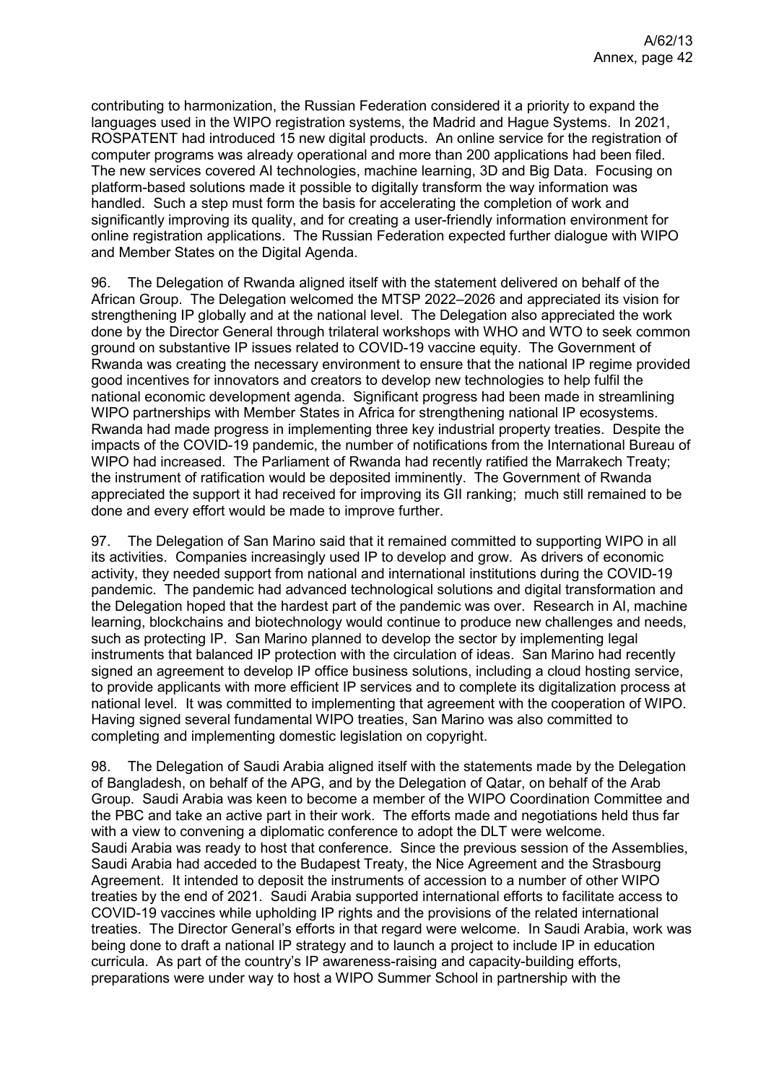contributing to harmonization, the Russian Federation considered it a priority to expand the languages used in the WIPO registration systems, the Madrid and Hague Systems. In 2021, ROSPATENT had introduced 15 new digital products. An online service for the registration of computer programs was already operational and more than 200 applications had been filed. The new services covered AI technologies, machine learning, 3D and Big Data. Focusing on platform-based solutions made it possible to digitally transform the way information was handled. Such a step must form the basis for accelerating the completion of work and significantly improving its quality, and for creating a user-friendly information environment for online registration applications. The Russian Federation expected further dialogue with WIPO and Member States on the Digital Agenda.

96. The Delegation of Rwanda aligned itself with the statement delivered on behalf of the African Group. The Delegation welcomed the MTSP 2022–2026 and appreciated its vision for strengthening IP globally and at the national level. The Delegation also appreciated the work done by the Director General through trilateral workshops with WHO and WTO to seek common ground on substantive IP issues related to COVID-19 vaccine equity. The Government of Rwanda was creating the necessary environment to ensure that the national IP regime provided good incentives for innovators and creators to develop new technologies to help fulfil the national economic development agenda. Significant progress had been made in streamlining WIPO partnerships with Member States in Africa for strengthening national IP ecosystems. Rwanda had made progress in implementing three key industrial property treaties. Despite the impacts of the COVID-19 pandemic, the number of notifications from the International Bureau of WIPO had increased. The Parliament of Rwanda had recently ratified the Marrakech Treaty; the instrument of ratification would be deposited imminently. The Government of Rwanda appreciated the support it had received for improving its GII ranking; much still remained to be done and every effort would be made to improve further.

97. The Delegation of San Marino said that it remained committed to supporting WIPO in all its activities. Companies increasingly used IP to develop and grow. As drivers of economic activity, they needed support from national and international institutions during the COVID-19 pandemic. The pandemic had advanced technological solutions and digital transformation and the Delegation hoped that the hardest part of the pandemic was over. Research in AI, machine learning, blockchains and biotechnology would continue to produce new challenges and needs, such as protecting IP. San Marino planned to develop the sector by implementing legal instruments that balanced IP protection with the circulation of ideas. San Marino had recently signed an agreement to develop IP office business solutions, including a cloud hosting service, to provide applicants with more efficient IP services and to complete its digitalization process at national level. It was committed to implementing that agreement with the cooperation of WIPO. Having signed several fundamental WIPO treaties, San Marino was also committed to completing and implementing domestic legislation on copyright.

98. The Delegation of Saudi Arabia aligned itself with the statements made by the Delegation of Bangladesh, on behalf of the APG, and by the Delegation of Qatar, on behalf of the Arab Group. Saudi Arabia was keen to become a member of the WIPO Coordination Committee and the PBC and take an active part in their work. The efforts made and negotiations held thus far with a view to convening a diplomatic conference to adopt the DLT were welcome. Saudi Arabia was ready to host that conference. Since the previous session of the Assemblies, Saudi Arabia had acceded to the Budapest Treaty, the Nice Agreement and the Strasbourg Agreement. It intended to deposit the instruments of accession to a number of other WIPO treaties by the end of 2021. Saudi Arabia supported international efforts to facilitate access to COVID-19 vaccines while upholding IP rights and the provisions of the related international treaties. The Director General's efforts in that regard were welcome. In Saudi Arabia, work was being done to draft a national IP strategy and to launch a project to include IP in education curricula. As part of the country's IP awareness-raising and capacity-building efforts, preparations were under way to host a WIPO Summer School in partnership with the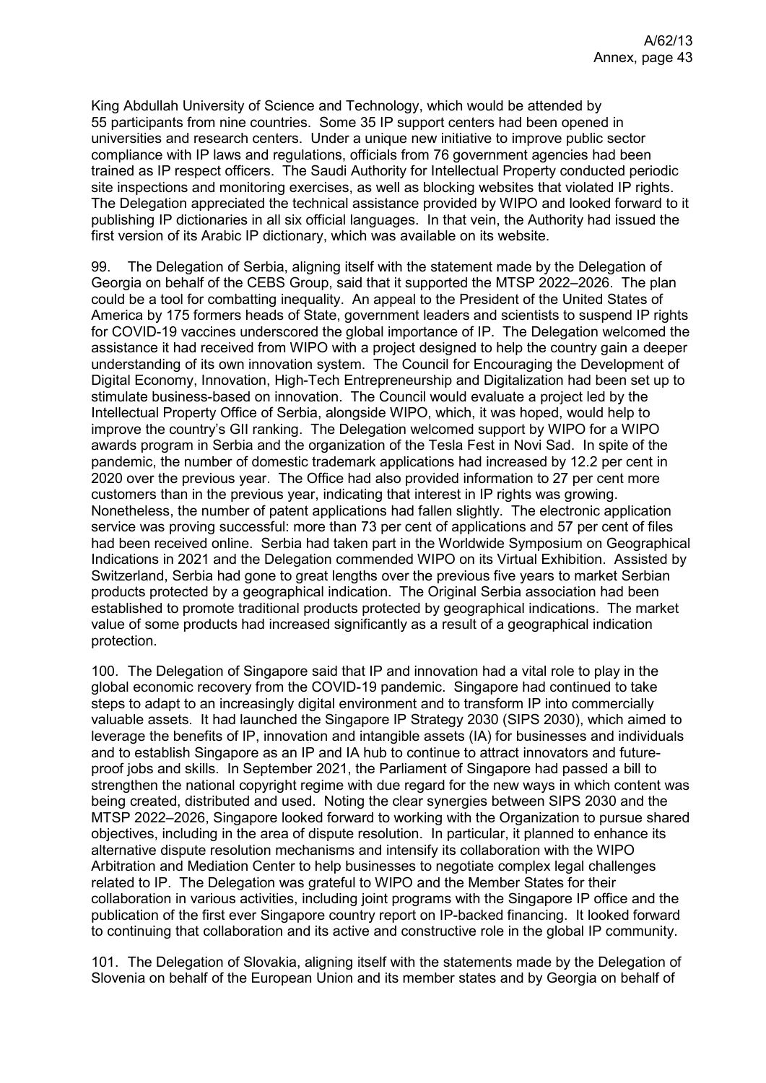King Abdullah University of Science and Technology, which would be attended by 55 participants from nine countries. Some 35 IP support centers had been opened in universities and research centers. Under a unique new initiative to improve public sector compliance with IP laws and regulations, officials from 76 government agencies had been trained as IP respect officers. The Saudi Authority for Intellectual Property conducted periodic site inspections and monitoring exercises, as well as blocking websites that violated IP rights. The Delegation appreciated the technical assistance provided by WIPO and looked forward to it publishing IP dictionaries in all six official languages. In that vein, the Authority had issued the first version of its Arabic IP dictionary, which was available on its website.

99. The Delegation of Serbia, aligning itself with the statement made by the Delegation of Georgia on behalf of the CEBS Group, said that it supported the MTSP 2022–2026. The plan could be a tool for combatting inequality. An appeal to the President of the United States of America by 175 formers heads of State, government leaders and scientists to suspend IP rights for COVID-19 vaccines underscored the global importance of IP. The Delegation welcomed the assistance it had received from WIPO with a project designed to help the country gain a deeper understanding of its own innovation system. The Council for Encouraging the Development of Digital Economy, Innovation, High-Tech Entrepreneurship and Digitalization had been set up to stimulate business-based on innovation. The Council would evaluate a project led by the Intellectual Property Office of Serbia, alongside WIPO, which, it was hoped, would help to improve the country's GII ranking. The Delegation welcomed support by WIPO for a WIPO awards program in Serbia and the organization of the Tesla Fest in Novi Sad. In spite of the pandemic, the number of domestic trademark applications had increased by 12.2 per cent in 2020 over the previous year. The Office had also provided information to 27 per cent more customers than in the previous year, indicating that interest in IP rights was growing. Nonetheless, the number of patent applications had fallen slightly. The electronic application service was proving successful: more than 73 per cent of applications and 57 per cent of files had been received online. Serbia had taken part in the Worldwide Symposium on Geographical Indications in 2021 and the Delegation commended WIPO on its Virtual Exhibition. Assisted by Switzerland, Serbia had gone to great lengths over the previous five years to market Serbian products protected by a geographical indication. The Original Serbia association had been established to promote traditional products protected by geographical indications. The market value of some products had increased significantly as a result of a geographical indication protection.

100. The Delegation of Singapore said that IP and innovation had a vital role to play in the global economic recovery from the COVID-19 pandemic. Singapore had continued to take steps to adapt to an increasingly digital environment and to transform IP into commercially valuable assets. It had launched the Singapore IP Strategy 2030 (SIPS 2030), which aimed to leverage the benefits of IP, innovation and intangible assets (IA) for businesses and individuals and to establish Singapore as an IP and IA hub to continue to attract innovators and futureproof jobs and skills. In September 2021, the Parliament of Singapore had passed a bill to strengthen the national copyright regime with due regard for the new ways in which content was being created, distributed and used. Noting the clear synergies between SIPS 2030 and the MTSP 2022–2026, Singapore looked forward to working with the Organization to pursue shared objectives, including in the area of dispute resolution. In particular, it planned to enhance its alternative dispute resolution mechanisms and intensify its collaboration with the WIPO Arbitration and Mediation Center to help businesses to negotiate complex legal challenges related to IP. The Delegation was grateful to WIPO and the Member States for their collaboration in various activities, including joint programs with the Singapore IP office and the publication of the first ever Singapore country report on IP-backed financing. It looked forward to continuing that collaboration and its active and constructive role in the global IP community.

101. The Delegation of Slovakia, aligning itself with the statements made by the Delegation of Slovenia on behalf of the European Union and its member states and by Georgia on behalf of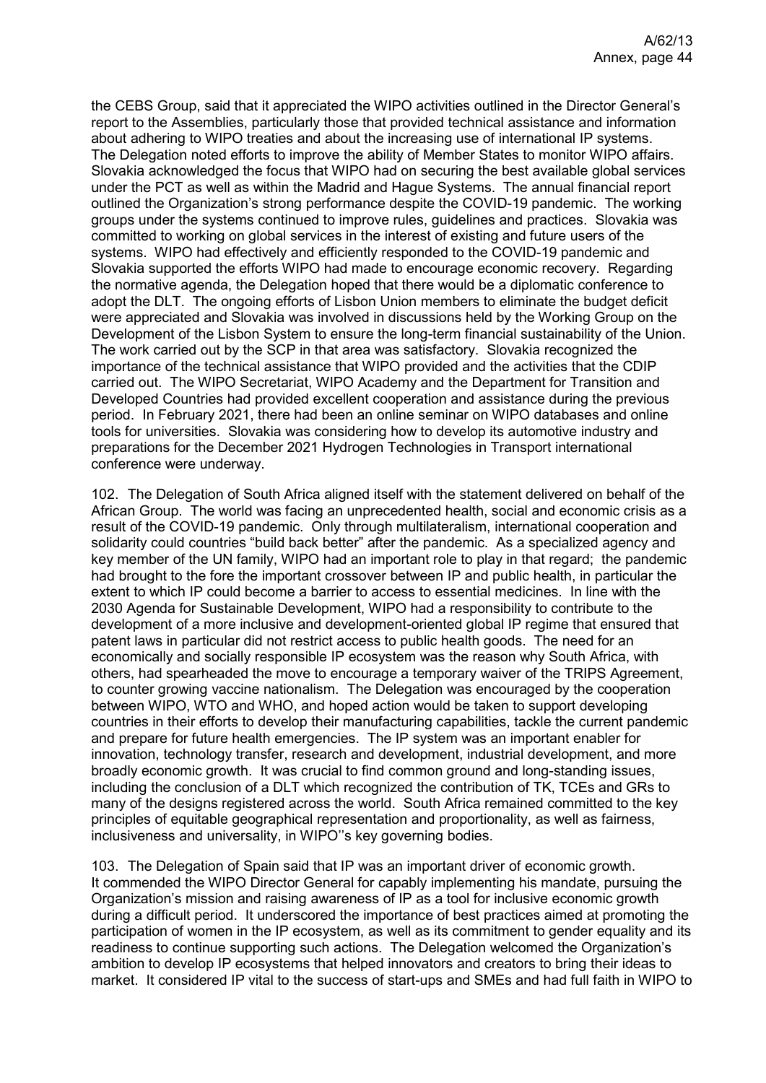the CEBS Group, said that it appreciated the WIPO activities outlined in the Director General's report to the Assemblies, particularly those that provided technical assistance and information about adhering to WIPO treaties and about the increasing use of international IP systems. The Delegation noted efforts to improve the ability of Member States to monitor WIPO affairs. Slovakia acknowledged the focus that WIPO had on securing the best available global services under the PCT as well as within the Madrid and Hague Systems. The annual financial report outlined the Organization's strong performance despite the COVID-19 pandemic. The working groups under the systems continued to improve rules, guidelines and practices. Slovakia was committed to working on global services in the interest of existing and future users of the systems. WIPO had effectively and efficiently responded to the COVID-19 pandemic and Slovakia supported the efforts WIPO had made to encourage economic recovery. Regarding the normative agenda, the Delegation hoped that there would be a diplomatic conference to adopt the DLT. The ongoing efforts of Lisbon Union members to eliminate the budget deficit were appreciated and Slovakia was involved in discussions held by the Working Group on the Development of the Lisbon System to ensure the long-term financial sustainability of the Union. The work carried out by the SCP in that area was satisfactory. Slovakia recognized the importance of the technical assistance that WIPO provided and the activities that the CDIP carried out. The WIPO Secretariat, WIPO Academy and the Department for Transition and Developed Countries had provided excellent cooperation and assistance during the previous period. In February 2021, there had been an online seminar on WIPO databases and online tools for universities. Slovakia was considering how to develop its automotive industry and preparations for the December 2021 Hydrogen Technologies in Transport international conference were underway.

102. The Delegation of South Africa aligned itself with the statement delivered on behalf of the African Group. The world was facing an unprecedented health, social and economic crisis as a result of the COVID-19 pandemic. Only through multilateralism, international cooperation and solidarity could countries "build back better" after the pandemic. As a specialized agency and key member of the UN family, WIPO had an important role to play in that regard; the pandemic had brought to the fore the important crossover between IP and public health, in particular the extent to which IP could become a barrier to access to essential medicines. In line with the 2030 Agenda for Sustainable Development, WIPO had a responsibility to contribute to the development of a more inclusive and development-oriented global IP regime that ensured that patent laws in particular did not restrict access to public health goods. The need for an economically and socially responsible IP ecosystem was the reason why South Africa, with others, had spearheaded the move to encourage a temporary waiver of the TRIPS Agreement, to counter growing vaccine nationalism. The Delegation was encouraged by the cooperation between WIPO, WTO and WHO, and hoped action would be taken to support developing countries in their efforts to develop their manufacturing capabilities, tackle the current pandemic and prepare for future health emergencies. The IP system was an important enabler for innovation, technology transfer, research and development, industrial development, and more broadly economic growth. It was crucial to find common ground and long-standing issues, including the conclusion of a DLT which recognized the contribution of TK, TCEs and GRs to many of the designs registered across the world. South Africa remained committed to the key principles of equitable geographical representation and proportionality, as well as fairness, inclusiveness and universality, in WIPO''s key governing bodies.

103. The Delegation of Spain said that IP was an important driver of economic growth. It commended the WIPO Director General for capably implementing his mandate, pursuing the Organization's mission and raising awareness of IP as a tool for inclusive economic growth during a difficult period. It underscored the importance of best practices aimed at promoting the participation of women in the IP ecosystem, as well as its commitment to gender equality and its readiness to continue supporting such actions. The Delegation welcomed the Organization's ambition to develop IP ecosystems that helped innovators and creators to bring their ideas to market. It considered IP vital to the success of start-ups and SMEs and had full faith in WIPO to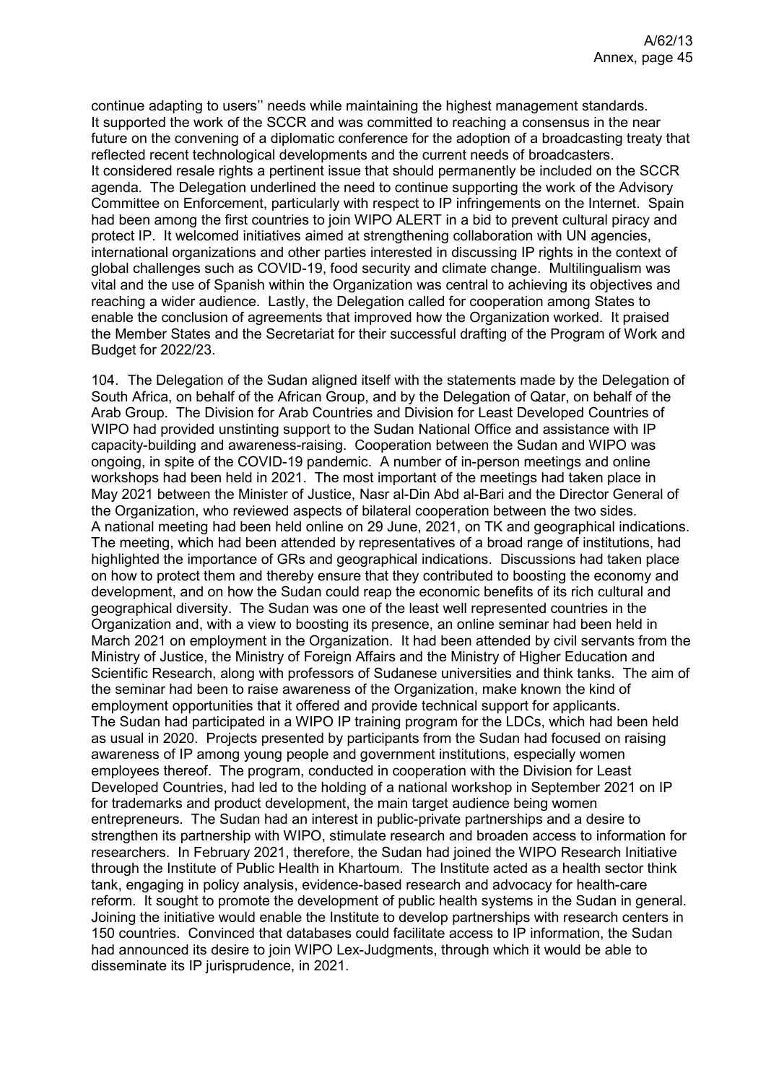continue adapting to users'' needs while maintaining the highest management standards. It supported the work of the SCCR and was committed to reaching a consensus in the near future on the convening of a diplomatic conference for the adoption of a broadcasting treaty that reflected recent technological developments and the current needs of broadcasters. It considered resale rights a pertinent issue that should permanently be included on the SCCR agenda. The Delegation underlined the need to continue supporting the work of the Advisory Committee on Enforcement, particularly with respect to IP infringements on the Internet. Spain had been among the first countries to join WIPO ALERT in a bid to prevent cultural piracy and protect IP. It welcomed initiatives aimed at strengthening collaboration with UN agencies, international organizations and other parties interested in discussing IP rights in the context of global challenges such as COVID-19, food security and climate change. Multilingualism was vital and the use of Spanish within the Organization was central to achieving its objectives and reaching a wider audience. Lastly, the Delegation called for cooperation among States to enable the conclusion of agreements that improved how the Organization worked. It praised the Member States and the Secretariat for their successful drafting of the Program of Work and Budget for 2022/23.

104. The Delegation of the Sudan aligned itself with the statements made by the Delegation of South Africa, on behalf of the African Group, and by the Delegation of Qatar, on behalf of the Arab Group. The Division for Arab Countries and Division for Least Developed Countries of WIPO had provided unstinting support to the Sudan National Office and assistance with IP capacity-building and awareness-raising. Cooperation between the Sudan and WIPO was ongoing, in spite of the COVID-19 pandemic. A number of in-person meetings and online workshops had been held in 2021. The most important of the meetings had taken place in May 2021 between the Minister of Justice, Nasr al-Din Abd al-Bari and the Director General of the Organization, who reviewed aspects of bilateral cooperation between the two sides. A national meeting had been held online on 29 June, 2021, on TK and geographical indications. The meeting, which had been attended by representatives of a broad range of institutions, had highlighted the importance of GRs and geographical indications. Discussions had taken place on how to protect them and thereby ensure that they contributed to boosting the economy and development, and on how the Sudan could reap the economic benefits of its rich cultural and geographical diversity. The Sudan was one of the least well represented countries in the Organization and, with a view to boosting its presence, an online seminar had been held in March 2021 on employment in the Organization. It had been attended by civil servants from the Ministry of Justice, the Ministry of Foreign Affairs and the Ministry of Higher Education and Scientific Research, along with professors of Sudanese universities and think tanks. The aim of the seminar had been to raise awareness of the Organization, make known the kind of employment opportunities that it offered and provide technical support for applicants. The Sudan had participated in a WIPO IP training program for the LDCs, which had been held as usual in 2020. Projects presented by participants from the Sudan had focused on raising awareness of IP among young people and government institutions, especially women employees thereof. The program, conducted in cooperation with the Division for Least Developed Countries, had led to the holding of a national workshop in September 2021 on IP for trademarks and product development, the main target audience being women entrepreneurs. The Sudan had an interest in public-private partnerships and a desire to strengthen its partnership with WIPO, stimulate research and broaden access to information for researchers. In February 2021, therefore, the Sudan had joined the WIPO Research Initiative through the Institute of Public Health in Khartoum. The Institute acted as a health sector think tank, engaging in policy analysis, evidence-based research and advocacy for health-care reform. It sought to promote the development of public health systems in the Sudan in general. Joining the initiative would enable the Institute to develop partnerships with research centers in 150 countries. Convinced that databases could facilitate access to IP information, the Sudan had announced its desire to join WIPO Lex-Judgments, through which it would be able to disseminate its IP jurisprudence, in 2021.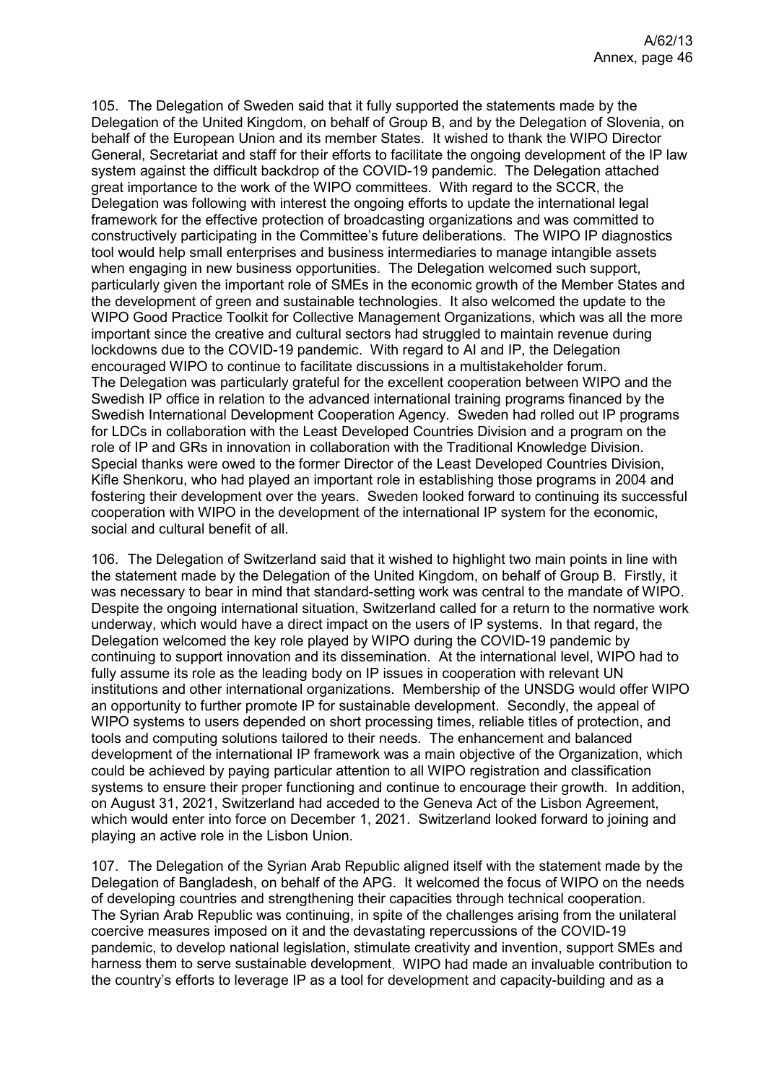105. The Delegation of Sweden said that it fully supported the statements made by the Delegation of the United Kingdom, on behalf of Group B, and by the Delegation of Slovenia, on behalf of the European Union and its member States. It wished to thank the WIPO Director General, Secretariat and staff for their efforts to facilitate the ongoing development of the IP law system against the difficult backdrop of the COVID-19 pandemic. The Delegation attached great importance to the work of the WIPO committees. With regard to the SCCR, the Delegation was following with interest the ongoing efforts to update the international legal framework for the effective protection of broadcasting organizations and was committed to constructively participating in the Committee's future deliberations. The WIPO IP diagnostics tool would help small enterprises and business intermediaries to manage intangible assets when engaging in new business opportunities. The Delegation welcomed such support, particularly given the important role of SMEs in the economic growth of the Member States and the development of green and sustainable technologies. It also welcomed the update to the WIPO Good Practice Toolkit for Collective Management Organizations, which was all the more important since the creative and cultural sectors had struggled to maintain revenue during lockdowns due to the COVID-19 pandemic. With regard to AI and IP, the Delegation encouraged WIPO to continue to facilitate discussions in a multistakeholder forum. The Delegation was particularly grateful for the excellent cooperation between WIPO and the Swedish IP office in relation to the advanced international training programs financed by the Swedish International Development Cooperation Agency. Sweden had rolled out IP programs for LDCs in collaboration with the Least Developed Countries Division and a program on the role of IP and GRs in innovation in collaboration with the Traditional Knowledge Division. Special thanks were owed to the former Director of the Least Developed Countries Division, Kifle Shenkoru, who had played an important role in establishing those programs in 2004 and fostering their development over the years. Sweden looked forward to continuing its successful cooperation with WIPO in the development of the international IP system for the economic, social and cultural benefit of all.

106. The Delegation of Switzerland said that it wished to highlight two main points in line with the statement made by the Delegation of the United Kingdom, on behalf of Group B. Firstly, it was necessary to bear in mind that standard-setting work was central to the mandate of WIPO. Despite the ongoing international situation, Switzerland called for a return to the normative work underway, which would have a direct impact on the users of IP systems. In that regard, the Delegation welcomed the key role played by WIPO during the COVID-19 pandemic by continuing to support innovation and its dissemination. At the international level, WIPO had to fully assume its role as the leading body on IP issues in cooperation with relevant UN institutions and other international organizations. Membership of the UNSDG would offer WIPO an opportunity to further promote IP for sustainable development. Secondly, the appeal of WIPO systems to users depended on short processing times, reliable titles of protection, and tools and computing solutions tailored to their needs. The enhancement and balanced development of the international IP framework was a main objective of the Organization, which could be achieved by paying particular attention to all WIPO registration and classification systems to ensure their proper functioning and continue to encourage their growth. In addition, on August 31, 2021, Switzerland had acceded to the Geneva Act of the Lisbon Agreement, which would enter into force on December 1, 2021. Switzerland looked forward to joining and playing an active role in the Lisbon Union.

107. The Delegation of the Syrian Arab Republic aligned itself with the statement made by the Delegation of Bangladesh, on behalf of the APG. It welcomed the focus of WIPO on the needs of developing countries and strengthening their capacities through technical cooperation. The Syrian Arab Republic was continuing, in spite of the challenges arising from the unilateral coercive measures imposed on it and the devastating repercussions of the COVID-19 pandemic, to develop national legislation, stimulate creativity and invention, support SMEs and harness them to serve sustainable development. WIPO had made an invaluable contribution to the country's efforts to leverage IP as a tool for development and capacity-building and as a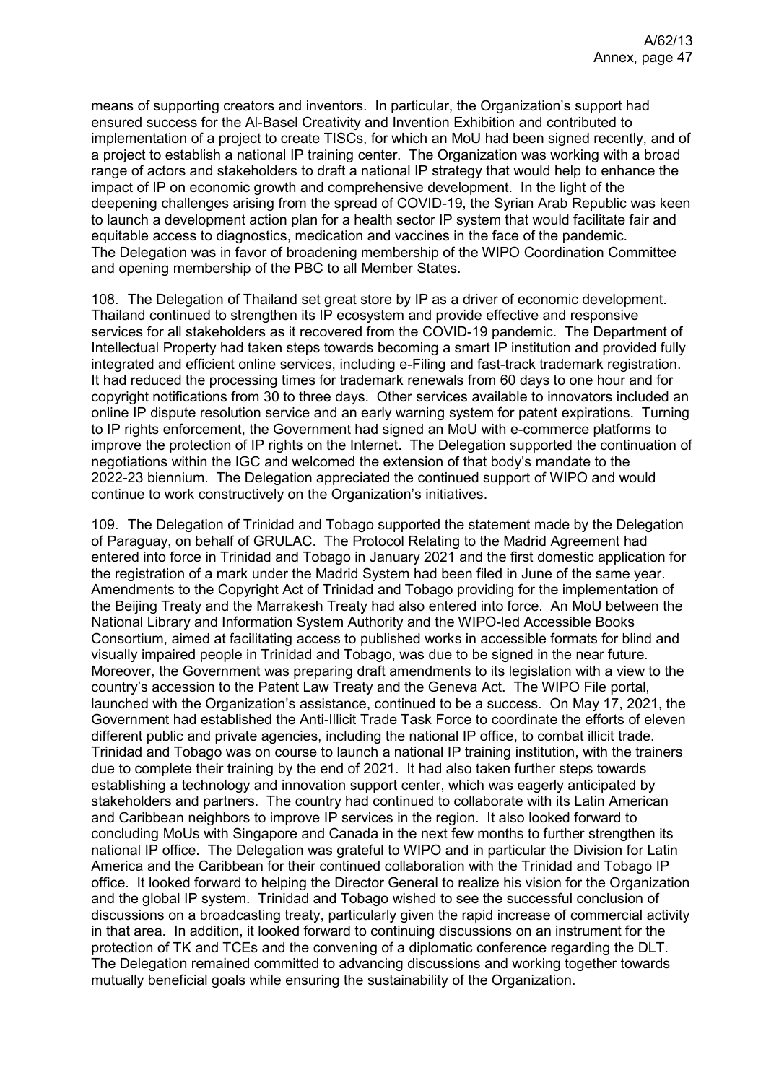means of supporting creators and inventors. In particular, the Organization's support had ensured success for the Al-Basel Creativity and Invention Exhibition and contributed to implementation of a project to create TISCs, for which an MoU had been signed recently, and of a project to establish a national IP training center. The Organization was working with a broad range of actors and stakeholders to draft a national IP strategy that would help to enhance the impact of IP on economic growth and comprehensive development. In the light of the deepening challenges arising from the spread of COVID-19, the Syrian Arab Republic was keen to launch a development action plan for a health sector IP system that would facilitate fair and equitable access to diagnostics, medication and vaccines in the face of the pandemic. The Delegation was in favor of broadening membership of the WIPO Coordination Committee and opening membership of the PBC to all Member States.

108. The Delegation of Thailand set great store by IP as a driver of economic development. Thailand continued to strengthen its IP ecosystem and provide effective and responsive services for all stakeholders as it recovered from the COVID-19 pandemic. The Department of Intellectual Property had taken steps towards becoming a smart IP institution and provided fully integrated and efficient online services, including e-Filing and fast-track trademark registration. It had reduced the processing times for trademark renewals from 60 days to one hour and for copyright notifications from 30 to three days. Other services available to innovators included an online IP dispute resolution service and an early warning system for patent expirations. Turning to IP rights enforcement, the Government had signed an MoU with e-commerce platforms to improve the protection of IP rights on the Internet. The Delegation supported the continuation of negotiations within the IGC and welcomed the extension of that body's mandate to the 2022-23 biennium. The Delegation appreciated the continued support of WIPO and would continue to work constructively on the Organization's initiatives.

109. The Delegation of Trinidad and Tobago supported the statement made by the Delegation of Paraguay, on behalf of GRULAC. The Protocol Relating to the Madrid Agreement had entered into force in Trinidad and Tobago in January 2021 and the first domestic application for the registration of a mark under the Madrid System had been filed in June of the same year. Amendments to the Copyright Act of Trinidad and Tobago providing for the implementation of the Beijing Treaty and the Marrakesh Treaty had also entered into force. An MoU between the National Library and Information System Authority and the WIPO-led Accessible Books Consortium, aimed at facilitating access to published works in accessible formats for blind and visually impaired people in Trinidad and Tobago, was due to be signed in the near future. Moreover, the Government was preparing draft amendments to its legislation with a view to the country's accession to the Patent Law Treaty and the Geneva Act. The WIPO File portal, launched with the Organization's assistance, continued to be a success. On May 17, 2021, the Government had established the Anti-Illicit Trade Task Force to coordinate the efforts of eleven different public and private agencies, including the national IP office, to combat illicit trade. Trinidad and Tobago was on course to launch a national IP training institution, with the trainers due to complete their training by the end of 2021. It had also taken further steps towards establishing a technology and innovation support center, which was eagerly anticipated by stakeholders and partners. The country had continued to collaborate with its Latin American and Caribbean neighbors to improve IP services in the region. It also looked forward to concluding MoUs with Singapore and Canada in the next few months to further strengthen its national IP office. The Delegation was grateful to WIPO and in particular the Division for Latin America and the Caribbean for their continued collaboration with the Trinidad and Tobago IP office. It looked forward to helping the Director General to realize his vision for the Organization and the global IP system. Trinidad and Tobago wished to see the successful conclusion of discussions on a broadcasting treaty, particularly given the rapid increase of commercial activity in that area. In addition, it looked forward to continuing discussions on an instrument for the protection of TK and TCEs and the convening of a diplomatic conference regarding the DLT. The Delegation remained committed to advancing discussions and working together towards mutually beneficial goals while ensuring the sustainability of the Organization.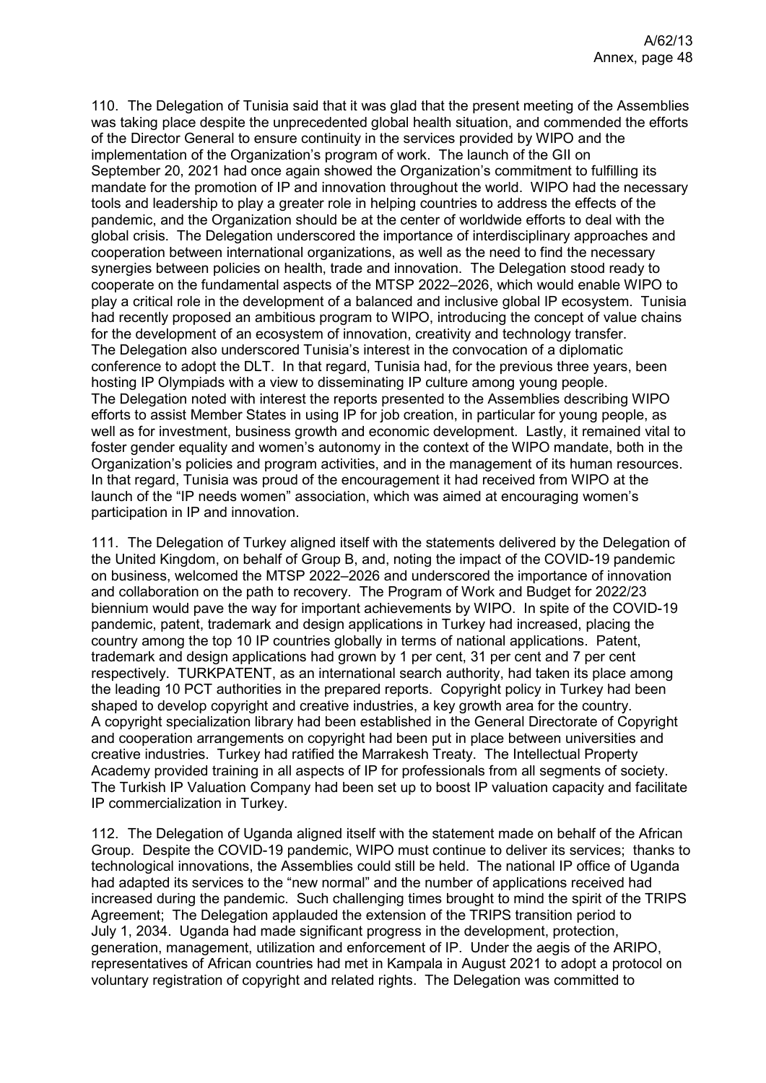110. The Delegation of Tunisia said that it was glad that the present meeting of the Assemblies was taking place despite the unprecedented global health situation, and commended the efforts of the Director General to ensure continuity in the services provided by WIPO and the implementation of the Organization's program of work. The launch of the GII on September 20, 2021 had once again showed the Organization's commitment to fulfilling its mandate for the promotion of IP and innovation throughout the world. WIPO had the necessary tools and leadership to play a greater role in helping countries to address the effects of the pandemic, and the Organization should be at the center of worldwide efforts to deal with the global crisis. The Delegation underscored the importance of interdisciplinary approaches and cooperation between international organizations, as well as the need to find the necessary synergies between policies on health, trade and innovation. The Delegation stood ready to cooperate on the fundamental aspects of the MTSP 2022–2026, which would enable WIPO to play a critical role in the development of a balanced and inclusive global IP ecosystem. Tunisia had recently proposed an ambitious program to WIPO, introducing the concept of value chains for the development of an ecosystem of innovation, creativity and technology transfer. The Delegation also underscored Tunisia's interest in the convocation of a diplomatic conference to adopt the DLT. In that regard, Tunisia had, for the previous three years, been hosting IP Olympiads with a view to disseminating IP culture among young people. The Delegation noted with interest the reports presented to the Assemblies describing WIPO efforts to assist Member States in using IP for job creation, in particular for young people, as well as for investment, business growth and economic development. Lastly, it remained vital to foster gender equality and women's autonomy in the context of the WIPO mandate, both in the Organization's policies and program activities, and in the management of its human resources. In that regard, Tunisia was proud of the encouragement it had received from WIPO at the launch of the "IP needs women" association, which was aimed at encouraging women's participation in IP and innovation.

111. The Delegation of Turkey aligned itself with the statements delivered by the Delegation of the United Kingdom, on behalf of Group B, and, noting the impact of the COVID-19 pandemic on business, welcomed the MTSP 2022–2026 and underscored the importance of innovation and collaboration on the path to recovery. The Program of Work and Budget for 2022/23 biennium would pave the way for important achievements by WIPO. In spite of the COVID-19 pandemic, patent, trademark and design applications in Turkey had increased, placing the country among the top 10 IP countries globally in terms of national applications. Patent, trademark and design applications had grown by 1 per cent, 31 per cent and 7 per cent respectively. TURKPATENT, as an international search authority, had taken its place among the leading 10 PCT authorities in the prepared reports. Copyright policy in Turkey had been shaped to develop copyright and creative industries, a key growth area for the country. A copyright specialization library had been established in the General Directorate of Copyright and cooperation arrangements on copyright had been put in place between universities and creative industries. Turkey had ratified the Marrakesh Treaty. The Intellectual Property Academy provided training in all aspects of IP for professionals from all segments of society. The Turkish IP Valuation Company had been set up to boost IP valuation capacity and facilitate IP commercialization in Turkey.

112. The Delegation of Uganda aligned itself with the statement made on behalf of the African Group. Despite the COVID-19 pandemic, WIPO must continue to deliver its services; thanks to technological innovations, the Assemblies could still be held. The national IP office of Uganda had adapted its services to the "new normal" and the number of applications received had increased during the pandemic. Such challenging times brought to mind the spirit of the TRIPS Agreement; The Delegation applauded the extension of the TRIPS transition period to July 1, 2034. Uganda had made significant progress in the development, protection, generation, management, utilization and enforcement of IP. Under the aegis of the ARIPO, representatives of African countries had met in Kampala in August 2021 to adopt a protocol on voluntary registration of copyright and related rights. The Delegation was committed to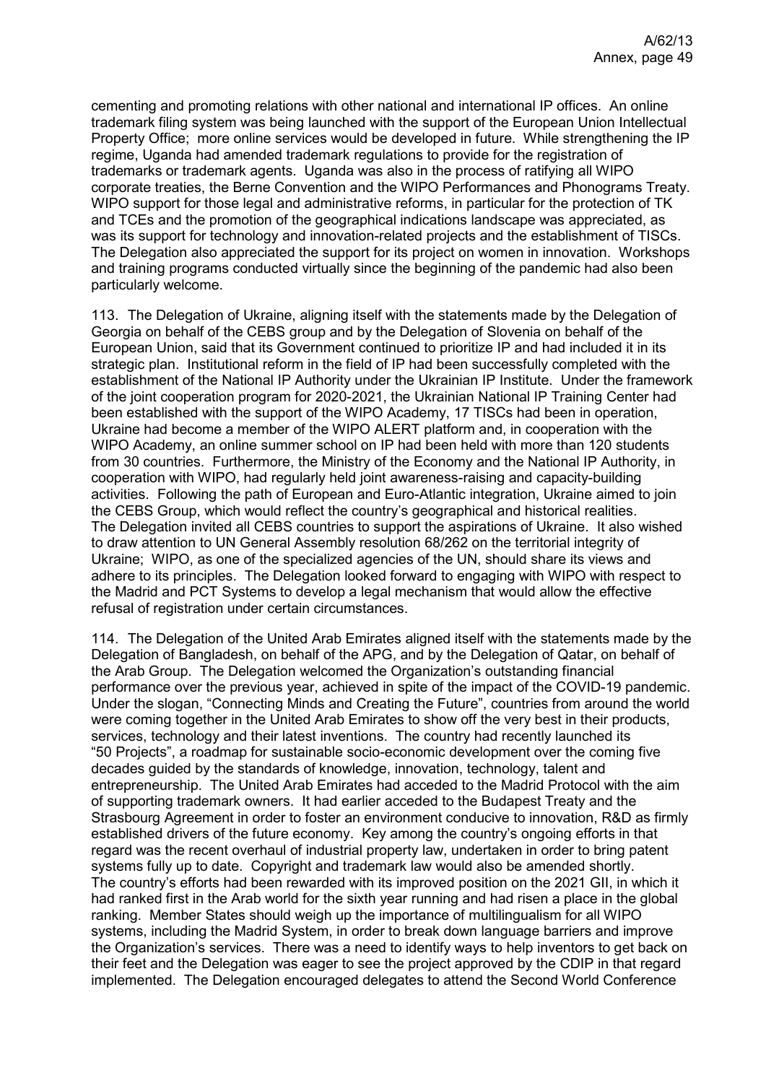cementing and promoting relations with other national and international IP offices. An online trademark filing system was being launched with the support of the European Union Intellectual Property Office; more online services would be developed in future. While strengthening the IP regime, Uganda had amended trademark regulations to provide for the registration of trademarks or trademark agents. Uganda was also in the process of ratifying all WIPO corporate treaties, the Berne Convention and the WIPO Performances and Phonograms Treaty. WIPO support for those legal and administrative reforms, in particular for the protection of TK and TCEs and the promotion of the geographical indications landscape was appreciated, as was its support for technology and innovation-related projects and the establishment of TISCs. The Delegation also appreciated the support for its project on women in innovation. Workshops and training programs conducted virtually since the beginning of the pandemic had also been particularly welcome.

113. The Delegation of Ukraine, aligning itself with the statements made by the Delegation of Georgia on behalf of the CEBS group and by the Delegation of Slovenia on behalf of the European Union, said that its Government continued to prioritize IP and had included it in its strategic plan. Institutional reform in the field of IP had been successfully completed with the establishment of the National IP Authority under the Ukrainian IP Institute. Under the framework of the joint cooperation program for 2020-2021, the Ukrainian National IP Training Center had been established with the support of the WIPO Academy, 17 TISCs had been in operation, Ukraine had become a member of the WIPO ALERT platform and, in cooperation with the WIPO Academy, an online summer school on IP had been held with more than 120 students from 30 countries. Furthermore, the Ministry of the Economy and the National IP Authority, in cooperation with WIPO, had regularly held joint awareness-raising and capacity-building activities. Following the path of European and Euro-Atlantic integration, Ukraine aimed to join the CEBS Group, which would reflect the country's geographical and historical realities. The Delegation invited all CEBS countries to support the aspirations of Ukraine. It also wished to draw attention to UN General Assembly resolution 68/262 on the territorial integrity of Ukraine; WIPO, as one of the specialized agencies of the UN, should share its views and adhere to its principles. The Delegation looked forward to engaging with WIPO with respect to the Madrid and PCT Systems to develop a legal mechanism that would allow the effective refusal of registration under certain circumstances.

114. The Delegation of the United Arab Emirates aligned itself with the statements made by the Delegation of Bangladesh, on behalf of the APG, and by the Delegation of Qatar, on behalf of the Arab Group. The Delegation welcomed the Organization's outstanding financial performance over the previous year, achieved in spite of the impact of the COVID-19 pandemic. Under the slogan, "Connecting Minds and Creating the Future", countries from around the world were coming together in the United Arab Emirates to show off the very best in their products, services, technology and their latest inventions. The country had recently launched its "50 Projects", a roadmap for sustainable socio-economic development over the coming five decades guided by the standards of knowledge, innovation, technology, talent and entrepreneurship. The United Arab Emirates had acceded to the Madrid Protocol with the aim of supporting trademark owners. It had earlier acceded to the Budapest Treaty and the Strasbourg Agreement in order to foster an environment conducive to innovation, R&D as firmly established drivers of the future economy. Key among the country's ongoing efforts in that regard was the recent overhaul of industrial property law, undertaken in order to bring patent systems fully up to date. Copyright and trademark law would also be amended shortly. The country's efforts had been rewarded with its improved position on the 2021 GII, in which it had ranked first in the Arab world for the sixth year running and had risen a place in the global ranking. Member States should weigh up the importance of multilingualism for all WIPO systems, including the Madrid System, in order to break down language barriers and improve the Organization's services. There was a need to identify ways to help inventors to get back on their feet and the Delegation was eager to see the project approved by the CDIP in that regard implemented. The Delegation encouraged delegates to attend the Second World Conference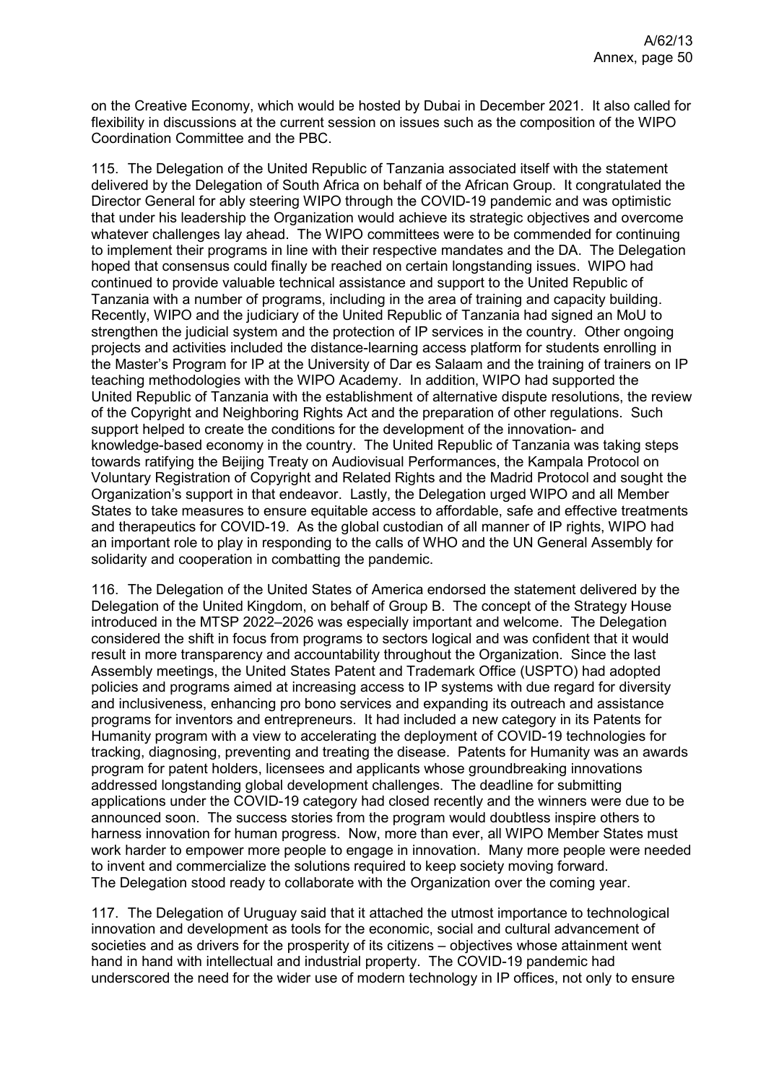on the Creative Economy, which would be hosted by Dubai in December 2021. It also called for flexibility in discussions at the current session on issues such as the composition of the WIPO Coordination Committee and the PBC.

115. The Delegation of the United Republic of Tanzania associated itself with the statement delivered by the Delegation of South Africa on behalf of the African Group. It congratulated the Director General for ably steering WIPO through the COVID-19 pandemic and was optimistic that under his leadership the Organization would achieve its strategic objectives and overcome whatever challenges lay ahead. The WIPO committees were to be commended for continuing to implement their programs in line with their respective mandates and the DA. The Delegation hoped that consensus could finally be reached on certain longstanding issues. WIPO had continued to provide valuable technical assistance and support to the United Republic of Tanzania with a number of programs, including in the area of training and capacity building. Recently, WIPO and the judiciary of the United Republic of Tanzania had signed an MoU to strengthen the judicial system and the protection of IP services in the country. Other ongoing projects and activities included the distance-learning access platform for students enrolling in the Master's Program for IP at the University of Dar es Salaam and the training of trainers on IP teaching methodologies with the WIPO Academy. In addition, WIPO had supported the United Republic of Tanzania with the establishment of alternative dispute resolutions, the review of the Copyright and Neighboring Rights Act and the preparation of other regulations. Such support helped to create the conditions for the development of the innovation- and knowledge-based economy in the country. The United Republic of Tanzania was taking steps towards ratifying the Beijing Treaty on Audiovisual Performances, the Kampala Protocol on Voluntary Registration of Copyright and Related Rights and the Madrid Protocol and sought the Organization's support in that endeavor. Lastly, the Delegation urged WIPO and all Member States to take measures to ensure equitable access to affordable, safe and effective treatments and therapeutics for COVID-19. As the global custodian of all manner of IP rights, WIPO had an important role to play in responding to the calls of WHO and the UN General Assembly for solidarity and cooperation in combatting the pandemic.

116. The Delegation of the United States of America endorsed the statement delivered by the Delegation of the United Kingdom, on behalf of Group B. The concept of the Strategy House introduced in the MTSP 2022–2026 was especially important and welcome. The Delegation considered the shift in focus from programs to sectors logical and was confident that it would result in more transparency and accountability throughout the Organization. Since the last Assembly meetings, the United States Patent and Trademark Office (USPTO) had adopted policies and programs aimed at increasing access to IP systems with due regard for diversity and inclusiveness, enhancing pro bono services and expanding its outreach and assistance programs for inventors and entrepreneurs. It had included a new category in its Patents for Humanity program with a view to accelerating the deployment of COVID-19 technologies for tracking, diagnosing, preventing and treating the disease. Patents for Humanity was an awards program for patent holders, licensees and applicants whose groundbreaking innovations addressed longstanding global development challenges. The deadline for submitting applications under the COVID-19 category had closed recently and the winners were due to be announced soon. The success stories from the program would doubtless inspire others to harness innovation for human progress. Now, more than ever, all WIPO Member States must work harder to empower more people to engage in innovation. Many more people were needed to invent and commercialize the solutions required to keep society moving forward. The Delegation stood ready to collaborate with the Organization over the coming year.

117. The Delegation of Uruguay said that it attached the utmost importance to technological innovation and development as tools for the economic, social and cultural advancement of societies and as drivers for the prosperity of its citizens – objectives whose attainment went hand in hand with intellectual and industrial property. The COVID-19 pandemic had underscored the need for the wider use of modern technology in IP offices, not only to ensure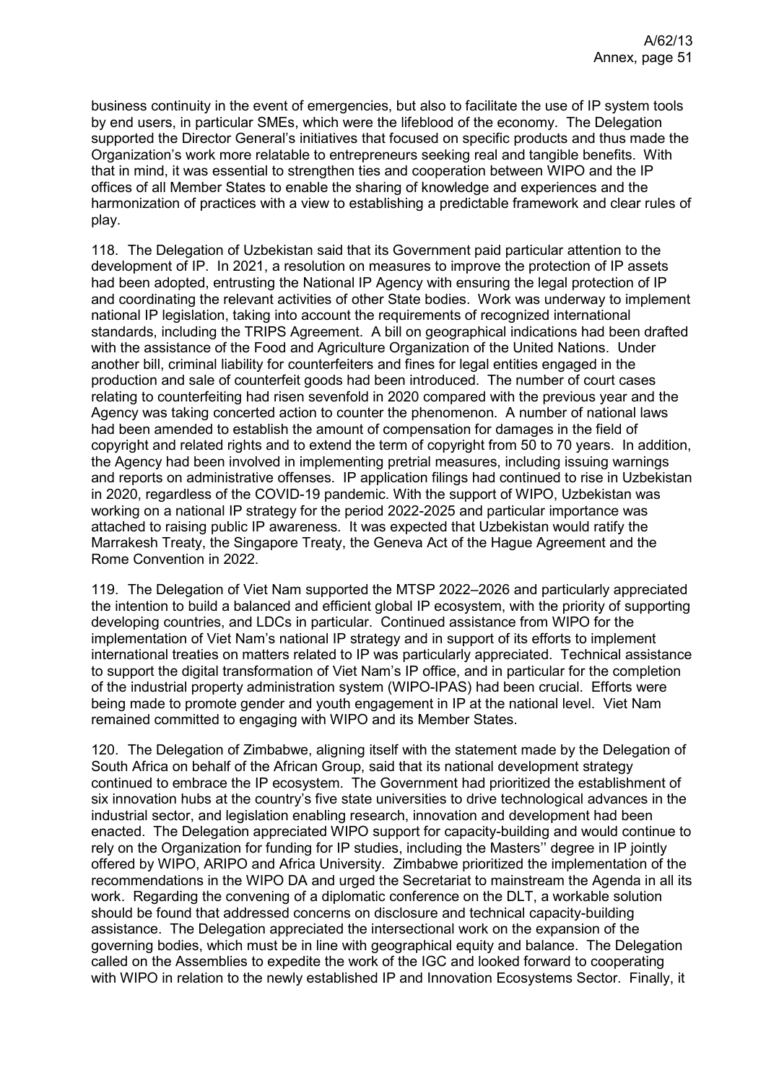business continuity in the event of emergencies, but also to facilitate the use of IP system tools by end users, in particular SMEs, which were the lifeblood of the economy. The Delegation supported the Director General's initiatives that focused on specific products and thus made the Organization's work more relatable to entrepreneurs seeking real and tangible benefits. With that in mind, it was essential to strengthen ties and cooperation between WIPO and the IP offices of all Member States to enable the sharing of knowledge and experiences and the harmonization of practices with a view to establishing a predictable framework and clear rules of play.

118. The Delegation of Uzbekistan said that its Government paid particular attention to the development of IP. In 2021, a resolution on measures to improve the protection of IP assets had been adopted, entrusting the National IP Agency with ensuring the legal protection of IP and coordinating the relevant activities of other State bodies. Work was underway to implement national IP legislation, taking into account the requirements of recognized international standards, including the TRIPS Agreement. A bill on geographical indications had been drafted with the assistance of the Food and Agriculture Organization of the United Nations. Under another bill, criminal liability for counterfeiters and fines for legal entities engaged in the production and sale of counterfeit goods had been introduced. The number of court cases relating to counterfeiting had risen sevenfold in 2020 compared with the previous year and the Agency was taking concerted action to counter the phenomenon. A number of national laws had been amended to establish the amount of compensation for damages in the field of copyright and related rights and to extend the term of copyright from 50 to 70 years. In addition, the Agency had been involved in implementing pretrial measures, including issuing warnings and reports on administrative offenses. IP application filings had continued to rise in Uzbekistan in 2020, regardless of the COVID-19 pandemic. With the support of WIPO, Uzbekistan was working on a national IP strategy for the period 2022-2025 and particular importance was attached to raising public IP awareness. It was expected that Uzbekistan would ratify the Marrakesh Treaty, the Singapore Treaty, the Geneva Act of the Hague Agreement and the Rome Convention in 2022.

119. The Delegation of Viet Nam supported the MTSP 2022–2026 and particularly appreciated the intention to build a balanced and efficient global IP ecosystem, with the priority of supporting developing countries, and LDCs in particular. Continued assistance from WIPO for the implementation of Viet Nam's national IP strategy and in support of its efforts to implement international treaties on matters related to IP was particularly appreciated. Technical assistance to support the digital transformation of Viet Nam's IP office, and in particular for the completion of the industrial property administration system (WIPO-IPAS) had been crucial. Efforts were being made to promote gender and youth engagement in IP at the national level. Viet Nam remained committed to engaging with WIPO and its Member States.

120. The Delegation of Zimbabwe, aligning itself with the statement made by the Delegation of South Africa on behalf of the African Group, said that its national development strategy continued to embrace the IP ecosystem. The Government had prioritized the establishment of six innovation hubs at the country's five state universities to drive technological advances in the industrial sector, and legislation enabling research, innovation and development had been enacted. The Delegation appreciated WIPO support for capacity-building and would continue to rely on the Organization for funding for IP studies, including the Masters'' degree in IP jointly offered by WIPO, ARIPO and Africa University. Zimbabwe prioritized the implementation of the recommendations in the WIPO DA and urged the Secretariat to mainstream the Agenda in all its work. Regarding the convening of a diplomatic conference on the DLT, a workable solution should be found that addressed concerns on disclosure and technical capacity-building assistance. The Delegation appreciated the intersectional work on the expansion of the governing bodies, which must be in line with geographical equity and balance. The Delegation called on the Assemblies to expedite the work of the IGC and looked forward to cooperating with WIPO in relation to the newly established IP and Innovation Ecosystems Sector. Finally, it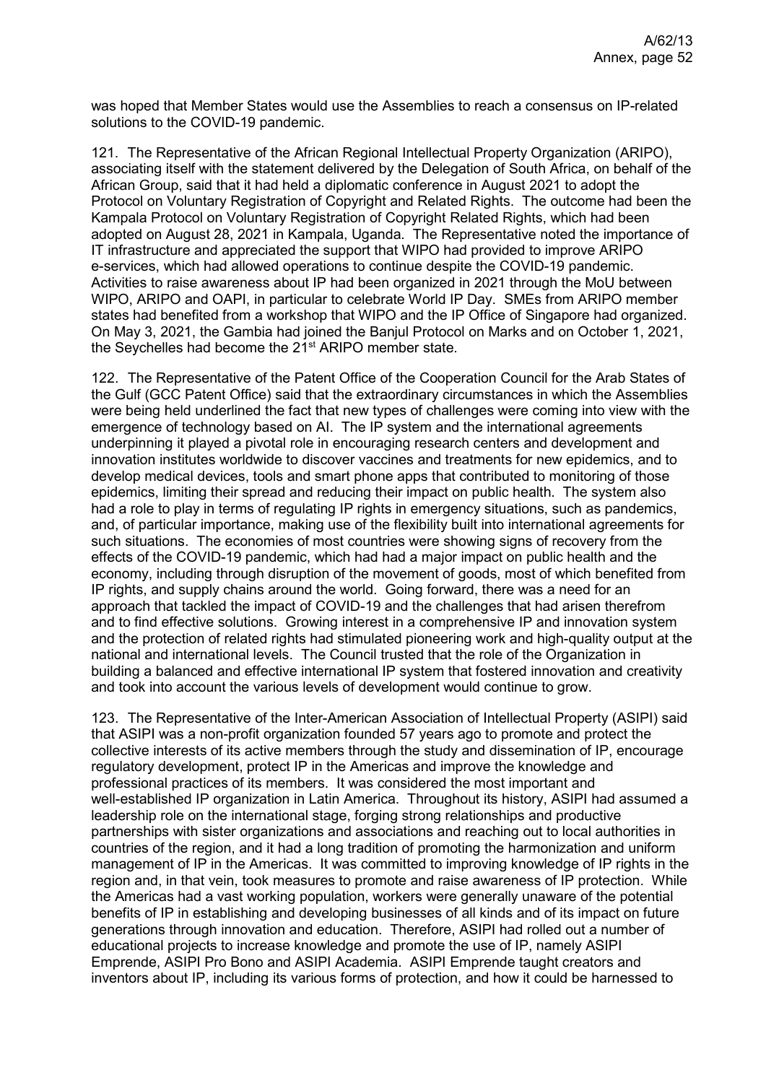was hoped that Member States would use the Assemblies to reach a consensus on IP-related solutions to the COVID-19 pandemic.

121. The Representative of the African Regional Intellectual Property Organization (ARIPO), associating itself with the statement delivered by the Delegation of South Africa, on behalf of the African Group, said that it had held a diplomatic conference in August 2021 to adopt the Protocol on Voluntary Registration of Copyright and Related Rights. The outcome had been the Kampala Protocol on Voluntary Registration of Copyright Related Rights, which had been adopted on August 28, 2021 in Kampala, Uganda. The Representative noted the importance of IT infrastructure and appreciated the support that WIPO had provided to improve ARIPO e-services, which had allowed operations to continue despite the COVID-19 pandemic. Activities to raise awareness about IP had been organized in 2021 through the MoU between WIPO, ARIPO and OAPI, in particular to celebrate World IP Day. SMEs from ARIPO member states had benefited from a workshop that WIPO and the IP Office of Singapore had organized. On May 3, 2021, the Gambia had joined the Banjul Protocol on Marks and on October 1, 2021, the Seychelles had become the 21<sup>st</sup> ARIPO member state.

122. The Representative of the Patent Office of the Cooperation Council for the Arab States of the Gulf (GCC Patent Office) said that the extraordinary circumstances in which the Assemblies were being held underlined the fact that new types of challenges were coming into view with the emergence of technology based on AI. The IP system and the international agreements underpinning it played a pivotal role in encouraging research centers and development and innovation institutes worldwide to discover vaccines and treatments for new epidemics, and to develop medical devices, tools and smart phone apps that contributed to monitoring of those epidemics, limiting their spread and reducing their impact on public health. The system also had a role to play in terms of regulating IP rights in emergency situations, such as pandemics, and, of particular importance, making use of the flexibility built into international agreements for such situations. The economies of most countries were showing signs of recovery from the effects of the COVID-19 pandemic, which had had a major impact on public health and the economy, including through disruption of the movement of goods, most of which benefited from IP rights, and supply chains around the world. Going forward, there was a need for an approach that tackled the impact of COVID-19 and the challenges that had arisen therefrom and to find effective solutions. Growing interest in a comprehensive IP and innovation system and the protection of related rights had stimulated pioneering work and high-quality output at the national and international levels. The Council trusted that the role of the Organization in building a balanced and effective international IP system that fostered innovation and creativity and took into account the various levels of development would continue to grow.

123. The Representative of the Inter-American Association of Intellectual Property (ASIPI) said that ASIPI was a non-profit organization founded 57 years ago to promote and protect the collective interests of its active members through the study and dissemination of IP, encourage regulatory development, protect IP in the Americas and improve the knowledge and professional practices of its members. It was considered the most important and well-established IP organization in Latin America. Throughout its history, ASIPI had assumed a leadership role on the international stage, forging strong relationships and productive partnerships with sister organizations and associations and reaching out to local authorities in countries of the region, and it had a long tradition of promoting the harmonization and uniform management of IP in the Americas. It was committed to improving knowledge of IP rights in the region and, in that vein, took measures to promote and raise awareness of IP protection. While the Americas had a vast working population, workers were generally unaware of the potential benefits of IP in establishing and developing businesses of all kinds and of its impact on future generations through innovation and education. Therefore, ASIPI had rolled out a number of educational projects to increase knowledge and promote the use of IP, namely ASIPI Emprende, ASIPI Pro Bono and ASIPI Academia. ASIPI Emprende taught creators and inventors about IP, including its various forms of protection, and how it could be harnessed to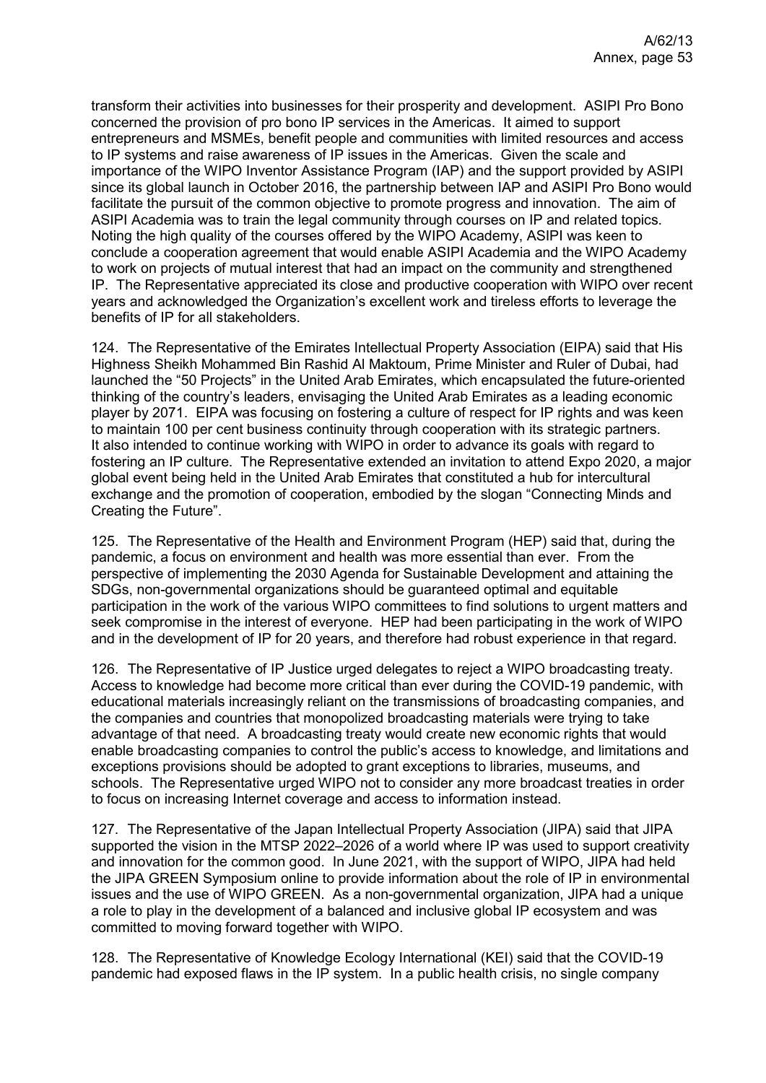transform their activities into businesses for their prosperity and development. ASIPI Pro Bono concerned the provision of pro bono IP services in the Americas. It aimed to support entrepreneurs and MSMEs, benefit people and communities with limited resources and access to IP systems and raise awareness of IP issues in the Americas. Given the scale and importance of the WIPO Inventor Assistance Program (IAP) and the support provided by ASIPI since its global launch in October 2016, the partnership between IAP and ASIPI Pro Bono would facilitate the pursuit of the common objective to promote progress and innovation. The aim of ASIPI Academia was to train the legal community through courses on IP and related topics. Noting the high quality of the courses offered by the WIPO Academy, ASIPI was keen to conclude a cooperation agreement that would enable ASIPI Academia and the WIPO Academy to work on projects of mutual interest that had an impact on the community and strengthened IP. The Representative appreciated its close and productive cooperation with WIPO over recent years and acknowledged the Organization's excellent work and tireless efforts to leverage the benefits of IP for all stakeholders.

124. The Representative of the Emirates Intellectual Property Association (EIPA) said that His Highness Sheikh Mohammed Bin Rashid Al Maktoum, Prime Minister and Ruler of Dubai, had launched the "50 Projects" in the United Arab Emirates, which encapsulated the future-oriented thinking of the country's leaders, envisaging the United Arab Emirates as a leading economic player by 2071. EIPA was focusing on fostering a culture of respect for IP rights and was keen to maintain 100 per cent business continuity through cooperation with its strategic partners. It also intended to continue working with WIPO in order to advance its goals with regard to fostering an IP culture. The Representative extended an invitation to attend Expo 2020, a major global event being held in the United Arab Emirates that constituted a hub for intercultural exchange and the promotion of cooperation, embodied by the slogan "Connecting Minds and Creating the Future".

125. The Representative of the Health and Environment Program (HEP) said that, during the pandemic, a focus on environment and health was more essential than ever. From the perspective of implementing the 2030 Agenda for Sustainable Development and attaining the SDGs, non-governmental organizations should be guaranteed optimal and equitable participation in the work of the various WIPO committees to find solutions to urgent matters and seek compromise in the interest of everyone. HEP had been participating in the work of WIPO and in the development of IP for 20 years, and therefore had robust experience in that regard.

126. The Representative of IP Justice urged delegates to reject a WIPO broadcasting treaty. Access to knowledge had become more critical than ever during the COVID-19 pandemic, with educational materials increasingly reliant on the transmissions of broadcasting companies, and the companies and countries that monopolized broadcasting materials were trying to take advantage of that need. A broadcasting treaty would create new economic rights that would enable broadcasting companies to control the public's access to knowledge, and limitations and exceptions provisions should be adopted to grant exceptions to libraries, museums, and schools. The Representative urged WIPO not to consider any more broadcast treaties in order to focus on increasing Internet coverage and access to information instead.

127. The Representative of the Japan Intellectual Property Association (JIPA) said that JIPA supported the vision in the MTSP 2022–2026 of a world where IP was used to support creativity and innovation for the common good. In June 2021, with the support of WIPO, JIPA had held the JIPA GREEN Symposium online to provide information about the role of IP in environmental issues and the use of WIPO GREEN. As a non-governmental organization, JIPA had a unique a role to play in the development of a balanced and inclusive global IP ecosystem and was committed to moving forward together with WIPO.

128. The Representative of Knowledge Ecology International (KEI) said that the COVID-19 pandemic had exposed flaws in the IP system. In a public health crisis, no single company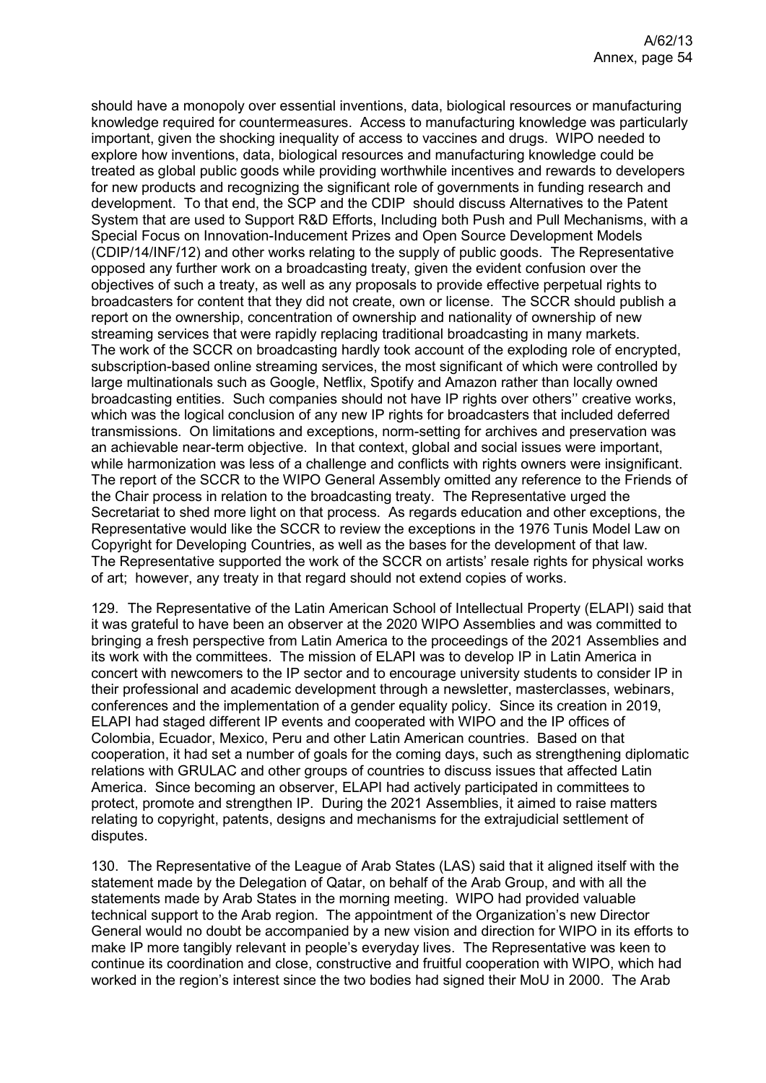should have a monopoly over essential inventions, data, biological resources or manufacturing knowledge required for countermeasures. Access to manufacturing knowledge was particularly important, given the shocking inequality of access to vaccines and drugs. WIPO needed to explore how inventions, data, biological resources and manufacturing knowledge could be treated as global public goods while providing worthwhile incentives and rewards to developers for new products and recognizing the significant role of governments in funding research and development. To that end, the SCP and the CDIP should discuss Alternatives to the Patent System that are used to Support R&D Efforts, Including both Push and Pull Mechanisms, with a Special Focus on Innovation-Inducement Prizes and Open Source Development Models (CDIP/14/INF/12) and other works relating to the supply of public goods. The Representative opposed any further work on a broadcasting treaty, given the evident confusion over the objectives of such a treaty, as well as any proposals to provide effective perpetual rights to broadcasters for content that they did not create, own or license. The SCCR should publish a report on the ownership, concentration of ownership and nationality of ownership of new streaming services that were rapidly replacing traditional broadcasting in many markets. The work of the SCCR on broadcasting hardly took account of the exploding role of encrypted, subscription-based online streaming services, the most significant of which were controlled by large multinationals such as Google, Netflix, Spotify and Amazon rather than locally owned broadcasting entities. Such companies should not have IP rights over others'' creative works, which was the logical conclusion of any new IP rights for broadcasters that included deferred transmissions. On limitations and exceptions, norm-setting for archives and preservation was an achievable near-term objective. In that context, global and social issues were important, while harmonization was less of a challenge and conflicts with rights owners were insignificant. The report of the SCCR to the WIPO General Assembly omitted any reference to the Friends of the Chair process in relation to the broadcasting treaty. The Representative urged the Secretariat to shed more light on that process. As regards education and other exceptions, the Representative would like the SCCR to review the exceptions in the 1976 Tunis Model Law on Copyright for Developing Countries, as well as the bases for the development of that law. The Representative supported the work of the SCCR on artists' resale rights for physical works of art; however, any treaty in that regard should not extend copies of works.

129. The Representative of the Latin American School of Intellectual Property (ELAPI) said that it was grateful to have been an observer at the 2020 WIPO Assemblies and was committed to bringing a fresh perspective from Latin America to the proceedings of the 2021 Assemblies and its work with the committees. The mission of ELAPI was to develop IP in Latin America in concert with newcomers to the IP sector and to encourage university students to consider IP in their professional and academic development through a newsletter, masterclasses, webinars, conferences and the implementation of a gender equality policy. Since its creation in 2019, ELAPI had staged different IP events and cooperated with WIPO and the IP offices of Colombia, Ecuador, Mexico, Peru and other Latin American countries. Based on that cooperation, it had set a number of goals for the coming days, such as strengthening diplomatic relations with GRULAC and other groups of countries to discuss issues that affected Latin America. Since becoming an observer, ELAPI had actively participated in committees to protect, promote and strengthen IP. During the 2021 Assemblies, it aimed to raise matters relating to copyright, patents, designs and mechanisms for the extrajudicial settlement of disputes.

130. The Representative of the League of Arab States (LAS) said that it aligned itself with the statement made by the Delegation of Qatar, on behalf of the Arab Group, and with all the statements made by Arab States in the morning meeting. WIPO had provided valuable technical support to the Arab region. The appointment of the Organization's new Director General would no doubt be accompanied by a new vision and direction for WIPO in its efforts to make IP more tangibly relevant in people's everyday lives. The Representative was keen to continue its coordination and close, constructive and fruitful cooperation with WIPO, which had worked in the region's interest since the two bodies had signed their MoU in 2000. The Arab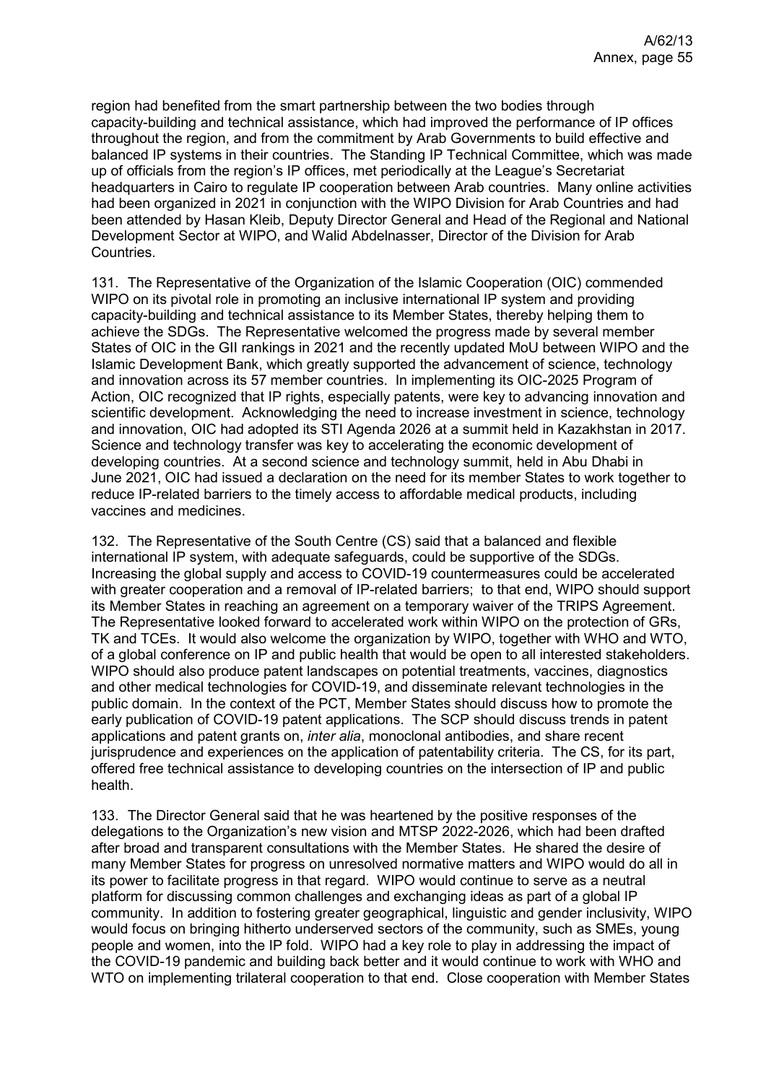region had benefited from the smart partnership between the two bodies through capacity-building and technical assistance, which had improved the performance of IP offices throughout the region, and from the commitment by Arab Governments to build effective and balanced IP systems in their countries. The Standing IP Technical Committee, which was made up of officials from the region's IP offices, met periodically at the League's Secretariat headquarters in Cairo to regulate IP cooperation between Arab countries. Many online activities had been organized in 2021 in conjunction with the WIPO Division for Arab Countries and had been attended by Hasan Kleib, Deputy Director General and Head of the Regional and National Development Sector at WIPO, and Walid Abdelnasser, Director of the Division for Arab Countries.

131. The Representative of the Organization of the Islamic Cooperation (OIC) commended WIPO on its pivotal role in promoting an inclusive international IP system and providing capacity-building and technical assistance to its Member States, thereby helping them to achieve the SDGs. The Representative welcomed the progress made by several member States of OIC in the GII rankings in 2021 and the recently updated MoU between WIPO and the Islamic Development Bank, which greatly supported the advancement of science, technology and innovation across its 57 member countries. In implementing its OIC-2025 Program of Action, OIC recognized that IP rights, especially patents, were key to advancing innovation and scientific development. Acknowledging the need to increase investment in science, technology and innovation, OIC had adopted its STI Agenda 2026 at a summit held in Kazakhstan in 2017. Science and technology transfer was key to accelerating the economic development of developing countries. At a second science and technology summit, held in Abu Dhabi in June 2021, OIC had issued a declaration on the need for its member States to work together to reduce IP-related barriers to the timely access to affordable medical products, including vaccines and medicines.

132. The Representative of the South Centre (CS) said that a balanced and flexible international IP system, with adequate safeguards, could be supportive of the SDGs. Increasing the global supply and access to COVID-19 countermeasures could be accelerated with greater cooperation and a removal of IP-related barriers; to that end, WIPO should support its Member States in reaching an agreement on a temporary waiver of the TRIPS Agreement. The Representative looked forward to accelerated work within WIPO on the protection of GRs, TK and TCEs. It would also welcome the organization by WIPO, together with WHO and WTO, of a global conference on IP and public health that would be open to all interested stakeholders. WIPO should also produce patent landscapes on potential treatments, vaccines, diagnostics and other medical technologies for COVID-19, and disseminate relevant technologies in the public domain. In the context of the PCT, Member States should discuss how to promote the early publication of COVID-19 patent applications. The SCP should discuss trends in patent applications and patent grants on, *inter alia*, monoclonal antibodies, and share recent jurisprudence and experiences on the application of patentability criteria. The CS, for its part, offered free technical assistance to developing countries on the intersection of IP and public health.

133. The Director General said that he was heartened by the positive responses of the delegations to the Organization's new vision and MTSP 2022-2026, which had been drafted after broad and transparent consultations with the Member States. He shared the desire of many Member States for progress on unresolved normative matters and WIPO would do all in its power to facilitate progress in that regard. WIPO would continue to serve as a neutral platform for discussing common challenges and exchanging ideas as part of a global IP community. In addition to fostering greater geographical, linguistic and gender inclusivity, WIPO would focus on bringing hitherto underserved sectors of the community, such as SMEs, young people and women, into the IP fold. WIPO had a key role to play in addressing the impact of the COVID-19 pandemic and building back better and it would continue to work with WHO and WTO on implementing trilateral cooperation to that end. Close cooperation with Member States